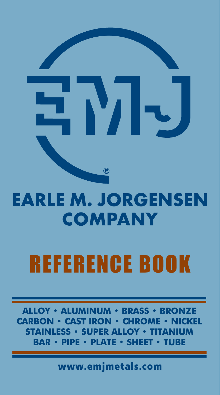

### **EARLE M. JORGENSEN COMPANY**

## **REFERENCE BOOK**

**ALLOY • ALUMINUM • BRASS • BRONZE CARBON** • CAST IRON • CHROME **IICKEL STAINLESS · SUPER ALLOY** ITANIUM RAR DE I AT Е

www.emjmetals.com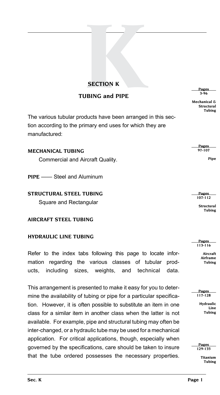# **KING AND READER**<br> **KING AND PIPE tubing and pipe**

The various tubular products have been arranged in this section according to the primary end uses for which they are manufactured:

| <b>MECHANICAL TUBING</b>         | <b>Pages</b><br>97-107 |
|----------------------------------|------------------------|
| Commercial and Aircraft Quality. | Pipe                   |

**PIPE** [—— Steel and Aluminum](#page-97-0)

#### **[STRUCTURAL STEEL TUBING](#page-107-0)** [Square and Rectangular](#page-107-0)

**[AIRCRAFT STEEL TUBING](#page-113-0)**

#### **[HYDRAULIC LINE](#page-117-0) TUBING**

Refer to the index tabs following this page to locate information regarding the various classes of tubular products, including sizes, weights, and technical data.

This arrangement is presented to make it easy for you to determine the availability of tubing or pipe for a particular specification. However, it is often possible to substitute an item in one class for a similar item in another class when the latter is not available. For example, pipe and structural tubing may often be inter-changed, or a hydraulic tube may be used for a mechanical application. For critical applications, though, especially when governed by the specifications, care should be taken to insure that the tube ordered possesses the necessary properties.

 **[Pages](#page-3-0)  [3-96](#page-3-0)**

**[Mechanical &](#page-3-0) [Structural](#page-3-0) [Tubing](#page-3-0)**

 **Pages 107-112**

> **[Structural](#page-107-0) Tubing**

 **Pages  [113-116](#page-113-0)**

> **Aircraft Airframe Tubing**

 **Pages  [117-128](#page-117-0)**

**Hydraulic Line Tubing**

 **Pages  [129-135](#page-129-0)**

**Titanium Tubing**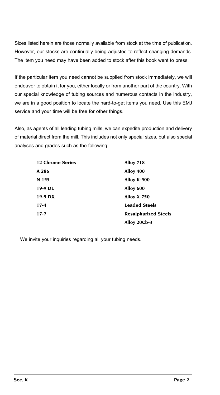Sizes listed herein are those normally available from stock at the time of publication. However, our stocks are continually being adjusted to reflect changing demands. The item you need may have been added to stock after this book went to press.

If the particular item you need cannot be supplied from stock immediately, we will endeavor to obtain it for you, either locally or from another part of the country. With our special knowledge of tubing sources and numerous contacts in the industry, we are in a good position to locate the hard-to-get items you need. Use this EMJ service and your time will be free for other things.

Also, as agents of all leading tubing mills, we can expedite production and delivery of material direct from the mill. This includes not only special sizes, but also special analyses and grades such as the following:

| 12 Chrome Series | Alloy 718                   |
|------------------|-----------------------------|
| A 286            | Alloy 400                   |
| N 155            | Alloy K-500                 |
| 19-9 DL          | Alloy 600                   |
| $19-9$ DX        | Alloy X-750                 |
| $17 - 4$         | <b>Leaded Steels</b>        |
| $17-7$           | <b>Resulphurized Steels</b> |
|                  | Alloy 20Cb-3                |

We invite your inquiries regarding all your tubing needs.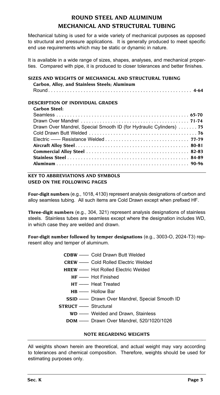#### **ROUND STEEL AND ALUMINUM MECHANICAL AND STRUCTURAL TUBING**

<span id="page-3-0"></span>Mechanical tubing is used for a wide variety of mechanical purposes as opposed to structural and pressure applications. It is generally produced to meet specific end use requirements which may be static or dynamic in nature.

It is available in a wide range of sizes, shapes, analyses, and mechanical properties. Compared with pipe, it is produced to closer tolerances and better finishes.

#### **[SIZES AND WEIGHTS OF MECHANICAL AND STRUCTURAL TUBING](#page-4-0)  [Carbon, Alloy, and Stainless Steels; Aluminum](#page-4-0)**

[Round](#page-4-0) . . **4-64**

#### **DESCRIPTION OF INDIVIDUAL GRADES**

#### **Carbon Steel:**

| Drawn Over Mandrel, Special Smooth ID (for Hydraulic Cylinders)  75 |  |
|---------------------------------------------------------------------|--|
|                                                                     |  |
|                                                                     |  |
|                                                                     |  |
|                                                                     |  |
|                                                                     |  |
|                                                                     |  |
|                                                                     |  |

#### **KEY TO ABBREVIATIONS AND SYMBOLS USED ON THE FOLLOWING PAGES**

**Four-digit numbers** (e.g., 1018, 4130) represent analysis designations of carbon and alloy seamless tubing. All such items are Cold Drawn except when prefixed HF.

**Three-digit numbers** (e.g., 304, 321) represent analysis designations of stainless steels. Stainless tubes are seamless except where the designation includes WD, in which case they are welded and drawn.

**Four-digit number followed by temper designations** (e.g., 3003-O, 2024-T3) represent alloy and temper of aluminum.

- **CDBW** —— Cold Drawn Butt Welded
- **CREW** —— Cold Rolled Electric Welded
- **HREW** —— Hot Rolled Electric Welded
	- **HF** —— Hot Finished
		- **HT** —— Heat Treated
	- **HB** —— Hollow Bar
- **SSID** —— Drawn Over Mandrel, Special Smooth ID
- **STRUCT** —— Structural
	- **WD** —— Welded and Drawn, Stainless
	- **DOM** —— Drawn Over Mandrel, 520/1020/1026

#### **NOTE REGARDING WEIGHTS**

All weights shown herein are theoretical, and actual weight may vary according to tolerances and chemical composition. Therefore, weights should be used for estimating purposes only.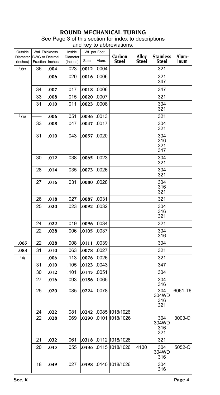<span id="page-4-0"></span>

| Outside<br>Diameter<br>(Inches) | <b>BWG or Decimal</b><br>Fraction Inches | Wall Thickness | Inside<br>Diameter<br>(Inches) | Steel     | Wt. per Foot<br>Alum. | Carbon<br>Steel               | Alloy<br>Steel | <b>Stainless</b><br><b>Steel</b> | Alum-<br>inum |
|---------------------------------|------------------------------------------|----------------|--------------------------------|-----------|-----------------------|-------------------------------|----------------|----------------------------------|---------------|
| 1/32                            | 36                                       | .004           | .023                           |           | 0012 .0004            |                               |                | 321                              |               |
|                                 |                                          | .006           | .020                           |           | 0000. 0100.           |                               |                | 321<br>347                       |               |
|                                 | 34                                       | .007           | .017                           |           | 0000. 8100.           |                               |                | 347                              |               |
|                                 | 33                                       | .008           | 015                            |           | 00020 .0007           |                               |                | 321                              |               |
|                                 | 31                                       | .010           | .011                           |           | 0023 .0008            |                               |                | 304<br>321                       |               |
| 1/16                            |                                          | .006           | .051                           |           | 0036 .0013            |                               |                | 321                              |               |
|                                 | 33                                       | .008           | .047                           |           | 0047 .0017            |                               |                | 304<br>321                       |               |
|                                 | 31                                       | .010           | .043                           |           | .0057 .0020           |                               |                | 304<br>316<br>321<br>347         |               |
|                                 | 30                                       | .012           | .038                           |           | 0065 .0023            |                               |                | 304<br>321                       |               |
|                                 | 28                                       | .014           | .035                           |           | .0073 .0026           |                               |                | 304<br>321                       |               |
|                                 | 27                                       | .016           | .031                           |           | . <b>0080</b> .0028   |                               |                | 304<br>316<br>321                |               |
|                                 | 26                                       | .018           | .027                           | 0087 0031 |                       |                               |                | 321                              |               |
|                                 | 25                                       | .020           | .023                           |           | .0092 .0032           |                               |                | 304<br>316<br>321                |               |
|                                 | 24                                       | .022           | .019                           |           | .0096 .0034           |                               |                | 321                              |               |
|                                 | 22                                       | .028           | .006                           |           | 0105 .0037            |                               |                | 304<br>316                       |               |
| .065                            | 22                                       | .028           | .008                           | .0111     | .0039                 |                               |                | 304                              |               |
| .083                            | 31                                       | .010           | .063                           |           | 0078 .0027            |                               |                | 321                              |               |
| 1/8                             |                                          | .006           | .113                           |           | .0076 .0026           |                               |                | 321                              |               |
|                                 | 31                                       | .010           | .105                           |           | .0123 .0043           |                               |                | 347                              |               |
|                                 | 30                                       | .012           | .101                           |           | .0145 .0051           |                               |                | 304                              |               |
|                                 | 27                                       | .016           | .093                           |           | .01 <b>86</b> .0065   |                               |                | 304<br>316                       |               |
|                                 | 25                                       | .020           | .085                           |           | .0224 .0078           |                               |                | 304<br>304WD<br>316<br>321       | 6061-T6       |
|                                 | 24                                       | .022           | .081                           |           |                       | .0242 .0085 1018/1026         |                |                                  |               |
|                                 | 22                                       | .028           | .069                           |           |                       | 0290 0101 1018/1026           |                | 304<br>304WD<br>316<br>321       | 3003-O        |
|                                 | 21                                       | .032           | .061                           |           |                       |                               |                | 321                              |               |
|                                 | 20                                       | .035           | .055                           |           |                       |                               | 4130           | 304<br>304WD<br>316              | 5052-O        |
|                                 | 18                                       | .049           | .027                           |           |                       | . <b>0398</b> .0140 1018/1026 |                | 304<br>316                       |               |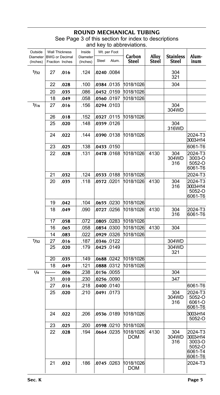| Outside              |    | <b>Wall Thickness</b><br>Inside<br>Wt. per Foot |                      |       |             |                  |                |                                  |                                                               |
|----------------------|----|-------------------------------------------------|----------------------|-------|-------------|------------------|----------------|----------------------------------|---------------------------------------------------------------|
| Diameter<br>(Inches) |    | <b>BWG or Decimal</b><br>Fraction Inches        | Diameter<br>(Inches) | Steel | Alum.       | Carbon<br>Steel  | Alloy<br>Steel | <b>Stainless</b><br><b>Steel</b> | Alum-<br>inum                                                 |
| 5/32                 | 27 | .016                                            | .124                 |       | .0240 .0084 |                  |                | 304<br>321                       |                                                               |
|                      | 22 | .028                                            | .100                 |       | 0384.0135   | 1018/1026        |                | 304                              |                                                               |
|                      | 20 | .035                                            | .086                 |       | .0452 .0159 | 1018/1026        |                |                                  |                                                               |
|                      | 18 | .049                                            | .058                 |       | .0560 .0197 | 1018/1026        |                |                                  |                                                               |
| 3/16                 | 27 | .016                                            | .156                 |       | 0294 0103   |                  |                | 304<br>304WD                     |                                                               |
|                      | 26 | .018                                            | .152                 |       | .0327 .0115 | 1018/1026        |                |                                  |                                                               |
|                      | 25 | .020                                            | .148                 |       | 0359.0126   |                  |                | 304<br>316WD                     |                                                               |
|                      | 24 | .022                                            | .144                 |       | 0390 0138   | 1018/1026        |                |                                  | 2024-T3<br>3003-H14                                           |
|                      | 23 | .025                                            | .138                 |       | .0433 .0150 |                  |                |                                  | 6061-T6                                                       |
|                      | 22 | .028                                            | .131                 |       | 0478.0168   | 1018/1026        | 4130           | 304<br>304WD<br>316              | 2024-T3<br>3003-O<br>5052-O<br>6061-T6                        |
|                      | 21 | .032                                            | .124                 |       | .0533 .0188 | 1018/1026        |                |                                  | 2024-T3                                                       |
|                      | 20 | .035                                            | .118                 |       | .0572 .0201 | 1018/1026        | 4130           | 304<br>316                       | 2024-T3<br>3003-H14<br>5052-O<br>6061-T6                      |
|                      | 19 | .042                                            | .104                 |       | .0655.0230  | 1018/1026        |                |                                  |                                                               |
|                      | 18 | .049                                            | .090                 |       | .0727 .0256 | 1018/1026        | 4130           | 304<br>316                       | 2024-T3<br>6061-T6                                            |
|                      | 17 | .058                                            | .072                 |       | 0805 0283   | 1018/1026        |                |                                  |                                                               |
|                      | 16 | .065                                            | .058                 |       | 0854.0300   | 1018/1026        | 4130           | 304                              |                                                               |
|                      | 14 | .083                                            | .022                 |       | .0929 .0326 | 1018/1026        |                |                                  |                                                               |
| 7/32                 | 27 | .016                                            | .187                 |       | 0346 0122   |                  |                | 304WD                            |                                                               |
|                      | 25 | .020                                            | .179                 |       | .0425 .0149 |                  |                | 304WD<br>321                     |                                                               |
|                      | 20 | .035                                            | .149                 |       | 0688 0242   | 1018/1026        |                |                                  |                                                               |
|                      | 18 | .049                                            | .121                 |       | 0888 0312   | 1018/1026        |                |                                  |                                                               |
| 1/4                  |    | .006                                            | .238                 |       | .0156 .0055 |                  |                | 304                              |                                                               |
|                      | 31 | .010                                            | .230                 |       | .0256 .0090 |                  |                | 347                              |                                                               |
|                      | 27 | .016                                            | .218                 |       | 0400 0140   |                  |                |                                  | 6061-T6                                                       |
|                      | 25 | .020                                            | .210                 |       | 0491.0173   |                  |                | 304<br>304WD<br>316              | 2024-T3<br>5052-O<br>6061-O<br>6061-T6                        |
|                      | 24 | .022                                            | .206                 |       | .0536.0189  | 1018/1026        |                |                                  | 3003-H14<br>5052-O                                            |
|                      | 23 | .025                                            | .200                 |       | 0210.02598  | 1018/1026        |                |                                  |                                                               |
|                      | 22 | .028                                            | .194                 |       | 0664 0235   | 1018/1026<br>DOM | 4130           | 304<br>304WD<br>316              | 2024-T3<br>3003-H14<br>3003-O<br>5052-O<br>6061-T4<br>6061-T6 |
|                      | 21 | .032                                            | .186                 |       | .0745 .0263 | 1018/1026<br>DOM |                |                                  | 2024-T3                                                       |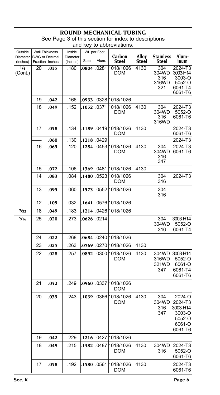#### **ROUND MECHANICAL T** See Page 3 of this section for index to descriptions

| $\frac{1}{2}$ or $\frac{1}{2}$ and occasing to middle to dooding |  |
|------------------------------------------------------------------|--|
| and key to abbreviations.                                        |  |
|                                                                  |  |

| Outside              | Wt. per Foot<br><b>Wall Thickness</b><br>Inside<br><b>BWG</b> or Decimal |      |                      |       |             |                                             |                |                                     |                                                                        |
|----------------------|--------------------------------------------------------------------------|------|----------------------|-------|-------------|---------------------------------------------|----------------|-------------------------------------|------------------------------------------------------------------------|
| Diameter<br>(Inches) | Fraction Inches                                                          |      | Diameter<br>(Inches) | Steel | Alum.       | Carbon<br>Steel                             | Alloy<br>Steel | <b>Stainless</b><br>Steel           | Alum-<br>inum                                                          |
| 1/4<br>(Cont.)       | 20                                                                       | .035 | .180                 |       | 0804 0281   | 1018/1026<br><b>DOM</b>                     | 4130           | 304<br>304WD<br>316<br>316WD<br>321 | 2024-T3<br>3003-H14<br>3003-O<br>5052-O<br>6061-T4<br>6061-T6          |
|                      | 19                                                                       | .042 | .166                 |       |             | .0933 .0328 1018/1026                       |                |                                     |                                                                        |
|                      | 18                                                                       | .049 | .152                 |       |             | .1052 .0371 1018/1026<br>DOM                | 4130           | 304<br>304WD<br>316<br>316WD        | 2024-T3<br>5052-O<br>6061-T6                                           |
|                      | 17                                                                       | .058 | .134                 |       |             | .1189 0419 1018/1026<br>DOM                 | 4130           |                                     | 2024-T3<br>6061-T6                                                     |
|                      |                                                                          | .060 | .130                 |       | .1218.0429  |                                             |                |                                     | 2024-T3                                                                |
|                      | 16                                                                       | .065 | .120                 |       |             | .1284 .0453 1018/1026<br><b>DOM</b>         | 4130           | 304<br>304WD<br>316<br>347          | 2024-T3<br>6061-T6                                                     |
|                      | 15                                                                       | .072 | .106                 |       |             | .1369 .0481 1018/1026                       | 4130           |                                     |                                                                        |
|                      | 14                                                                       | .083 | .084                 |       |             | .1480 .0523 1018/1026<br><b>DOM</b>         |                | 304<br>316                          | 2024-T3                                                                |
|                      | 13                                                                       | .095 | .060                 |       |             | .1573 .0552 1018/1026                       |                | 304<br>316                          |                                                                        |
|                      | 12                                                                       | .109 | .032                 |       |             | .1641 .0576 1018/1026                       |                |                                     |                                                                        |
| 9/32                 | 18                                                                       | .049 | .183                 |       |             | .1214 .0426 1018/1026                       |                |                                     |                                                                        |
| 5/16                 | 25                                                                       | .020 | .273                 |       | .0626 .0214 |                                             |                | 304<br>304WD<br>316                 | 3003-H14<br>5052-O<br>6061-T4                                          |
|                      | 24                                                                       | .022 | .268                 |       |             | .0684 .0240 1018/1026                       |                |                                     |                                                                        |
|                      | 23                                                                       | .025 | .263                 |       |             | .0769 .0270 1018/1026                       | 4130           |                                     |                                                                        |
|                      | 22                                                                       | .028 | .257                 |       |             | . <b>0852</b> .0300 1018/1026<br><b>DOM</b> | 4130           | 304WD<br>316WD<br>321WD<br>347      | 3003-H14<br>5052-O<br>6061-O<br>6061-T4<br>6061-T6                     |
|                      | 21                                                                       | .032 | .249                 |       |             | . <b>0960</b> .0337 1018/1026<br>DOM        |                |                                     |                                                                        |
|                      | 20                                                                       | .035 | .243                 |       |             | .1039 .0366 1018/1026<br><b>DOM</b>         | 4130           | 304<br>304WD<br>316<br>347          | 2024-O<br>2024-T3<br>3003-H14<br>3003-O<br>5052-O<br>6061-O<br>6061-T6 |
|                      | 19                                                                       | .042 | .229                 |       |             | .1216 .0427 1018/1026                       |                |                                     |                                                                        |
|                      | 18                                                                       | .049 | .215                 |       |             | .1 <b>382</b> .0487 1018/1026<br>DOM        | 4130           | 304WD<br>316                        | 2024-T3<br>5052-O<br>6061-T6                                           |
|                      | 17                                                                       | .058 | .192                 |       |             | .1 <b>580</b> .0561 1018/1026<br>DOM        | 4130           |                                     | 2024-T3<br>6061-T6                                                     |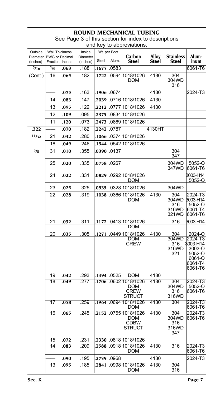#### **ROUND MECHANICAL T**

| Outside              | <b>Wall Thickness</b>                    |      | Inside               |       | Wt. per Foot |                                                               |                       |                                       |                                                                         |
|----------------------|------------------------------------------|------|----------------------|-------|--------------|---------------------------------------------------------------|-----------------------|---------------------------------------|-------------------------------------------------------------------------|
| Diameter<br>(Inches) | <b>BWG</b> or Decimal<br>Fraction Inches |      | Diameter<br>(Inches) | Steel | Alum.        | Carbon<br><b>Steel</b>                                        | <b>Alloy</b><br>Steel | <b>Stainless</b><br>Steel             | Alum-<br>inum                                                           |
| $\frac{5}{16}$       | 1/6                                      | .063 | .188                 |       | .1677 .0583  |                                                               |                       |                                       | 6061-T6                                                                 |
| (Cont.)              | 16                                       | .065 | .182                 |       |              | .1722 .0594 1018/1026<br>DOM                                  | 4130                  | 304<br>304WD<br>316                   |                                                                         |
|                      |                                          | .075 | .163                 |       | .1906 .0674  |                                                               | 4130                  |                                       | 2024-T3                                                                 |
|                      | 14                                       | .083 | .147                 |       |              | .2039 .0716 1018/1026                                         | 4130                  |                                       |                                                                         |
|                      | 13                                       | .095 | .122                 |       |              | 2212 .0777 1018/1026                                          | 4130                  |                                       |                                                                         |
|                      | 12                                       | .109 | .095                 | .2375 |              | .0834 1018/1026                                               |                       |                                       |                                                                         |
|                      | 11                                       | .120 | .073                 | 2473. |              | .0869 1018/1026                                               |                       |                                       |                                                                         |
| .322                 |                                          | .070 | .182                 | 2242  | .0787        |                                                               | 4130HT                |                                       |                                                                         |
| 11/32                | 21                                       | .032 | .280                 |       |              |                                                               |                       |                                       |                                                                         |
|                      | 18                                       | .049 | .246                 |       |              | .1544 .0542 1018/1026                                         |                       |                                       |                                                                         |
| $^{3/8}$             | 31                                       | .010 | .355                 |       | .0390 .0137  |                                                               |                       | 304<br>347                            |                                                                         |
|                      | 25                                       | .020 | .335                 |       | 0758.0267.   |                                                               |                       | 304WD<br>347WD                        | 5052-O<br>6061-T6                                                       |
|                      | 24                                       | .022 | .331                 |       |              | DOM                                                           |                       |                                       | 3003-H14<br>5052-O                                                      |
|                      | 23                                       | .025 | .325                 |       |              |                                                               |                       | 304WD                                 |                                                                         |
|                      | 22                                       | .028 | .319                 |       |              | DOM                                                           | 4130                  | 304<br>304WD<br>316<br>316WD<br>321WD | 2024-T3<br>3003-H14<br>5052-O<br>6061-T4<br>6061-T6                     |
|                      | 21                                       | .032 | .311                 |       |              | .1172 .0413 1018/1026<br>DOM                                  |                       | 316                                   | 3003-H14                                                                |
|                      | 20                                       | .035 | 305                  |       |              | .1271 .0449 1018/1026                                         | 4130                  | 304                                   | 2024-O                                                                  |
|                      |                                          |      |                      |       |              | DOM<br><b>CREW</b>                                            |                       | 304WD<br>316<br>316WD<br>321          | 2024-T3<br>3003-H14<br>3003-O<br>5052-O<br>6061-O<br>6061-T4<br>6061-T6 |
|                      | 19                                       | .042 | .293                 |       | .1494 .0525  | DOM                                                           | 4130                  |                                       |                                                                         |
|                      | 18                                       | .049 | .277                 |       |              | .1 <b>706</b> .0602 1018/1026<br>DOM<br><b>CREW</b><br>STRUCT | 4130                  | 304<br>304WD<br>316<br>316WD          | 2024-T3<br>5052-O<br>6061-T6                                            |
|                      | $\overline{17}$                          | .058 | .259                 |       |              | .1964 .0694 1018/1026<br>DOM                                  | 4130                  | 304                                   | 2024-T3<br>6061-T6                                                      |
|                      | 16                                       | .065 | .245                 |       |              | .2152 .0755 1018/1026<br>DOM<br><b>CDBW</b><br>STRUCT         | 4130                  | 304<br>304WD<br>316<br>316WD<br>347   | 2024-T3<br>6061-T6                                                      |
|                      | 15                                       | .072 | .231                 |       |              | 2330 0818 1018/1026                                           |                       |                                       |                                                                         |
|                      | 14                                       | .083 | .209                 |       |              | . <b>2588</b> .0918 1018/1026<br>DOM                          | 4130                  | 316                                   | 2024-T3<br>6061-T6                                                      |
|                      |                                          | .090 | .195                 |       | 2739 .0968   |                                                               | 4130                  |                                       | 2024-T3                                                                 |
|                      | 13                                       | .095 | .185                 |       |              | .2841 .0998 1018/1026<br>DOM                                  | 4130                  | 304<br>316                            |                                                                         |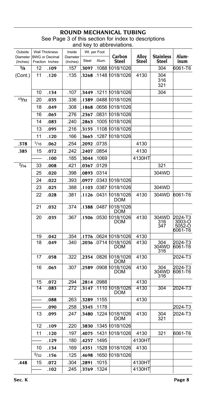| Outside              |      | <b>Wall Thickness</b>                    | Inside               |       | Wt. per Foot        |                  |                |                           |                                        |
|----------------------|------|------------------------------------------|----------------------|-------|---------------------|------------------|----------------|---------------------------|----------------------------------------|
| Diameter<br>(Inches) |      | <b>BWG</b> or Decimal<br>Fraction Inches | Diameter<br>(Inches) | Steel | Alum.               | Carbon<br>Steel  | Alloy<br>Steel | <b>Stainless</b><br>Steel | Alum-<br>inum                          |
| $^{3}/_{8}$          | 12   | .109                                     | .157                 |       | 3097 .1088          | 018/1026         |                | 304                       | 6061-T6                                |
| (Cont.)              | 11   | .120                                     | .135                 |       | .3268 .1148         | 018/1026         | 4130           | 304<br>316<br>321         |                                        |
|                      | 10   | .134                                     | .107                 |       | .3449 .1211         | 018/1026         |                | 304                       |                                        |
| 13/32                | 20   | .035                                     | .336                 |       | .1 <b>389</b> .0488 | 018/1026         |                |                           |                                        |
|                      | 18   | .049                                     | .308                 |       | .1 <b>868</b> .0656 | 018/1026         |                |                           |                                        |
|                      | 16   | .065                                     | .276                 |       | .2367 .0831         | 018/1026         |                |                           |                                        |
|                      | 14   | .083                                     | .240                 |       | .2863 .1005         | 018/1026         |                |                           |                                        |
|                      | 13   | .095                                     | .216                 | 3155. | .1108               | 018/1026         |                |                           |                                        |
|                      | 11   | .120                                     | .166                 | .3665 | .1287               | 018/1026         |                |                           |                                        |
| .378                 | 1/16 | .062                                     | .254                 |       | .2092 .0735         |                  | 4130           |                           |                                        |
| .385                 | 15   | .072                                     | .242                 |       | .2407 .0854         |                  | 4130           |                           |                                        |
|                      |      | .100                                     | .185                 |       | .3044 .1069         |                  | 4130HT         |                           |                                        |
| 7/16                 | 33   | .008                                     | .421                 |       | .0367 .0129         |                  |                | 321                       |                                        |
|                      | 25   | .020                                     | .398                 |       | 0893 0314           |                  |                | 304WD                     |                                        |
|                      | 24   | .022                                     | .393                 |       | .0977 .0343         | 018/1026         |                |                           |                                        |
|                      | 23   | .025                                     | .388                 |       | .1103 .0387         | 018/1026         |                | 304WD                     |                                        |
|                      | 22   | .028                                     | .381                 |       | .1126 .0431         | 018/1026<br>DOM  | 4130           | 304WD                     | 6061-T6                                |
|                      | 21   | .032                                     | .374                 |       | .1388.0487          | 1018/1026<br>DOM |                |                           |                                        |
|                      | 20   | .035                                     | .367                 |       | .1 <b>506</b> .0530 | 018/1026<br>DOM  | 4130           | 304WD<br>316<br>347       | 2024-T3<br>3003-O<br>5052-O<br>6061-T6 |
|                      | 19   | .042                                     | .354                 |       | .1776 .0624         | 018/1026         | 4130           |                           |                                        |
|                      | 18   | .049                                     | .340                 |       | .2036 .0714         | 018/1026<br>DOM  | 4130           | 304<br>304WD<br>316       | 2024-T3<br>6061-T6                     |
|                      | 17   | .058                                     | .322                 |       | .2354 .0826         | 018/1026<br>DOM  | 4130           |                           | 2024-T3                                |
|                      | 16   | .065                                     | .307                 |       | .2589 .0908         | 018/1026<br>DOM  | 4130           | 304<br>304WD<br>316       | 2024-T3<br>6061-T6                     |
|                      | 15   | .072                                     | .294                 |       | .2814 .0988         |                  | 4130           |                           |                                        |
|                      | 14   | .083                                     | .272                 |       | .3147 .1110         | 1018/1026<br>DOM | 4130           | 304                       | 2024-T3                                |
|                      |      | .088                                     | .263                 |       | .3289 .1155         |                  | 4130           |                           |                                        |
|                      |      | .090                                     | .258                 |       | .3345 .1178         |                  |                |                           | 2024-T3                                |
|                      | 13   | .095                                     | .247                 |       | .3480 .1224         | 018/1026<br>DOM  | 4130           | 304<br>321                | 2024-T3                                |
|                      | 12   | .109                                     | .220                 |       | .3830 .1345         | 018/1026         |                |                           |                                        |
|                      | 11   | .120                                     | .197                 |       | .4075 .1431         | 018/1026         | 4130           | 321                       | 6061-T6                                |
|                      |      | .129                                     | .180                 |       | .4257 .1495         |                  | 4130HT         |                           |                                        |
|                      | 10   | .134                                     | .169                 |       | .4351 .1528         | 018/1026         | 4130           |                           |                                        |
|                      | 5/32 | .156                                     | .125                 |       | .4698 .1650         | 018/1026         |                |                           |                                        |
| .448                 | 15   | .072                                     | .304                 | .2891 | .1015               |                  | 4130HT         |                           |                                        |
|                      |      | .102                                     | .245                 |       | .3769 .1324         |                  | 4130HT         |                           |                                        |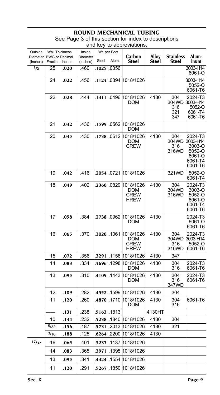| Outside              | <b>Wall Thickness</b>                    |      | Inside               |       | Wt. per Foot |                                                     |                |                                   |                                                                         |
|----------------------|------------------------------------------|------|----------------------|-------|--------------|-----------------------------------------------------|----------------|-----------------------------------|-------------------------------------------------------------------------|
| Diameter<br>(Inches) | <b>BWG</b> or Decimal<br>Fraction Inches |      | Diameter<br>(Inches) | Steel | Alum.        | Carbon<br><b>Steel</b>                              | Alloy<br>Steel | <b>Stainless</b><br>Steel         | Alum-<br>inum                                                           |
| $\frac{1}{2}$        | 25                                       | .020 | .460                 |       | .1025 .0356  |                                                     |                |                                   | 3003-H14<br>6061-O                                                      |
|                      | 24                                       | .022 | .456                 |       |              | .1123 .0394 1018/1026                               |                |                                   | 3003-H14<br>5052-O<br>6061-T6                                           |
|                      | 22                                       | .028 | .444                 |       |              | .1411 .0496  1018/1026<br>DOM                       | 4130           | 304<br>304WD<br>316<br>321<br>347 | 2024-T3<br>3003-H14<br>5052-O<br>6061-T4<br>6061-T6                     |
|                      | 21                                       | .032 | .436                 |       |              | .1599 .0562 1018/1026<br><b>DOM</b>                 |                |                                   |                                                                         |
|                      | 20                                       | .035 | .430                 |       |              | .1738 .0612 1018/1026<br>DOM<br>CREW                | 4130           | 304<br>304WD<br>316<br>316WD      | 2024-T3<br>3003-H14<br>3003-O<br>5052-O<br>6061-O<br>6061-T4<br>6061-T6 |
|                      | 19                                       | .042 | .416                 |       |              | .2054 0721 1018/1026                                |                | 321WD                             | 5052-O<br>6061-T4                                                       |
|                      | 18                                       | .049 | .402                 |       |              | .2360 .0829 1018/1026<br>DOM<br><b>CREW</b><br>HREW | 4130           | 304<br>304WD<br>316WD             | 2024-T3<br>3003-O<br>5052-O<br>6061-O<br>6061-T4<br>6061-T6             |
|                      | 17                                       | .058 | .384                 |       |              | .2738 .0962 1018/1026<br><b>DOM</b>                 | 4130           |                                   | 2024-T3<br>6061-O<br>6061-T6                                            |
|                      | 16                                       | .065 | .370                 |       | .3020.1061   | 1018/1026 <br>DOM<br>CREW<br>HREW                   | 4130           | 304<br>304WD<br>316<br>316WD      | 2024-T3<br>3003-H14<br>5052-O<br>6061-T6                                |
|                      | 15                                       | .072 | .356                 |       |              | .3291 .1156 1018/1026                               | 4130           | 347                               |                                                                         |
|                      | 14                                       | .083 | .334                 |       | .3696.1298   | 1018/1026<br>DOM                                    | 4130           | 304<br>316                        | 2024-T3<br>6061-T6                                                      |
|                      | 13                                       | .095 | .310                 |       |              | .4109 1443 1018/1026<br>DOM                         | 4130           | 304<br>316<br>347WD               | 2024-T3<br>6061-T6                                                      |
|                      | 12                                       | .109 | .282                 |       |              | .4552 .1599 1018/1026                               | 4130           | 304                               |                                                                         |
|                      | 11                                       | .120 | .260                 |       | .4870 1710   | 1018/1026<br>DOM                                    | 4130           | 304<br>316                        | 6061-T6                                                                 |
|                      |                                          | .131 | .238                 |       | .5163.1813   |                                                     | 4130HT         |                                   |                                                                         |
|                      | 10                                       | .134 | .232                 |       |              | .5238 .1840 1018/1026                               | 4130           | 304                               |                                                                         |
|                      | 5/32                                     | .156 | .187                 |       |              | .5731 .2013 1018/1026                               | 4130           | 321                               |                                                                         |
|                      | 3/16                                     | .188 | .125                 |       |              | .6264 .2200 1018/1026                               | 4130           |                                   |                                                                         |
| 17/32                | 16                                       | .065 | .401                 |       |              | .3237 .1137 1018/1026                               |                |                                   |                                                                         |
|                      | 14                                       | .083 | .365                 |       |              | .3971 .1395 1018/1026                               |                |                                   |                                                                         |
|                      | 13                                       | .095 | .341                 |       | .4424 .1554  | 1018/1026                                           |                |                                   |                                                                         |
|                      | 11                                       | .120 | .291                 |       |              | .5267 .1850 1018/1026                               |                |                                   |                                                                         |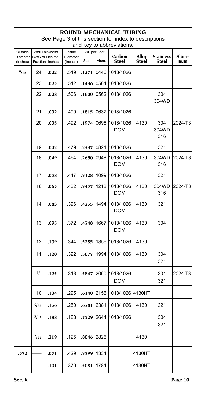| Outside<br>Diameter |           | Wall Thickness<br><b>BWG</b> or Decimal | Inside<br>Diameter | Wt. per Foot |             | Carbon                                       | Alloy        | <b>Stainless</b>    | Alum-   |
|---------------------|-----------|-----------------------------------------|--------------------|--------------|-------------|----------------------------------------------|--------------|---------------------|---------|
| (Inches)            |           | Fraction Inches                         | (Inches)           | Steel        | Alum.       | Steel                                        | <b>Steel</b> | Steel               | inum    |
| 9/16                | 24        | .022                                    | .519               |              |             | .1271 .0446  1018/1026                       |              |                     |         |
|                     | 23        | .025                                    | .512               |              |             | .1436 .0504 1018/1026                        |              |                     |         |
|                     | 22        | .028                                    | .506               |              |             | .1600 0562 1018/1026                         |              | 304<br>304WD        |         |
|                     | 21        | .032                                    | .499               |              |             | .1815 0637 1018/1026                         |              |                     |         |
|                     | 20        | .035                                    | .492               |              |             | .1974 0696 1018/1026<br><b>DOM</b>           | 4130         | 304<br>304WD<br>316 | 2024-T3 |
|                     | 19        | .042                                    | .479               |              |             | .2337 .0821 1018/1026                        |              | 321                 |         |
|                     | 18        | .049                                    | .464               |              |             | . <b>2690</b> .0948  1018/1026<br><b>DOM</b> | 4130         | 304WD<br>316        | 2024-T3 |
|                     | 17        | .058                                    | .447               |              |             | .3128 .1099 1018/1026                        |              | 321                 |         |
|                     | 16        | .065                                    | .432               |              |             | .3457 .1218 1018/1026<br>DOM                 | 4130         | 304WD<br>316        | 2024-T3 |
|                     | 14        | .083                                    | .396               |              |             | .4255 .1494 1018/1026<br><b>DOM</b>          | 4130         | 321                 |         |
|                     | 13        | .095                                    | .372               |              |             | .4748 .1667 1018/1026<br><b>DOM</b>          | 4130         | 304                 |         |
|                     | 12        | .109                                    | .344               |              |             | .5285 .1856 1018/1026                        | 4130         |                     |         |
|                     | 11        | .120                                    | .322               |              |             | .5677 1994 1018/1026                         | 4130         | 304<br>321          |         |
|                     | 1/8       | .125                                    | .313               |              |             | .5847 .2060 1018/1026<br><b>DOM</b>          |              | 304<br>321          | 2024-T3 |
|                     | 10        | .134                                    | .295               |              |             | .6140 .2156 1018/1026 4130HT                 |              |                     |         |
|                     | 5/32      | .156                                    | .250               |              |             | .6781 .2381 1018/1026                        | 4130         | 321                 |         |
|                     | 3/16      | .188                                    | .188               |              |             | .7529 .2644 1018/1026                        |              | 304<br>321          |         |
|                     | $^{7}/32$ | .219                                    | .125               |              | .8046 .2826 |                                              | 4130         |                     |         |
| .572                |           | .071                                    | .429               |              | .3799 .1334 |                                              | 4130HT       |                     |         |
|                     |           | .101                                    | .370               |              | .5081.1784  |                                              | 4130HT       |                     |         |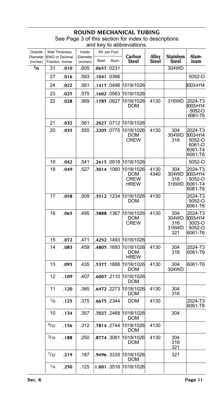| Outside              | <b>Wall Thickness</b>                    |      | Inside<br>Wt. per Foot |             | Carbon      | Alloy                                          | <b>Stainless</b> | Alum-                               |                                                               |
|----------------------|------------------------------------------|------|------------------------|-------------|-------------|------------------------------------------------|------------------|-------------------------------------|---------------------------------------------------------------|
| Diameter<br>(Inches) | <b>BWG</b> or Decimal<br>Fraction Inches |      | Diameter<br>(Inches)   | Steel       | Alum.       | <b>Steel</b>                                   | Steel            | Steel                               | inum                                                          |
| $^{5}/\!$            | 31                                       | .010 | .605                   |             | .0657 .0231 |                                                |                  | 304WD                               |                                                               |
|                      | 27                                       | .016 | .593                   |             | .1041.0366  |                                                |                  |                                     | 5052-O                                                        |
|                      | 24                                       | .022 | .581                   | .1417.0498  |             | 1018/1026                                      |                  |                                     | 3003-H14                                                      |
|                      | 23                                       | .025 | 575                    |             | .1602.0563  | 1018/1026                                      |                  |                                     |                                                               |
|                      | 22                                       | .028 | .569                   |             | .1785.0627  | 1018/1026<br>DOM                               | 4130             | 316WD                               | 2024-T3<br>3003-H14<br>5052-O<br>6061-T6                      |
|                      | 21                                       | .032 | .561                   |             | .2027 0712  | 1018/1026                                      |                  |                                     |                                                               |
|                      | 20                                       | .035 | .555                   |             | .2205 0775  | 1018/1026<br>DOM<br>CREW                       | 4130             | 304<br>304WD<br>316                 | 2024-T3<br>3003-H14<br>5052-O<br>6061-O<br>6061-T4<br>6061-T6 |
|                      | 19                                       | .042 | .541                   |             | .2615 0918  | 1018/1026                                      |                  |                                     | 5052-O                                                        |
|                      | 18                                       | .049 | .527                   |             | .3014 .1060 | 1018/1026<br><b>DOM</b><br>CREW<br><b>HREW</b> | 4130<br>4340     | 304<br>304WD<br>316<br>316WD        | 2024-T3<br>3003-H14<br>5052-O<br>6061-T4<br>6061-T6           |
|                      | 17                                       | .058 | .509                   |             | .3512.1234  | 1018/1026<br>DOM                               | 4130             |                                     | 2024-T3<br>5052-O<br>6061-T6                                  |
|                      | 16                                       | .065 | .495                   |             | .3888.1367  | 1018/1026<br>DOM<br>CREW                       | 4130             | 304<br>304WD<br>316<br>316WD<br>321 | 2024-T3<br>3003-H14<br>3003-O<br>5052-O<br>6061-T6            |
|                      | 15                                       | .072 | .471                   |             | .4252.1493  | 1018/1026                                      |                  |                                     |                                                               |
|                      | 14                                       | .083 | .459                   |             | .4805.1693  | 1018/1026<br>DOM<br><b>HREW</b>                | 4130             | 304<br>316                          | 2024-T3<br>6061-T6                                            |
|                      | 13                                       | .095 | .435                   |             | .5377.1888  | 1018/1026<br>DOM                               | 4130             | 304<br>304WD                        | 6061-T6                                                       |
|                      | 12                                       | .109 | .407                   |             | .6007 .2110 | 1018/1026<br>DOM                               |                  |                                     |                                                               |
|                      | 11                                       | .120 | .385                   |             | .6472 .2273 | 1018/1026<br>DOM                               | 4130             | 304<br>316                          |                                                               |
|                      | 1/8                                      | .125 | .375                   |             | .6675 .2344 | DOM                                            | 4130             |                                     | 2024-T3<br>6061-T6                                            |
|                      | 10                                       | .134 | .357                   |             | .7027.2468  | 1018/1026<br>DOM                               |                  | 304                                 |                                                               |
|                      | 5/32                                     | .156 | .312                   |             | .7814 .2744 | 1018/1026<br>DOM                               | 4130             |                                     |                                                               |
|                      | 3/16                                     | .188 | .250                   | .8774 .3081 |             | 1018/1026<br>DOM                               | 4130             | 304<br>316<br>321                   |                                                               |
|                      | 7/32                                     | .219 | .187                   |             | .9496 .3335 | 1018/1026<br>DOM                               |                  | 321                                 |                                                               |
|                      | 1/4                                      | .250 | .125                   |             | 1.001.3516  | 1018/1026                                      |                  |                                     |                                                               |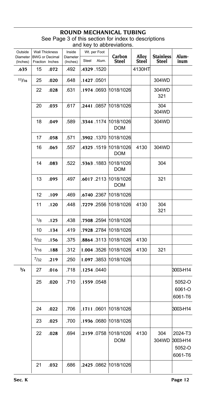| Outside              | <b>Wall Thickness</b>                    |      | Inside               |             | Wt. per Foot |                                    |                       |                                  |                                          |
|----------------------|------------------------------------------|------|----------------------|-------------|--------------|------------------------------------|-----------------------|----------------------------------|------------------------------------------|
| Diameter<br>(Inches) | <b>BWG or Decimal</b><br>Fraction Inches |      | Diameter<br>(Inches) | Steel       | Alum.        | Carbon<br><b>Steel</b>             | Alloy<br><b>Steel</b> | <b>Stainless</b><br><b>Steel</b> | Alum-<br>inum                            |
| .635                 | 15                                       | .072 | .492                 | .4329 .1520 |              |                                    | 4130HT                |                                  |                                          |
| 11/16                | 25                                       | .020 | .648                 | .1427 .0501 |              |                                    |                       | 304WD                            |                                          |
|                      | 22                                       | .028 | .631                 |             |              | .1974 .0693 1018/1026              |                       | 304WD<br>321                     |                                          |
|                      | 20                                       | .035 | .617                 |             | .2441.0857   | 1018/1026                          |                       | 304<br>304WD                     |                                          |
|                      | 18                                       | .049 | .589                 |             | .3344 .1174  | 1018/1026<br><b>DOM</b>            |                       | 304WD                            |                                          |
|                      | 17                                       | .058 | .571                 |             | .3902.1370   | 1018/1026                          |                       |                                  |                                          |
|                      | 16                                       | .065 | .557                 |             | .4325 .1519  | 1018/1026<br><b>DOM</b>            | 4130                  | 304WD                            |                                          |
|                      | 14                                       | .083 | .522                 |             | .5363 .1883  | 1018/1026<br><b>DOM</b>            |                       | 304                              |                                          |
|                      | 13                                       | .095 | .497                 |             | .6017.2113   | 1018/1026<br>DOM                   |                       | 321                              |                                          |
|                      | 12                                       | .109 | .469                 |             | .6740.2367   | 1018/1026                          |                       |                                  |                                          |
|                      | 11                                       | .120 | .448                 |             |              | .7279 .2556 1018/1026              | 4130                  | 304<br>321                       |                                          |
|                      | 1/8                                      | .125 | .438                 |             |              | .7508 .2594  1018/1026             |                       |                                  |                                          |
|                      | 10                                       | .134 | .419                 |             | .7928 .2784  | 1018/1026                          |                       |                                  |                                          |
|                      | 5/32                                     | .156 | .375                 |             |              | .8864 .3113 1018/1026              | 4130                  |                                  |                                          |
|                      | 3/16                                     | .188 | .312                 |             |              | 1.004 .3526 1018/1026              | 4130                  | 321                              |                                          |
|                      | 7/32                                     | .219 | .250                 |             | 1.097.3853   | 1018/1026                          |                       |                                  |                                          |
| $^{3/4}$             | 27                                       | .016 | .718                 | .1254.0440  |              |                                    |                       |                                  | 3003-H14                                 |
|                      | 25                                       | .020 | .710                 | .1559 0548  |              |                                    |                       |                                  | 5052-O<br>6061-O<br>6061-T6              |
|                      | 24                                       | .022 | .706                 |             | .1711.0601   | 1018/1026                          |                       |                                  | 3003-H14                                 |
|                      | 23                                       | .025 | .700                 |             |              | .1936 .0680 1018/1026              |                       |                                  |                                          |
|                      | 22                                       | .028 | .694                 |             |              | .2159.0758 1018/1026<br><b>DOM</b> | 4130                  | 304<br>304WD                     | 2024-T3<br>3003-H14<br>5052-O<br>6061-T6 |
|                      | 21                                       | .032 | .686                 |             |              | .2425 0862 1018/1026               |                       |                                  |                                          |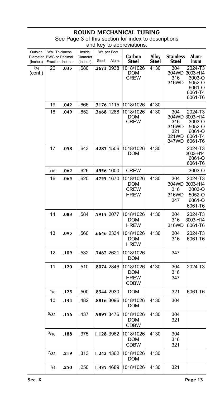| Outside<br>Diameter<br>(Inches) | <b>Wall Thickness</b><br><b>BWG</b> or Decimal<br>Fraction Inches |      | Inside<br>Diameter<br>(Inches) | Wt. per Foot<br>Alum.<br>Steel | Carbon<br><b>Steel</b>                         | Alloy<br>Steel | <b>Stainless</b><br>Steel                             | Alum-<br>inum                                                           |
|---------------------------------|-------------------------------------------------------------------|------|--------------------------------|--------------------------------|------------------------------------------------|----------------|-------------------------------------------------------|-------------------------------------------------------------------------|
| $^{3}/_{4}$<br>(cont.)          | 20                                                                | .035 | .680                           | .2673.0938                     | 1018/1026<br>DOM<br>CREW                       | 4130           | 304<br>304WD<br>316<br>316WD                          | 2024-T3<br>3003-H14<br>3003-O<br>5052-O<br>6061-O<br>6061-T4<br>6061-T6 |
|                                 | 19                                                                | .042 | .666                           | .3176.1115                     | 1018/1026                                      | 4130           |                                                       |                                                                         |
|                                 | 18                                                                | .049 | .652                           | .3668.1288                     | 1018/1026<br><b>DOM</b><br><b>CREW</b>         | 4130           | 304<br>304WD<br>316<br>316WD<br>321<br>321WD<br>347WD | 2024-T3<br>3003-H14<br>3003-O<br>5052-O<br>6061-O<br>6061-T4<br>6061-T6 |
|                                 | 17                                                                | .058 | .643                           | .4287.1506                     | 1018/1026<br>DOM                               | 4130           |                                                       | 2024-T3<br>3003-H14<br>6061-O<br>6061-T6                                |
|                                 | 1/16                                                              | .062 | .626                           | .4556.1600                     | <b>CREW</b>                                    |                |                                                       | 3003-O                                                                  |
|                                 | 16                                                                | .065 | .620                           | .4755.1670                     | 1018/1026<br>DOM<br><b>CREW</b><br><b>HREW</b> | 4130           | 304<br>304WD<br>316<br>316WD<br>347                   | 2024-T3<br>3003-H14<br>3003-O<br>5052-O<br>6061-O<br>6061-T6            |
|                                 | 14                                                                | .083 | .584                           | .5913.2077                     | 1018/1026<br>DOM<br><b>HREW</b>                | 4130           | 304<br>316<br>316WD                                   | 2024-T3<br>3003-H14<br>6061-T6                                          |
|                                 | 13                                                                | .095 | .560                           | .6646.2334                     | 1018/1026<br><b>DOM</b><br><b>HREW</b>         | 4130           | 304<br>316                                            | 2024-T3<br>6061-T6                                                      |
|                                 | 12                                                                | .109 | .532                           | .7462 .2621                    | 1018/1026<br>DOM                               |                | 347                                                   |                                                                         |
|                                 | 11                                                                | .120 | .510                           | .8074.2846                     | 1018/1026<br>DOM<br><b>HREW</b><br><b>CDBW</b> | 4130           | 304<br>316<br>347                                     | 2024-T3                                                                 |
|                                 | 1/8                                                               | .125 | .500                           | .8344.2930                     | <b>DOM</b>                                     |                | 321                                                   | 6061-T6                                                                 |
|                                 | 10                                                                | .134 | .482                           | 8816.3096.                     | 1018/1026<br>DOM                               | 4130           | 304                                                   |                                                                         |
|                                 | 5/32                                                              | .156 | .437                           | .9897.3476                     | 1018/1026<br><b>DOM</b><br>CDBW                | 4130           | 304<br>321                                            |                                                                         |
|                                 | 3/16                                                              | .188 | .375                           | 1.128.3962                     | 1018/1026<br><b>DOM</b><br><b>CDBW</b>         | 4130           | 304<br>316<br>321                                     |                                                                         |
|                                 | $^{7}/_{32}$                                                      | .219 | .313                           | 1.242.4362                     | 1018/1026<br><b>DOM</b>                        | 4130           |                                                       |                                                                         |
|                                 | 1/4                                                               | .250 | .250                           | 1.335.4689                     | 1018/1026                                      | 4130           | 321                                                   |                                                                         |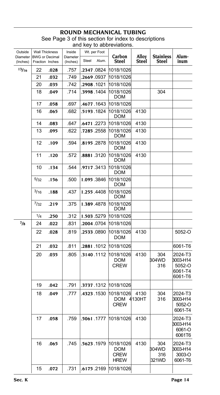| Outside<br>Diameter |              | <b>Wall Thickness</b><br><b>BWG</b> or Decimal | Inside<br>Diameter | Wt. per Foot   | Carbon                                                | Alloy          | <b>Stainless</b>             | Alum-                                               |
|---------------------|--------------|------------------------------------------------|--------------------|----------------|-------------------------------------------------------|----------------|------------------------------|-----------------------------------------------------|
| (Inches)            |              | Fraction Inches                                | (Inches)           | Steel<br>Alum. | Steel                                                 | Steel          | Steel                        | inum                                                |
| 13/16               | 22           | .028                                           | .757               | .2347 .0824    | 1018/1026                                             |                |                              |                                                     |
|                     | 21           | .032                                           | .749               | .2669.0937     | 1018/1026                                             |                |                              |                                                     |
|                     | 20           | .035                                           | .742               | .2908 .1021    | 1018/1026                                             |                |                              |                                                     |
|                     | 18           | .049                                           | .714               | .3998 .1404    | 1018/1026<br>DOM                                      |                | 304                          |                                                     |
|                     | 17           | .058                                           | .697               | .4677 .1643    | 1018/1026                                             |                |                              |                                                     |
|                     | 16           | .065                                           | .682               | .5193.1824     | 1018/1026<br>DOM                                      | 4130           |                              |                                                     |
|                     | 14           | .083                                           | .647               | .6471.2273     | 1018/1026                                             | 4130           |                              |                                                     |
|                     | 13           | .095                                           | .622               | .7285 .2558    | 1018/1026<br>DOM                                      | 4130           |                              |                                                     |
|                     | 12           | .109                                           | .594               | .8195.2878     | 1018/1026<br>DOM                                      | 4130           |                              |                                                     |
|                     | 11           | .120                                           | .572               | .8881.3120     | 1018/1026<br>DOM                                      | 4130           |                              |                                                     |
|                     | 10           | .134                                           | .544               | .9717.3413     | 1018/1026<br>DOM                                      |                |                              |                                                     |
|                     | 5/32         | .156                                           | .500               | 1.095.3846     | 1018/1026<br><b>DOM</b>                               |                |                              |                                                     |
|                     | 3/16         | .188                                           | .437               | 1.255.4408     | 1018/1026<br>DOM                                      |                |                              |                                                     |
|                     | $^{7}/_{32}$ | .219                                           | .375               | 1.389.4878     | 1018/1026<br>DOM                                      |                |                              |                                                     |
|                     | 1/4          | .250                                           | .312               | 1.503.5279     | 1018/1026                                             |                |                              |                                                     |
| $^{7}/_8$           | 24           | .022                                           | .831               | .2004 0704     | 1018/1026                                             |                |                              |                                                     |
|                     | 22           | .028                                           | .819               | .2533 .0890    | 1018/1026<br><b>DOM</b>                               | 4130           |                              | 5052-O                                              |
|                     | 21           | .032                                           | .811               | .2881.1012     | 1018/1026                                             |                |                              | 6061-T6                                             |
|                     | 20           | .035                                           | .805               | .3140.1112     | 1018/1026<br>DOM<br><b>CREW</b>                       | 4130           | 304<br>304WD<br>316          | 2024-T3<br>3003-H14<br>5052-O<br>6061-T4<br>6061-T6 |
|                     | 19           | .042                                           | .791               | .3737 .1312    | 1018/1026                                             |                |                              |                                                     |
|                     | 18           | .049                                           | .777               | .4323 .1530    | 1018/1026<br><b>DOM</b><br><b>CREW</b>                | 4130<br>4130HT | 304<br>316                   | 2024-T3<br>3003-H14<br>5052-O<br>6061-T4            |
|                     | 17           | .058                                           | .759               |                | 1018/1026 1777. 5061.                                 | 4130           |                              | 2024-T3<br>3003-H14<br>6061-O<br>6061T6             |
|                     | 16           | .065                                           | .745               | .5623.1979     | 1018/1026<br><b>DOM</b><br><b>CREW</b><br><b>HREW</b> | 4130           | 304<br>304WD<br>316<br>321WD | 2024-T3<br>3003-H14<br>3003-O<br>6061-T6            |
|                     | 15           | .072                                           | .731               | .6175.2169     | 1018/1026                                             |                |                              |                                                     |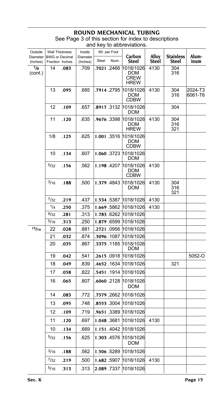#### **ROUND MECHANICAL T** See Page 3 of this section for index to descriptions

|                      |      |                                          |                      |       |              | and key to abbreviations.                      |                |                           |                    |
|----------------------|------|------------------------------------------|----------------------|-------|--------------|------------------------------------------------|----------------|---------------------------|--------------------|
| Outside              |      | <b>Wall Thickness</b>                    | Inside               |       | Wt. per Foot |                                                |                |                           |                    |
| Diameter<br>(Inches) |      | <b>BWG</b> or Decimal<br>Fraction Inches | Diameter<br>(Inches) | Steel | Alum.        | Carbon<br>Steel                                | Alloy<br>Steel | <b>Stainless</b><br>Steel | Alum-<br>inum      |
| $^{7}/_8$<br>(cont.) | 14   | .083                                     | .709                 |       | .7021 .2466  | 1018/1026<br>DOM<br><b>CREW</b><br><b>HREW</b> | 4130           | 304<br>316                |                    |
|                      | 13   | .095                                     | .685                 |       | .7914.2795   | 1018/1026<br>DOM<br><b>CDBW</b>                | 4130           | 304<br>316                | 2024-T3<br>6061-T6 |
|                      | 12   | .109                                     | .657                 |       | .8917.3132   | 1018/1026<br>DOM                               |                | 304                       |                    |
|                      | 11   | .120                                     | .635                 |       | .9676.3398   | 1018/1026<br>DOM<br><b>HREW</b>                | 4130           | 304<br>316<br>321         |                    |
|                      | 1/8  | .125                                     | .625                 |       | 1.001.3516   | 1018/1026<br>DOM<br>CDBW                       |                |                           |                    |
|                      | 10   | .134                                     | .607                 |       | 1.060 3723   | 1018/1026<br>DOM                               |                |                           |                    |
|                      | 5/32 | .156                                     | .562                 |       | 1.198.4207   | 1018/1026<br>DOM<br>CDBW                       | 4130           |                           |                    |
|                      | 3/16 | .188                                     | .500                 |       | 1.379.4843   | 1018/1026<br>DOM                               | 4130           | 304<br>316<br>321         |                    |
|                      | 7/32 | .219                                     | .437                 |       | 1.534.5387   | 1018/1026                                      | 4130           |                           |                    |
|                      | 1/4  | .250                                     | .375                 |       | 1.669 5862   | 1018/1026                                      | 4130           |                           |                    |
|                      | 9/32 | .281                                     | .313                 |       | 1.783 6262   | 1018/1026                                      |                |                           |                    |
|                      | 5/16 | .313                                     | .250                 |       | 1.879 6599   | 1018/1026                                      |                |                           |                    |
| 15/16                | 22   | .028                                     | .881                 |       | .2721.0956   | 1018/1026                                      |                |                           |                    |
|                      | 21   | .032                                     | .874                 |       | .3096 1087   | 1018/1026                                      |                |                           |                    |
|                      | 20   | .035                                     | .867                 |       | .3375 1185   | 1018/1026<br>DOM                               |                |                           |                    |
|                      | 19   | .042                                     | .541                 |       | .2615 0918   | 1018/1026                                      |                |                           | 5052-O             |
|                      | 18   | .049                                     | .839                 |       | .4652.1634   | 1018/1026                                      |                | 321                       |                    |
|                      | 17   | .058                                     | .822                 |       | .5451.1914   | 1018/1026                                      |                |                           |                    |
|                      | 16   | .065                                     | .807                 |       | .6060.2128   | 1018/1026<br><b>DOM</b>                        |                |                           |                    |
|                      | 14   | .083                                     | .772                 |       | .7579 .2662  | 1018/1026                                      |                |                           |                    |
|                      | 13   | .095                                     | .748                 |       | .8553 3004   | 1018/1026                                      |                |                           |                    |
|                      | 12   | .109                                     | .719                 |       | .9651.3389   | 1018/1026                                      |                |                           |                    |
|                      | 11   | .120                                     | .697                 |       |              | 1.048 .3681 1018/1026                          | 4130           |                           |                    |
|                      | 10   | .134                                     | .669                 |       | 1.151.4042   | 1018/1026                                      |                |                           |                    |
|                      | 5/32 | .156                                     | .625                 |       | 1.303 4576   | 1018/1026<br><b>DOM</b>                        |                |                           |                    |
|                      | 3/16 | .188                                     | .562                 |       | 1.506 .5289  | 1018/1026                                      |                |                           |                    |
|                      | 7/32 | .219                                     | .500                 |       | 1.682 .5907  | 1018/1026                                      | 4130           |                           |                    |
|                      | 5/16 | .313                                     | .313                 |       | 2.089 .7337  | 1018/1026                                      |                |                           |                    |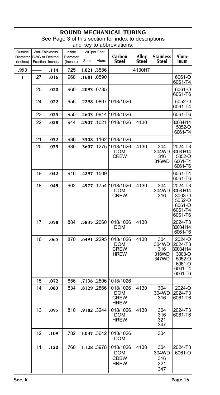#### **ROUND MECHANICAL TUBING** See Page 3 of this section for index to descriptions

and key to abbreviations.

| Outside              |    | <b>Wall Thickness</b>                    | Inside               |             | Wt. per Foot | Carbon                                                            | Alloy  | <b>Stainless</b>                      | Alum-                                                                             |
|----------------------|----|------------------------------------------|----------------------|-------------|--------------|-------------------------------------------------------------------|--------|---------------------------------------|-----------------------------------------------------------------------------------|
| Diameter<br>(Inches) |    | <b>BWG</b> or Decimal<br>Fraction Inches | Diameter<br>(Inches) | Steel       | Alum.        | Steel                                                             | Steel  | Steel                                 | inum                                                                              |
| .953                 |    | .114                                     | .725                 | 1.021.3586  |              |                                                                   | 4130HT |                                       |                                                                                   |
| 1                    | 27 | .016                                     | .968                 | .1681 .0590 |              |                                                                   |        |                                       | 6061-O<br>6061-T4                                                                 |
|                      | 25 | .020                                     | .960                 | .2093.0735  |              |                                                                   |        |                                       | 6061-O<br>6061-T6                                                                 |
|                      | 24 | .022                                     | .956                 |             |              | .2298 .0807 1018/1026                                             |        |                                       | 5052-O<br>6061-T4                                                                 |
|                      | 23 | .025                                     | .950                 |             |              | .2603 .0914 1018/1026                                             |        |                                       | 6061-T6                                                                           |
|                      | 22 | .028                                     | .944                 |             |              | .2907 .1021 1018/1026                                             | 4130   |                                       | 3003-H14<br>5052-O<br>6061-T4                                                     |
|                      | 21 | .032                                     | .936                 |             |              | .3308 .1162 1018/1026                                             |        |                                       |                                                                                   |
|                      | 20 | .035                                     | .930                 |             |              | .3607 .1275 1018/1026<br>DOM<br><b>CREW</b>                       | 4130   | 304<br>304WD<br>316<br>316WD          | 2024-T3<br>3003-H14<br>5052-O<br>6061-T4<br>6061-T6                               |
|                      | 19 | .042                                     | .916                 | .4297 .1509 |              |                                                                   |        |                                       | 6061-T4<br>6061-T6                                                                |
|                      | 18 | .049                                     | .902                 |             |              | .4977 .1754 1018/1026<br><b>DOM</b><br>CREW                       | 4130   | 304<br>304WD<br>316                   | 2024-T3<br>3003-H14<br>3003-O<br>5052-O<br>6061-O<br>6061-T4<br>6061-T6           |
|                      | 17 | .058                                     | .884                 |             |              | .5835 .2060 1018/1026<br><b>DOM</b>                               | 4130   |                                       | 2024-T3<br>3003-H14<br>6061-T6                                                    |
|                      | 16 | .065                                     | .870                 |             |              | .6491 .2295 1018/1026<br><b>DOM</b><br><b>CREW</b><br><b>HREW</b> | 4130   | 304<br>304WD<br>316<br>316WD<br>347WD | 2024-O<br>2024-T3<br>3003-H14<br>3003-O<br>5052-O<br>6061-O<br>6061-T4<br>6061-T6 |
|                      | 15 | .072                                     | .856                 |             |              | .7136 .2506 1018/1026                                             |        |                                       |                                                                                   |
|                      | 14 | .083                                     | .834                 |             | .8129.2866   | 1018/1026<br>DOM<br><b>CREW</b><br><b>HREW</b>                    | 4130   | 304<br>304WD<br>316                   | 2024-O<br>2024-T3<br>6061-T6                                                      |
|                      | 13 | .095                                     | .810                 |             |              | .9182 .3244 1018/1026<br><b>DOM</b><br><b>HREW</b>                | 4130   | 304<br>316<br>321<br>347              | 2024-T3<br>6061-T6                                                                |
|                      | 12 | .109                                     | .782                 |             |              | 1.037 3642 1018/1026<br><b>DOM</b>                                |        | 304                                   |                                                                                   |
|                      | 11 | .120                                     | .760                 |             |              | 1.128 3978 1018/1026<br><b>DOM</b><br><b>CDBW</b><br><b>HREW</b>  | 4130   | 304<br>304WD<br>316<br>321<br>347     | 2024-T3<br>6061-O                                                                 |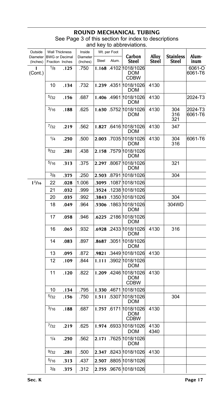| Outside<br>Diameter | <b>Wall Thickness</b><br><b>BWG or Decimal</b> |      | Inside<br>Diameter |       | Wt. per Foot | Carbon                                            | Alloy        | <b>Stainless</b>  | Alum-              |
|---------------------|------------------------------------------------|------|--------------------|-------|--------------|---------------------------------------------------|--------------|-------------------|--------------------|
| (Inches)            | Fraction Inches                                |      | (Inches)           | Steel | Alum.        | <b>Steel</b>                                      | Steel        | Steel             | inum               |
| 1<br>(Cont.)        | 1/8                                            | .125 | .750               |       |              | 1.168 .4102 1018/1026<br>DOM<br><b>CDBW</b>       |              |                   | 6061-O<br>6061-T6  |
|                     | 10                                             | .134 | .732               |       |              | 1.239 .4351 1018/1026<br>DOM                      | 4130         |                   |                    |
|                     | 5/32                                           | .156 | .687               |       |              | 1.406 4961 1018/1026<br>DOM                       | 4130         |                   | 2024-T3            |
|                     | 3/16                                           | .188 | .625               |       |              | 1.630 .5752 1018/1026<br>DOM                      | 4130         | 304<br>316<br>321 | 2024-T3<br>6061-T6 |
|                     | $^{7}/_{32}$                                   | .219 | .562               |       |              | 1.827 .6416 1018/1026<br>DOM                      | 4130         | 347               |                    |
|                     | 1/4                                            | .250 | .500               |       |              | 2.003 .7035 1018/1026<br>DOM                      | 4130         | 304<br>316        | 6061-T6            |
|                     | 9/32                                           | .281 | .438               |       |              | 2.158 .7579 1018/1026<br>DOM                      |              |                   |                    |
|                     | 5/16                                           | .313 | .375               |       |              | 2.297 .8067 1018/1026<br>DOM                      |              | 321               |                    |
|                     | 3/8                                            | .375 | .250               |       |              | 2.503 8791 1018/1026                              |              | 304               |                    |
| 11/16               | 22                                             | .028 | 1.006              |       |              | .3095 1087 1018/1026                              |              |                   |                    |
|                     | 21                                             | .032 | .999               |       |              | .3524 .1238 1018/1026                             |              |                   |                    |
|                     | 20                                             | .035 | .992               |       |              | .3843 .1350 1018/1026                             |              | 304               |                    |
|                     | 18                                             | .049 | .964               |       |              | .5306 .1863 1018/1026<br>DOM                      |              | 304WD             |                    |
|                     | 17                                             | .058 | .946               |       |              | .6225 .2186 1018/1026<br>DOM                      |              |                   |                    |
|                     | 16                                             | .065 | .932               |       |              | .6928 .2433 1018/1026<br>DOM                      | 4130         | 316               |                    |
|                     | 14                                             | .083 | .897               |       |              | 8687 3051 1018/1026<br>DOM                        |              |                   |                    |
|                     | 13                                             | .095 | .872               |       |              | .9821 .3449 1018/1026                             | 4130         |                   |                    |
|                     | 12                                             | .109 | .844               |       |              | 1.111 .3902 1018/1026<br>DOM                      |              |                   |                    |
|                     | 11                                             | .120 | .822               |       |              | 1.209 4246 1018/1026<br><b>DOM</b><br><b>CDBW</b> | 4130         |                   |                    |
|                     | 10                                             | .134 | .795               |       |              | 1.330 4671 1018/1026                              |              |                   |                    |
|                     | 5/32                                           | .156 | .750               |       |              | 1.511 .5307 1018/1026<br><b>DOM</b>               |              | 304               |                    |
|                     | 3/16                                           | .188 | .687               |       |              | 1.757 .6171 1018/1026<br>DOM<br><b>CDBW</b>       | 4130         |                   |                    |
|                     | 7/32                                           | .219 | .625               |       |              | 1.974 6933 1018/1026<br>DOM                       | 4130<br>4340 |                   |                    |
|                     | 1/4                                            | .250 | .562               |       |              | 2.171 .7625 1018/1026<br>DOM                      |              |                   |                    |
|                     | 9/32                                           | .281 | .500               |       |              | 2.347 8243 1018/1026                              | 4130         |                   |                    |
|                     | 5/16                                           | .313 | .437               |       |              | 2.507 8805 1018/1026                              |              |                   |                    |
|                     | 3/8                                            | .375 | .312               |       |              | 2.755 .9676 1018/1026                             |              |                   |                    |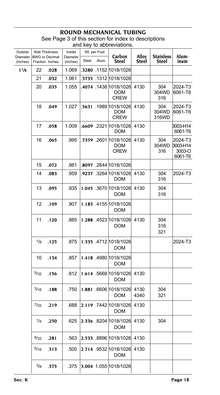#### **ROUND MECHANICAL TUBING** See Page 3 of this section for index to descriptions

| Outside<br>Diameter | <b>Wall Thickness</b><br><b>BWG</b> or Decimal |      | Inside               |       | Wt. per Foot | Carbon<br>Alloy<br><b>Stainless</b>                |              |                       | Alum-                                    |  |
|---------------------|------------------------------------------------|------|----------------------|-------|--------------|----------------------------------------------------|--------------|-----------------------|------------------------------------------|--|
| (Inches)            | Fraction Inches                                |      | Diameter<br>(Inches) | Steel | Alum.        | Steel                                              | Steel        | <b>Steel</b>          | inum                                     |  |
| $1^{1/8}$           | 22                                             | .028 | 1.069                |       |              | .3280 .1152 1018/1026                              |              |                       |                                          |  |
|                     | 21                                             | .032 | 1.061                |       |              | .3735 .1312 1018/1026                              |              |                       |                                          |  |
|                     | 20                                             | .035 | 1.055                |       |              | .4074 .1438 1018/1026<br>DOM<br><b>CREW</b>        | 4130         | 304<br>304WD<br>316   | 2024-T3<br>6061-T6                       |  |
|                     | 18                                             | .049 | 1.027                |       |              | .5631 .1989 1018/1026<br><b>DOM</b><br><b>CREW</b> | 4130         | 304<br>304WD<br>316WD | 2024-T3<br>6061-T6                       |  |
|                     | 17                                             | .058 | 1.009                |       |              | .6609 .2321 1018/1026<br><b>DOM</b>                | 4130         |                       | 3003-H14<br>6061-T6                      |  |
|                     | 16                                             | .065 | .995                 |       |              | .7359 .2601 1018/1026<br><b>DOM</b><br><b>CREW</b> | 4130         | 304<br>304WD<br>316   | 2024-T3<br>3003-H14<br>3003-O<br>6061-T6 |  |
|                     | 15                                             | .072 | .981                 |       |              | .8097 .2844 1018/1026                              |              |                       |                                          |  |
|                     | 14                                             | .083 | .959                 |       |              | .9237 .3264 1018/1026<br>DOM                       | 4130         | 304<br>316            | 2024-T3                                  |  |
|                     | 13                                             | .095 | .935                 |       |              | 1.045 .3670 1018/1026<br>DOM                       | 4130         | 304<br>316            |                                          |  |
|                     | 12                                             | .109 | .907                 |       |              | 1.183 .4155 1018/1026<br>DOM                       |              |                       |                                          |  |
|                     | 11                                             | .120 | .885                 |       |              | 1.288 .4523 1018/1026<br><b>DOM</b>                | 4130         | 304<br>316<br>321     |                                          |  |
|                     | 1/8                                            | .125 | .875                 |       |              | 1.335 .4712 1018/1026<br>DOM                       |              |                       | 2024-T3                                  |  |
|                     | 10                                             | .134 | .857                 |       |              | 1.418 .4980 1018/1026<br>DOM                       |              |                       |                                          |  |
|                     | 5/32                                           | .156 | .812                 |       |              | 1.614 .5668 1018/1026<br>DOM                       | 4130         |                       |                                          |  |
|                     | $^{3/16}$                                      | .188 | .750                 |       |              | 1.881 6606 1018/1026<br>DOM                        | 4130<br>4340 | 304<br>321            |                                          |  |
|                     | 7/32                                           | .219 | .688                 |       |              | 2.119 .7442 1018/1026<br><b>DOM</b>                | 4130         |                       |                                          |  |
|                     | 1/4                                            | .250 | .625                 |       |              | 2.336 8204 1018/1026 4130<br><b>DOM</b>            |              | 304                   |                                          |  |
|                     | 9/32                                           | .281 | .563                 |       |              | 2.533 .8896 1018/1026                              | 4130         |                       |                                          |  |
|                     | 5/16                                           | .313 | .500                 |       |              | 2.714 .9532 1018/1026<br>DOM                       | 4130         |                       |                                          |  |
|                     | $^{3}/8$                                       | .375 | .375                 |       |              | 3.004 1.055 1018/1026                              |              |                       |                                          |  |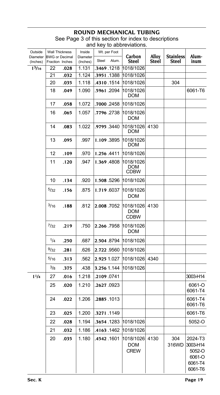| Outside<br>Diameter | <b>Wall Thickness</b><br><b>BWG or Decimal</b> |      | Inside<br>Diameter | Wt. per Foot         | Carbon                                 | Alloy | <b>Stainless</b> | Alum-                                                         |
|---------------------|------------------------------------------------|------|--------------------|----------------------|----------------------------------------|-------|------------------|---------------------------------------------------------------|
| (Inches)            | Fraction Inches                                |      | (Inches)           | Alum.<br>Steel       | <b>Steel</b>                           | Steel | Steel            | inum                                                          |
| $1^{3/16}$          | 22                                             | .028 | 1.131              | .3469.1218           | 1018/1026                              |       |                  |                                                               |
|                     | 21                                             | .032 | 1.124              | .3951.1388           | 1018/1026                              |       |                  |                                                               |
|                     | 20                                             | .035 | 1.118              | .4310.1514           | 1018/1026                              |       | 304              |                                                               |
|                     | 18                                             | .049 | 1.090              | .5961.2094           | 1018/1026<br>DOM                       |       |                  | 6061-T6                                                       |
|                     | 17                                             | .058 | 1.072              | .7000.2458           | 1018/1026                              |       |                  |                                                               |
|                     | 16                                             | .065 | 1.057              | .7796.2738           | 1018/1026<br>DOM                       |       |                  |                                                               |
|                     | 14                                             | .083 | 1.022              | .9795.3440           | 1018/1026<br>DOM                       | 4130  |                  |                                                               |
|                     | 13                                             | .095 | .997               | 1.109.3895           | 1018/1026<br>DOM                       |       |                  |                                                               |
|                     | 12                                             | .109 | .970               | 1.256.4411           | 1018/1026                              |       |                  |                                                               |
|                     | 11                                             | .120 | .947               | 1.369.4808           | 1018/1026<br>DOM<br>CDBW               |       |                  |                                                               |
|                     | 10                                             | .134 | .920               | 1.508.5296           | 1018/1026                              |       |                  |                                                               |
|                     | 5/32                                           | .156 | .875               | 1.719.6037           | 1018/1026<br>DOM                       |       |                  |                                                               |
|                     | 3/16                                           | .188 | .812               | 2.008.7052           | 1018/1026<br><b>DOM</b><br><b>CDBW</b> | 4130  |                  |                                                               |
|                     | 7/32                                           | .219 | .750               | 2.266 7958           | 1018/1026<br><b>DOM</b>                |       |                  |                                                               |
|                     | 1/4                                            | .250 | .687               | 2.504 8794           | 1018/1026                              |       |                  |                                                               |
|                     | 9/32                                           | .281 | .626               | 2.722 9560           | 1018/1026                              |       |                  |                                                               |
|                     | 5/16                                           | .313 | .562               | 2.925 1.027          | 1018/1026                              | 4340  |                  |                                                               |
|                     | 3/8                                            | .375 | .438               | 3.256 1.144          | 1018/1026                              |       |                  |                                                               |
| $1^{1/4}$           | 27                                             | .016 | 1.218              | .2109 0741           |                                        |       |                  | 3003-H14                                                      |
|                     | 25                                             | .020 | 1.210              | .2627.0923           |                                        |       |                  | 6061-O<br>6061-T4                                             |
|                     | 24                                             | .022 | 1.206              | .2885.1013           |                                        |       |                  | 6061-T4<br>6061-T6                                            |
|                     | 23                                             | .025 | 1.200              | .3271.1149           |                                        |       |                  | 6061-T6                                                       |
|                     | 22                                             | .028 | 1.194              | .3654.1283 1018/1026 |                                        |       |                  | 5052-O                                                        |
|                     | 21                                             | .032 | 1.186              | .4163 .1462          | 1018/1026                              |       |                  |                                                               |
|                     | 20                                             | .035 | 1.180              | .4542.1601           | 1018/1026<br><b>DOM</b><br><b>CREW</b> | 4130  | 304<br>316WD     | 2024-T3<br>3003-H14<br>5052-O<br>6061-O<br>6061-T4<br>6061-T6 |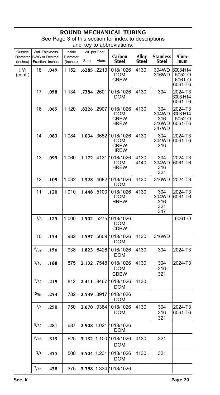| Outside              | Wall Thickness                           |      | Inside               |       | Wt. per Foot |                                                                   | Alloy        |                                       | Alum-                                    |
|----------------------|------------------------------------------|------|----------------------|-------|--------------|-------------------------------------------------------------------|--------------|---------------------------------------|------------------------------------------|
| Diameter<br>(Inches) | <b>BWG or Decimal</b><br>Fraction Inches |      | Diameter<br>(Inches) | Steel | Alum.        | Carbon<br>Steel                                                   | <b>Steel</b> | <b>Stainless</b><br>Steel             | inum                                     |
| $1^{1/4}$<br>(cont.) | 18                                       | .049 | 1.152                |       |              | . <b>6285</b> .2213 1018/1026<br>DOM<br>CREW                      | 4130         | 304WD<br>316WD                        | 3003-H14<br>5052-O<br>6061-O<br>6061-T6  |
|                      | 17                                       | .058 | 1.134                |       |              | .7384 .2601 1018/1026<br>DOM                                      | 4130         | 304                                   | 2024-T3<br>3003-H14<br>6061-T6           |
|                      | 16                                       | .065 | 1.120                |       |              | .8226 .2907 1018/1026<br><b>DOM</b><br>CREW<br>HREW               | 4130         | 304<br>304WD<br>316<br>316WD<br>347WD | 2024-T3<br>3003-H14<br>5052-O<br>6061-T6 |
|                      | 14                                       | .083 | 1.084                |       |              | 1.034 .3652 1018/1026<br><b>DOM</b><br><b>CREW</b><br><b>HREW</b> | 4130         | 304<br>304WD<br>316                   | 2024-T3<br>6061-T6                       |
|                      | 13                                       | .095 | 1.060                |       |              | 1.172 .4131 1018/1026<br>DOM<br><b>HREW</b>                       | 4130<br>4140 | 304<br>304WD<br>316<br>321            | 2024-T3<br>6061-T6                       |
|                      | 12                                       | .109 | 1.032                |       |              | 1.328 4682 1018/1026<br>DOM                                       | 4130         | 316WD                                 | 2024-T3                                  |
|                      | 11                                       | .120 | 1.010                |       |              | 1.448 .5100 1018/1026<br>DOM<br><b>HREW</b>                       | 4130         | 304<br>304WD<br>316<br>321<br>347     | 2024-T3<br>6061-T6                       |
|                      | 1/8                                      | .125 | 1.000                |       |              | 1.502 .5275 1018/1026<br><b>DOM</b><br><b>CDBW</b>                |              |                                       | 6061-O                                   |
|                      | 10                                       | .134 | .982                 |       |              | 1.597 .5609 1018/1026<br>DOM                                      | 4130         | 316WD                                 |                                          |
|                      | 5/32                                     | .156 | .938                 |       |              | 1.823 6426 1018/1026<br><b>DOM</b>                                | 4130         | 304                                   | 2024-T3                                  |
|                      | 3/16                                     | .188 | .875                 |       |              | 2.132 .7548 1018/1026<br><b>DOM</b><br>CDBW                       | 4130         | 304<br>316<br>321                     | 2024-T3                                  |
|                      | 7/32                                     | .219 | .812                 |       |              | 2.411 8467 1018/1026<br><b>DOM</b>                                | 4130         |                                       |                                          |
|                      | 15/64                                    | .234 | .782                 |       |              | 2.539 .8917 1018/1026<br>DOM                                      |              |                                       |                                          |
|                      | 1/4                                      | .250 | .750                 |       |              | 2.670 .9384 1018/1026<br>DOM                                      | 4130         | 304<br>316<br>321                     | 2024-T3<br>6061-T6                       |
|                      | 9/32                                     | .281 | .687                 |       |              | 2.908 1.021 1018/1026<br><b>DOM</b>                               |              |                                       |                                          |
|                      | 5/16                                     | .313 | .625                 |       |              | 3.132 1.100 1018/1026<br><b>DOM</b>                               | 4130         | 321                                   |                                          |
|                      | $^{3}/_{8}$                              | .375 | .500                 |       |              | 3.504 1.231 1018/1026<br><b>DOM</b>                               | 4130         | 321                                   |                                          |
|                      | 7/16                                     | .438 | .375                 |       |              | 3.798 1.334 1018/1026                                             |              |                                       |                                          |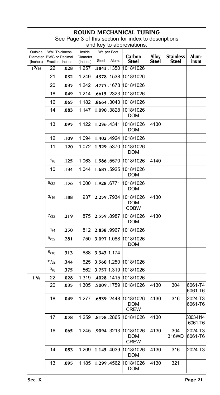| Outside                             | <b>Wall Thickness</b> |      | Inside               |       | Wt. per Foot |                                                    |                |                           |                     |
|-------------------------------------|-----------------------|------|----------------------|-------|--------------|----------------------------------------------------|----------------|---------------------------|---------------------|
| Diameter BWG or Decimal<br>(Inches) | Fraction Inches       |      | Diameter<br>(Inches) | Steel | Alum.        | Carbon<br><b>Steel</b>                             | Alloy<br>Steel | <b>Stainless</b><br>Steel | Alum-<br>inum       |
| 1 <sup>5</sup> /16                  | 22                    | .028 | 1.257                |       | .3843.1350   | 1018/1026                                          |                |                           |                     |
|                                     | 21                    | .032 | 1.249                |       | .4378 1538   | 1018/1026                                          |                |                           |                     |
|                                     | 20                    | .035 | 1.242                |       | .4777 .1678  | 1018/1026                                          |                |                           |                     |
|                                     | 18                    | .049 | 1.214                |       |              | .6615 .2323 1018/1026                              |                |                           |                     |
|                                     | 16                    | .065 | 1.182                |       | .8664 .3043  | 1018/1026                                          |                |                           |                     |
|                                     | 14                    | .083 | 1.147                |       | 1.090.3828   | 1018/1026<br><b>DOM</b>                            |                |                           |                     |
|                                     | 13                    | .095 | 1.122                |       | 1.236.4341   | 1018/1026<br><b>DOM</b>                            | 4130           |                           |                     |
|                                     | 12                    | .109 | 1.094                |       |              | 1.402 .4924 1018/1026                              |                |                           |                     |
|                                     | 11                    | .120 | 1.072                |       | 1.529 5370   | 1018/1026<br><b>DOM</b>                            |                |                           |                     |
|                                     | 1/8                   | .125 | 1.063                |       | 1.586 5570   | 1018/1026                                          | 4140           |                           |                     |
|                                     | 10                    | .134 | 1.044                |       | 1.687.5925   | 1018/1026<br><b>DOM</b>                            |                |                           |                     |
|                                     | 5/32                  | .156 | 1.000                |       | 1.928 6771   | 1018/1026<br>DOM                                   |                |                           |                     |
|                                     | 3/16                  | .188 | .937                 |       | 2.259.7934   | 1018/1026<br><b>DOM</b><br>CDBW                    | 4130           |                           |                     |
|                                     | $^{7}/_{32}$          | .219 | .875                 |       | 2.559 8987   | 1018/1026<br><b>DOM</b>                            | 4130           |                           |                     |
|                                     | 1/4                   | .250 | .812                 |       | 2.838 .9967  | 1018/1026                                          |                |                           |                     |
|                                     | 9/32                  | .281 | .750                 |       | 3.097 1.088  | 1018/1026<br>DOM                                   |                |                           |                     |
|                                     | 5/16                  | .313 | .688                 |       | 3.343 1.174  |                                                    |                |                           |                     |
|                                     | 11/32                 | .344 | .625                 |       |              | 3.560 1.250 1018/1026                              |                |                           |                     |
|                                     | 3/8                   | .375 | .562                 |       |              | 3.757 1.319  1018/1026                             |                |                           |                     |
| 1 <sup>3</sup> /8                   | 22                    | .028 | 1.319                |       |              | .4028 .1415 1018/1026                              |                |                           |                     |
|                                     | 20                    | .035 | 1.305                |       | .5009 .1759  | 1018/1026                                          | 4130           | 304                       | 6061-T4<br>6061-T6  |
|                                     | 18                    | .049 | 1.277                |       |              | .6939 .2448 1018/1026<br><b>DOM</b><br><b>CREW</b> | 4130           | 316                       | 2024-T3<br>6061-T6  |
|                                     | 17                    | .058 | 1.259                |       |              | 8158 .2865 1018/1026                               | 4130           |                           | 3003-H14<br>6061-T6 |
|                                     | 16                    | .065 | 1.245                |       | .9094 .3213  | 1018/1026<br>DOM<br><b>CREW</b>                    | 4130           | 304<br>316WD              | 2024-T3<br>6061-T6  |
|                                     | 14                    | .083 | 1.209                |       | 1.145 4039   | 1018/1026<br>DOM                                   | 4130           | 316                       | 2024-T3             |
|                                     | 13                    | .095 | 1.185                |       | 1.299.4562   | 1018/1026<br>DOM                                   | 4130           | 321                       |                     |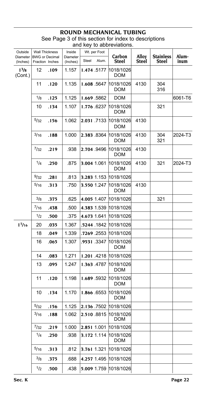| Outside              | <b>Wall Thickness</b>                    |      | Inside               | Wt. per Foot |       |                         |                |                           |               |
|----------------------|------------------------------------------|------|----------------------|--------------|-------|-------------------------|----------------|---------------------------|---------------|
| Diameter<br>(Inches) | <b>BWG</b> or Decimal<br>Fraction Inches |      | Diameter<br>(Inches) | Steel        | Alum. | Carbon<br><b>Steel</b>  | Alloy<br>Steel | <b>Stainless</b><br>Steel | Alum-<br>inum |
| $1^{3}/8$<br>(Cont.) | 12                                       | .109 | 1.157                | 1.474.5177   |       | 1018/1026<br>DOM        |                |                           |               |
|                      | 11                                       | .120 | 1.135                | 1.608 5647   |       | 1018/1026<br>DOM        | 4130           | 304<br>316                |               |
|                      | 1/8                                      | .125 | 1.125                | 1.669.5862   |       | <b>DOM</b>              |                |                           | 6061-T6       |
|                      | 10                                       | .134 | 1.107                | 1.776 6237   |       | 1018/1026<br>DOM        |                | 321                       |               |
|                      | 5/32                                     | .156 | 1.062                | 2.031 7133   |       | 1018/1026<br>DOM        | 4130           |                           |               |
|                      | 3/16                                     | .188 | 1.000                | 2.383.8364   |       | 1018/1026<br>DOM        | 4130           | 304<br>321                | 2024-T3       |
|                      | 7/32                                     | .219 | .938                 | 2.704 .9496  |       | 1018/1026<br>DOM        | 4130           |                           |               |
|                      | 1/4                                      | .250 | .875                 | 3.004 1.061  |       | 1018/1026<br><b>DOM</b> | 4130           | 321                       | 2024-T3       |
|                      | 9/32                                     | .281 | .813                 | 3.283 1.153  |       | 1018/1026               |                |                           |               |
|                      | 5/16                                     | .313 | .750                 | 3.550 1.247  |       | 1018/1026<br>DOM        | 4130           |                           |               |
|                      | 3/8                                      | .375 | .625                 | 4.005 1.407  |       | 1018/1026               |                | 321                       |               |
|                      | 7/16                                     | .438 | .500                 | 4.383 1.539  |       | 1018/1026               |                |                           |               |
|                      | 1/2                                      | .500 | .375                 | 4.673 1.641  |       | 1018/1026               |                |                           |               |
| 17/16                | 20                                       | .035 | 1.367                | .5244 .1842  |       | 1018/1026               |                |                           |               |
|                      | 18                                       | .049 | 1.339                | .7269 .2553  |       | 1018/1026               |                |                           |               |
|                      | 16                                       | .065 | 1.307                | .9531 3347   |       | 1018/1026<br>DOM        |                |                           |               |
|                      | 14                                       | .083 | 1.271                | 1.201.4218   |       | 1018/1026               |                |                           |               |
|                      | 13                                       | .095 | 1.247                | 1.363 4787   |       | 1018/1026<br>DOM        |                |                           |               |
|                      | 11                                       | .120 | 1.198                | 1.689 5932   |       | 1018/1026<br>DOM        |                |                           |               |
|                      | 10                                       | .134 | 1.170                | 1.866 6553   |       | 1018/1026<br>DOM        |                |                           |               |
|                      | 5/32                                     | .156 | 1.125                | 2.136.7502   |       | 1018/1026               |                |                           |               |
|                      | 3/16                                     | .188 | 1.062                | 2.510 8815   |       | 1018/1026<br>DOM        |                |                           |               |
|                      | 7/32                                     | .219 | 1.000                | 2.851 1.001  |       | 1018/1026               |                |                           |               |
|                      | 1/4                                      | .250 | .938                 | 3.172 1.114  |       | 1018/1026<br>DOM        |                |                           |               |
|                      | 5/16                                     | .313 | .812                 | 3.761 1.321  |       | 1018/1026               |                |                           |               |
|                      | $^{3}/8$                                 | .375 | .688                 | 4.257 1.495  |       | 1018/1026               |                |                           |               |
|                      | 1/2                                      | .500 | .438                 | 5.009 1.759  |       | 1018/1026               |                |                           |               |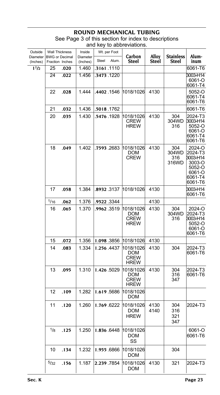| Outside<br>Diameter   | <b>Wall Thickness</b><br><b>BWG or Decimal</b> |              | Inside<br>Diameter | Wt. per Foot                 | Carbon                                         | Alloy        | <b>Stainless</b>             | Alum-                                                                             |
|-----------------------|------------------------------------------------|--------------|--------------------|------------------------------|------------------------------------------------|--------------|------------------------------|-----------------------------------------------------------------------------------|
| (Inches)<br>$1^{1/2}$ | Fraction Inches                                |              | (Inches)           | Steel<br>Alum.<br>.3161.1110 | <b>Steel</b>                                   | Steel        | Steel                        | inum<br>6061-T6                                                                   |
|                       | 25<br>24                                       | .020<br>.022 | 1.460<br>1.456     | .3473.1220                   |                                                |              |                              | 3003-H14                                                                          |
|                       |                                                |              |                    |                              |                                                |              |                              | 6061-O<br>6061-T4                                                                 |
|                       | 22                                             | .028         | 1.444              | .4402.1546                   | 1018/1026                                      | 4130         |                              | 5052-O<br>6061-T4<br>6061-T6                                                      |
|                       | 21                                             | .032         | 1.436              | .5018.1762                   |                                                |              |                              | 6061-T6                                                                           |
|                       | 20                                             | .035         | 1.430              | .5476 1928                   | 1018/1026<br>CREW<br><b>HREW</b>               | 4130         | 304<br>304WD<br>316          | 2024-T3<br>3003-H14<br>$5052 - 0$<br>6061-O<br>6061-T4<br>6061-T6                 |
|                       | 18                                             | .049         | 1.402              | .7593 .2683                  | 1018/1026<br><b>DOM</b><br><b>CREW</b>         | 4130         | 304<br>304WD<br>316<br>316WD | 2024-O<br>2024-T3<br>3003-H14<br>3003-O<br>5052-O<br>6061-O<br>6061-T4<br>6061-T6 |
|                       | 17                                             | .058         | 1.384              | .8932.3137                   | 1018/1026                                      | 4130         |                              | 3003-H14<br>6061-T6                                                               |
|                       | 1/16                                           | .062         | 1.376              | .9522 3344                   |                                                | 4130         |                              |                                                                                   |
|                       | 16                                             | .065         | 1.370              | .9962 .3519                  | 1018/1026<br>DOM<br><b>CREW</b><br><b>HREW</b> | 4130         | 304<br>304WD<br>316          | 2024-O<br>2024-T3<br>3003-H14<br>5052-O<br>6061-O<br>6061-T6                      |
|                       | 15                                             | .072         | 1.356              | 1.098.3856                   | 1018/1026                                      | 4130         |                              |                                                                                   |
|                       | 14                                             | .083         | 1.334              | 1.256.4437                   | 1018/1026<br>DOM<br><b>CREW</b><br><b>HREW</b> | 4130         | 304                          | 2024-T3<br>6061-T6                                                                |
|                       | 13                                             | .095         | 1.310              | 1.426.5029                   | 1018/1026<br>DOM<br><b>CREW</b><br>HREW        | 4130         | 304<br>316<br>347            | 2024-T3<br>6061-T6                                                                |
|                       | 12                                             | .109         | 1.282              | 1.619.5686                   | 1018/1026<br>DOM                               |              |                              |                                                                                   |
|                       | 11                                             | .120         | 1.260              | 1.769.6222                   | 1018/1026<br>DOM<br><b>HREW</b>                | 4130<br>4140 | 304<br>316<br>321<br>347     | 2024-T3                                                                           |
|                       | 1/8                                            | .125         | 1.250              | 1.836 6448                   | 1018/1026<br>DOM<br>SS                         |              |                              | 6061-O<br>6061-T6                                                                 |
|                       | 10                                             | .134         | 1.232              | 1.955.6866                   | 1018/1026<br><b>DOM</b>                        |              | 304                          |                                                                                   |
|                       | 5/32                                           | .156         | 1.187              | 2.239.7854                   | 1018/1026<br>DOM                               | 4130         | 321                          | 2024-T3                                                                           |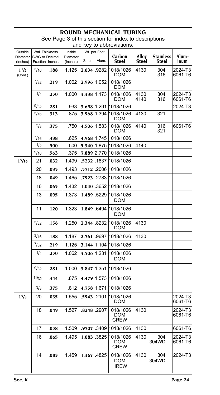#### **ROUND MECHANICAL TUBING** See Page 3 of this section for index to descriptions

|                      |              |                                          |                      |       |              | and key to abbreviations.                  |                |                                  |                    |
|----------------------|--------------|------------------------------------------|----------------------|-------|--------------|--------------------------------------------|----------------|----------------------------------|--------------------|
| Outside              |              | Wall Thickness                           | Inside               |       | Wt. per Foot |                                            |                |                                  |                    |
| Diameter<br>(Inches) |              | <b>BWG</b> or Decimal<br>Fraction Inches | Diameter<br>(Inches) | Steel | Alum.        | Carbon<br>Steel                            | Alloy<br>Steel | <b>Stainless</b><br><b>Steel</b> | Alum-<br>inum      |
| $1^{1/2}$<br>(Cont.) | 3/16         | .188                                     | 1.125                |       |              | 2.634 9282 1018/1026<br><b>DOM</b>         | 4130           | 304<br>316                       | 2024-T3<br>6061-T6 |
|                      | $^{7}/_{32}$ | .219                                     | 1.062                |       |              | 2.996 1.052 1018/1026<br>DOM               |                |                                  |                    |
|                      | 1/4          | .250                                     | 1.000                |       |              | 3.338 1.173 1018/1026<br>DOM               | 4130<br>4140   | 304<br>316                       | 2024-T3<br>6061-T6 |
|                      | 9/32         | .281                                     | .938                 |       | 3.658 1.291  | 1018/1026                                  |                |                                  | 2024-T3            |
|                      | 5/16         | .313                                     | .875                 |       | 3.968 1.394  | 1018/1026<br>DOM                           | 4130           | 321                              |                    |
|                      | $^{3/8}$     | .375                                     | .750                 |       |              | 4.506 1.583 1018/1026<br>DOM               | 4140           | 316<br>321                       | 6061-T6            |
|                      | 7/16         | .438                                     | .625                 |       |              | 4.968 1.745 1018/1026                      |                |                                  |                    |
|                      | 1/2          | .500                                     | .500                 |       |              | 5.340 1.875 1018/1026                      | 4140           |                                  |                    |
|                      | 9/16         | .563                                     | .375                 |       |              | 7.889 2.770 1018/1026                      |                |                                  |                    |
| 19/16                | 21           | .032                                     | 1.499                |       |              | .5232 .1837  1018/1026                     |                |                                  |                    |
|                      | 20           | .035                                     | 1.493                |       |              | .5712 .2006 1018/1026                      |                |                                  |                    |
|                      | 18           | .049                                     | 1.465                |       |              | .7923 .2783 1018/1026                      |                |                                  |                    |
|                      | 16           | .065                                     | 1.432                |       |              | 1.040 .3652 1018/1026                      |                |                                  |                    |
|                      | 13           | .095                                     | 1.373                |       | 1.489.5229   | 1018/1026<br><b>DOM</b>                    |                |                                  |                    |
|                      | 11           | .120                                     | 1.323                |       |              | 1.849 6494 1018/1026<br>DOM                |                |                                  |                    |
|                      | 5/32         | .156                                     | 1.250                |       |              | 2.344 8232 1018/1026<br><b>DOM</b>         | 4130           |                                  |                    |
|                      | $^{3/16}$    | .188                                     | 1.187                |       |              | 2.761 .9697 1018/1026                      | 4130           |                                  |                    |
|                      | 7/32         | .219                                     | 1.125                |       |              | 3.144 1.104 1018/1026                      |                |                                  |                    |
|                      | 1/4          | .250                                     | 1.062                |       | 3.506 1.231  | 1018/1026<br><b>DOM</b>                    |                |                                  |                    |
|                      | 9/32         | .281                                     | 1.000                |       |              | 3.847 1.351 1018/1026                      |                |                                  |                    |
|                      | 11/32        | .344                                     | .875                 |       |              | 4.479 1.573 1018/1026                      |                |                                  |                    |
|                      | 3/8          | .375                                     | .812                 |       |              | 4.758 1.671 1018/1026                      |                |                                  |                    |
| 1 <sup>5</sup> /8    | 20           | .035                                     | 1.555                |       | .5943.2101   | 1018/1026<br>DOM                           |                |                                  | 2024-T3<br>6061-T6 |
|                      | 18           | .049                                     | 1.527                |       |              | 8248 .2907 1018/1026<br>DOM<br><b>CREW</b> | 4130           |                                  | 2024-T3<br>6061-T6 |
|                      | 17           | .058                                     | 1.509                |       |              | .9707 .3409 1018/1026                      | 4130           |                                  | 6061-T6            |
|                      | 16           | .065                                     | 1.495                |       | 1.083 .3825  | 1018/1026<br>DOM<br><b>CREW</b>            | 4130           | 304<br>304WD                     | 2024-T3<br>6061-T6 |
|                      | 14           | .083                                     | 1.459                |       | 1.367.4825   | 1018/1026<br>DOM<br><b>HREW</b>            | 4130           | 304<br>304WD                     | 2024-T3            |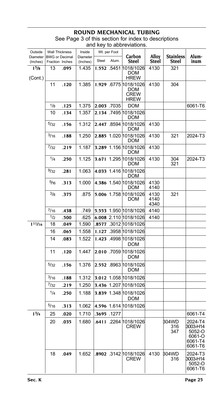#### **ROUND MECHANICAL T**

| Outside                      | <b>Wall Thickness</b>                    |      | Inside               |            | Wt. per Foot | Carbon                                                     |                       |                           |                                                               |
|------------------------------|------------------------------------------|------|----------------------|------------|--------------|------------------------------------------------------------|-----------------------|---------------------------|---------------------------------------------------------------|
| Diameter<br>(Inches)         | <b>BWG or Decimal</b><br>Fraction Inches |      | Diameter<br>(Inches) | Steel      | Alum.        | <b>Steel</b>                                               | Alloy<br><b>Steel</b> | <b>Stainless</b><br>Steel | Alum-<br>inum                                                 |
| 1 <sup>5</sup> /8<br>(Cont.) | 13                                       | .095 | 1.435                |            |              | 1.552 .5451 1018/1026<br>DOM<br><b>HREW</b>                | 4130                  | 321                       |                                                               |
|                              | 11                                       | .120 | 1.385                |            |              | 1.929 .6775 1018/1026<br><b>DOM</b><br>CREW<br><b>HREW</b> | 4130                  | 304                       |                                                               |
|                              | 1/8                                      | .125 | 1.375                |            | 2.003 .7035  | <b>DOM</b>                                                 |                       |                           | 6061-T6                                                       |
|                              | 10                                       | .134 | 1.357                |            |              | 2.134 .7495 1018/1026<br>DOM                               |                       |                           |                                                               |
|                              | 5/32                                     | .156 | 1.312                |            |              | 2.447 .8594 1018/1026<br><b>DOM</b>                        | 4130                  |                           |                                                               |
|                              | 3/16                                     | .188 | 1.250                |            |              | 2.885 1.020 1018/1026<br>DOM                               | 4130                  | 321                       | 2024-T3                                                       |
|                              | 7/32                                     | .219 | 1.187                |            |              | 3.289 1.156 1018/1026<br>DOM                               | 4130                  |                           |                                                               |
|                              | 1/4                                      | .250 | 1.125                |            |              | 3.671 1.295 1018/1026<br>DOM                               | 4130                  | 304<br>321                | 2024-T3                                                       |
|                              | 9/32                                     | .281 | 1.063                |            |              | 4.033 1.416 1018/1026<br><b>DOM</b>                        |                       |                           |                                                               |
|                              | 5/16                                     | .313 | 1.000                |            |              | 4.386 1.540 1018/1026<br>DOM                               | 4130<br>4140          |                           |                                                               |
|                              | $^{3/8}$                                 | .375 | .875                 |            |              | 5.006 1.758 1018/1026<br>DOM                               | 4130<br>4140<br>4340  | 321                       |                                                               |
|                              | $^{7/16}$                                | .438 | .749                 |            |              | 5.553 1.950 1018/1026                                      | 4140                  |                           |                                                               |
|                              | 1/2                                      | .500 | .625                 |            |              | 6.008 2.110 1018/1026                                      | 4140                  |                           |                                                               |
| 111/16                       | 18                                       | .049 | 1.590                |            |              | .8577 .3012 1018/1026                                      |                       |                           |                                                               |
|                              | 16                                       | .065 | 1.558                |            |              | 1.127 .3958 1018/1026                                      |                       |                           |                                                               |
|                              | 14                                       | .083 | 1.522                |            |              | 1.423 .4998 1018/1026<br><b>DOM</b>                        |                       |                           |                                                               |
|                              | 11                                       | .120 | 1.447                |            |              | 2.010 .7059 1018/1026<br>DOM                               |                       |                           |                                                               |
|                              | 5/32                                     | .156 | 1.376                |            |              | 2.552 .8963 1018/1026<br>DOM                               |                       |                           |                                                               |
|                              | 3/16                                     | .188 | 1.312                |            |              | 3.012 1.058 1018/1026                                      |                       |                           |                                                               |
|                              | 7/32                                     | .219 | 1.250                |            |              | 3.436 1.207 1018/1026                                      |                       |                           |                                                               |
|                              | 1/4                                      | .250 | 1.188                |            |              | 3.839 1.348 1018/1026<br><b>DOM</b>                        |                       |                           |                                                               |
|                              | 5/16                                     | .313 | 1.062                |            |              | 4.596 1.614 1018/1026                                      |                       |                           |                                                               |
| $1^{3/4}$                    | 25                                       | .020 | 1.710                | .3695.1277 |              |                                                            |                       |                           | 6061-T4                                                       |
|                              | 20                                       | .035 | 1.680                |            |              | .6411 .2264 1018/1026<br><b>CREW</b>                       |                       | 304WD<br>316<br>347       | 2024-T4<br>3003-H14<br>5052-O<br>6061-O<br>6061-T4<br>6061-T6 |
|                              | 18                                       | .049 | 1.652                |            |              | .8902 .3142 1018/1026<br><b>CREW</b>                       | 4130                  | 304WD<br>316              | 2024-T3<br>3003-H14<br>5052-O<br>6061-T6                      |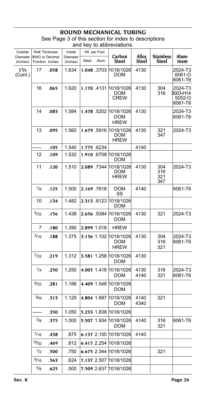| Outside<br><b>Diameter</b>       | <b>Wall Thickness</b><br><b>BWG or Decimal</b> |      | Inside<br>Diameter | Steel       | Wt. per Foot<br>Alum. | Carbon<br>Steel                                    | Alloy<br>Steel | <b>Stainless</b><br>Steel | Alum-<br>inum                            |
|----------------------------------|------------------------------------------------|------|--------------------|-------------|-----------------------|----------------------------------------------------|----------------|---------------------------|------------------------------------------|
| (Inches)<br>$1^{3}/4$<br>(Cont.) | Fraction Inches<br>17                          | .058 | (Inches)<br>1.634  |             |                       | 1.048 3703 1018/1026<br>DOM                        | 4130           |                           | 2024-T3<br>6061-O<br>6061-T6             |
|                                  | 16                                             | .065 | 1.620              |             |                       | 1.170 4131 1018/1026<br>DOM<br><b>CREW</b>         | 4130           | 304<br>316                | 2024-T3<br>3003-H14<br>5052-O<br>6061-T6 |
|                                  | 14                                             | .083 | 1.584              |             |                       | 1.478 .5202 1018/1026<br>DOM<br><b>HREW</b>        | 4130           |                           | 2024-T3<br>6061-T6                       |
|                                  | 13                                             | .095 | 1.560              |             |                       | 1.679 .5916 1018/1026<br><b>DOM</b><br><b>HREW</b> | 4130           | 321<br>347                | 2024-T3                                  |
|                                  |                                                | .105 | 1.540              | 1.775 6234  |                       |                                                    | 4140           |                           |                                          |
|                                  | 12                                             | .109 | 1.532              |             |                       | 1.910 6708 1018/1026<br>DOM                        |                |                           |                                          |
|                                  | 11                                             | .120 | 1.510              |             |                       | 2.089 .7344 1018/1026<br>DOM<br><b>HREW</b>        | 4130           | 304<br>316<br>321<br>347  | 2024-T3                                  |
|                                  | $\frac{1}{8}$                                  | .125 | 1.500              | 2.169.7618  |                       | DOM<br>SS                                          | 4140           |                           | 6061-T6                                  |
|                                  | 10                                             | .134 | 1.482              |             |                       | 2.313 .8123 1018/1026<br>DOM                       |                |                           |                                          |
|                                  | 5/32                                           | .156 | 1.438              | 2.656 9384  |                       | 1018/1026<br><b>DOM</b>                            | 4130           | 321                       | 2024-T3                                  |
|                                  | 7                                              | .180 | 1.390              | 2.899 1.018 |                       | <b>HREW</b>                                        |                |                           |                                          |
|                                  | 3/16                                           | .188 | 1.375              |             |                       | 3.136 1.102 1018/1026<br>DOM<br><b>HREW</b>        | 4130           | 304<br>316<br>321         | 2024-T3<br>6061-T6                       |
|                                  | 7/32                                           | .219 | 1.312              |             |                       | 3.581 1.258 1018/1026<br><b>DOM</b>                | 4130           |                           |                                          |
|                                  | 1/4                                            | .250 | 1.250              |             |                       | 4.005 1.418 1018/1026<br><b>DOM</b>                | 4130<br>4140   | 316<br>321                | 2024-T3<br>6061-T6                       |
|                                  | 9/32                                           | .281 | 1.188              |             |                       | 4.409 1.548 1018/1026<br>DOM                       |                |                           |                                          |
|                                  | 5/16                                           | .313 | 1.125              | 4.804 1.687 |                       | 1018/1026<br>DOM                                   | 4140<br>4340   | 321                       |                                          |
|                                  |                                                | .350 | 1.050              |             |                       | 5.233 1.838 1018/1026                              |                |                           |                                          |
|                                  | 3/8                                            | .375 | 1.000              |             |                       | 5.507 1.934 1018/1026<br><b>DOM</b>                | 4140           | 316<br>321                | 6061-T6                                  |
|                                  | 7/16                                           | .438 | .875               |             |                       | 6.137 2.155 1018/1026                              | 4140           |                           |                                          |
|                                  | 15/32                                          | .469 | .812               |             |                       | 6.417 2.254 1018/1026                              |                |                           |                                          |
|                                  | $\frac{1}{2}$                                  | .500 | .750               |             |                       | 6.675 2.344 1018/1026                              |                | 321                       |                                          |
|                                  | 9/16                                           | .563 | .624               |             |                       | 7.137 2.507 1018/1026                              |                |                           |                                          |
|                                  | 5/8                                            | .625 | .500               |             |                       | 7.509 2.637 1018/1026                              |                |                           |                                          |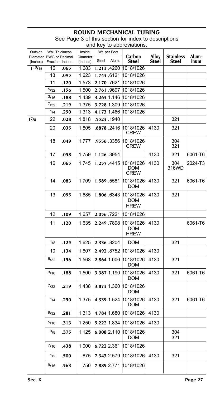| Outside<br>Diameter<br>(Inches) | <b>Wall Thickness</b><br><b>BWG</b> or Decimal<br>Fraction Inches |      | Inside<br>Diameter<br>(Inches) | Wt. per Foot<br>Steel<br>Alum. | Carbon<br>Steel                        | Alloy<br>Steel | <b>Stainless</b><br>Steel | Alum-<br>inum |
|---------------------------------|-------------------------------------------------------------------|------|--------------------------------|--------------------------------|----------------------------------------|----------------|---------------------------|---------------|
| $1^{13}/16$                     | 16                                                                | .065 | 1.683                          | 1.213.4260                     | 1018/1026                              |                |                           |               |
|                                 | 13                                                                | .095 | 1.623                          | 1.743 6121                     | 1018/1026                              |                |                           |               |
|                                 | 11                                                                | .120 | 1.573                          | 2.170.7621                     | 1018/1026                              |                |                           |               |
|                                 | 5/32                                                              | .156 | 1.500                          | 2.761.9697                     | 1018/1026                              |                |                           |               |
|                                 | $^{3/16}$                                                         | .188 | 1.439                          | 3.263 1.146                    | 1018/1026                              |                |                           |               |
|                                 | $^{7}/_{32}$                                                      | .219 | 1.375                          | 3.728 1.309 1018/1026          |                                        |                |                           |               |
|                                 | 1/4                                                               | .250 | 1.313                          | 4.173 1.466                    | 1018/1026                              |                |                           |               |
| $1^{7}/8$                       | 22                                                                | .028 | 1.818                          | .5523 .1940                    |                                        |                | 321                       |               |
|                                 | 20                                                                | .035 | 1.805                          | .6878.2416                     | 1018/1026<br><b>CREW</b>               | 4130           | 321                       |               |
|                                 | 18                                                                | .049 | 1.777                          | .9556 .3356                    | 1018/1026<br><b>CREW</b>               |                | 304<br>321                |               |
|                                 | 17                                                                | .058 | 1.759                          | 1.126.3954                     |                                        | 4130           | 321                       | 6061-T6       |
|                                 | 16                                                                | .065 | 1.745                          | 1.257.4415                     | 1018/1026<br>DOM<br><b>CREW</b>        | 4130           | 304<br>316WD              | 2024-T3       |
|                                 | 14                                                                | .083 | 1.709                          | 1.589 5581                     | 1018/1026<br>DOM                       | 4130           | 321                       | 6061-T6       |
|                                 | 13                                                                | .095 | 1.685                          | 1.806 .6343                    | 1018/1026<br>DOM<br><b>HREW</b>        | 4130           | 321                       |               |
|                                 | 12                                                                | .109 | 1.657                          | 2.056 .7221 1018/1026          |                                        |                |                           |               |
|                                 | 11                                                                | .120 | 1.635                          | 2.249 7898                     | 1018/1026<br><b>DOM</b><br><b>HREW</b> | 4130           |                           | 6061-T6       |
|                                 | 1/8                                                               | .125 | 1.625                          | 2.336 8204                     | DOM                                    |                | 321                       |               |
|                                 | 10                                                                | .134 | 1.607                          | 2.492 8752                     | 1018/1026                              | 4130           |                           |               |
|                                 | 5/32                                                              | .156 | 1.563                          | 2.864 1.006                    | 1018/1026<br>DOM                       | 4130           | 321                       |               |
|                                 | $^{3/16}$                                                         | .188 | 1.500                          | 3.387 1.190                    | 1018/1026<br>DOM                       | 4130           | 321                       | 6061-T6       |
|                                 | 7/32                                                              | .219 | 1.438                          | 3.873 1.360                    | 1018/1026<br>DOM                       |                |                           |               |
|                                 | 1/4                                                               | .250 | 1.375                          | 4.339 1.524                    | 1018/1026<br>DOM                       | 4130           | 321                       | 6061-T6       |
|                                 | 9/32                                                              | .281 | 1.313                          | 4.784 1.680 1018/1026          |                                        | 4130           |                           |               |
|                                 | 5/16                                                              | .313 | 1.250                          | 5.222 1.834 1018/1026          |                                        | 4130           |                           |               |
|                                 | 3/8                                                               | .375 | 1.125                          | 6.008 2.110                    | 1018/1026<br><b>DOM</b>                |                | 304<br>321                |               |
|                                 | $^{7/16}$                                                         | .438 | 1.000                          | 6.722 2.361                    | 1018/1026                              |                |                           |               |
|                                 | 1/2                                                               | .500 | .875                           | 7.343 2.579                    | 1018/1026                              | 4130           | 321                       |               |
|                                 | 9/16                                                              | .563 | .750                           | 7.889 2.771                    | 1018/1026                              |                |                           |               |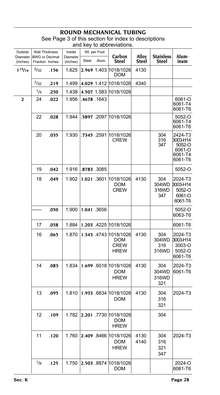| Outside              | <b>Wall Thickness</b>                    |      | Inside               |       | Wt. per Foot |                                                   |                       |                              |                                                               |
|----------------------|------------------------------------------|------|----------------------|-------|--------------|---------------------------------------------------|-----------------------|------------------------------|---------------------------------------------------------------|
| Diameter<br>(Inches) | <b>BWG</b> or Decimal<br>Fraction Inches |      | Diameter<br>(Inches) | Steel | Alum.        | Carbon<br>Steel                                   | Alloy<br><b>Steel</b> | <b>Stainless</b><br>Steel    | Alum-<br>inum                                                 |
| $1^{15}/16$          | 5/32                                     | .156 | 1.625                |       | 2.969 1.403  | 1018/1026<br>DOM                                  | 4130                  |                              |                                                               |
|                      | 7/32                                     | .219 | 1.499                |       |              | 4.029 1.412 1018/1026                             | 4340                  |                              |                                                               |
|                      | 1/4                                      | .250 | 1.438                |       |              | 4.507 1.583 1018/1026                             |                       |                              |                                                               |
| 2                    | 24                                       | .022 | 1.956                |       | .4678.1643   |                                                   |                       |                              | 6061-O<br>6061-T4<br>6061-T6                                  |
|                      | 22                                       | .028 | 1.944                |       |              | .5897 .2097 1018/1026                             |                       |                              | $5052 - 0$<br>6061-T4<br>6061-T6                              |
|                      | 20                                       | .035 | 1.930                |       | .7345 .2591  | 1018/1026<br>CREW                                 |                       | 304<br>316<br>347            | 2424-T3<br>3003-H14<br>5052-O<br>6061-O<br>6061-T4<br>6061-T6 |
|                      | 19                                       | .042 | 1.916                |       | .8783.3085   |                                                   |                       |                              | 5052-O                                                        |
|                      | 18                                       | .049 | 1.902                |       | 1.021.3601   | 1018/1026<br>DOM<br><b>CREW</b>                   | 4130                  | 304<br>304WD<br>316WD<br>347 | 2024-T3<br>3003-H14<br>5052-O<br>6061-O<br>6061-T6            |
|                      |                                          | .050 | 1.900                |       | 1.041 .3656  |                                                   |                       |                              | 5052-O<br>6063-T6                                             |
|                      | 17                                       | .058 | 1.884                |       |              | 1.203 4225 1018/1026                              |                       |                              | 6061-T6                                                       |
|                      | 16                                       | .065 | 1.870                |       |              | 1.343 4743 1018/1026<br>DOM<br>CREW<br>HREW       | 4130                  | 304<br>304WD<br>316<br>316WD | 2024-T3<br>3003-H14<br>3003-O<br>5052-O<br>6061-T6            |
|                      | 14                                       | .083 | 1.834                |       |              | 1.699 6018 1018/1026<br>DOM<br><b>HREW</b>        | 4130                  | 304<br>304WD<br>316WD<br>321 | 2024-T3<br>6061-T6                                            |
|                      | 13                                       | .095 | 1.810                |       |              | 1.933 6834 1018/1026<br><b>DOM</b>                | 4130                  | 304<br>316<br>321            | 2024-T3                                                       |
|                      | 12                                       | .109 | 1.782                |       |              | 2,201 .7730  1018/1026<br><b>DOM</b><br>HREW      |                       | 304                          |                                                               |
|                      | 11                                       | .120 | 1.760                |       |              | 2.409 8466 1018/1026<br><b>DOM</b><br><b>HREW</b> | 4130<br>4140          | 304<br>316<br>321<br>347     | 2024-T3                                                       |
|                      | 1/8                                      | .125 | 1.750                |       | 2.503 8874   | 1018/1026<br>DOM                                  |                       |                              | 2024-O<br>6061-T6                                             |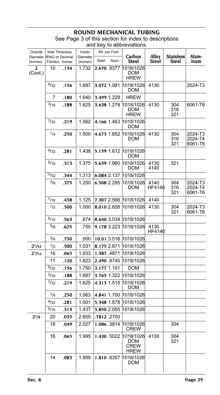#### **ROUND MECHANICAL T**

| Outside<br>Diameter<br>(Inches) | <b>Wall Thickness</b><br><b>BWG or Decimal</b><br>Fraction Inches |      | Inside<br>Diameter<br>(Inches) | Wt. per Foot<br>Steel<br>Alum. | Carbon<br><b>Steel</b>                         | Alloy<br>Steel        | <b>Stainless</b><br>Steel | Alum-<br>inum                 |
|---------------------------------|-------------------------------------------------------------------|------|--------------------------------|--------------------------------|------------------------------------------------|-----------------------|---------------------------|-------------------------------|
| $\overline{a}$<br>(Cont.)       | 10                                                                | .134 | 1.732                          | 2.670.9377                     | 1018/1026<br>DOM<br><b>HREW</b>                |                       |                           |                               |
|                                 | 5/32                                                              | .156 | 1.687                          | 3.072 1.081                    | 1018/1026<br>DOM                               | 4130                  |                           | 2024-T3                       |
|                                 | 7                                                                 | .180 | 1.640                          | 3.499 1.229                    | <b>HREW</b>                                    |                       |                           |                               |
|                                 | 3/16                                                              | .188 | 1.625                          | 3.638 1.278                    | 1018/1026<br>DOM<br><b>HREW</b>                | 4130                  | 304<br>316<br>321         | 6061-T6                       |
|                                 | 7/32                                                              | .219 | 1.562                          | 4.166 1.463                    | 1018/1026<br>DOM                               |                       |                           |                               |
|                                 | 1/4                                                               | .250 | 1.500                          | 4.673 1.652                    | 1018/1026<br>DOM                               | 4130                  | 304<br>316<br>321         | 2024-T3<br>2024-T4<br>6061-T6 |
|                                 | 9/32                                                              | .281 | 1.438                          | 5.159 1.812                    | 1018/1026<br>DOM                               |                       |                           |                               |
|                                 | $^{5/16}$                                                         | .313 | 1.375                          | 5.639 1.980                    | 1018/1026<br>DOM                               | 4130<br>4140          | 321                       |                               |
|                                 | 11/32                                                             | .344 | 1.313                          | 6.084 2.137                    | 1018/1026                                      |                       |                           |                               |
|                                 | 3/8                                                               | .375 | 1.250                          | 6.508 2.295                    | 1018/1026<br>DOM                               | 4140<br>HF4140        | 304<br>316<br>321         | 2024-T3<br>2024-T4<br>6061-T6 |
|                                 | $^{7/16}$                                                         | .438 | 1.125                          |                                | 7.307 2.566 1018/1026                          | 4140                  |                           |                               |
|                                 | 1/2                                                               | .500 | 1.000                          | 8.010 2.826                    | 1018/1026                                      | 4130                  | 304<br>321                | 2024-T3<br>6061-T6            |
|                                 | 9/16                                                              | .563 | .874                           | 8.640 3.034                    | 1018/1026                                      |                       |                           |                               |
|                                 | 5/8                                                               | .625 | .750                           | 9.178 3.223                    | 1018/1026                                      | 4130<br><b>HF4140</b> |                           |                               |
|                                 | 3/4                                                               | .750 | .500                           | 10.01 3.516                    | 1018/1026                                      |                       |                           |                               |
| $2^{1/32}$                      | 1/2                                                               | .500 | 1.031                          | 8.175 2.871                    | 1018/1026                                      |                       |                           |                               |
| $2^{1/16}$                      | 16                                                                | .065 | 1.933                          | 1.387.4871                     | 1018/1026                                      |                       |                           |                               |
|                                 | 11                                                                | .120 | 1.823                          | 2.490 8745                     | 1018/1026                                      |                       |                           |                               |
|                                 | 5/32                                                              | .156 | 1.750                          | 3.177 1.101                    | <b>DOM</b>                                     |                       |                           |                               |
|                                 | 3/16                                                              | .188 | 1.687                          | 3.765 1.322                    | 1018/1026                                      |                       |                           |                               |
|                                 | 7/32                                                              | .219 | 1.625                          | 4.313 1.515                    | 1018/1026<br><b>DOM</b>                        |                       |                           |                               |
|                                 | 1/4                                                               | .250 | 1.563                          |                                | 4.841 1.700 1018/1026                          |                       |                           |                               |
|                                 | 9/32                                                              | .281 | 1.501                          | 5.348 1.878                    | 1018/1026                                      |                       |                           |                               |
|                                 | 5/16                                                              | .313 | 1.437                          | 5.850 2.055                    | 1018/1026                                      |                       |                           |                               |
| $2^{1/8}$                       | 20                                                                | .035 | 2.655                          | .7812.2700                     |                                                |                       |                           |                               |
|                                 | 18                                                                | .049 | 2.027                          | 1.086 3814                     | 1018/1026<br>CREW                              |                       | 304                       |                               |
|                                 | 16                                                                | .065 | 1.995                          | 1.430 5022                     | 1018/1026<br>DOM<br><b>CREW</b><br><b>HREW</b> | 4130                  | 304<br>321                |                               |
|                                 | 14                                                                | .083 | 1.959                          | 1.810.6357                     | 1018/1026<br>DOM                               |                       |                           |                               |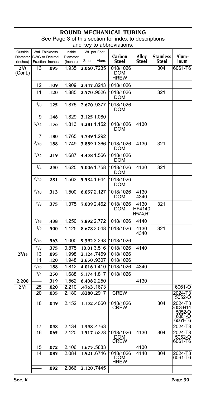#### **ROUND MECHANICAL TUBING** See Page 3 of this section for index to descriptions

| and key to abbreviations. |  |
|---------------------------|--|
|---------------------------|--|

| Outside              | Wall Thickness                           |      | Inside               | Wt. per Foot   |                                        |                                   |                           |                                                    |
|----------------------|------------------------------------------|------|----------------------|----------------|----------------------------------------|-----------------------------------|---------------------------|----------------------------------------------------|
| Diameter<br>(Inches) | <b>BWG</b> or Decimal<br>Fraction Inches |      | Diameter<br>(Inches) | Steel<br>Alum. | Carbon<br>Steel                        | Alloy<br>Steel                    | <b>Stainless</b><br>Steel | Alum-<br>inum                                      |
| $2^{1/8}$<br>(Cont.) | 13                                       | .095 | 1.935                | 2.060.7235     | 1018/1026<br><b>DOM</b><br><b>HREW</b> |                                   | 304                       | 6061-T6                                            |
|                      | 12                                       | .109 | 1.909                | 2.347.8243     | 1018/1026                              |                                   |                           |                                                    |
|                      | 11                                       | .120 | 1.885                | 2.570 9026     | 1018/1026<br><b>DOM</b>                |                                   | 321                       |                                                    |
|                      | $\frac{1}{8}$                            | .125 | 1.875                | 2.670 9377     | 1018/1026<br><b>DOM</b>                |                                   |                           |                                                    |
|                      | 9                                        | .148 | 1.829                | 3.125 1.080    |                                        |                                   |                           |                                                    |
|                      | 5/32                                     | .156 | 1.813                | 3.281 1.152    | 1018/1026<br><b>DOM</b>                | 4130                              |                           |                                                    |
|                      | 7                                        | .180 | 1.765                | 3.739 1.292    |                                        |                                   |                           |                                                    |
|                      | 3/16                                     | .188 | 1.749                | 3.889 1.366    | 1018/1026<br>DOM                       | 4130                              | 321                       |                                                    |
|                      | $^{7}/_{32}$                             | .219 | 1.687                | 4.458 1.566    | 1018/1026<br>DOM                       |                                   |                           |                                                    |
|                      | 1/4                                      | .250 | 1.625                | 5.006 1.758    | 1018/1026<br>DOM                       | 4130                              | 321                       |                                                    |
|                      | 9/32                                     | .281 | 1.563                | 5.534 1.944    | 1018/1026<br>DOM                       |                                   |                           |                                                    |
|                      | 5/16                                     | .313 | 1.500                | 6.057 2.127    | 1018/1026<br>DOM                       | 4130<br>4340                      |                           |                                                    |
|                      | 3/8                                      | .375 | 1.375                | 7.009 2.462    | 1018/1026<br>DOM                       | 4130<br>HF4140<br><b>HF4140HT</b> | 321                       |                                                    |
|                      | 7/16                                     | .438 | 1.250                | 7.892 2.772    | 1018/1026                              | 4140                              |                           |                                                    |
|                      | 1/2                                      | .500 | 1.125                | 8.678 3.048    | 1018/1026                              | 4130<br>4340                      | 321                       |                                                    |
|                      | 9/16                                     | .563 | 1.000                | 9.392 3.298    | 1018/1026                              |                                   |                           |                                                    |
|                      | 5/8                                      | .375 | 0.875                | 10.013.516     | 1018/1026                              | 4140                              |                           |                                                    |
| $2^{3}/16$           | 13                                       | .095 | 1.998                | 2.124.7459     | 1018/1026                              |                                   |                           |                                                    |
|                      | 11                                       | .120 | 1.948                | 2.650 9307     | 1018/1026                              |                                   |                           |                                                    |
|                      | 3/16                                     | .188 | 1.812                | 4.016 1.410    | 1018/1026                              | 4340                              |                           |                                                    |
|                      | 1/4                                      | .250 | 1.688                | 5.174 1.817    | 1018/1026                              |                                   |                           |                                                    |
| 2.200                |                                          | .319 | 1.562                | 6.408 2.250    |                                        | 4130                              |                           |                                                    |
| $2^{1/4}$            | 25                                       | .020 | 2.210                | .4763 .1673    |                                        |                                   |                           | 6061-O<br>$2024 - T3$                              |
|                      | 20                                       | .035 | 2.180                | .8280.2917     | <b>CREW</b>                            |                                   |                           | 5052-O                                             |
|                      | 18                                       | .049 | 2.152                | 1.152.4060     | 1018/1026<br><b>CREW</b>               |                                   | 304                       | 2024-T3<br>3003-H14<br>5052-O<br>6061-O<br>6061-T6 |
|                      | 17                                       | .058 | 2.134                | 1.358.4763     |                                        |                                   |                           | 2024-T3                                            |
|                      | 16                                       | .065 | 2.120                | 1.517.5328     | 1018/1026<br>DOM<br><b>CREW</b>        | 4130                              | 304                       | 2024-T3<br>5052-O<br>6061-T6                       |
|                      | 15                                       | .072 | 2.106                | 1.675.5883     |                                        | 4130                              |                           |                                                    |
|                      | 14                                       | .083 | 2.084                | 1.921.6746     | 1018/1026<br>DOM<br>HREW               | 4140                              | 304                       | 2024-T3<br>6061-T6                                 |
|                      |                                          | .092 | 2.066                | 2.120.7445     |                                        |                                   |                           |                                                    |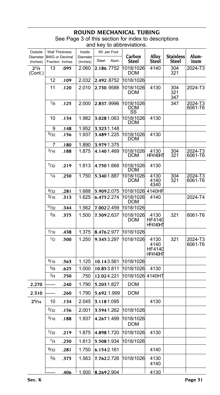| Outside              | <b>Wall Thickness</b>                    |             | Inside               | Wt. per Foot   |                         |                                           | <b>Stainless</b>  |                    |
|----------------------|------------------------------------------|-------------|----------------------|----------------|-------------------------|-------------------------------------------|-------------------|--------------------|
| Diameter<br>(Inches) | <b>BWG</b> or Decimal<br>Fraction Inches |             | Diameter<br>(Inches) | Alum.<br>Steel | Carbon<br>Steel         | Alloy<br>Steel                            | Steel             | Alum-<br>inum      |
| $2^{1/4}$<br>(Cont.) | 13                                       | .095        | 2.060                | 2.186.7752     | 1018/1026<br><b>DOM</b> | 4140                                      | 304<br>321        | 2024-T3            |
|                      | 12                                       | .109        | 2.032                | 2.492.8752     | 1018/1026               |                                           |                   |                    |
|                      | 11                                       | .120        | 2.010                | 2.730.9588     | 1018/1026<br><b>DOM</b> | 4130                                      | 304<br>321<br>347 | 2024-T3            |
|                      | 1/8                                      | .125        | 2.000                | 2.837.9996     | 1018/1026<br>DOM<br>SS  |                                           | 347               | 2024-T3<br>6061-T6 |
|                      | 10                                       | .134        | 1.982                | 3.0281.063     | 1018/1026<br><b>DOM</b> | 4130                                      |                   |                    |
|                      | 9                                        | .148        | 1.952                | 3.3231.148     |                         |                                           |                   |                    |
|                      | 5/32                                     | .156        | 1.937                | 3.4891.225     | 1018/1026<br>DOM        | 4130                                      |                   |                    |
|                      | 7                                        | .180        | 1.890                | 3.9791.375     |                         |                                           |                   |                    |
|                      | 3/16                                     | .188        | 1.875                | 4.1401.469     | 1018/1026<br><b>DOM</b> | 4130<br><b>HF4140HT</b>                   | 304<br>321        | 2024-T3<br>6061-T6 |
|                      | 7/32                                     | .219        | 1.813                | 4.7501.668     | 1018/1026<br>DOM        | 4130                                      |                   |                    |
|                      | $\overline{1/4}$                         | .250        | 1.750                | 5.3401.887     | 1018/1026<br><b>DOM</b> | 4130<br>4140<br>4340                      | 304<br>321        | 2024-T3<br>6061-T6 |
|                      | 9/32                                     | .281        | 1.688                | 5.9092.075     | 1018/1026               | 4140HR                                    |                   |                    |
|                      | 5/16                                     | .313        | 1.625                | 6.4752.274     | 1018/1026<br>DOM        | 4140                                      |                   | 2024-T4            |
|                      | 11/32                                    | .344        | 1.562                | 7.0022.459     | 1018/1026               |                                           |                   |                    |
|                      | 3/8                                      | .375        | 1.500                | 7.5092.637     | 1018/1026<br><b>DOM</b> | 4130<br>HF4140<br><b>HF4140HT</b>         | 321               | 6061-T6            |
|                      | 7/16                                     | .438        | 1.375                | 8.4762.977     | 1018/1026               |                                           |                   |                    |
|                      | 1/2                                      | .500        | 1.250                | 9.3453.297     | 1018/1026               | 4130<br>4140<br>HF4140<br><b>HF4140HT</b> | 321               | 2024-T3<br>6061-T6 |
|                      | 9/16                                     | .563        | 1.125                | 10.143.561     | 1018/1026               |                                           |                   |                    |
|                      | 5/8                                      | .625        | 1.000                | 10.853.811     | 1018/1026               | 4130                                      |                   |                    |
|                      | 3/4                                      | .750        | .750                 | 12.024.221     | 1018/1026               | 4140HT                                    |                   |                    |
| 2.270                |                                          | .240        | 1.790                | 5.2031.827     | <b>DOM</b>              |                                           |                   |                    |
| 2.310                |                                          | .260        | 1.790                | 5.692.1.999    | <b>DOM</b>              |                                           |                   |                    |
| $2^{5/16}$           | 10                                       | .134        | 2.045                | 3.1181.095     |                         | 4130                                      |                   |                    |
|                      | 5/32                                     | .156        | 2.001                | 3.5941.262     | 1018/1026               |                                           |                   |                    |
|                      | 3/16                                     | .188        | 1.937                | 4.2671.499     | 1018/1026<br><b>DOM</b> |                                           |                   |                    |
|                      | 7/32                                     | .219        | 1.875                | 4.8981.720     | 1018/1026               | 4130                                      |                   |                    |
|                      | 1/4                                      | .250        | 1.813                | 5.5081.934     | 1018/1026               |                                           |                   |                    |
|                      | 9/32                                     | .281        | 1.750                | 6.1542.161     |                         | 4140                                      |                   |                    |
|                      | 3/8                                      | .375        | 1.563                | 7.7622.726     | 1018/1026               | 4130<br>4140                              |                   |                    |
|                      |                                          | <u>.406</u> | 1.500                | 8.2692.904     |                         | 4130                                      |                   |                    |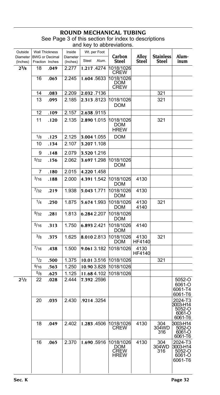| Outside<br>Diameter | <b>Wall Thickness</b><br><b>BWG or Decimal</b> |      | Inside<br>Diameter |             | Wt. per Foot | Carbon                                  | Alloy          | <b>Stainless</b>    | Alum-                                              |
|---------------------|------------------------------------------------|------|--------------------|-------------|--------------|-----------------------------------------|----------------|---------------------|----------------------------------------------------|
| (Inches)            | Fraction Inches                                |      | (Inches)           | Steel       | Alum.        | Steel                                   | Steel          | Steel               | inum                                               |
| $2^{3}/8$           | 18                                             | .049 | 2.277              |             | 1.217.4274   | 1018/1026<br><b>CREW</b>                |                |                     |                                                    |
|                     | 16                                             | .065 | 2.245              |             | 1.604.5633   | 1018/1026<br>DOM<br><b>CREW</b>         |                |                     |                                                    |
|                     | 14                                             | .083 | 2.209              |             | 2.032.7136   |                                         |                | 321                 |                                                    |
|                     | 13                                             | .095 | 2.185              |             | 2.313.8123   | 1018/1026<br><b>DOM</b>                 |                | 321                 |                                                    |
|                     | 12                                             | .109 | 2.157              |             | 2.638.9115   |                                         |                |                     |                                                    |
|                     | 11                                             | .120 | 2.135              |             | 2.890 1.015  | 1018/1026<br>DOM<br><b>HREW</b>         |                | 321                 |                                                    |
|                     | 1/8                                            | .125 | 2.125              |             | 3.004 1.055  | DOM                                     |                |                     |                                                    |
|                     | 10                                             | .134 | 2.107              |             | 3.207 1.108  |                                         |                |                     |                                                    |
|                     | 9                                              | .148 | 2.079              |             | 3.520 1.216  |                                         |                |                     |                                                    |
|                     | 5/32                                           | .156 | 2.062              |             | 3.697 1.298  | 1018/1026<br>DOM                        |                |                     |                                                    |
|                     | 7                                              | .180 | 2.015              |             | 4.220 1.458  |                                         |                |                     |                                                    |
|                     | 3/16                                           | .188 | 2.000              |             | 4.391 1.542  | 1018/1026<br>DOM                        | 4130           |                     |                                                    |
|                     | $^{7}/_{32}$                                   | .219 | 1.938              | 5.043 1.771 |              | 1018/1026<br>DOM                        | 4130           |                     |                                                    |
|                     | 1/4                                            | .250 | 1.875              |             | 5.674 1.993  | 1018/1026<br><b>DOM</b>                 | 4130<br>4140   | 321                 |                                                    |
|                     | 9/32                                           | .281 | 1.813              |             | 6.284 2.207  | 1018/1026<br>DOM                        |                |                     |                                                    |
|                     | 5/16                                           | .313 | 1.750              | 6.893 2.421 |              | 1018/1026<br>DOM                        | 4140           |                     |                                                    |
|                     | $^{3/8}$                                       | .375 | 1.625              |             | 8.010 2.813  | 1018/1026<br>DOM                        | 4130<br>HF4140 | 321                 |                                                    |
|                     | 7/16                                           | .438 | 1.500              |             | 9.061 3.182  | 1018/1026                               | 4130<br>HF4140 |                     |                                                    |
|                     | 1/2                                            | .500 | 1.375              |             | 10.013.516   | 1018/1026                               |                | 321                 |                                                    |
|                     | 9/16                                           | .563 | 1.250              |             | 10.90 3.828  | 1018/1026                               |                |                     |                                                    |
|                     | 5/8                                            | .625 | 1.125              |             | 11.684.102   | 1018/1026                               |                |                     |                                                    |
| $2^{1/2}$           | 22                                             | .028 | 2.444              |             | 7.392 .2596  |                                         |                |                     | 5052-O<br>6061-O<br>6061-T4<br>6061-T6             |
|                     | 20                                             | .035 | 2.430              |             | .9214 3254   |                                         |                |                     | 2024-T3<br>3003-H14<br>5052-O<br>6061-O<br>6061-T6 |
|                     | 18                                             | .049 | 2.402              |             | 1.283.4506   | 1018/1026<br><b>CREW</b>                | 4130           | 304<br>304WD<br>316 | 3003-H14<br>5052-O<br>6061-O<br>6061-T6            |
|                     | 16                                             | .065 | 2.370              |             | 1.690.5916   | 1018/1026<br>DOM<br>CREW<br><b>HREW</b> | 4130           | 304<br>304WD<br>316 | 2024-T3<br>3003-H14<br>5052-O<br>6061-O<br>6061-T6 |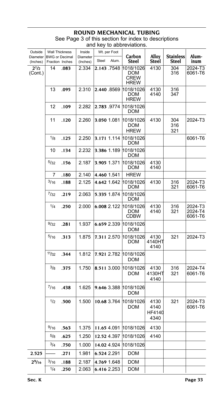| Outside<br>Diameter              | Wall Thickness<br><b>BWG or Decimal</b> |      | Inside<br>Diameter | Wt. per Foot<br>Steel | Alum. | Carbon                                                  | Alloy                                 | <b>Stainless</b>    | Alum-                         |
|----------------------------------|-----------------------------------------|------|--------------------|-----------------------|-------|---------------------------------------------------------|---------------------------------------|---------------------|-------------------------------|
| (Inches)<br>$2^{1/2}$<br>(Cont.) | Fraction Inches<br>14                   | .083 | (Inches)<br>2.334  | 2.143.7548            |       | Steel<br>1018/1026<br>DOM<br><b>CREW</b><br><b>HREW</b> | Steel<br>4130                         | Steel<br>304<br>316 | inum<br>2024-T3<br>6061-T6    |
|                                  | 13                                      | .095 | 2.310              | 2.440 8569            |       | 1018/1026<br>DOM<br><b>HREW</b>                         | 4130<br>4140                          | 316<br>347          |                               |
|                                  | 12                                      | .109 | 2.282              | 2.783 .9774           |       | 1018/1026<br>DOM                                        |                                       |                     |                               |
|                                  | 11                                      | .120 | 2.260              | 3.050 1.081           |       | 1018/1026<br>DOM<br><b>HREW</b>                         | 4130                                  | 304<br>316<br>321   | 2024-T3                       |
|                                  | 1/8                                     | .125 | 2.250              | 3.171 1.114           |       | 1018/1026<br>DOM                                        |                                       |                     | 6061-T6                       |
|                                  | 10                                      | .134 | 2.232              | 3.386 1.189           |       | 1018/1026<br>DOM                                        |                                       |                     |                               |
|                                  | 5/32                                    | .156 | 2.187              | 3.905 1.371           |       | 1018/1026<br>DOM                                        | 4130<br>4140                          |                     |                               |
|                                  | 7                                       | .180 | 2.140              | 4.460 1.541           |       | <b>HREW</b>                                             |                                       |                     |                               |
|                                  | 3/16                                    | .188 | 2.125              | 4.642 1.642           |       | 1018/1026<br>DOM                                        | 4130                                  | 316<br>321          | 2024-T3<br>6061-T6            |
|                                  | 7/32                                    | .219 | 2.063              | 5.335 1.874           |       | 1018/1026<br>DOM                                        |                                       |                     |                               |
|                                  | 1/4                                     | .250 | 2.000              | 6.008 2.122           |       | 1018/1026<br>DOM<br><b>CDBW</b>                         | 4130<br>4140                          | 316<br>321          | 2024-T3<br>2024-T4<br>6061-T6 |
|                                  | 9/32                                    | .281 | 1.937              | 6.659 2.339           |       | 1018/1026<br>DOM                                        |                                       |                     |                               |
|                                  | 5/16                                    | .313 | 1.875              | 7.311 2.570           |       | 1018/1026<br>DOM                                        | 4130<br>4140HT<br>4140                | 321                 | 2024-T3                       |
|                                  | 11/32                                   | .344 | 1.812              | 7.921 2.782           |       | 1018/1026<br>DOM                                        |                                       |                     |                               |
|                                  | $^{3/8}$                                | .375 | 1.750              | 8.511 3.000           |       | 1018/1026<br>DOM                                        | 4130<br>4130HT<br>4140                | 316<br>321          | 2024-T4<br>6061-T6            |
|                                  | $^{7/16}$                               | .438 | 1.625              | 9.646 3.388           |       | 1018/1026<br>DOM                                        |                                       |                     |                               |
|                                  | 1/2                                     | .500 | 1.500              | 10.68 3.764           |       | 1018/1026<br>DOM                                        | 4130<br>4140<br><b>HF4140</b><br>4340 | 321                 | 2024-T3<br>6061-T6            |
|                                  | 9/16                                    | .563 | 1.375              | 11.65 4.091           |       | 1018/1026                                               | 4130                                  |                     |                               |
|                                  | 5/8                                     | .625 | 1.250              | 12.52 4.397           |       | 1018/1026                                               | 4140                                  |                     |                               |
|                                  | 3/4                                     | .750 | 1.000              | 14.02 4.924           |       | 1018/1026                                               |                                       |                     |                               |
| 2.525                            |                                         | .271 | 1.981              | 6.524 2.291           |       | DOM                                                     |                                       |                     |                               |
| 2%16                             | 3/16                                    | .188 | 2.187              | 4.769 1.648           |       | DOM                                                     |                                       |                     |                               |
|                                  | 1/4                                     | .250 | 2.063              | 6.416 2.253           |       | DOM                                                     |                                       |                     |                               |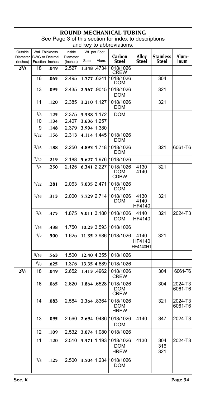| Outside<br>Diameter<br>(Inches) | <b>Wall Thickness</b><br><b>BWG</b> or Decimal<br>Fraction Inches |      | Inside<br>Diameter<br>(Inches) | Wt. per Foot<br>Alum.<br>Steel |             | Carbon<br>Steel                            | Alloy<br>Steel                    | <b>Stainless</b><br>Steel | Alum-<br>inum      |
|---------------------------------|-------------------------------------------------------------------|------|--------------------------------|--------------------------------|-------------|--------------------------------------------|-----------------------------------|---------------------------|--------------------|
| $2^{5}/s$                       | 18                                                                | .049 | 2.527                          |                                | 1.348.4734  | 1018/1026<br>CREW                          |                                   |                           |                    |
|                                 | 16                                                                | .065 | 2.495                          |                                | 1.777 .6241 | 1018/1026<br>DOM                           |                                   | 304                       |                    |
|                                 | 13                                                                | .095 | 2.435                          |                                | 2.567 .9015 | 1018/1026<br>DOM                           |                                   | 321                       |                    |
|                                 | 11                                                                | .120 | 2.385                          |                                | 3.210 1.127 | 1018/1026<br>DOM                           |                                   | 321                       |                    |
|                                 | 1/8                                                               | .125 | 2.375                          |                                | 3.338 1.172 | DOM                                        |                                   |                           |                    |
|                                 | 10                                                                | .134 | 2.407                          |                                | 3.636 1.257 |                                            |                                   |                           |                    |
|                                 | 9                                                                 | .148 | 2.379                          |                                | 3.994 1.380 |                                            |                                   |                           |                    |
|                                 | 5/32                                                              | .156 | 2.313                          |                                |             | 4.114 1.445 1018/1026<br>DOM               |                                   |                           |                    |
|                                 | 3/16                                                              | .188 | 2.250                          |                                |             | 4.893 1.718 1018/1026<br>DOM               |                                   | 321                       | 6061-T6            |
|                                 | 7/32                                                              | .219 | 2.188                          |                                |             | 5.627 1.976 1018/1026                      |                                   |                           |                    |
|                                 | 1/4                                                               | .250 | 2.125                          |                                |             | 6.341 2.227 1018/1026<br>DOM<br>CDBW       | 4130<br>4140                      | 321                       |                    |
|                                 | 9/32                                                              | .281 | 2.063                          |                                | 7.035 2.471 | 1018/1026<br>DOM                           |                                   |                           |                    |
|                                 | 5/16                                                              | .313 | 2.000                          |                                |             | 7.729 2.714 1018/1026<br>DOM               | 4130<br>4140<br>HF4140            | 321                       |                    |
|                                 | 3/8                                                               | .375 | 1.875                          |                                |             | 9.011 3.180 1018/1026<br>DOM               | 4140<br>HF4140                    | 321                       | 2024-T3            |
|                                 | $^{7/16}$                                                         | .438 | 1.750                          |                                |             | 10.23 3.593 1018/1026                      |                                   |                           |                    |
|                                 | 1/2                                                               | .500 | 1.625                          |                                |             | 11.35 3.986 1018/1026                      | 4140<br><b>HF4140</b><br>HF4140HT | 321                       |                    |
|                                 | 9/16                                                              | .563 | 1.500                          |                                |             | 12.40 4.355 1018/1026                      |                                   |                           |                    |
|                                 | 5/8                                                               | .625 | 1.375                          |                                |             | 13.35 4.689 1018/1026                      |                                   |                           |                    |
| 23/4                            | 18                                                                | .049 | 2.652                          |                                |             | 1.413 4962 1018/1026<br><b>CREW</b>        |                                   | 304                       | 6061-T6            |
|                                 | 16                                                                | .065 | 2.620                          |                                |             | 1.864 6528 1018/1026<br>DOM<br>CREW        |                                   | 304                       | 2024-T3<br>6061-T6 |
|                                 | 14                                                                | .083 | 2.584                          |                                |             | 2.364 8364 1018/1026<br>DOM<br><b>HREW</b> |                                   | 321                       | 2024-T3<br>6061-T6 |
|                                 | 13                                                                | .095 | 2.560                          |                                |             | 2.694 9486 1018/1026<br>DOM                | 4140                              | 347                       | 2024-T3            |
|                                 | 12                                                                | .109 | 2.532                          |                                | 3.074 1.080 | 1018/1026                                  |                                   |                           |                    |
|                                 | 11                                                                | .120 | 2.510                          |                                |             | 3.371 1.193 1018/1026<br>DOM<br>HREW       | 4130                              | 304<br>316<br>321         | 2024-T3            |
|                                 | 1/8                                                               | .125 | 2.500                          |                                |             | 3.504 1.234 1018/1026<br>DOM               |                                   |                           |                    |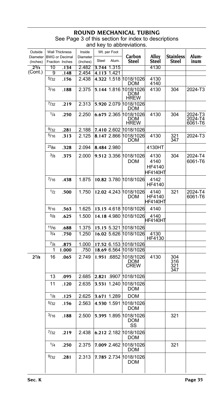#### **ROUND MECHANICAL T**

| Outside              | <b>Wall Thickness</b>                    |       | Inside               | Wt. per Foot |             |                                           |                                    |                           |                                   |
|----------------------|------------------------------------------|-------|----------------------|--------------|-------------|-------------------------------------------|------------------------------------|---------------------------|-----------------------------------|
| Diameter<br>(Inches) | <b>BWG or Decimal</b><br>Fraction Inches |       | Diameter<br>(Inches) | Steel        | Alum.       | Carbon<br>Steel                           | Alloy<br>Steel                     | <b>Stainless</b><br>Steel | Alum-<br>inum                     |
| $2^{3}/4$            | 10                                       | .134  | 2.482                | 3.744        | 1.315       |                                           | 4130                               |                           |                                   |
| (Cont.)              | 9                                        | .148  | 2.454                |              | 4.113 1.421 |                                           |                                    |                           |                                   |
|                      | 5/32                                     | .156  | 2.438                |              |             | 4.322 1.518 1018/1026<br>DOM              | 4130<br>4140                       |                           |                                   |
|                      | 3/16                                     | .188  | 2.375                |              | 5.144 1.816 | 1018/1026<br>DOM<br>HREW                  | 4130                               | 304                       | 2024-T3                           |
|                      | 7/32                                     | .219  | 2.313                |              | 5.920 2.079 | 1018/1026<br><b>DOM</b>                   |                                    |                           |                                   |
|                      | 1/4                                      | .250  | 2.250                |              | 6.675 2.365 | 1018/1026<br><b>DOM</b><br><b>HREW</b>    | 4130                               | 304                       | 2024-T3<br>$2024 - 14$<br>6061-T6 |
|                      | 9/32                                     | .281  | 2.188                |              |             | 7.410 2.602 1018/1026                     |                                    |                           |                                   |
|                      | 5/16                                     | .313  | 2.125                |              |             | 8.147 2.866 1018/1026<br>DOM              | 4130                               | 321<br>347                | 2024-T3                           |
|                      | 21/64                                    | .328  | 2.094                |              | 8.484 2.980 |                                           | 4130HT                             |                           |                                   |
|                      | $^{3/8}$                                 | .375  | 2.000                |              |             | 9.512 3.356 1018/1026<br><b>DOM</b>       | 4130<br>4140<br>HF4140<br>HF4140HT | 304                       | 2024-T4<br>6061-T6                |
|                      | 7/16                                     | .438  | 1.875                |              |             | 10.82 3.780 1018/1026                     | 4142<br>HF4140                     |                           |                                   |
|                      | 1/2                                      | .500  | 1.750                |              | 12.02 4.243 | 1018/1026<br><b>DOM</b>                   | 4140<br>HF4140<br>HF4140HT         | 321                       | 2024-T4<br>6061-T6                |
|                      | 9/16                                     | .563  | 1.625                |              |             | 13.15 4.618 1018/1026                     | 4140                               |                           |                                   |
|                      | $^{5/8}$                                 | .625  | 1.500                |              |             | 14.18 4.980 1018/1026                     | 4140<br>HF4140HT                   |                           |                                   |
|                      | 11/16                                    | .688  | 1.375                |              |             | 15.15 5.321 1018/1026                     |                                    |                           |                                   |
|                      | 3/4                                      | .750  | 1.250                |              |             | 16.02 5.626 1018/1026                     | 4130<br>HF4130                     |                           |                                   |
|                      | $^{7/8}$                                 | .875  | 1.000                |              |             | 17.52 6.153 1018/1026                     |                                    |                           |                                   |
|                      | 1                                        | 1.000 | .750                 |              |             | 18.69 6.564 1018/1026                     |                                    |                           |                                   |
| $2^{7}/8$            | 16                                       | .065  | 2.749                |              | 1.951 6852  | 1018/1026<br>DOM<br><b>CREW</b>           | 4130                               | 304<br>316<br>321<br>347  |                                   |
|                      | 13                                       | .095  | 2.685                |              |             | 2.821 .9907 1018/1026                     |                                    |                           |                                   |
|                      | 11                                       | .120  | 2.635                |              | 3.531 1.240 | 1018/1026<br><b>DOM</b>                   |                                    |                           |                                   |
|                      | 1/8                                      | .125  | 2.625                |              | 3.671 1.289 | DOM                                       |                                    |                           |                                   |
|                      | 5/32                                     | .156  | 2.563                |              | 4.530 1.591 | 1018/1026<br>DOM                          |                                    |                           |                                   |
|                      | 3/16                                     | .188  | 2.500                |              |             | 5.395 1.895 1018/1026<br><b>DOM</b><br>SS |                                    | 321                       |                                   |
|                      | 7/32                                     | .219  | 2.438                |              |             | 6.212 2.182 1018/1026<br>DOM              |                                    |                           |                                   |
|                      | 1/4                                      | .250  | 2.375                |              |             | 7.009 2.462 1018/1026<br><b>DOM</b>       |                                    | 321                       |                                   |
|                      | 9/32                                     | .281  | 2.313                |              |             | 7.785 2.734 1018/1026<br>DOM              |                                    |                           |                                   |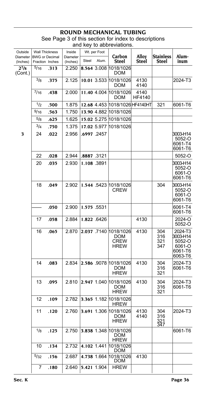| Outside              | <b>Wall Thickness</b>                    |      | Inside               |            | Wt. per Foot |                                                       |                       |                           |                                                               |
|----------------------|------------------------------------------|------|----------------------|------------|--------------|-------------------------------------------------------|-----------------------|---------------------------|---------------------------------------------------------------|
| Diameter<br>(Inches) | <b>BWG or Decimal</b><br>Fraction Inches |      | Diameter<br>(Inches) | Steel      | Alum.        | Carbon<br>Steel                                       | Alloy<br>Steel        | <b>Stainless</b><br>Steel | Alum-<br>inum                                                 |
| $2^{7}/8$<br>(Cont.) | 5/16                                     | .313 | 2.250                |            | 8.564 3.008  | 1018/1026<br><b>DOM</b>                               |                       |                           |                                                               |
|                      | 3/8                                      | .375 | 2.125                |            | 10.01 3.533  | 1018/1026<br>DOM                                      | 4130<br>4140          |                           | 2024-T3                                                       |
|                      | 7/16                                     | .438 | 2.000                |            | 11.40 4.004  | 1018/1026<br>DOM                                      | 4140<br><b>HF4140</b> |                           |                                                               |
|                      | 1/2                                      | .500 | 1.875                |            | 12.68 4.453  | 1018/1026 HF4140HT                                    |                       | 321                       | 6061-T6                                                       |
|                      | 9/16                                     | .563 | 1.750                |            | 13.90 4.882  | 1018/1026                                             |                       |                           |                                                               |
|                      | $^{5/8}$                                 | .625 | 1.625                |            |              | 15.02 5.275 1018/1026                                 |                       |                           |                                                               |
|                      | 3/4                                      | .750 | 1.375                |            |              | 17.02 5.977 1018/1026                                 |                       |                           |                                                               |
| 3                    | 24                                       | .022 | 2.956                |            | .6997 .2457  |                                                       |                       |                           | 3003-H14<br>5052-O<br>6061-T4<br>6061-T6                      |
|                      | 22                                       | .028 | 2.944                | .8887.3121 |              |                                                       |                       |                           | 5052-O                                                        |
|                      | 20                                       | .035 | 2.930                |            | 1.108.3891   |                                                       |                       |                           | 3003-H14<br>5052-O<br>6061-O<br>6061-T6                       |
|                      | 18                                       | .049 | 2.902                |            | 1.544 .5423  | 1018/1026<br>CREW                                     |                       | 304                       | 3003-H14<br>5052-O<br>6061-O<br>6061-T6                       |
|                      |                                          | .050 | 2.900                |            | 1.575 5531   |                                                       |                       |                           | 6061-T4<br>6061-T6                                            |
|                      | 17                                       | .058 | 2.884                |            | 1.822 6426   |                                                       | 4130                  |                           | 2024-O<br>5052-O                                              |
|                      | 16                                       | .065 | 2.870                |            | 2.037 .7140  | 1018/1026<br><b>DOM</b><br><b>CREW</b><br><b>HREW</b> | 4130                  | 304<br>316<br>321<br>347  | 2024-T3<br>3003-H14<br>5052-O<br>6061-O<br>6061-T6<br>6063-T6 |
|                      | 14                                       | .083 | 2.834                |            |              | 2.586 9078 1018/1026<br><b>DOM</b><br><b>HREW</b>     | 4130                  | 304<br>316<br>321         | 2024-T3<br>6061-T6                                            |
|                      | 13                                       | .095 | 2.810                |            | 2.947 1.040  | 1018/1026<br>DOM<br><b>HREW</b>                       | 4130                  | 304<br>316<br>321         | 2024-T3<br>6061-T6                                            |
|                      | 12                                       | .109 | 2.782                |            | 3.365 1.182  | 1018/1026<br><b>HREW</b>                              |                       |                           |                                                               |
|                      | 11                                       | .120 | 2.760                |            | 3.691 1.306  | 1018/1026<br><b>DOM</b><br><b>HREW</b>                | 4130<br>4140          | 304<br>316<br>321<br>347  | 2024-T3                                                       |
|                      | 1/8                                      | .125 | 2.750                |            |              | 3.838 1.348 1018/1026<br><b>DOM</b><br><b>HREW</b>    |                       |                           | 6061-T6                                                       |
|                      | 10                                       | .134 | 2.732                |            | 4.102 1.441  | 1018/1026<br><b>DOM</b>                               |                       |                           |                                                               |
|                      | 5/32                                     | .156 | 2.687                |            | 4.738 1.664  | 1018/1026<br><b>DOM</b>                               | 4130                  |                           |                                                               |
|                      | 7                                        | .180 | 2.640                |            | 5.421 1.904  | <b>HREW</b>                                           |                       |                           |                                                               |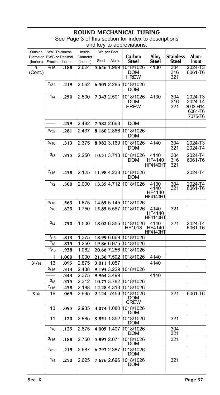## **ROUND MECHANICAL T**

| Outside<br>Diameter<br>(Inches) | <b>Wall Thickness</b> | <b>BWG or Decimal</b><br>Fraction Inches | Inside<br>Diameter<br>(Inches) | Steel       | Wt. per Foot<br>Alum.      | Carbon<br>Steel                        | Alloy<br>Steel                     | <b>Stainless</b><br>Steel | Alum-<br>inum                                        |
|---------------------------------|-----------------------|------------------------------------------|--------------------------------|-------------|----------------------------|----------------------------------------|------------------------------------|---------------------------|------------------------------------------------------|
| 3<br>(Cont.)                    | 3/16                  | .188                                     | 2.624                          |             | 5.646 1.989                | 1018/1026<br><b>DOM</b><br><b>HREW</b> | 4130                               | 304<br>316<br>321         | 2024-T3<br>6061-T6                                   |
|                                 | 7/32                  | .219                                     | 2.562                          |             | 6.505 2.285                | 1018/1026<br>DOM                       |                                    |                           |                                                      |
|                                 | 1/4                   | .250                                     | 2.500                          |             | 7.343 2.591                | 1018/1026<br>DOM<br><b>HREW</b>        | 4130                               | 304<br>316<br>321         | 2024-T3<br>2024-T4<br>3003-H14<br>6061-T6<br>7075-T6 |
|                                 |                       | .259                                     | 2.482                          |             | 7.582 2.663                | <b>DOM</b>                             |                                    |                           |                                                      |
|                                 | 9/32                  | .281                                     | 2.437                          |             | 8.160 2.866                | 1018/1026<br>DOM                       |                                    |                           |                                                      |
|                                 | 5/16                  | .313                                     | 2.375                          |             | 8.982 3.169                | 1018/1026<br>DOM                       | 4140                               | 304<br>321                | 2024-T3<br>2024-T4                                   |
|                                 | 3/8                   | .375                                     | 2.250                          |             | 10.51 3.713                | 1018/1026<br>DOM                       | 4140<br>HF4140<br><b>HF4140HT</b>  | 304<br>316<br>321         | 2024-T4<br>6061-T6                                   |
|                                 | 7/16                  | .438                                     | 2.125                          |             | 11.98 4.233                | 1018/1026<br>DOM                       |                                    |                           | 2024-T4                                              |
|                                 | 1/2                   | .500                                     | 2.000                          |             | 13.35 4.712                | 1018/1026                              | 4130<br>4140<br>HF4140<br>HF4140HT | 304<br>321                | 2024-T4<br>6061-T6                                   |
|                                 | 9/16                  | .563                                     | 1.875                          |             | 14.65 5.145                | 1018/1026                              |                                    |                           |                                                      |
|                                 | $^{5/8}$              | .625                                     | 1.750                          |             | 15.85 5.567                | 1018/1026                              | 4140<br>HF4140<br>HF4140HT         | 321                       |                                                      |
|                                 | 3/4                   | .750                                     | 1.500                          |             | 18.02 6.355                | 1018/1026<br><b>HF1018</b>             | 4140<br>HF4140<br>HF4140HT         | 321                       | 2024-T4<br>6061-T6                                   |
|                                 | 13/16                 | .813                                     | 1.375                          |             | 18.99 6.669                | 1018/1026                              |                                    |                           |                                                      |
|                                 | $^{7}/8$              | .875                                     | 1.250                          |             | 19.86 6.975                | 1018/1026                              |                                    |                           |                                                      |
|                                 | 15/16                 | .938                                     | 1.062                          |             | 20.66 7.256                | 1018/1026                              |                                    |                           |                                                      |
|                                 | 1                     | 1.000                                    | 1.000                          |             |                            | 21.36 7.502 1018/1026                  | 4140                               |                           |                                                      |
| $3^{1/16}$                      | 13                    | .095                                     | 2.875                          | 3.011 1.057 |                            |                                        | 4140                               |                           |                                                      |
|                                 | 5/16                  | .313                                     | 2.438                          |             | 9.193 3.229                | 1018/1026                              |                                    |                           |                                                      |
|                                 |                       | .343                                     | 2.375                          |             | 9.964 3.499                |                                        | 4140                               |                           |                                                      |
|                                 | 3/8<br>$^{7/16}$      | .375                                     | 2.312<br>2.188                 |             | 12.28 4.313                | 10.77 3.782 1018/1026<br>1018/1026     |                                    |                           |                                                      |
| $3^{1/8}$                       | 16                    | .438<br>.065                             | 2.995                          |             | 2.124.7459                 | 1018/1026<br>DOM<br>CREW               |                                    | 321                       | 6061-T6                                              |
|                                 | 13                    | .095                                     | 2.935                          |             | 3.074 1.080                | 1018/1026<br><b>DOM</b>                |                                    |                           |                                                      |
|                                 | 11                    | .120                                     | 2.885                          |             |                            | 3.851 1.352 1018/1026<br><b>DOM</b>    |                                    | 321                       |                                                      |
|                                 | 1/8                   | .125                                     | 2.875                          |             | 4.005 1.407                | 1018/1026<br>DOM                       |                                    | 304<br>321                |                                                      |
|                                 | 3/16                  | .188                                     | 2.750                          |             | 5.897 2.071                | 1018/1026<br><b>DOM</b>                |                                    | 321                       |                                                      |
|                                 | $^{7}/32$<br>1/4      | .219<br>.250                             | 2.687<br>2.625                 |             | 6.797 2.387<br>7.676 2.696 | 1018/1026<br>DOM<br>1018/1026          |                                    | 321                       |                                                      |
|                                 |                       |                                          |                                |             |                            | DOM                                    |                                    |                           |                                                      |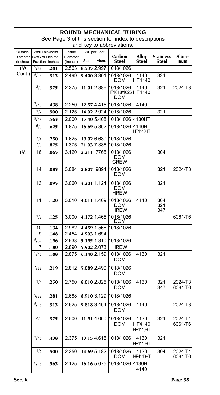| Outside              | <b>Wall Thickness</b>                    |      | Inside               |             | Wt. per Foot |                                        |                                   |                           |                    |
|----------------------|------------------------------------------|------|----------------------|-------------|--------------|----------------------------------------|-----------------------------------|---------------------------|--------------------|
| Diameter<br>(Inches) | <b>BWG or Decimal</b><br>Fraction Inches |      | Diameter<br>(Inches) | Steel       | Alum.        | Carbon<br><b>Steel</b>                 | Alloy<br>Steel                    | <b>Stainless</b><br>Steel | Alum-<br>inum      |
| $3^{1}/8$            | 9/32                                     | .281 | 2.563                | 8.535 2.997 |              | 1018/1026                              |                                   |                           |                    |
| (Cont.)              | $\overline{5/16}$                        | .313 | 2.499                | 9.400 3.301 |              | 1018/1026<br>DOM                       | 4140<br>HF4140                    | 321                       |                    |
|                      | 3/8                                      | .375 | 2.375                |             | 11.01 2.886  | 1018/1026<br>HF1018/1026 HF4140<br>DOM | 4140                              | 321                       | 2024-T3            |
|                      | 7/16                                     | .438 | 2.250                |             | 12.57 4.415  | 1018/1026                              | 4140                              |                           |                    |
|                      | 1/2                                      | .500 | 2.125                |             | 14.02 2.924  | 1018/1026                              |                                   | 321                       |                    |
|                      | 9/16                                     | .563 | 2.000                |             | 15.40 5.408  | 1018/1026                              | 4130HT                            |                           |                    |
|                      | $^{5/8}$                                 | .625 | 1.875                |             | 16.69 5.862  | 1018/1026                              | 4140HT<br><b>HF4140HT</b>         |                           |                    |
|                      | 3/4                                      | .750 | 1.625                |             | 19.02 6.680  | 1018/1026                              |                                   |                           |                    |
|                      | $^{7}/8$                                 | .875 | 1.375                |             | 21.03 7.386  | 1018/1026                              |                                   |                           |                    |
| $3^{1}/4$            | 16                                       | .065 | 3.120                |             | 2.211 7765   | 1018/1026<br>DOM<br><b>CREW</b>        |                                   | 304                       |                    |
|                      | 14                                       | .083 | 3.084                | 2.807.9894  |              | 1018/1026<br>DOM                       |                                   | 321                       | 2024-T3            |
|                      | 13                                       | .095 | 3.060                |             | 3.201 1.124  | 1018/1026<br>DOM<br><b>HREW</b>        |                                   | 321                       |                    |
|                      | 11                                       | .120 | 3.010                | 4.011 1.409 |              | 1018/1026<br>DOM<br><b>HREW</b>        | 4140                              | 304<br>321<br>347         |                    |
|                      | 1/8                                      | .125 | 3.000                | 4.172 1.465 |              | 1018/1026<br>DOM                       |                                   |                           | 6061-T6            |
|                      | 10                                       | .134 | 2.982                | 4.459 1.566 |              | 1018/1026                              |                                   |                           |                    |
|                      | 9                                        | .148 | 2.454                | 4.903 1.694 |              |                                        |                                   |                           |                    |
|                      | 5/32                                     | .156 | 2.938                |             | 5.155 1.810  | 1018/1026                              |                                   |                           |                    |
|                      | 7                                        | .180 | 2.890                | 5.902 2.073 |              | <b>HREW</b>                            |                                   |                           |                    |
|                      | 3/16                                     | .188 | 2.875                |             | 6.148 2.159  | 1018/1026<br>DOM                       | 4130                              | 321                       |                    |
|                      | 7/32                                     | .219 | 2.812                |             | 7.089 2.490  | 1018/1026<br>DOM                       |                                   |                           |                    |
|                      | 1/4                                      | .250 | 2.750                |             | 8.010 2.825  | 1018/1026<br><b>DOM</b>                | 4130                              | 321<br>347                | 2024-T3<br>6061-T6 |
|                      | 9/32                                     | .281 | 2.688                |             | 8.910 3.129  | 1018/1026                              |                                   |                           |                    |
|                      | 5/16                                     | .313 | 2.625                | 9.818 3.464 |              | 1018/1026<br>DOM                       | 4140                              |                           | 2024-T3            |
|                      | 3/8                                      | .375 | 2.500                |             |              | 11.51 4.060 1018/1026<br>DOM           | 4130<br>HF4140<br><b>HF4140HT</b> | 321                       | 2024-T4<br>6061-T6 |
|                      | 7/16                                     | .438 | 2.375                |             | 13.15 4.618  | 1018/1026                              | 4130<br><b>HF4140HT</b>           | 321                       |                    |
|                      | 1/2                                      | .500 | 2.250                |             | 14.69 5.182  | 1018/1026<br>DOM                       | 4130<br><b>HF4140HT</b>           | 304                       | 2024-T4<br>6061-T6 |
|                      | 9/16                                     | .563 | 2.125                |             | 16.16 5.675  | 1018/1026                              | 4130HT<br>4140                    |                           |                    |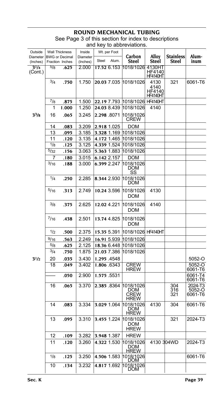| Outside<br>Diameter  | <b>Wall Thickness</b><br><b>BWG or Decimal</b> |       | Inside<br>Diameter | Wt. per Foot          | Carbon                                  | Alloy                               | <b>Stainless</b>  | Alum-                        |
|----------------------|------------------------------------------------|-------|--------------------|-----------------------|-----------------------------------------|-------------------------------------|-------------------|------------------------------|
| (Inches)             | Fraction Inches                                |       | (Inches)           | Alum.<br>Steel        | <b>Steel</b>                            | Steel                               | Steel             | inum                         |
| $3^{1/4}$<br>(Cont.) | $\frac{5}{8}$                                  | .625  | 2.000              | 17.52 6.153           | 1018/1026                               | 4130HT<br>HF4140<br><b>HF4140HT</b> |                   |                              |
|                      | 3/4                                            | .750  | 1.750              | 20.03 7.035           | 1018/1026                               | 4130<br>4140<br>HF4140<br>HF4140HT  | 321               | 6061-T6                      |
|                      | $^{7/8}$                                       | .875  | 1.500              | 22.19 7.793           | 1018/1026                               | <b>HF4140HT</b>                     |                   |                              |
|                      | 1                                              | 1.000 | 1.250              | 24.03 8.439           | 1018/1026                               | 4140                                |                   |                              |
| 33/8                 | 16                                             | .065  | 3.245              | 2.298 .8071           | 1018/1026<br><b>CREW</b>                |                                     |                   |                              |
|                      | 14                                             | .083  | 3.209              | 2.918 1.025           | <b>DOM</b>                              |                                     |                   |                              |
|                      | 13                                             | .095  | 3.185              | 3.328 1.169 1018/1026 |                                         |                                     |                   |                              |
|                      | 11                                             | .120  | 3.135              | 4.172 1.465           | 1018/1026                               |                                     |                   |                              |
|                      | $\frac{1}{8}$                                  | .125  | 3.125              | 4.339 1.524           | 1018/1026                               |                                     |                   |                              |
|                      | 5/32                                           | .156  | 3.063              | 5.363 1.883           | 1018/1026                               |                                     |                   |                              |
|                      | 7                                              | .180  | 3.015              | 6.142 2.157           | DOM                                     |                                     |                   |                              |
|                      | 3/16                                           | .188  | 3.000              | 6.399 2.247           | 1018/1026<br>DOM<br>SS                  |                                     |                   |                              |
|                      | 1/4                                            | .250  | 2.285              | 8.344 2.930           | 1018/1026<br>DOM                        |                                     |                   |                              |
|                      | 5/16                                           | .313  | 2.749              | 10.24 3.596           | 1018/1026<br><b>DOM</b>                 | 4130                                |                   |                              |
|                      | 3/8                                            | .375  | 2.625              | 12.02 4.221           | 1018/1026<br><b>DOM</b>                 | 4140                                |                   |                              |
|                      | 7/16                                           | .438  | 2.501              | 13.74 4.825           | 1018/1026<br>DOM                        |                                     |                   |                              |
|                      | 1/2                                            | .500  | 2.375              | 15.35 5.391           | 1018/1026 HF4140HT                      |                                     |                   |                              |
|                      | 9/16                                           | .563  | 2.249              | 16.91 5.939           | 1018/1026                               |                                     |                   |                              |
|                      | $^{5/8}$                                       | .625  | 2.125              | 18.36 6.448           | 1018/1026                               |                                     |                   |                              |
|                      | 3/4                                            | .750  | 1.875              | 21.03 7.386           | 1018/1026                               |                                     |                   |                              |
| $3^{1/2}$            | 20                                             | .035  | 3.430              | 1.295 4548            |                                         |                                     |                   | 5052-O                       |
|                      | 18                                             | .049  | 3.402              | 1.806 6343            | <b>CREW</b>                             |                                     |                   | 5052-O                       |
|                      |                                                |       |                    |                       | <b>HREW</b>                             |                                     |                   | 6061-T6                      |
|                      |                                                | .050  | 2.900              | 1.575 5531            |                                         |                                     |                   | 6061-T4<br>6061-T6           |
|                      | 16                                             | .065  | 3.370              | 2.385 8364            | 1018/1026<br>DOM<br><b>CREW</b><br>HREW |                                     | 304<br>316<br>321 | 2024-T3<br>5052-O<br>6061-T6 |
|                      | 14                                             | .083  | 3.334              | 3.029 1.064           | 1018/1026<br><b>DOM</b><br><u>HREW</u>  | 4130                                | 304               | 6061-T6                      |
|                      | 13                                             | .095  | 3.310              | 3.455 1.224 1018/1026 | <b>DOM</b><br>HREW                      |                                     | 321               | 2024-T3                      |
|                      | 12                                             | .109  | 3.282              | 3.948 1.387           | <b>HREW</b>                             |                                     |                   |                              |
|                      | 11                                             | .120  | 3.260              | 4.322 1.530           | 1018/1026<br>DOM<br><b>HREW</b>         | 4130 304WD                          |                   | 2024-T3                      |
|                      | 1/8                                            | .125  | 3.250              | 4.506 1.583           | 1018/1026<br>DOM                        |                                     |                   | 6061-T6                      |
|                      | 10                                             | .134  | 3.232              | 4.817 1.692           | 1018/1026<br>DOM                        |                                     |                   |                              |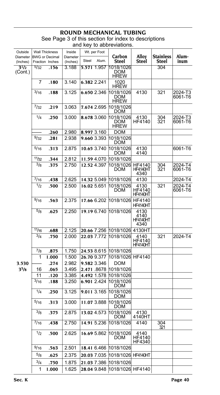| Outside<br><b>Diameter</b> | <b>Wall Thickness</b><br><b>BWG or Decimal</b> |                 | Inside<br>Diameter | Wt. per Foot                   | Carbon                          | Alloy                             | Stainless                          | Alum-              |
|----------------------------|------------------------------------------------|-----------------|--------------------|--------------------------------|---------------------------------|-----------------------------------|------------------------------------|--------------------|
| (Inches)                   |                                                | Fraction Inches | (Inches)           | Steel<br>Alum.                 | Steel                           | Steel                             | Steel                              | inum               |
| $3^{1/2}$<br>(Cont.)       | 5/32                                           | .156            | 3.188              | 5.571 1.957                    | 1018/1026<br>DOM<br>HREW        |                                   | 304                                |                    |
|                            | 7                                              | .180            | 3.140              | 6.382 2.241                    | 1020<br><b>HREW</b>             |                                   |                                    |                    |
|                            | 3/16                                           | .188            | 3.125              | 6.650 2.346                    | 1018/1026<br>DOM<br><b>HREW</b> | 4130                              | 321                                | 2024-T3<br>6061-T6 |
|                            | 7/32                                           | .219            | 3.063              | 7.674 2.695                    | 1018/1026<br>DOM                |                                   |                                    |                    |
|                            | 1/4                                            | .250            | 3.000              | 8.678 3.060                    | 1018/1026<br>DOM<br><b>HREW</b> | 4130<br><b>HF4140</b>             | 304<br>321                         | 2024-T3<br>6061-T6 |
|                            |                                                | .260            | 2.980              | 8.997 3.160                    | DOM                             |                                   |                                    |                    |
|                            | 9/32                                           | .281            | 2.938              | 9.660 3.393                    | 1018/1026<br>DOM                |                                   |                                    |                    |
|                            | 5/16                                           | .313            | 2.875              | 10.65 3.740                    | 1018/1026<br>DOM                | 4130<br>4140                      |                                    | 6061-T6            |
|                            | 11/32                                          | .344            | 2.812              | 11.59 4.070                    | 1018/1026                       |                                   |                                    |                    |
|                            | $^{3}/8$                                       | .375            | 2.750              | 12.52 4.397                    | 1018/1026<br>DOM                | <b>HF4140</b><br>HF4140HT<br>4340 | 304<br>$\overline{3}\overline{2}1$ | 2024-T4<br>6061-T6 |
|                            | 7/16                                           | .438            | 2.625              | 14.32 5.049                    | 1018/1026                       | 4130                              |                                    | 2024-T4            |
|                            | 1/2                                            | .500            | 2.500              | 16.02 5.651                    | 1018/1026<br>DOM                | 4130<br>HF4140<br><b>HF4140HT</b> | 321                                | 2024-T4<br>6061-T6 |
|                            | 9/16                                           | .563            | 2.375              | 17.66 6.202                    | 1018/1026                       | HF4140<br>HF4140HT                |                                    |                    |
|                            | 5/8                                            | .625            | 2.250              | 19.19 6.740                    | 1018/1026                       | 4130<br>4140<br>HF4140HT<br>4340  |                                    |                    |
|                            | 11/16                                          | .688            | 2.125              | 20.66 7.256 1018/1026          |                                 | 4130HT                            |                                    |                    |
|                            | 3/4                                            | .750            | 2.000              | 22.03 7.772                    | 1018/1026                       | 4140<br>HF4140<br><b>HF4140HT</b> | 321                                | 2024-T4            |
|                            | 7/8                                            | .875            | 1.750              | 24.53 8.615                    | 1018/1026                       |                                   |                                    |                    |
|                            | 1                                              | 1.000           | 1.500              | 26.70 9.377                    | 1018/1026                       | HF4140                            |                                    |                    |
| 3.530                      |                                                | .274            | 2.982              | 9.582 3.346                    | DOM                             |                                   |                                    |                    |
| 3 <sup>5</sup> /8          | 16                                             | .065            | 3.495              | 2.471 8678                     | 1018/1026                       |                                   |                                    |                    |
|                            | 11                                             | .120            | 3.385              | 4.492 1.578                    | 1018/1026                       |                                   |                                    |                    |
|                            | 3/16                                           | .188            | 3.250              | 6.901 2.424                    | 1018/1026<br>DOM                |                                   |                                    |                    |
|                            | 1/4                                            | .250            | 3.125              | 9.011 3.165                    | 1018/1026<br>DOM                |                                   |                                    |                    |
|                            | $^{5/16}$                                      | .313            | 3.000              | 11.07 3.888                    | 1018/1026<br>DOM                |                                   |                                    |                    |
|                            | $^{3/8}$                                       | .375            | 2.875              | 13.02 4.573                    | 1018/1026<br>DOM                | 4130<br>4140HT                    |                                    |                    |
|                            | $^{1/16}$                                      | .438            | 2.750              | 14.91 5.236 1018/1026          |                                 | 4140                              | 304<br>321                         |                    |
|                            | 1/2                                            | .500            | 2.625              | 16.69 5.862                    | 1018/1026<br>DOM                | 4140<br>HF4140<br>HF4340          |                                    |                    |
|                            | 9/16                                           | .563            | 2.501              | 18.41 6.466                    | 1018/1026                       |                                   |                                    |                    |
|                            | $^{5/8}$                                       | .625            | 2.375              | 20.03 7.035 1018/1026 HF4140HT |                                 |                                   |                                    |                    |
|                            | $^{3/4}$                                       | .750            | 1.875              | 21.03 7.386 1018/1026          |                                 |                                   |                                    |                    |
|                            | 1                                              | 1.000           | 1.625              | 28.04 9.848 1018/1026 HF4140   |                                 |                                   |                                    |                    |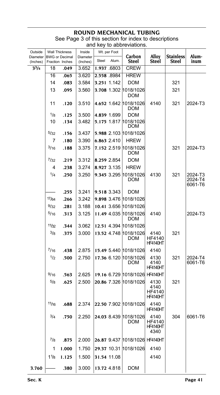| Outside<br>Diameter<br>(Inches) | <b>Wall Thickness</b><br><b>BWG</b> or Decimal<br>Fraction Inches |       | Inside<br>Diameter<br>(Inches) | Steel       | Wt. per Foot<br>Alum. | Carbon<br><b>Steel</b>              | Alloy<br>Steel                            | <b>Stainless</b><br>Steel | Alum-<br>inum                 |
|---------------------------------|-------------------------------------------------------------------|-------|--------------------------------|-------------|-----------------------|-------------------------------------|-------------------------------------------|---------------------------|-------------------------------|
| 33/4                            | 18                                                                | .049  | 3.652                          |             | 1.937 6803            | <b>CREW</b>                         |                                           |                           |                               |
|                                 | 16                                                                | .065  | 3.620                          |             | 2.558 8984            | <b>HREW</b>                         |                                           |                           |                               |
|                                 | 14                                                                | .083  | 3.584                          |             | 3.251 1.142           | DOM                                 |                                           | 321                       |                               |
|                                 | 13                                                                | .095  | 3.560                          |             |                       | 3.708 1.302 1018/1026<br>DOM        |                                           | 321                       |                               |
|                                 | 11                                                                | .120  | 3.510                          |             |                       | 4.652 1.642 1018/1026<br><b>DOM</b> | 4140                                      | 321                       | 2024-T3                       |
|                                 | 1/8                                                               | .125  | 3.500                          |             | 4.839 1.699           | DOM                                 |                                           |                           |                               |
|                                 | 10                                                                | .134  | 3.482                          |             | 5.175 1.817           | 1018/1026<br>DOM                    |                                           |                           |                               |
|                                 | 5/32                                                              | .156  | 3.437                          |             |                       | 5.988 2.103 1018/1026               |                                           |                           |                               |
|                                 | 7                                                                 | .180  | 3.390                          |             | 6.863 2.410           | <b>HREW</b>                         |                                           |                           |                               |
|                                 | 3/16                                                              | .188  | 3.375                          |             | 7.152 2.519           | 1018/1026<br>DOM                    |                                           | 321                       | 2024-T3                       |
|                                 | 7/32                                                              | .219  | 3.312                          | 8.259 2.854 |                       | DOM                                 |                                           |                           |                               |
|                                 | 4                                                                 | .238  | 3.274                          |             | 8.927 3.135           | <b>HREW</b>                         |                                           |                           |                               |
|                                 | 1/4                                                               | .250  | 3.250                          |             | 9.345 3.295           | 1018/1026<br><b>DOM</b>             | 4130                                      | 321                       | 2024-T3<br>2024-T4<br>6061-T6 |
|                                 |                                                                   | .255  | 3.241                          |             | 9.518 3.343           | DOM                                 |                                           |                           |                               |
|                                 | 17/64                                                             | .266  | 3.242                          |             |                       | 9.898 3.476 1018/1026               |                                           |                           |                               |
|                                 | 9/32                                                              | .281  | 3.188                          |             |                       | 10.41 3.656 1018/1026               |                                           |                           |                               |
|                                 | 5/16                                                              | .313  | 3.125                          |             | 11.49 4.035           | 1018/1026<br>DOM                    | 4140                                      |                           | 2024-T3                       |
|                                 | 11/32                                                             | .344  | 3.062                          |             |                       | 12.51 4.394 1018/1026               |                                           |                           |                               |
|                                 | 3/8                                                               | .375  | 3.000                          |             |                       | 13.52 4.748 1018/1026<br>DOM        | 4140<br><b>HF4140</b><br>HF4140HT         | 321                       |                               |
|                                 | $^{7/16}$                                                         | .438  | 2.875                          |             |                       | 15.49 5.440 1018/1026               | 4140                                      |                           |                               |
|                                 | 1/2                                                               | .500  | 2.750                          |             | 17.36 6.120           | 1018/1026<br>DOM                    | 4130<br>4140<br><b>HF4140HT</b>           | 321                       | 2024-T4<br>6061-T6            |
|                                 | 9/16                                                              | .563  | 2.625                          |             |                       | 19.16 6.729 1018/1026               | <b>HF4140HT</b>                           |                           |                               |
|                                 | $^{5/8}$                                                          | .625  | 2.500                          |             |                       | 20.86 7.326 1018/1026               | 4130<br>4140<br>HF4140<br><b>HF4140HT</b> | 321                       |                               |
|                                 | 11/16                                                             | .688  | 2.374                          |             |                       | 22.50 7.902 1018/1026               | 4140<br><b>HF4140HT</b>                   |                           |                               |
|                                 | $^{3/4}$                                                          | .750  | 2.250                          |             |                       | 24.03 8.439 1018/1026<br><b>DOM</b> | 4140<br>HF4140<br>HF4140HT<br>4340        | 304                       | 6061-T6                       |
|                                 | $^{7/8}$                                                          | .875  | 2.000                          |             |                       | 26.87 9.437 1018/1026 HF4140HT      |                                           |                           |                               |
|                                 | 1                                                                 | 1.000 | 1.750                          |             |                       | 29.37 10.31 1018/1026               | 4140                                      |                           |                               |
|                                 | 1 <sup>1</sup> /8                                                 | 1.125 | 1.500                          |             | 31.54 11.08           |                                     | 4140                                      |                           |                               |
| 3.760                           |                                                                   | .380  | 3.000                          |             | 13.72 4.818           | <b>DOM</b>                          |                                           |                           |                               |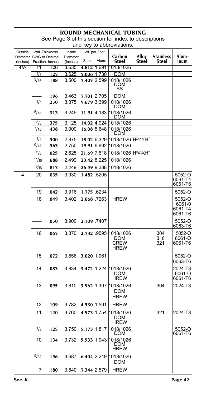## **ROUND MECHANICAL TUBING** See Page 3 of this section for index to descriptions

|                         |          |                 |          |       |              | and key to abbreviations.                                        |                 |                   |                              |
|-------------------------|----------|-----------------|----------|-------|--------------|------------------------------------------------------------------|-----------------|-------------------|------------------------------|
| Outside                 |          | Wall Thickness  | Inside   |       | Wt. per Foot |                                                                  |                 |                   |                              |
| Diameter BWG or Decimal |          |                 | Diameter | Steel | Alum.        | Carbon                                                           | Alloy           | <b>Stainless</b>  | Alum-<br>inum                |
| (Inches)                | 11       | Fraction Inches | (Inches) |       |              | <b>Steel</b><br>1018/1026                                        | Steel           | <b>Steel</b>      |                              |
| $3^{7}/8$               |          | .120            | 3.635    |       | 4.812 1.691  |                                                                  |                 |                   |                              |
|                         | 1/8      | .125            | 3.625    |       | 5.006 1.730  | DOM                                                              |                 |                   |                              |
|                         | 3/16     | .188            | 3.500    |       |              | 7.403 2.599 1018/1026                                            |                 |                   |                              |
|                         |          |                 |          |       |              | DOM<br>SS                                                        |                 |                   |                              |
|                         |          | .196            | 3.463    |       | 7.701 2.705  | DOM                                                              |                 |                   |                              |
|                         | 1/4      | .250            | 3.375    |       |              | 9.679 3.399 1018/1026<br>DOM                                     |                 |                   |                              |
|                         | 5/16     | .313            | 3.249    |       |              | 11.91 4.183 1018/1026<br>DOM                                     |                 |                   |                              |
|                         | $^{3/8}$ | .375            | 3.125    |       |              | 14.02 4.924 1018/1026                                            |                 |                   |                              |
|                         | 7/16     | .438            | 3.000    |       |              | 16.08 5.648 1018/1026                                            |                 |                   |                              |
|                         |          |                 |          |       |              | DOM                                                              |                 |                   |                              |
|                         | 1/2      | .500            | 2.875    |       | 18.02 6.329  | 1018/1026                                                        | <b>HF4140HT</b> |                   |                              |
|                         | 9/16     | .563            | 2.750    |       |              | 19.91 6.992 1018/1026                                            |                 |                   |                              |
|                         | 5/8      | .625            | 2.625    |       |              | 21.69 7.618 1018/1026 HF4140HT                                   |                 |                   |                              |
|                         | 11/16    | .688            | 2.499    |       |              | 23.42 8.225 1018/1026                                            |                 |                   |                              |
|                         | 13/16    | .813            | 2.249    |       |              | 26.59 9.338 1018/1026                                            |                 |                   |                              |
|                         |          |                 |          |       |              |                                                                  |                 |                   |                              |
| 4                       | 20       | .035            | 3.930    |       | 1.482 .5205  |                                                                  |                 |                   | 5052-O<br>6061-T4<br>6061-T6 |
|                         | 19       | .042            | 3.916    |       | 1.775 6234   |                                                                  |                 |                   | 5052-O                       |
|                         | 18       | .049            | 3.402    |       | 2.068 .7263  | <b>HREW</b>                                                      |                 |                   | 5052-O                       |
|                         |          |                 |          |       |              |                                                                  |                 |                   | 6061-0<br>6061-T4<br>6061-T6 |
|                         |          | .050            | 3.900    |       | 2.109 .7407  |                                                                  |                 |                   | 5052-O<br>6063-T6            |
|                         | 16       | .065            | 3.870    |       |              | 2.732 9595 1018/1026<br><b>DOM</b><br><b>CREW</b><br><b>HREW</b> |                 | 304<br>316<br>321 | 5052-O<br>6061-O<br>6061-T6  |
|                         | 15       | .072            | 3.856    |       | 3.020 1.061  |                                                                  |                 |                   | 5052-O<br>6063-T6            |
|                         | 14       | .083            | 3.834    |       |              | 3.472 1.224 1018/1026<br><b>DOM</b><br><b>HREW</b>               |                 |                   | 2024-T3<br>6061-O<br>6061-T6 |
|                         | 13       | .095            | 3.810    |       |              | 3.962 1.397 1018/1026<br><b>DOM</b><br><b>HREW</b>               |                 | 304               | 2024-T3                      |
|                         | 12       | .109            | 3.782    |       | 4.530 1.591  | <b>HREW</b>                                                      |                 |                   |                              |
|                         | 11       | .120            | 3.760    |       |              | 4.973 1.754 1018/1026<br>DOM                                     |                 | 321               | 2024-T3                      |
|                         | 1/8      | .125            | 3.750    |       |              | HREW<br>5.173 1.817 1018/1026                                    |                 |                   | 5052-O                       |
|                         |          |                 |          |       |              | DOM                                                              |                 |                   | 6061-T6                      |
|                         | 10       | .134            | 3.732    |       |              | 5.533 1.943 1018/1026<br>DOM<br>HREW                             |                 |                   |                              |
|                         | 5/32     | .156            | 3.687    |       |              | 6.404 2.249 1018/1026<br>DOM                                     |                 |                   |                              |
|                         | 7        | .180            | 3.640    |       | 7.344 2.579  | <b>HREW</b>                                                      |                 |                   |                              |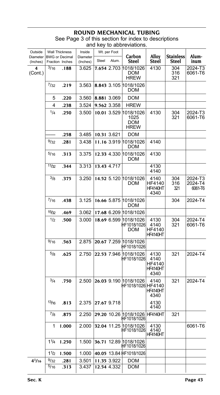| Outside              |           | <b>Wall Thickness</b>                    | Inside               |       | Wt. per Foot |                                                |                                            |                                  |                               |
|----------------------|-----------|------------------------------------------|----------------------|-------|--------------|------------------------------------------------|--------------------------------------------|----------------------------------|-------------------------------|
| Diameter<br>(Inches) |           | <b>BWG</b> or Decimal<br>Fraction Inches | Diameter<br>(Inches) | Steel | Alum.        | Carbon<br><b>Steel</b>                         | Alloy<br>Steel                             | <b>Stainless</b><br><b>Steel</b> | Alum-<br>inum                 |
| 4<br>(Cont.)         | $^{3/16}$ | .188                                     | 3.625                |       | 7.654 2.703  | 1018/1026<br>DOM<br><b>HREW</b>                | 4130                                       | 304<br>316<br>321                | 2024-T3<br>6061-T6            |
|                      | 7/32      | .219                                     | 3.563                |       | 8.843 3.105  | 1018/1026<br>DOM                               |                                            |                                  |                               |
|                      | 5         | .220                                     | 3.560                |       | 8.881 3.069  | <b>DOM</b>                                     |                                            |                                  |                               |
|                      | 4         | .238                                     | 3.524                |       | 9.562 3.358  | <b>HREW</b>                                    |                                            |                                  |                               |
|                      | 1/4       | .250                                     | 3.500                |       | 10.01 3.529  | 1018/1026<br>1025<br><b>DOM</b><br><b>HREW</b> | 4130                                       | 304<br>321                       | 2024-T3<br>6061-T6            |
|                      |           | .258                                     | 3.485                |       | 10.31 3.621  | <b>DOM</b>                                     |                                            |                                  |                               |
|                      | 9/32      | .281                                     | 3.438                |       | 11.16 3.919  | 1018/1026<br>DOM                               | 4140                                       |                                  |                               |
|                      | 5/16      | .313                                     | 3.375                |       | 12.33 4.330  | 1018/1026<br><b>DOM</b>                        | 4130                                       |                                  |                               |
|                      | 11/32     | .344                                     | 3.313                |       | 13.43 4.717  |                                                | 4130<br>4140                               |                                  |                               |
|                      | 3/8       | .375                                     | 3.250                |       |              | 14.52 5.120 1018/1026<br><b>DOM</b>            | 4140<br>HF4140<br><b>HF4140HT</b><br>4340  | 304<br>316<br>321                | 2024-T3<br>2024-T4<br>6061-T6 |
|                      | 7/16      | .438                                     | 3.125                |       |              | 16.66 5.875 1018/1026<br>DOM                   |                                            | 304                              | 2024-T4                       |
|                      | 15/32     | .469                                     | 3.062                |       |              | 17.68 6.209 1018/1026                          |                                            |                                  |                               |
|                      | 1/2       | .500                                     | 3.000                |       |              | 18.69 6.599 1018/1026<br>HF1018/1026<br>DOM    | 4130<br>4140<br>HF4140<br>HF4140HT         | 304<br>321                       | 2024-T4<br>6061-T6            |
|                      | 9/16      | .563                                     | 2.875                |       |              | 20.67 7.259 1018/1026<br>HF1018/1026           |                                            |                                  |                               |
|                      | 5/8       | .625                                     | 2.750                |       |              | 22.53 7.946 1018/1026<br>HF1018/1026           | 4130<br>4140<br>HF4140<br>HF4140HT<br>4340 | 321                              | 2024-T4                       |
|                      | 3/4       | .750                                     | 2.500                |       |              | 26.03 9.190 1018/1026<br>HF1018/1026 HF4140    | 4140<br><b>HF4140HT</b><br>4340            | 321                              | 2024-T4                       |
|                      | 13/16     | .813                                     | 2.375                |       | 27.67 9.718  |                                                | 4130<br>4140                               |                                  |                               |
|                      | $^{7/8}$  | .875                                     | 2.250                |       |              | 29.20 10.26 1018/1026 HF4140HT<br>HF1018/1026  |                                            | 321                              |                               |
|                      | 1         | 1.000                                    | 2.000                |       |              | 32.04 11.25 1018/1026<br>HF1018/1026           | 4130<br>4140<br><b>HF4140HT</b>            |                                  | 6061-T6                       |
|                      | 11/4      | 1.250                                    | 1.500                |       | 36.71 12.89  | 1018/1026<br>HF1018/1026                       |                                            |                                  |                               |
|                      | 11/2      | 1.500                                    | 1.000                |       |              | 40.05 13.84 HF1018/1026                        |                                            |                                  |                               |
| $4^{1/16}$           | 9/32      | .281                                     | 3.501                |       | 11.35 3.922  | DOM                                            |                                            |                                  |                               |
|                      | 5/16      | .313                                     | 3.437                |       | 12.54 4.332  | DOM                                            |                                            |                                  |                               |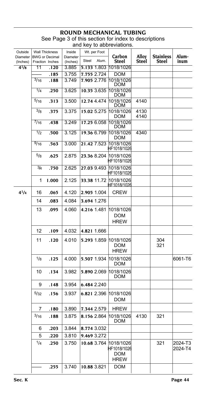### **ROUND MECHANICAL TUBING** See Page 3 of this section for index to descriptions and key to abbreviations.

| Outside<br>Diameter | <b>Wall Thickness</b><br><b>BWG</b> or Decimal |       | Inside<br>Diameter | Wt. per Foot   | Carbon                                                | Alloy        | <b>Stainless</b> | Alum-              |
|---------------------|------------------------------------------------|-------|--------------------|----------------|-------------------------------------------------------|--------------|------------------|--------------------|
| (Inches)            | Fraction Inches                                |       | (Inches)           | Steel<br>Alum. | Steel                                                 | Steel        | Steel            | inum               |
| $4^{1}/8$           | 11                                             | .120  | 3.885              | 5.133 1.803    | 1018/1026                                             |              |                  |                    |
|                     |                                                | .185  | 3.755              | 7.755 2.724    | DOM                                                   |              |                  |                    |
|                     | $\frac{3}{16}$                                 | .188  | 3.749              | 7.905 2.776    | 1018/1026<br>DOM                                      |              |                  |                    |
|                     | 1/4                                            | .250  | 3.625              | 10.35 3.635    | 1018/1026<br>DOM                                      |              |                  |                    |
|                     | 5/16                                           | .313  | 3.500              | 12.74 4.474    | 1018/1026<br>DOM                                      | 4140         |                  |                    |
|                     | 3/8                                            | .375  | 3.375              | 15.02 5.275    | 1018/1026<br><b>DOM</b>                               | 4130<br>4140 |                  |                    |
|                     | $\frac{7}{16}$                                 | .438  | 3.249              | 17.25 6.058    | 1018/1026<br>DOM                                      |              |                  |                    |
|                     | 1/2                                            | .500  | 3.125              | 19.36 6.799    | 1018/1026<br><b>DOM</b>                               | 4340         |                  |                    |
|                     | 9/16                                           | .563  | 3.000              | 21.42 7.523    | 1018/1026<br>HF1018/1026                              |              |                  |                    |
|                     | $^{5/8}$                                       | .625  | 2.875              | 23.36 8.204    | 1018/1026<br>HF1018/1026                              |              |                  |                    |
|                     | 3/4                                            | .750  | 2.625              | 27.03 9.493    | 1018/1026<br>HF1018/1026                              |              |                  |                    |
|                     | 1                                              | 1.000 | 2.125              | 33.38 11.72    | 1018/1026<br>HF1018/1026                              |              |                  |                    |
| $4^{1}/4$           | 16                                             | .065  | 4.120              | 2.905 1.004    | <b>CREW</b>                                           |              |                  |                    |
|                     | 14                                             | .083  | 4.084              | 3.694 1.276    |                                                       |              |                  |                    |
|                     | 13                                             | .095  | 4.060              | 4.216 1.481    | 1018/1026<br>DOM<br><b>HREW</b>                       |              |                  |                    |
|                     | 12                                             | .109  | 4.032              | 4.821 1.666    |                                                       |              |                  |                    |
|                     | 11                                             | .120  | 4.010              | 5.293 1.859    | 1018/1026<br><b>DOM</b><br><b>HREW</b>                |              | 304<br>321       |                    |
|                     | 1/8                                            | .125  | 4.000              | 5.507 1.934    | 1018/1026<br>DOM                                      |              |                  | 6061-T6            |
|                     | 10                                             | .134  | 3.982              | 5.890 2.069    | 1018/1026<br><b>DOM</b>                               |              |                  |                    |
|                     | 9                                              | .148  | 3.954              | 6.484 2.240    |                                                       |              |                  |                    |
|                     | 5/32                                           | .156  | 3.937              | 6.821 2.396    | 1018/1026<br>DOM                                      |              |                  |                    |
|                     | 7                                              | .180  | 3.890              | 7.344 2.579    | HREW                                                  |              |                  |                    |
|                     | 3/16                                           | .188  | 3.875              | 8.156 2.864    | 1018/1026<br>DOM                                      | 4130         | 321              |                    |
|                     | 6                                              | .203  | 3.844              | 8.774 3.032    |                                                       |              |                  |                    |
|                     | 5                                              | .220  | 3.810              | 9.469 3.272    |                                                       |              |                  |                    |
|                     | 1/4                                            | .250  | 3.750              | 10.68 3.764    | 1018/1026<br>HF1018/1026<br><b>DOM</b><br><b>HREW</b> |              | 321              | 2024-T3<br>2024-T4 |
|                     |                                                | .255  | 3.740              | 10.88 3.821    | DOM                                                   |              |                  |                    |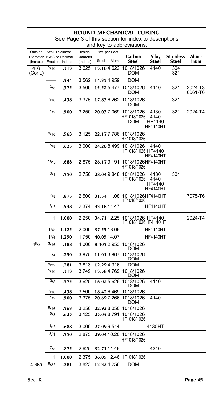## **ROUND MECHANICAL T**

| Outside              |           | <b>Wall Thickness</b>                    | Inside               | Wt. per Foot            |                                         |                                    |                           |                    |
|----------------------|-----------|------------------------------------------|----------------------|-------------------------|-----------------------------------------|------------------------------------|---------------------------|--------------------|
| Diameter<br>(Inches) |           | <b>BWG</b> or Decimal<br>Fraction Inches | Diameter<br>(Inches) | Alum.<br>Steel          | Carbon<br>Steel                         | Alloy<br>Steel                     | <b>Stainless</b><br>Steel | Alum-<br>inum      |
| $4^{1}/4$<br>(Cont.) | 5/16      | .313                                     | 3.625                | 13.164.622              | 1018/1026<br><b>DOM</b>                 | 4140                               | 304<br>321                |                    |
|                      |           | .344                                     | 3.562                | 14.35 4.959             | <b>DOM</b>                              |                                    |                           |                    |
|                      | 3/8       | .375                                     | 3.500                | 15.52 5.477             | 1018/1026<br>DOM                        | 4140                               | 321                       | 2024-T3<br>6061-T6 |
|                      | 7/16      | .438                                     | 3.375                | 17.83 6.262             | 1018/1026<br>DOM                        |                                    | 321                       |                    |
|                      | 1/2       | .500                                     | 3.250                | 20.037.069              | 1018/1026<br>HF1018/1026<br><b>DOM</b>  | 4130<br>4140<br>HF4140<br>HF4140HT | 321                       | 2024-T4            |
|                      | 9/16      | .563                                     | 3.125                | 22.177.786              | 1018/1026<br>HF1018/1026                |                                    |                           |                    |
|                      | 5/8       | .625                                     | 3.000                | 24.20 8.499             | 1018/1026<br>HF1018/1026 HF4140         | 4140<br>HF4140HT                   |                           |                    |
|                      | 11/16     | .688                                     | 2.875                | 26.179.191              | l1018/1026lHF4140HT<br>HF1018/1026      |                                    |                           |                    |
|                      | 3/4       | .750                                     | 2.750                | 28.049.848              | 1018/1026<br>HF1018/1026                | 4130<br>4140<br>HF4140<br>HF4140HT | 304                       |                    |
|                      | 7/8       | .875                                     | 2.500                | 31.54 11.08             | 1018/1026 HF4140HT<br>HF1018/1026       |                                    |                           | 7075-T6            |
|                      | 15/16     | .938                                     | 2.374                | 33.18 11.47             |                                         | IHF4140HT                          |                           |                    |
|                      | 1         | 1.000                                    | 2.250                | 34.71 12.25             | 1018/1026 HF4140<br>HF1018/1026HF4140H1 |                                    |                           | 2024-T4            |
|                      | 11/8      | 1.125                                    | 2.000                | 37.55 13.09             |                                         | HF4140HT                           |                           |                    |
|                      | 11/4      | 1.250                                    | 1.750                | 40.05 14.07             |                                         | IHF4140HT                          |                           |                    |
| $4^{3}/8$            | 3/16      | .188                                     | 4.000                | 8.407 2.953             | 1018/1026<br><b>DOM</b>                 |                                    |                           |                    |
|                      | 1/4       | .250                                     | 3.875                | 11.013.867              | 1018/1026<br><b>DOM</b>                 |                                    |                           |                    |
|                      | 9/32      | .281                                     | 3.813                | 12.294.316              | <b>DOM</b>                              |                                    |                           |                    |
|                      | 5/16      | .313                                     | 3.749                | 13.584.769              | 1018/1026<br>DOM                        |                                    |                           |                    |
|                      | 3/8       | .375                                     | 3.625                | 16.02 5.626             | 1018/1026<br><b>DOM</b>                 | 4140                               |                           |                    |
|                      | $^{7/16}$ | .438                                     | 3.500                | 18.42 6.469             | 1018/1026                               |                                    |                           |                    |
|                      | 1/2       | .500                                     | 3.375                | 20.697.266              | 1018/1026<br><b>DOM</b>                 | 4140                               |                           |                    |
|                      | 9/16      | .563                                     | 3.250                | 22.92 8.050             | 1018/1026                               |                                    |                           |                    |
|                      | 5/8       | .625                                     | 3.125                | 25.038.791              | 1018/1026<br>HF1018/1026                |                                    |                           |                    |
|                      | 11/16     | .688                                     | 3.000                | 27.09 9.514             |                                         | 4130HT                             |                           |                    |
|                      | 3/4       | .750                                     | 2.875                | 29.04 10.20             | 1018/1026<br>HF1018/1026                |                                    |                           |                    |
|                      | $^{7/8}$  | .875                                     | 2.625                | 32.71 11.49             |                                         | 4340                               |                           |                    |
|                      | 1         | 1.000                                    | 2.375                | 36.05 12.46 HF1018/1026 |                                         |                                    |                           |                    |
| 4.385                | 9/32      | .281                                     | 3.823                | 12.32 4.256             | <b>DOM</b>                              |                                    |                           |                    |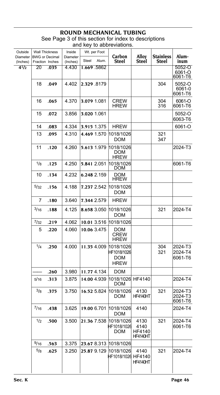### **ROUND MECHANICAL TUBING** See Page 3 of this section for index to descriptions and key to abbreviations.

| Outside              | <b>Wall Thickness</b>                    |      | Inside               | Wt. per Foot |       | Carbon                                         | Alloy                                     | <b>Stainless</b> | Alum-                         |
|----------------------|------------------------------------------|------|----------------------|--------------|-------|------------------------------------------------|-------------------------------------------|------------------|-------------------------------|
| Diameter<br>(Inches) | <b>BWG</b> or Decimal<br>Fraction Inches |      | Diameter<br>(Inches) | Steel        | Alum. | Steel                                          | Steel                                     | Steel            | inum                          |
| $4^{1/2}$            | 20                                       | .035 | 4.430                | 1.669 5862   |       |                                                |                                           |                  | 5052-O<br>6061-O<br>6061-T6   |
|                      | 18                                       | .049 | 4.402                | 2.329.8179   |       |                                                |                                           | 304              | 5052-O<br>6061-0<br>6061-T6   |
|                      | 16                                       | .065 | 4.370                | 3.079 1.081  |       | <b>CREW</b><br><b>HREW</b>                     |                                           | 304<br>316       | 6061-O<br>6061-T6             |
|                      | 15                                       | .072 | 3.856                | 3.020 1.061  |       |                                                |                                           |                  | 5052-O<br>6063-T6             |
|                      | 14                                       | .083 | 4.334                | 3.915 1.375  |       | <b>HREW</b>                                    |                                           |                  | 6061-O                        |
|                      | 13                                       | .095 | 4.310                | 4.469 1.570  |       | 1018/1026<br><b>DOM</b>                        |                                           | 321<br>347       |                               |
|                      | 11                                       | .120 | 4.260                | 5.613 1.979  |       | 1018/1026<br>DOM<br><b>HREW</b>                |                                           |                  | 2024-T3                       |
|                      | 1/8                                      | .125 | 4.250                | 5.841 2.051  |       | 1018/1026<br><b>DOM</b>                        |                                           |                  | 6061-T6                       |
|                      | 10                                       | .134 | 4.232                | 6.248 2.159  |       | DOM<br><b>HREW</b>                             |                                           |                  |                               |
|                      | 5/32                                     | .156 | 4.188                | 7.237 2.542  |       | 1018/1026<br><b>DOM</b>                        |                                           |                  |                               |
|                      | 7                                        | .180 | 3.640                | 7.344 2.579  |       | <b>HREW</b>                                    |                                           |                  |                               |
|                      | 3/16                                     | .188 | 4.125                | 8.658 3.050  |       | 1018/1026<br>DOM                               |                                           | 321              | 2024-T4                       |
|                      | 7/32                                     | .219 | 4.062                | 10.01 3.516  |       | 1018/1026                                      |                                           |                  |                               |
|                      | 5                                        | .220 | 4.060                | 10.06 3.475  |       | DOM<br><b>CREW</b><br><b>HREW</b>              |                                           |                  |                               |
|                      | 1/4                                      | .250 | 4.000                | 11.35 4.009  |       | 1018/1026<br>HF1018/1026<br>DOM<br><b>HREW</b> |                                           | 304<br>321       | 2024-T3<br>2024-T4<br>6061-T6 |
|                      |                                          | .260 | 3.980                | 11.77 4.134  |       | DOM                                            |                                           |                  |                               |
|                      | 5/16                                     | .313 | 3.875                | 14.00 4.939  |       | 1018/1026<br>DOM                               | HF4140                                    |                  | 2024-T4                       |
|                      | $^{3/8}$                                 | .375 | 3.750                | 16.52 5.824  |       | 1018/1026<br>DOM                               | 4130<br><b>HF4140HT</b>                   | 321              | 2024-T3<br>2024-T3<br>6061-T6 |
|                      | 7/16                                     | .438 | 3.625                | 19.00 6.701  |       | 1018/1026<br><b>DOM</b>                        | 4140                                      |                  | 2024-T4                       |
|                      | 1/2                                      | .500 | 3.500                | 21.36 7.538  |       | 1018/1026<br>HF1018/1026<br><b>DOM</b>         | 4130<br>4140<br>HF4140<br><b>HF4140HT</b> | 321              | 2024-T4<br>6061-T6            |
|                      | 9/16                                     | .563 | 3.375                |              |       | 23.67 8.313 1018/1026                          |                                           |                  |                               |
|                      | 5/8                                      | .625 | 3.250                | 25.87 9.129  |       | 1018/1026<br>HF1018/1026 HF4140                | 4140<br><b>HF4140HT</b>                   | 321              | 2024-T4                       |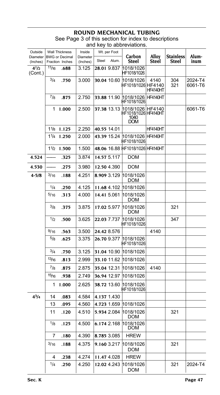| Outside              |          | <b>Wall Thickness</b>                    | Inside               |       | Wt. per Foot |                                                              |                         |                                  |                    |
|----------------------|----------|------------------------------------------|----------------------|-------|--------------|--------------------------------------------------------------|-------------------------|----------------------------------|--------------------|
| Diameter<br>(Inches) |          | <b>BWG or Decimal</b><br>Fraction Inches | Diameter<br>(Inches) | Steel | Alum.        | Carbon<br>Steel                                              | Alloy<br><b>Steel</b>   | <b>Stainless</b><br><b>Steel</b> | Alum-<br>inum      |
| $4^{1/2}$<br>(Cont.) | 11/16    | .688                                     | 3.125                |       | 28.01 9.837  | 1018/1026<br>HF1018/1026                                     |                         |                                  |                    |
|                      | 3/4      | .750                                     | 3.000                |       | 30.04 10.60  | 1018/1026<br>HF1018/1026 HF4140                              | 4140<br><b>HF4140HT</b> | 304<br>321                       | 2024-T4<br>6061-T6 |
|                      | 7/8      | .875                                     | 2.750                |       | 33.88 11.90  | 1018/1026<br>HF1018/1026                                     | <b>HF4140HT</b>         |                                  |                    |
|                      | 1        | 1.000                                    | 2.500                |       |              | 37.38 13.13 1018/1026<br>HF1018/1026 HF4140HT<br>1040<br>DOM | HF4140                  |                                  | 6061-T6            |
|                      | 11/8     | 1.125                                    | 2.250                |       | 40.55 14.01  |                                                              | HF4140HT                |                                  |                    |
|                      | 11/4     | 1.250                                    | 2.000                |       | 43.39 15.24  | 1018/1026 HF4140HT<br>HF1018/1026                            |                         |                                  |                    |
|                      | 11/2     | 1.500                                    | 1.500                |       |              | 48.06 16.88 HF1018/1026 HF4140HT                             |                         |                                  |                    |
| 4.524                |          | .325                                     | 3.874                |       | 14.57 5.117  | DOM                                                          |                         |                                  |                    |
| 4.530                |          | .275                                     | 3.980                |       | 12.50 4.390  | DOM                                                          |                         |                                  |                    |
| $4 - 5/8$            | 3/16     | .188                                     | 4.251                |       | 8.909 3.129  | 1018/1026<br><b>DOM</b>                                      |                         |                                  |                    |
|                      | 1/4      | .250                                     | 4.125                |       | 11.68 4.102  | 1018/1026                                                    |                         |                                  |                    |
|                      | 5/16     | .313                                     | 4.000                |       | 14.41 5.061  | 1018/1026<br><b>DOM</b>                                      |                         |                                  |                    |
|                      | $^{3/8}$ | .375                                     | 3.875                |       | 17.02 5.977  | 1018/1026<br><b>DOM</b>                                      |                         | 321                              |                    |
|                      | 1/2      | .500                                     | 3.625                |       | 22.03 7.737  | 1018/1026<br>HF1018/1026                                     |                         | 347                              |                    |
|                      | 9/16     | .563                                     | 3.500                |       | 24.42 8.576  |                                                              | 4140                    |                                  |                    |
|                      | 5/8      | .625                                     | 3.375                |       | 26.70 9.377  | 1018/1026<br>HF1018/1026                                     |                         |                                  |                    |
|                      | 3/4      | .750                                     | 3.125                |       | 31.04 10.90  | 1018/1026                                                    |                         |                                  |                    |
|                      | 13/16    | .813                                     | 2.999                |       | 33.10 11.62  | 1018/1026                                                    |                         |                                  |                    |
|                      | $^{7/8}$ | .875                                     | 2.875                |       | 35.04 12.31  | 1018/1026                                                    | 4140                    |                                  |                    |
|                      | 15/16    | .938                                     | 2.749                |       | 36.94 12.97  | 1018/1026                                                    |                         |                                  |                    |
|                      | 1        | 1.000                                    | 2.625                |       | 38.72 13.60  | 1018/1026<br>HF1018/1026                                     |                         |                                  |                    |
| $4^{3}/_{4}$         | 14       | .083                                     | 4.584                |       | 4.137 1.430  |                                                              |                         |                                  |                    |
|                      | 13       | .095                                     | 4.560                |       | 4.723 1.659  | 1018/1026                                                    |                         |                                  |                    |
|                      | 11       | .120                                     | 4.510                |       | 5.934 2.084  | 1018/1026<br><b>DOM</b>                                      |                         | 321                              |                    |
|                      | $1/8$    | .125                                     | 4.500                |       | 6.174 2.168  | 1018/1026<br><b>DOM</b>                                      |                         |                                  |                    |
|                      | 7        | .180                                     | 4.390                |       | 8.785 3.085  | <b>HREW</b>                                                  |                         |                                  |                    |
|                      | 3/16     | .188                                     | 4.375                |       | 9.160 3.217  | 1018/1026<br><b>DOM</b>                                      |                         | 321                              |                    |
|                      | 4        | .238                                     | 4.274                |       | 11.47 4.028  | <b>HREW</b>                                                  |                         |                                  |                    |
|                      | 1/4      | .250                                     | 4.250                |       | 12.02 4.243  | 1018/1026<br>DOM                                             |                         | 321                              | 2024-T4            |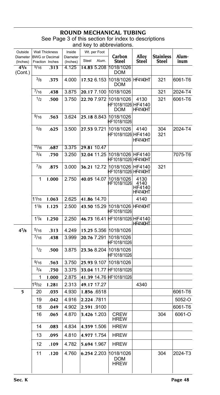## **ROUND MECHANICAL TUBING** See Page 3 of this section for index to descriptions

|          |                                                                | Inside<br>Diameter                                                                                                           |                                                                                  |       | Carbon                                                                                                                                                                                                                                                                                                                                                                                      | Alloy                                                                                                                                                                                                              | <b>Stainless</b>                                                                                                                                                                                                                                   | Alum-<br>inum                                    |
|----------|----------------------------------------------------------------|------------------------------------------------------------------------------------------------------------------------------|----------------------------------------------------------------------------------|-------|---------------------------------------------------------------------------------------------------------------------------------------------------------------------------------------------------------------------------------------------------------------------------------------------------------------------------------------------------------------------------------------------|--------------------------------------------------------------------------------------------------------------------------------------------------------------------------------------------------------------------|----------------------------------------------------------------------------------------------------------------------------------------------------------------------------------------------------------------------------------------------------|--------------------------------------------------|
| 5/16     | .313                                                           | 4.125                                                                                                                        |                                                                                  |       | DOM                                                                                                                                                                                                                                                                                                                                                                                         |                                                                                                                                                                                                                    |                                                                                                                                                                                                                                                    |                                                  |
| 3/8      | .375                                                           | 4.000                                                                                                                        |                                                                                  |       | DOM                                                                                                                                                                                                                                                                                                                                                                                         |                                                                                                                                                                                                                    | 321                                                                                                                                                                                                                                                | 6061-T6                                          |
| 7/16     | .438                                                           | 3.875                                                                                                                        |                                                                                  |       | 1018/1026                                                                                                                                                                                                                                                                                                                                                                                   |                                                                                                                                                                                                                    | 321                                                                                                                                                                                                                                                | 2024-T4                                          |
| 1/2      | .500                                                           | 3.750                                                                                                                        |                                                                                  |       | 1018/1026<br>DOM                                                                                                                                                                                                                                                                                                                                                                            | 4130<br>HF4140HT                                                                                                                                                                                                   | 321                                                                                                                                                                                                                                                | 6061-T6                                          |
| 9/16     | .563                                                           | 3.624                                                                                                                        |                                                                                  |       |                                                                                                                                                                                                                                                                                                                                                                                             |                                                                                                                                                                                                                    |                                                                                                                                                                                                                                                    |                                                  |
| 5/8      | .625                                                           | 3.500                                                                                                                        |                                                                                  |       | 1018/1026                                                                                                                                                                                                                                                                                                                                                                                   | 4140<br><b>HF4140HT</b>                                                                                                                                                                                            | 304<br>321                                                                                                                                                                                                                                         | 2024-T4                                          |
| 11/16    | .687                                                           | 3.375                                                                                                                        |                                                                                  |       |                                                                                                                                                                                                                                                                                                                                                                                             |                                                                                                                                                                                                                    |                                                                                                                                                                                                                                                    |                                                  |
| 3/4      | .750                                                           | 3.250                                                                                                                        |                                                                                  |       |                                                                                                                                                                                                                                                                                                                                                                                             |                                                                                                                                                                                                                    |                                                                                                                                                                                                                                                    | 7075-T6                                          |
| $^{7}/8$ | .875                                                           | 3.000                                                                                                                        |                                                                                  |       |                                                                                                                                                                                                                                                                                                                                                                                             |                                                                                                                                                                                                                    | 321                                                                                                                                                                                                                                                |                                                  |
| 1        | 1.000                                                          | 2.750                                                                                                                        |                                                                                  |       | HF1018/1026                                                                                                                                                                                                                                                                                                                                                                                 | 4130<br>4140<br>HF4140<br>HF4140HT                                                                                                                                                                                 |                                                                                                                                                                                                                                                    |                                                  |
| 11/16    | 1.063                                                          | 2.625                                                                                                                        |                                                                                  |       |                                                                                                                                                                                                                                                                                                                                                                                             | 4140                                                                                                                                                                                                               |                                                                                                                                                                                                                                                    |                                                  |
| 11/8     | 1.125                                                          | 2.500                                                                                                                        |                                                                                  |       | HF1018/1026                                                                                                                                                                                                                                                                                                                                                                                 |                                                                                                                                                                                                                    |                                                                                                                                                                                                                                                    |                                                  |
| 11/4     | 1.250                                                          | 2.250                                                                                                                        |                                                                                  |       |                                                                                                                                                                                                                                                                                                                                                                                             | HF4140HT                                                                                                                                                                                                           |                                                                                                                                                                                                                                                    |                                                  |
| 5/16     | .313                                                           | 4.249                                                                                                                        |                                                                                  |       |                                                                                                                                                                                                                                                                                                                                                                                             |                                                                                                                                                                                                                    |                                                                                                                                                                                                                                                    |                                                  |
|          | .438                                                           | 3.999                                                                                                                        |                                                                                  |       |                                                                                                                                                                                                                                                                                                                                                                                             |                                                                                                                                                                                                                    |                                                                                                                                                                                                                                                    |                                                  |
|          |                                                                |                                                                                                                              |                                                                                  |       | HF1018/1026                                                                                                                                                                                                                                                                                                                                                                                 |                                                                                                                                                                                                                    |                                                                                                                                                                                                                                                    |                                                  |
| 9/16     | .563                                                           | 3.750                                                                                                                        |                                                                                  |       |                                                                                                                                                                                                                                                                                                                                                                                             |                                                                                                                                                                                                                    |                                                                                                                                                                                                                                                    |                                                  |
|          | .750                                                           | 3.375                                                                                                                        |                                                                                  |       |                                                                                                                                                                                                                                                                                                                                                                                             |                                                                                                                                                                                                                    |                                                                                                                                                                                                                                                    |                                                  |
|          | 1.000                                                          |                                                                                                                              |                                                                                  |       |                                                                                                                                                                                                                                                                                                                                                                                             |                                                                                                                                                                                                                    |                                                                                                                                                                                                                                                    |                                                  |
|          |                                                                |                                                                                                                              |                                                                                  |       |                                                                                                                                                                                                                                                                                                                                                                                             |                                                                                                                                                                                                                    |                                                                                                                                                                                                                                                    |                                                  |
|          |                                                                |                                                                                                                              |                                                                                  |       |                                                                                                                                                                                                                                                                                                                                                                                             |                                                                                                                                                                                                                    |                                                                                                                                                                                                                                                    | 6061-T6                                          |
|          |                                                                |                                                                                                                              |                                                                                  |       |                                                                                                                                                                                                                                                                                                                                                                                             |                                                                                                                                                                                                                    |                                                                                                                                                                                                                                                    | 5052-O                                           |
|          |                                                                |                                                                                                                              |                                                                                  |       |                                                                                                                                                                                                                                                                                                                                                                                             |                                                                                                                                                                                                                    |                                                                                                                                                                                                                                                    | 6061-T6                                          |
|          |                                                                |                                                                                                                              |                                                                                  |       | <b>HREW</b>                                                                                                                                                                                                                                                                                                                                                                                 |                                                                                                                                                                                                                    |                                                                                                                                                                                                                                                    | 6061-O                                           |
| 14       | .083                                                           | 4.834                                                                                                                        |                                                                                  |       | <b>HREW</b>                                                                                                                                                                                                                                                                                                                                                                                 |                                                                                                                                                                                                                    |                                                                                                                                                                                                                                                    |                                                  |
| 13       | .095                                                           | 4.810                                                                                                                        |                                                                                  |       | <b>HREW</b>                                                                                                                                                                                                                                                                                                                                                                                 |                                                                                                                                                                                                                    |                                                                                                                                                                                                                                                    |                                                  |
|          |                                                                |                                                                                                                              |                                                                                  |       |                                                                                                                                                                                                                                                                                                                                                                                             |                                                                                                                                                                                                                    |                                                                                                                                                                                                                                                    |                                                  |
| 11       | .120                                                           | 4.760                                                                                                                        |                                                                                  |       | 1018/1026<br>DOM<br>HREW                                                                                                                                                                                                                                                                                                                                                                    |                                                                                                                                                                                                                    | 304                                                                                                                                                                                                                                                | 2024-T3                                          |
|          | 7/16<br>1/2<br>3/4<br>1<br>19/32<br>20<br>19<br>18<br>16<br>12 | <b>Wall Thickness</b><br>Diameter BWG or Decimal<br>Fraction Inches<br>.500<br>1.281<br>.035<br>.042<br>.049<br>.065<br>.109 | (Inches)<br>3.875<br>2.875<br>2.313<br>4.930<br>4.916<br>4.902<br>4.870<br>4.782 | Steel | Wt. per Foot<br>Alum.<br>14.83 5.208<br>17.52 6.153<br>20.17 7.100<br>22.70 7.972<br>25.18 8.843<br>27.53 9.721<br>29.81 10.47<br>32.04 11.25<br>40.05 14.07<br>41.86 14.70<br>43.50 15.29<br>15.25 5.356<br>20.76 7.291<br>23.36 8.204<br>25.93 9.107<br>49.17 17.27<br>1.856 6518<br>2.224 .7811<br>2.591.9100<br>3.426 1.203<br>4.359 1.506<br>4.977 1.754<br>5.694 1.967<br>6.254 2.203 | Steel<br>1018/1026<br>1018/1026<br>HF1018/1026<br>1018/1026<br>1018/1026<br>1018/1026<br>HF1018/1026<br>1018/1026<br>1018/1026<br>33.04 11.77 HF1018/1026<br>41.39 14.76 HF1018/1026<br><b>CREW</b><br><b>HREW</b> | <b>Steel</b><br>1018/1026 HF4140HT<br>HF1018/1026 HF4140<br>HF1018/1026 HF4140<br>1018/1026 HF4140<br>HF1018/1026 HF4140HT<br>36.21 12.72 1018/1026 HF4140<br>HF1018/1026 HF4140HT<br>1018/1026 HF4140HT<br>46.73 16.41 HF1018/1026 HF4140<br>4340 | and key to abbreviations.<br><b>Steel</b><br>304 |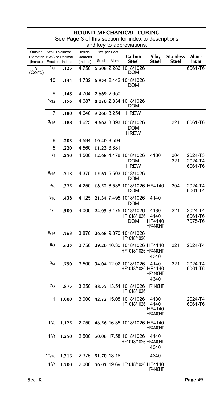| Outside              | <b>Wall Thickness</b>                    |       | Inside               |       | Wt. per Foot |                                                      |                                           |                           |                               |
|----------------------|------------------------------------------|-------|----------------------|-------|--------------|------------------------------------------------------|-------------------------------------------|---------------------------|-------------------------------|
| Diameter<br>(Inches) | <b>BWG</b> or Decimal<br>Fraction Inches |       | Diameter<br>(Inches) | Steel | Alum.        | Carbon<br>Steel                                      | Alloy<br>Steel                            | <b>Stainless</b><br>Steel | Alum-<br>inum                 |
| 5<br>(Cont.)         | 1/8                                      | .125  | 4.750                |       | 6.508 2.286  | 1018/1026<br><b>DOM</b>                              |                                           |                           | 6061-T6                       |
|                      | 10                                       | .134  | 4.732                |       |              | 6.954 2.442 1018/1026<br><b>DOM</b>                  |                                           |                           |                               |
|                      | 9                                        | .148  | 4.704                |       | 7.669 2.650  |                                                      |                                           |                           |                               |
|                      | 5/32                                     | .156  | 4.687                |       | 8.070 2.834  | 1018/1026<br><b>DOM</b>                              |                                           |                           |                               |
|                      | 7                                        | .180  | 4.640                |       | 9.266 3.254  | <b>HREW</b>                                          |                                           |                           |                               |
|                      | 3/16                                     | .188  | 4.625                |       | 9.662 3.393  | 1018/1026<br><b>DOM</b><br><b>HREW</b>               |                                           | 321                       | 6061-T6                       |
|                      | 6                                        | .203  | 4.594                |       | 10.40 3.594  |                                                      |                                           |                           |                               |
|                      | 5                                        | .220  | 4.560                |       | 11.23 3.881  |                                                      |                                           |                           |                               |
|                      | 1/4                                      | .250  | 4.500                |       | 12.68 4.478  | 1018/1026<br><b>DOM</b><br><b>HREW</b>               | 4130                                      | 304<br>321                | 2024-T3<br>2024-T4<br>6061-T6 |
|                      | 5/16                                     | .313  | 4.375                |       |              | 15.67 5.503 1018/1026<br>DOM                         |                                           |                           |                               |
|                      | 3/8                                      | .375  | 4.250                |       |              | 18.52 6.538 1018/1026 HF4140<br><b>DOM</b>           |                                           | 304                       | 2024-T4<br>6061-T4            |
|                      | $^{7/16}$                                | .438  | 4.125                |       | 21.34 7.495  | 1018/1026<br><b>DOM</b>                              | 4140                                      |                           |                               |
|                      | 1/2                                      | .500  | 4.000                |       | 24.03 8.475  | 1018/1026<br>HF1018/1026<br>DOM                      | 4130<br>4140<br>HF4140<br><b>HF4140HT</b> | 321                       | 2024-T4<br>6061-T6<br>7075-T6 |
|                      | 9/16                                     | .563  | 3.876                |       |              | 26.68 9.370 1018/1026<br>HF1018/1026                 |                                           |                           |                               |
|                      | $^{5/8}$                                 | .625  | 3.750                |       |              | 29.20 10.30 1018/1026 HF4140<br>HF1018/1026 HF4140HT | 4340                                      | 321                       | 2024-T4                       |
|                      | 3/4                                      | .750  | 3.500                |       |              | 34.04 12.02 1018/1026<br>HF1018/1026 HF4140          | 4140<br>HF4140HT<br>4340                  | 321                       | 2024-T4<br>6061-T6            |
|                      | 7/8                                      | .875  | 3.250                |       |              | 38.55 13.54 1018/1026 HF4140HT<br>HF1018/1026        |                                           |                           |                               |
|                      | 1                                        | 1.000 | 3.000                |       |              | 42.72 15.08 1018/1026<br>HF1018/1026                 | 4130<br>4140<br>HF4140<br><b>HF4140HT</b> |                           | 2024-T4<br>6061-T6            |
|                      | 11/8                                     | 1.125 | 2.750                |       |              | 46.56 16.35 1018/1026 HF4140                         | HF4140HT                                  |                           |                               |
|                      | 11/4                                     | 1.250 | 2.500                |       |              | 50.06 17.58 1018/1026<br>HF1018/1026 HF4140HT        | 4140<br>4340                              |                           |                               |
|                      | 15/16                                    | 1.313 | 2.375                |       | 51.70 18.16  |                                                      | 4340                                      |                           |                               |
|                      | 11/2                                     | 1.500 | 2.000                |       |              | 56.07 19.69 HF1018/1026 HF4140                       | HF4140HT                                  |                           |                               |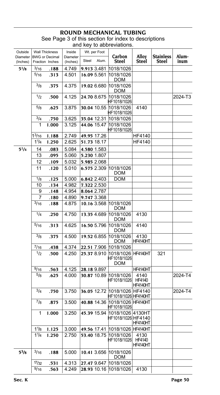## **ROUND MECHANICAL T** See Page 3 of this section for index to descriptions

|                     |                    |                                                |                    | and key to abbreviations. |                    |                                                      |                                   |                  |         |
|---------------------|--------------------|------------------------------------------------|--------------------|---------------------------|--------------------|------------------------------------------------------|-----------------------------------|------------------|---------|
| Outside<br>Diameter |                    | <b>Wall Thickness</b><br><b>BWG</b> or Decimal | Inside<br>Diameter |                           | Wt. per Foot       | Carbon                                               | Alloy                             | <b>Stainless</b> | Alum-   |
| (Inches)            |                    | Fraction Inches                                | (Inches)           | Steel                     | Alum.              | <b>Steel</b>                                         | Steel                             | Steel            | inum    |
| $5^{1}/8$           | 3/16               | .188                                           | 4.749              |                           | 9.913 3.481        | 1018/1026                                            |                                   |                  |         |
|                     | 5/16               | .313                                           | 4.501              |                           | 16.09 5.561        | 1018/1026<br>DOM                                     |                                   |                  |         |
|                     | 3/8                | .375                                           | 4.375              |                           | 19.02 6.680        | 1018/1026<br>DOM                                     |                                   |                  |         |
|                     | 1/2                | .500                                           | 4.125              |                           | 24.70 8.675        | 1018/1026<br>HF1018/1026                             |                                   |                  | 2024-T3 |
|                     | 5/8                | .625                                           | 3.875              |                           | 30.04 10.55        | 1018/1026<br>HF1018/1026                             | 4140                              |                  |         |
|                     | 3/4                | .750                                           | 3.625              |                           | 35.04 12.31        | 1018/1026                                            |                                   |                  |         |
|                     | 1                  | 1.000                                          | 3.125              |                           | 44.06 15.47        | 1018/1026<br>HF1018/1026                             |                                   |                  |         |
|                     | 1 <sup>3</sup> /16 | 1.188                                          | 2.749              |                           | 49.95 17.26        |                                                      | HF4140                            |                  |         |
|                     | 11/4               | 1.250                                          | 2.625              |                           | 51.73 18.17        |                                                      | HF4140                            |                  |         |
| 51/4                | 14                 | .083                                           | 5.084              |                           | 4.580 1.583        |                                                      |                                   |                  |         |
|                     | 13                 | .095                                           | 5.060              |                           | 5.230 1.807        |                                                      |                                   |                  |         |
|                     | 12                 | .109                                           | 5.032              |                           | 5.985 2.068        |                                                      |                                   |                  |         |
|                     | 11                 | .120                                           | 5.010              |                           | 6.575 2.309        | 1018/1026<br>DOM                                     |                                   |                  |         |
|                     | 1/8                | .125                                           | 5.000              |                           | 6.842 2.403        | DOM                                                  |                                   |                  |         |
|                     | 10                 | .134                                           | 4.982              |                           | 7.322 2.530        |                                                      |                                   |                  |         |
|                     | 9                  | .148                                           | 4.954              |                           | 8.064 2.787        |                                                      |                                   |                  |         |
|                     | 7                  | .180                                           | 4.890              |                           | 9.747 3.368        |                                                      |                                   |                  |         |
|                     | 3/16               | .188                                           | 4.875              |                           | 10.16 3.568        | 1018/1026<br>DOM                                     |                                   |                  |         |
|                     | 1/4                | .250                                           | 4.750              |                           | 13.35 4.689        | 1018/1026<br>DOM                                     | 4130                              |                  |         |
|                     | 5/16               | .313                                           | 4.625              |                           | 16.50 5.796        | 1018/1026<br>DOM                                     | 4140                              |                  |         |
|                     | 3/8                | .375                                           | 4.500              |                           | 19.52 6.855        | 1018/1026<br>DOM                                     | 4130<br>HF4140HT                  |                  |         |
|                     | $^{7/16}$          | .438                                           | 4.374              |                           | 22.51 7.906        | 1018/1026                                            |                                   |                  |         |
|                     | 1/2                | .500                                           | 4.250              |                           | 25.37 8.910        | 1018/1026 HF4140HT<br>HF1018/1026<br>DOM             |                                   | 321              |         |
|                     | 9/16               | .563                                           | 4.125              |                           | 28.18 9.897        |                                                      | <b>HF4140HT</b>                   |                  |         |
|                     | 5/8                | .625                                           | 4.000              |                           | <b>30.87</b> 10.89 | 1018/1026<br>HF1018/1026                             | 4140<br>HF4140<br>HF4140HT        |                  | 2024-T4 |
|                     | 3/4                | .750                                           | 3.750              |                           |                    | 36.05 12.72 1018/1026 HF4140<br>HF1018/1026 HF4140HT |                                   |                  | 2024-T4 |
|                     | $^{7}/8$           | .875                                           | 3.500              |                           | 40.88 14.36        | 1018/1026 HF4140HT<br>HF1018/1026                    |                                   |                  |         |
|                     | 1                  | 1.000                                          | 3.250              |                           |                    | 45.39 15.94 1018/1026 4130HT<br>HF1018/1026 HF4140   | HF4140HT                          |                  |         |
|                     | 11/8               | 1.125                                          | 3.000              |                           | 49.56 17.41        | 1018/1026                                            | HF4140HT                          |                  |         |
|                     | 11/4               | 1.250                                          | 2.750              |                           | 53.40 18.75        | 1018/1026<br>HF1018/1026                             | 4130<br>HF4140<br><b>HF4140HT</b> |                  |         |
| $5^{3}/8$           | 3/16               | .188                                           | 5.000              |                           | 10.41 3.656        | 1018/1026<br>DOM                                     |                                   |                  |         |
|                     | 17/32              | .531                                           | 4.313              |                           | 27.47 9.647        | 1018/1026                                            |                                   |                  |         |
|                     | 9/16               | .563                                           | 4.249              |                           | 28.93 10.16        | 1018/1026                                            | 4130                              |                  |         |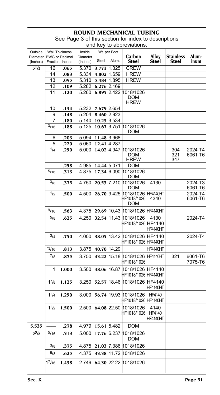# **ROUND MECHANICAL T**

| Outside<br>Diameter BWG or Decimal |                   | <b>Wall Thickness</b> | Inside<br>Diameter | Steel       | Wt. per Foot<br>Alum. | Carbon                                               | Alloy                             | <b>Stainless</b>  | Alum-              |
|------------------------------------|-------------------|-----------------------|--------------------|-------------|-----------------------|------------------------------------------------------|-----------------------------------|-------------------|--------------------|
| (Inches)                           |                   | Fraction Inches       | (Inches)           |             |                       | <b>Steel</b>                                         | Steel                             | Steel             | inum               |
| $5^{1}/2$                          | 16                | .065                  | 5.370              |             | 3.773 1.325           | <b>CREW</b>                                          |                                   |                   |                    |
|                                    | 14                | .083                  | 5.334              |             | 4.802 1.659           | <b>HREW</b>                                          |                                   |                   |                    |
|                                    | 13                | .095                  | 5.310              |             | 5.484 1.895           | <b>HREW</b>                                          |                                   |                   |                    |
|                                    | 12                | .109                  | 5.282              |             | 6.276 2.169           |                                                      |                                   |                   |                    |
|                                    | 11                | .120                  | 5.260              |             |                       | 6.895 2.422 1018/1026<br><b>DOM</b><br><b>HREW</b>   |                                   |                   |                    |
|                                    | 10                | .134                  | 5.232              |             | 7.679 2.654           |                                                      |                                   |                   |                    |
|                                    | 9                 | .148                  | 5.204              |             | 8.460 2.923           |                                                      |                                   |                   |                    |
|                                    | 7                 | .180                  | 5.140              |             | 10.23 3.534           |                                                      |                                   |                   |                    |
|                                    | 3/16              | .188                  | 5.125              |             |                       | 10.67 3.751 1018/1026<br>DOM                         |                                   |                   |                    |
|                                    | 6                 | .203                  | 5.094              |             | 11.48 3.968           |                                                      |                                   |                   |                    |
|                                    | 5                 | .220                  | 5.060              |             | 12.41 4.287           |                                                      |                                   |                   |                    |
|                                    | 1/4               | .250                  | 5.000              |             | 14.02 4.947           | 1018/1026<br>DOM<br><b>HREW</b>                      |                                   | 304<br>321<br>347 | 2024-T4<br>6061-T6 |
|                                    |                   | .258                  | 4.985              | 14.44 5.071 |                       | DOM                                                  |                                   |                   |                    |
|                                    | 5/16              | .313                  | 4.875              |             |                       | 17.34 6.090 1018/1026<br>DOM                         |                                   |                   |                    |
|                                    | 3/8               | .375                  | 4.750              |             |                       | 20.53 7.210 1018/1026<br>DOM                         | 4130                              |                   | 2024-T3<br>6061-T6 |
|                                    | 1/2               | .500                  | 4.500              |             |                       | 26.70 9.425 1018/1026 HF4140HT<br>HF1018/1026<br>DOM | 4340                              |                   | 2024-T4<br>6061-T6 |
|                                    | 9/16              | .563                  | 4.375              |             |                       | 29.69 10.43 1018/1026 HF4140HT                       |                                   |                   |                    |
|                                    | $^{5/8}$          | .625                  | 4.250              |             |                       | 32.54 11.43 1018/1026<br>HF1018/1026 HF4140          | 4130<br>HF4140HT                  |                   | 2024-T4            |
|                                    | 3/4               | .750                  | 4.000              |             |                       | 38.05 13.42 1018/1026 HF4140<br>HF1018/1026 HF4140HT |                                   |                   | 2024-T4            |
|                                    | 13/16             | .813                  | 3.875              |             | 40.70 14.29           |                                                      | HF4140HT                          |                   |                    |
|                                    | $^{7}/8$          | .875                  | 3.750              |             |                       | 43.22 15.18 1018/1026<br>HF1018/1026                 | <b>HF4140HT</b>                   | 321               | 6061-T6<br>7075-T6 |
|                                    | 1                 | 1.000                 | 3.500              |             |                       | 48.06 16.87 1018/1026 HF4140<br>HF1018/1026 HF4140HT |                                   |                   |                    |
|                                    | $1\frac{1}{8}$    | 1.125                 | 3.250              |             |                       | 52.57 18.46 1018/1026 HF4140                         | <b>HF4140HT</b>                   |                   |                    |
|                                    | 1 <sup>1</sup> /4 | 1.250                 | 3.000              |             |                       | 56.74 19.93 1018/1026<br>HF1018/1026 HF4140HT        | HF4140                            |                   |                    |
|                                    | 1 <sup>1</sup> /2 | 1.500                 | 2.500              |             |                       | 64.08 22.50 1018/1026<br>HF1018/1026                 | 4140<br>HF4140<br><b>HF4140HT</b> |                   |                    |
| 5.535                              |                   | .278                  | 4.979              |             | 15.61 5.482           | DOM                                                  |                                   |                   |                    |
| $5^{5}/8$                          | $^{5/16}$         | .313                  | 5.000              |             | 17.76 6.237           | 1018/1026<br>DOM                                     |                                   |                   |                    |
|                                    | $^{3}/8$          | .375                  | 4.875              |             |                       | 21.03 7.386 1018/1026                                |                                   |                   |                    |
|                                    | $^{5/8}$          | .625                  | 4.375              |             |                       | 33.38 11.72 1018/1026                                |                                   |                   |                    |
|                                    | 17/16             | 1.438                 | 2.749              |             |                       | 64.30 22.22 1018/1026                                |                                   |                   |                    |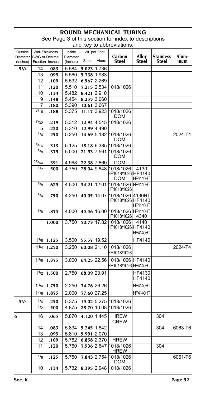| Outside              |                   | <b>Wall Thickness</b>                    | Inside               |       | Wt. per Foot |                                                      |                       |                           |               |
|----------------------|-------------------|------------------------------------------|----------------------|-------|--------------|------------------------------------------------------|-----------------------|---------------------------|---------------|
| Diameter<br>(Inches) |                   | <b>BWG</b> or Decimal<br>Fraction Inches | Diameter<br>(Inches) | Steel | Alum.        | Carbon<br>Steel                                      | <b>Alloy</b><br>Steel | <b>Stainless</b><br>Steel | Alum-<br>inum |
| $5^{3}/4$            | 14                | .083                                     | 5.584                |       | 5.023 1.736  |                                                      |                       |                           |               |
|                      | 13                | .095                                     | 5.560                |       | 5.738 1.983  |                                                      |                       |                           |               |
|                      | 12                | .109                                     | 5.532                |       | 6.567 2.269  |                                                      |                       |                           |               |
|                      | 11                | .120                                     | 5.510                |       |              | 7.215 2.534 1018/1026                                |                       |                           |               |
|                      | 10                | .134                                     | 5.482                |       | 8.421 2.910  |                                                      |                       |                           |               |
|                      | 9                 | .148                                     | 5.454                |       | 8.255 3.060  |                                                      |                       |                           |               |
|                      | 7                 | .180                                     | 5.390                |       | 10.61 3.667  |                                                      |                       |                           |               |
|                      | 3/16              | .188                                     | 5.375                |       | 11.17 3.923  | 1018/1026<br><b>DOM</b>                              |                       |                           |               |
|                      | 7/32              | .219                                     | 5.312                |       | 12.94 4.545  | 1018/1026                                            |                       |                           |               |
|                      | 5                 | .220                                     | 5.310                |       | 12.99 4.490  |                                                      |                       |                           |               |
|                      | 1/4               | .250                                     | 5.250                |       |              | 14.69 5.182 1018/1026<br>DOM                         |                       |                           | 2024-T4       |
|                      | 5/16              | .313                                     | 5.125                |       |              | 18.18 6.385 1018/1026                                |                       |                           |               |
|                      | 3/8               | .375                                     | 5.000                |       | 21.53 7.561  | 1018/1026<br><b>DOM</b>                              |                       |                           |               |
|                      | 25/64             | .391                                     | 4.968                |       | 22.38 7.860  | <b>DOM</b>                                           |                       |                           |               |
|                      | 1/2               | .500                                     | 4.750                |       |              | 28.04 9.848 1018/1026<br>HF1018/1026 HF4140<br>DOM   | 4130<br>HF4140HT      |                           |               |
|                      | 5/8               | .625                                     | 4.500                |       | 34.21 12.01  | 1018/1026 HF4140HT<br>HF1018/1026                    |                       |                           |               |
|                      | 3/4               | .750                                     | 4.250                |       | 40.05 14.07  | 1018/1026 4130HT<br>HF1018/1026 HF4140               | HF4140HT              |                           |               |
|                      | 7/8               | .875                                     | 4.000                |       |              | 45.56 16.00 1018/1026 HF4140HT<br>HF1018/1026        | 4340                  |                           |               |
|                      | 1                 | 1.000                                    | 3.750                |       |              | 50.73 17.82 1018/1026<br>HF1018/1026 HF4140          | 4140<br>HF4140HT      |                           |               |
|                      |                   | $1\frac{1}{8}$ 1.125                     | 3.500                |       | 55.57 19.52  |                                                      | HF4140                |                           |               |
|                      | 1 <sup>1</sup> /4 | 1.250                                    | 3.250                |       |              | 60.08 21.10 1018/1026<br>HF1018/1026                 |                       |                           | 2024-T4       |
|                      | $1^{3}/8$         | 1.375                                    | 3.000                |       |              | 64.25 22.56 1018/1026 HF4140<br>HF1018/1026 HF4140HT |                       |                           |               |
|                      |                   | $1\frac{1}{2}$ 1.500                     | 2.750                |       | 68.09 23.91  |                                                      | HF4130<br>HF4140      |                           |               |
|                      | $1^{3}/4$         | 1.750                                    | 2.250                |       | 74.76 26.26  |                                                      | HF4140HT              |                           |               |
|                      | $1^{7}/8$         | 1.875                                    | 2.000                |       | 77.60 27.25  |                                                      | HF4140HT              |                           |               |
| $5^{7}/8$            | 1/4               | .250                                     | 5.375                |       |              | 15.02 5.275 1018/1026                                |                       |                           |               |
|                      | 1/2               | .500                                     | 4.875                |       |              | 28.70 10.08 1018/1026                                |                       |                           |               |
| 6                    | 16                | .065                                     | 5.870                |       | 4.120 1.445  | <b>HREW</b><br><b>CREW</b>                           |                       | 304                       |               |
|                      | 14                | .083                                     | 5.834                |       | 5.245 1.842  |                                                      |                       | 304                       | 6063-T6       |
|                      | 13                | .095                                     | 5.810                |       | 5.991 2.070  |                                                      |                       |                           |               |
|                      | 12                | .109                                     | 5.782                |       | 6.858 2.370  | <b>HREW</b>                                          |                       |                           |               |
|                      | 11                | .120                                     | 5.760                |       | 7.536 2.647  | 1018/1026<br><b>HREW</b>                             |                       | 304                       |               |
|                      | $\frac{1}{8}$     | .125                                     | 5.750                |       | 7.843 2.754  | 1018/1026<br><b>DOM</b>                              |                       |                           | 6061-T6       |
|                      | 10                | .134                                     | 5.732                |       | 8.395 2.948  | 1018/1026                                            |                       |                           |               |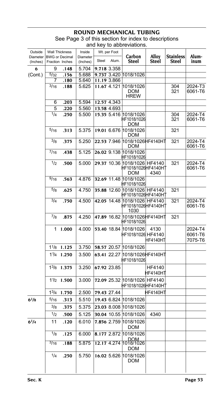## **ROUND MECHANICAL T**

| Outside                             |                   | <b>Wall Thickness</b> | Inside   |       | Wt. per Foot |                                                             |                       |                           |                               |
|-------------------------------------|-------------------|-----------------------|----------|-------|--------------|-------------------------------------------------------------|-----------------------|---------------------------|-------------------------------|
| Diameter BWG or Decimal<br>(Inches) |                   | Fraction Inches       | Diameter | Steel | Alum.        | Carbon<br><b>Steel</b>                                      | Alloy<br><b>Steel</b> | <b>Stainless</b><br>Steel | Alum-<br>inum                 |
|                                     |                   |                       | (Inches) |       |              |                                                             |                       |                           |                               |
| 6                                   | 9                 | .148                  | 5.704    |       | 9.718 3.358  |                                                             |                       |                           |                               |
| (Cont.)                             | 5/32              | .156                  | 5.688    |       |              | 9.737 3.420 1018/1026                                       |                       |                           |                               |
|                                     | 7                 | .180                  | 5.640    |       | 11.19 3.866  |                                                             |                       |                           |                               |
|                                     | 3/16              | .188                  | 5.625    |       |              | 11.67 4.121 1018/1026<br>DOM<br><b>HREW</b>                 |                       | 304<br>321                | 2024-T3<br>6061-T6            |
|                                     | 6                 | .203                  | 5.594    |       | 12.57 4.343  |                                                             |                       |                           |                               |
|                                     | 5                 | .220                  | 5.560    |       | 13.58 4.693  |                                                             |                       |                           |                               |
|                                     | 1/4               | .250                  | 5.500    |       |              | 15.35 5.416 1018/1026<br>HF1018/1026<br><b>DOM</b>          |                       | 304<br>321                | 2024-T4<br>6061-T6            |
|                                     | $^{5/16}$         | .313                  | 5.375    |       |              | 19.01 6.676 1018/1026<br>DOM                                |                       | 321                       |                               |
|                                     | $^{3}/8$          | .375                  | 5.250    |       |              | 22.53 7.946 1018/1026HF4140HT<br>DOM                        |                       | 321                       | 2024-T4<br>6061-T6            |
|                                     | $^{7/16}$         | .438                  | 5.125    |       |              | 26.02 9.138 1018/1026<br>HF1018/1026                        |                       |                           |                               |
|                                     | 1/2               | .500                  | 5.000    |       |              | 29.37 10.36 1018/1026 HF4140<br>HF1018/1026HF4140HT<br>DOM  | 4340                  | 321                       | 2024-T4<br>6061-T6            |
|                                     | 9/16              | .563                  | 4.876    |       |              | 32.69 11.48 1018/1026<br>HF1018/1026                        |                       |                           |                               |
|                                     | 5/8               | .625                  | 4.750    |       |              | 35.88 12.60 1018/1026 HF4140<br>HF1018/1026HF4140H1         |                       | 321                       |                               |
|                                     | 3/4               | .750                  | 4.500    |       |              | 42.05 14.48 1018/1026 HF4140<br>HF1018/1026HF4140HT<br>1030 |                       | 321                       | 2024-T4<br>6061-T6            |
|                                     | $^{7/8}$          | .875                  | 4.250    |       |              | 47.89 16.82 1018/1026 HF4140HT<br>HF1018/1026               |                       | 321                       |                               |
|                                     | 1                 | 1.000                 | 4.000    |       |              | 53.40 18.84 1018/1026<br>HF1018/1026 HF4140                 | 4130<br>HF4140HT      |                           | 2024-T4<br>6061-T6<br>7075-T6 |
|                                     |                   | $1^{1/8}$ 1.125       | 3.750    |       |              | 58.57 20.57 1018/1026                                       |                       |                           |                               |
|                                     |                   | $1^{1/4}$ 1.250       | 3.500    |       |              | 63.41 22.27 1018/1026HF4140HT<br>HF1018/1026                |                       |                           |                               |
|                                     | $1^{3}/8$         | 1.375                 | 3.250    |       | 67.92 23.85  |                                                             | HF4140<br>HF4140HT    |                           |                               |
|                                     |                   | $1\frac{1}{2}$ 1.500  | 3.000    |       |              | 72.09 25.32 1018/1026 HF4140<br>HF1018/1026HF4140HT         |                       |                           |                               |
|                                     | 1 <sup>3</sup> /4 | 1.750                 | 2.500    |       | 79.43 27.44  |                                                             | HF4140H1              |                           |                               |
| $6^{1}/8$                           | 5/16              | .313                  | 5.510    |       |              | 19.43 6.824 1018/1026                                       |                       |                           |                               |
|                                     | $^{3/8}$          | .375                  | 5.375    |       |              | 23.03 8.008 1018/1026                                       |                       |                           |                               |
|                                     |                   |                       |          |       |              |                                                             |                       |                           |                               |
|                                     | 1/2               | .500                  | 5.125    |       |              | 30.04 10.55 1018/1026                                       | 4340                  |                           |                               |
| $6^{1}/4$                           | 11                | .120                  | 6.010    |       |              | 7.856 2.759 1018/1026<br><b>DOM</b>                         |                       |                           |                               |
|                                     | 1/8<br>3/16       | .125                  | 6.000    |       |              | 8.177 2.872 1018/1026<br>DOM<br>12.17 4.274 1018/1026       |                       |                           |                               |
|                                     |                   | .188                  | 5.875    |       |              | <b>DOM</b>                                                  |                       |                           |                               |
|                                     | 1/4               | .250                  | 5.750    |       | 16.02 5.626  | 1018/1026<br>DOM                                            |                       |                           |                               |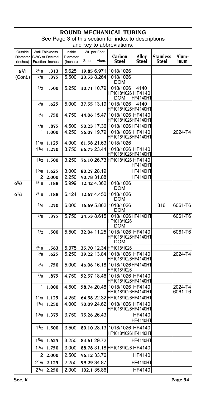## **ROUND MECHANICAL TUBING** See Page 3 of this section for index to descriptions

|                      |                   |                                          |                      |       |              | and key to abbreviations.                                         |                           |                                  |                    |
|----------------------|-------------------|------------------------------------------|----------------------|-------|--------------|-------------------------------------------------------------------|---------------------------|----------------------------------|--------------------|
| Outside              |                   | <b>Wall Thickness</b>                    | Inside               |       | Wt. per Foot |                                                                   |                           |                                  |                    |
| Diameter<br>(Inches) |                   | <b>BWG</b> or Decimal<br>Fraction Inches | Diameter<br>(Inches) | Steel | Alum.        | Carbon<br>Steel                                                   | Alloy<br>Steel            | <b>Stainless</b><br><b>Steel</b> | Alum-<br>inum      |
| $6^{1/4}$            | 5/16              | .313                                     | 5.625                |       | 19.85 6.971  | 1018/1026                                                         |                           |                                  |                    |
| (Cont.)              | 3/8               | .375                                     | 5.500                |       | 23.53 8.264  | 1018/1026<br><b>DOM</b>                                           |                           |                                  |                    |
|                      | 1/2               | .500                                     | 5.250                |       |              | 30.71 10.79 1018/1026<br>HF1018/1026 HF4140<br>DOM                | 4140<br>HF4140HT          |                                  |                    |
|                      | 5/8               | .625                                     | 5.000                |       |              | 37.55 13.19 1018/1026<br>HF1018/1026HF4140HT                      | 4140                      |                                  |                    |
|                      | 3/4               | .750                                     | 4.750                |       |              | 44.06 15.47 1018/1026 HF4140<br> HF1018/1026 HF4140HT             |                           |                                  |                    |
|                      | $^{7/8}$          | .875                                     | 4.500                |       |              | 50.23 17.36 1018/1026 HF4140HT                                    |                           |                                  |                    |
|                      | 1                 | 1.000                                    | 4.250                |       |              | 56.07 19.79 1018/1026 HF4140<br>HF1018/1026HF4140HT               |                           |                                  | 2024-T4            |
|                      | 11/8              | 1.125                                    | 4.000                |       |              | 61.58 21.63 1018/1026                                             |                           |                                  |                    |
|                      | 11/4              | 1.250                                    | 3.750                |       |              | 66.75 23.44 1018/1026 HF4140<br> HF1018/1026 HF4140HT             |                           |                                  |                    |
|                      | 11/2              | 1.500                                    | 3.250                |       |              | 76.10 26.73 HF1018/1026 HF4140                                    | HF4140HT                  |                                  |                    |
|                      | 15/8              | 1.625                                    | 3.000                |       | 80.27 28.19  |                                                                   | <b>HF4140HT</b>           |                                  |                    |
|                      | 2                 | 2.000                                    | 2.250                |       | 90.78 31.88  |                                                                   | <b>HF4140HT</b>           |                                  |                    |
| $6^3$ /8             | 3/16              | .188                                     | 5.999                |       | 12.42 4.362  | 1018/1026<br><b>DOM</b>                                           |                           |                                  |                    |
| $6^{1/2}$            | 3/16              | .188                                     | 6.124                |       | 12.67 4.450  | 1018/1026<br><b>DOM</b>                                           |                           |                                  |                    |
|                      | 1/4               | .250                                     | 6.000                |       | 16.69 5.862  | 1018/1026<br><b>DOM</b>                                           |                           | 316                              | 6061-T6            |
|                      | 3/8               | .375                                     | 5.750                |       | 24.53 8.615  | 1018/1026 HF4140HT<br>HF1018/1026<br>DOM                          |                           |                                  | 6061-T6            |
|                      | 1/2               | .500                                     | 5.500                |       |              | 32.04 11.25 1018/1026 HF4140<br>HF1018/1026HF4140HT<br><b>DOM</b> |                           |                                  | 6061-T6            |
|                      | 9/16              | .563                                     | 5.375                |       |              | 35.70 12.34 HF1018/1026                                           |                           |                                  |                    |
|                      | 5/8               | .625                                     | 5.250                |       |              | 39.22 13.84 1018/1026 HF4140<br>HF1018/1026HF4140HT               |                           |                                  | 2024-T4            |
|                      | 3/4               | .750                                     | 5.000                |       |              | 46.06 16.18 1018/1026 HF4140HT<br>HF1018/1026                     |                           |                                  |                    |
|                      | 7/8               | .875                                     | 4.750                |       |              | 52.57 18.46 1018/1026 HF4140<br>HF1018/1026HF4140HT               |                           |                                  |                    |
|                      | 1                 | 1.000                                    | 4.500                |       |              | 58.74 20.48 1018/1026 HF4140<br>HF1018/1026HF4140HT               |                           |                                  | 2024-T4<br>6061-T6 |
|                      | 11/8              | 1.125                                    | 4.250                |       |              | 64.58 22.32 HF1018/1026 HF4140 HT                                 |                           |                                  |                    |
|                      | 11/4              | 1.250                                    | 4.000                |       | 70.09 24.62  | 1018/1026 HF4140<br>HF1018/1026HF4140HT                           |                           |                                  |                    |
|                      | $1^{3}/8$         | 1.375                                    | 3.750                |       | 75.26 26.43  |                                                                   | HF4140<br><b>HF4140HT</b> |                                  |                    |
|                      |                   | $1\frac{1}{2}$ 1.500                     | 3.500                |       |              | 80.10 28.13 1018/1026 HF4140<br>HF1018/1026HF4140HT               |                           |                                  |                    |
|                      | 1 <sup>5</sup> /8 | 1.625                                    | 3.250                |       | 84.61 29.72  |                                                                   | HF4140HT                  |                                  |                    |
|                      | $1^{3}/4$         | 1.750                                    | 3.000                |       |              | 88.78 31.18 HF1018/1026 HF4140                                    |                           |                                  |                    |
|                      |                   | 22.000                                   | 2.500                |       | 96.12 33.76  |                                                                   | HF4140                    |                                  |                    |
|                      |                   | $2^{1}/8$ 2.125                          | 2.250                |       | 99.29 34.87  |                                                                   | HF4140HT                  |                                  |                    |
|                      |                   | $2^{1/4}$ 2.250                          | 2.000                |       | 102.1 35.86  |                                                                   | HF4140                    |                                  |                    |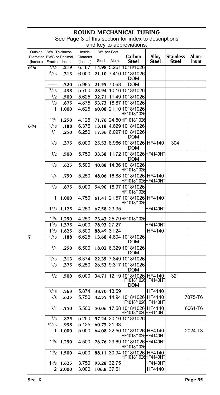| Outside<br>Diameter<br>(Inches) |                | <b>Wall Thickness</b><br><b>BWG</b> or Decimal<br>Fraction Inches | Inside<br>Diameter<br>(Inches) | Steel       | Wt. per Foot<br>Alum. | Carbon<br><b>Steel</b>                                             | <b>Alloy</b><br>Steel | <b>Stainless</b><br>Steel | Alum-<br>inum |
|---------------------------------|----------------|-------------------------------------------------------------------|--------------------------------|-------------|-----------------------|--------------------------------------------------------------------|-----------------------|---------------------------|---------------|
| $6^{5}/s$                       | 7/32           | .219                                                              | 6.187                          |             |                       | 14.98 5.261 1018/1026                                              |                       |                           |               |
|                                 | $\frac{5}{16}$ | .313                                                              | 6.000                          |             |                       | 21.10 7.410 1018/1026<br><b>DOM</b>                                |                       |                           |               |
|                                 |                | .320                                                              | 5.985                          |             | 21.55 7.568           | <b>DOM</b>                                                         |                       |                           |               |
|                                 | 7/16           | .438                                                              | 5.750                          |             |                       | 28.94 10.16 1018/1026                                              |                       |                           |               |
|                                 | 1/2            | .500                                                              | 5.625                          |             |                       | 32.71 11.49 1018/1026                                              |                       |                           |               |
|                                 | $^{7}/_8$      | .875                                                              | 4.875                          |             |                       | 53.73 18.87 1018/1026                                              |                       |                           |               |
|                                 | 1              | 1.000                                                             | 4.625                          |             |                       | 60.08 21.10 1018/1026<br>HF1018/1026                               |                       |                           |               |
|                                 | 11/4           | 1.250                                                             | 4.125                          |             |                       | 71.76 24.80 HF1018/1026                                            |                       |                           |               |
| $6^{3}/4$                       | 3/16           | .188                                                              | 6.375                          |             |                       | 13.18 4.629 1018/1026                                              |                       |                           |               |
|                                 | 1/4            | .250                                                              | 6.250                          |             |                       | 17.36 6.097 1018/1026<br>DOM                                       |                       |                           |               |
|                                 | 3/8            | .375                                                              | 6.000                          |             |                       | 25.53 8.966 1018/1026 HF4140<br><b>DOM</b>                         |                       | 304                       |               |
|                                 | 1/2            | .500                                                              | 5.750                          |             |                       | 33.38 11.72 1018/1026 HF4140HT<br>DOM                              |                       |                           |               |
|                                 | $^{5/8}$       | .625                                                              | 5.500                          |             |                       | 40.88 14.36 1018/1026<br>HF1018/1026                               |                       |                           |               |
|                                 | 3/4            | .750                                                              | 5.250                          |             |                       | 48.06 16.88 1018/1026 HF4140<br>HF1018/1026HF4140HT                |                       |                           |               |
|                                 | $^{7}/8$       | .875                                                              | 5.000                          |             |                       | 54.90 18.97 1018/1026<br>HF1018/1026                               |                       |                           |               |
|                                 | 1              | 1.000                                                             | 4.750                          |             |                       | 61.41 21.57 1018/1026 HF4140<br>HF1018/1026                        |                       |                           |               |
|                                 | $1^{1/8}$      | 1.125                                                             | 4.250                          |             | 67.58 23.35           |                                                                    | HF4140HT              |                           |               |
|                                 | 11/4           | 1.250                                                             | 4.250                          |             |                       | 73.43 25.79 HF1018/1026                                            |                       |                           |               |
|                                 | $1^{3}/8$      | 1.375                                                             | 4.000                          | 78.93 27.27 |                       |                                                                    | HF4140HT              |                           |               |
|                                 | $1^{5}/8$      | 1.625                                                             | 3.500                          |             | 88.49 31.24           |                                                                    | HF4140                |                           |               |
| 7                               | 3/16           | .188                                                              | 6.625                          |             |                       | 13.68 4.804 1018/1026<br>DOM                                       |                       |                           |               |
|                                 | 1/4            | .250                                                              | 6.500                          |             |                       | 18.02 6.329 1018/1026<br>DOM                                       |                       |                           |               |
|                                 | 5/16           | .313                                                              | 6.374                          |             |                       | 22.35 7.849 1018/1026                                              |                       |                           |               |
|                                 | 3/8            | .375                                                              | 6.250                          |             |                       | 26.53 9.317 1018/1026<br>DOM                                       |                       |                           |               |
|                                 | 1/2            | .500                                                              | 6.000                          |             |                       | 34.71 12.19 1018/1026 HF4140<br>HF1018/1026 HF4140HT<br><b>DOM</b> |                       | 321                       |               |
|                                 | 9/16           | .563                                                              | 5.874                          |             | 38.70 13.59           |                                                                    | HF4140                |                           |               |
|                                 | 5/8            | .625                                                              | 5.750                          |             |                       | 42.55 14.94 1018/1026 HF4140<br>HF1018/1026HF4140HT                |                       |                           | 7075-T6       |
|                                 | 3/4            | .750                                                              | 5.500                          |             |                       | 50.06 17.58 1018/1026 HF4140<br> HF1018/1026 HF4140HT              |                       |                           | 6061-T6       |
|                                 | $^{7}/_8$      | .875                                                              | 5.250                          |             |                       | 57.24 20.10 1018/1026                                              |                       |                           |               |
|                                 | 15/16          | .938                                                              | 5.125                          |             | 60.73 21.33           |                                                                    |                       |                           |               |
|                                 | 1              | 1.000                                                             | 5.000                          |             |                       | 64.08 22.50 1018/1026 HF4140<br> HF1018/1026 HF4140HT              |                       |                           | 2024-T3       |
|                                 | 11/4           | 1.250                                                             | 4.500                          |             |                       | 76.76 29.69 1018/1026 HF4140HT<br>HF1018/1026                      |                       |                           |               |
|                                 | 11/2           | 1.500                                                             | 4.000                          |             |                       | 88.11 30.94 1018/1026 HF4140<br>HF1018/1026 HF4140HT               |                       |                           |               |
|                                 | 15/8           | 1.625                                                             | 3.750                          |             | 93.28 32.75           |                                                                    | HF4140HT              |                           |               |
|                                 | 2              | 2.000                                                             | 3.000                          |             | 106.8 37.51           |                                                                    | <b>HF4140</b>         |                           |               |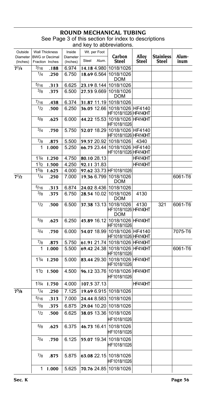#### **ROUND MECHANICAL T** See Page 3 of this section for index to descriptions and key to abbreviations.

| Outside<br>Diameter<br>(Inches) |                   | <b>Wall Thickness</b><br><b>BWG</b> or Decimal<br>Fraction Inches | Inside<br>Diameter<br>(Inches) | Wt. per Foot<br>Steel<br>Alum. | Carbon<br>Steel                    | Alloy<br><b>Steel</b> | <b>Stainless</b><br>Steel | Alum-<br>inum |
|---------------------------------|-------------------|-------------------------------------------------------------------|--------------------------------|--------------------------------|------------------------------------|-----------------------|---------------------------|---------------|
| $7^{1}/4$                       | $\frac{3}{16}$    | .188                                                              | 6.974                          | 14.18 4.980 1018/1026          |                                    |                       |                           |               |
|                                 | 1/4               | .250                                                              | 6.750                          | 18.69 6.564 1018/1026          |                                    |                       |                           |               |
|                                 |                   |                                                                   |                                |                                | DOM                                |                       |                           |               |
|                                 | 5/16              | .313                                                              | 6.625                          | 23.19 8.144 1018/1026          |                                    |                       |                           |               |
|                                 | 3/8               | .375                                                              | 6.500                          | 27.53 9.669                    | 1018/1026<br><b>DOM</b>            |                       |                           |               |
|                                 | 7/16              | .438                                                              | 6.374                          | 31.87 11.19 1018/1026          |                                    |                       |                           |               |
|                                 | 1/2               | .500                                                              | 6.250                          | 36.05 12.66 1018/1026 HF4140   | HF1018/1026 HF4140HT               |                       |                           |               |
|                                 | 5/8               | .625                                                              | 6.000                          | 44.22 15.53 1018/1026 HF4140HT | HF1018/1026                        |                       |                           |               |
|                                 | 3/4               | .750                                                              | 5.750                          | 52.07 18.29 1018/1026 HF4140   | HF1018/1026 HF4140HT               |                       |                           |               |
|                                 | 7/8               | .875                                                              | 5.500                          | 59.57 20.92 1018/1026          |                                    | 4340                  |                           |               |
|                                 | 1                 | 1.000                                                             | 5.250                          | 66.75 23.44 1018/1026 HF4140   | HF1018/1026 HF4140HT               |                       |                           |               |
|                                 | 11/4              | 1.250                                                             | 4.750                          | 80.10 28.13                    |                                    | HF4140HT              |                           |               |
|                                 | 11/2              | 1.500                                                             | 4.250                          | 92.11 31.83                    |                                    | <b>HF4140HT</b>       |                           |               |
|                                 | $1^{5}/8$         | 1.625                                                             | 4.000                          | 97.62 33.73 HF1018/1026        |                                    |                       |                           |               |
| 71/2                            | 1/4               | .250                                                              | 7.000                          | 19.36 6.799 1018/1026          | <b>DOM</b>                         |                       |                           | 6061-T6       |
|                                 | 5/16              | .313                                                              | 6.874                          | 24.02 8.436 1018/1026          |                                    |                       |                           |               |
|                                 | 3/8               | .375                                                              | 6.750                          | 28.54 10.02                    | 1018/1026<br>DOM                   | 4130                  |                           |               |
|                                 | 1/2               | .500                                                              | 6.500                          | 37.38 13.13 1018/1026          | HF1018/1026 HF4140HT<br><b>DOM</b> | 4130                  | 321                       | 6061-T6       |
|                                 | 5/8               | .625                                                              | 6.250                          | 45.89 16.12 1018/1026 HF4140HT | HF1018/1026                        |                       |                           |               |
|                                 | 3/4               | .750                                                              | 6.000                          | 54.07 18.99 1018/1026 HF4140   | HF1018/1026 HF4140HT               |                       |                           | 7075-T6       |
|                                 | 7/8               | .875                                                              | 5.750                          | 61.91 21.74 1018/1026 HF4140HT |                                    |                       |                           |               |
|                                 | 1                 | 1.000                                                             | 5.500                          | 69.42 24.38 1018/1026 HF4140HT | HF1018/1026                        |                       |                           | 6061-T6       |
|                                 | 11/4              | 1.250                                                             | 5.000                          | 83.44 29.30 1018/1026 HF4140HT | HF1018/1026                        |                       |                           |               |
|                                 | 1 <sup>1</sup> /2 | 1.500                                                             | 4.500                          | 96.12 33.76 1018/1026 HF4140HT | HF1018/1026                        |                       |                           |               |
|                                 | $1^{3}/4$         | 1.750                                                             | 4.000                          | 107.5 37.13                    |                                    | <b>HF4140HT</b>       |                           |               |
| $7^{5}/s$                       | 1/4               | .250                                                              | 7.125                          | 19.69 6.915 1018/1026          |                                    |                       |                           |               |
|                                 | 5/16              | .313                                                              | 7.000                          | 24.44 8.583 1018/1026          |                                    |                       |                           |               |
|                                 | $^{3}/8$          | .375                                                              | 6.875                          | 29.04 10.20 1018/1026          |                                    |                       |                           |               |
|                                 | 1/2               | .500                                                              | 6.625                          | 38.05 13.36 1018/1026          |                                    |                       |                           |               |
|                                 |                   |                                                                   |                                |                                | HF1018/1026                        |                       |                           |               |
|                                 | $^{5/8}$          | .625                                                              | 6.375                          | 46.73 16.41 1018/1026          | HF1018/1026                        |                       |                           |               |
|                                 | 3/4               | .750                                                              | 6.125                          | 55.07 19.34 1018/1026          | HF1018/1026                        |                       |                           |               |
|                                 | $^{7/8}$          | .875                                                              | 5.875                          | 63.08 22.15 1018/1026          | HF1018/1026                        |                       |                           |               |
|                                 | 1                 | 1.000                                                             | 5.625                          | 70.76 24.85 1018/1026          |                                    |                       |                           |               |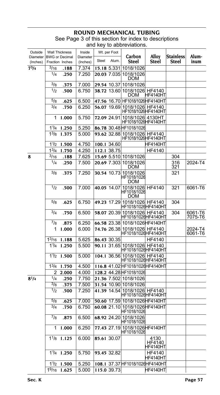### **ROUND MECHANICAL T** See Page 3 of this section for index to descriptions

and key to abbreviations.

| Outside              | <b>Wall Thickness</b>                    |       | Inside               |             | Wt. per Foot | Carbon                                                | Alloy                      |                           | Alum-              |
|----------------------|------------------------------------------|-------|----------------------|-------------|--------------|-------------------------------------------------------|----------------------------|---------------------------|--------------------|
| Diameter<br>(Inches) | <b>BWG</b> or Decimal<br>Fraction Inches |       | Diameter<br>(Inches) | Steel       | Alum.        | <b>Steel</b>                                          | Steel                      | <b>Stainless</b><br>Steel | inum               |
| $7^{3}/4$            | 3/16                                     | .188  | 7.374                |             | 15.18 5.331  | 1018/1026                                             |                            |                           |                    |
|                      | 1/4                                      | .250  | 7.250                |             |              | 20.03 7.035 1018/1026<br>DOM                          |                            |                           |                    |
|                      | $^{3/8}$                                 | .375  | 7.000                |             |              | 29.54 10.37 1018/1026                                 |                            |                           |                    |
|                      | 1/2                                      | .500  | 6.750                |             |              | 38.72 13.60 1018/1026 HF4140<br>DOM                   | HF4140HT                   |                           |                    |
|                      | 5/8                                      | .625  | 6.500                |             |              | 47.56 16.70 HF1018/1026 HF4140 HT                     |                            |                           |                    |
|                      | 3/4                                      | .750  | 6.250                |             |              | 56.07 19.69 1018/1026 HF4140<br>HF1018/1026HF4140HT   |                            |                           |                    |
|                      | 1                                        | 1.000 | 5.750                |             | 72.09 24.91  | 1018/1026 4130HT<br>HF1018/1026HF4140HT               |                            |                           |                    |
|                      | 11/4                                     | 1.250 | 5.250                |             |              | 86.78 30.48 HF1018/1026                               |                            |                           |                    |
|                      | $1^{3}/8$                                | 1.375 | 5.000                |             |              | 93.62 32.88 1018/1026 HF4140<br>HF1018/1026HF4140HT   |                            |                           |                    |
|                      | 11/2                                     | 1.500 | 4.750                |             | 100.1 34.60  |                                                       | HF4140HT                   |                           |                    |
|                      | $1^{3}/4$                                | 1.750 | 4.250                |             | 112.1 38.75  |                                                       | HF4140                     |                           |                    |
| 8                    | $^{3/16}$                                | .188  | 7.625                |             |              | 15.69 5.510 1018/1026                                 |                            | 304                       |                    |
|                      | 1/4                                      | .250  | 7.500                |             |              | 20.69 7.303 1018/1026<br>DOM                          |                            | 316<br>321                | 2024-T4            |
|                      | 3/8                                      | .375  | 7.250                |             |              | 30.54 10.73 1018/1026<br><b>DOM</b>                   |                            | 321                       |                    |
|                      | 1/2                                      | .500  | 7.000                |             |              | 40.05 14.07 1018/1026 HF4140<br><b>DOM</b>            |                            | 321                       | 6061-T6            |
|                      | 5/8                                      | .625  | 6.750                |             |              | 49.23 17.29 1018/1026 HF4140<br> HF1018/1026 HF4140HT |                            | 304                       |                    |
|                      | 3/4                                      | .750  | 6.500                |             |              | 58.07 20.39 1018/1026 HF4140<br>HF1018/1026HF4140HT   |                            | 304                       | 6061-T6<br>7075-T6 |
|                      | $^{7/8}$                                 | .875  | 6.250                |             |              | 66.58 23.38 1018/1026 HF4140 HT                       |                            |                           |                    |
|                      | 1                                        | 1.000 | 6.000                |             |              | 74.76 26.38 1018/1026 HF4140<br>HF1018/1026HF4140HT   |                            |                           | 2024-T4<br>6061-T6 |
|                      | $1^{3/16}$                               | 1.188 | 5.625                |             | 86.43 30.35  |                                                       | HF4140                     |                           |                    |
|                      | 11/4                                     | 1.250 | 5.500                |             |              | 90.11 31.65 1018/1026 HF4140<br>HF1018/1026HF4140HT   |                            |                           |                    |
|                      | 11/2                                     | 1.500 | 5.000                |             |              | 104.1 36.56 1018/1026 HF4140<br>HF1018/1026HF4140HT   |                            |                           |                    |
|                      | $1^{3}/4$                                | 1.750 | 4.500                |             |              | 116.8 41.02 HF1018/1026 HF4140 HT                     |                            |                           |                    |
|                      | 2                                        | 2.000 | 4.000                |             |              | 128.2 44.28 HF1018/1026                               |                            |                           |                    |
| $8^{1/4}$            | 1/4                                      | .250  | 7.750                |             |              | 21.36 7.502 1018/1026                                 |                            |                           |                    |
|                      | $^{3/8}$                                 | .375  | 7.500                |             |              | 31.54 10.90 1018/1026                                 |                            |                           |                    |
|                      | 1/2                                      | .500  | 7.250                |             |              | 41.39 14.54 1018/1026 HF4140<br>HF1018/1026HF4140HT   |                            |                           |                    |
|                      | $^{5/8}$<br>3/4                          | .625  | 7.000                |             |              | 50.60 17.59 1018/1026 HF4140 HT                       |                            |                           |                    |
|                      |                                          | .750  | 6.750                |             |              | 60.08 21.10 1018/1026 HF4140 HT<br>HF1018/1026        |                            |                           |                    |
|                      | $^{7}/8$                                 | .875  | 6.500                |             |              | 68.92 24.20 1018/1026<br><b>HF IUT8/TUZQ</b>          |                            |                           |                    |
|                      | 1                                        | 1.000 | 6.250                |             |              | 77.43 27.19 1018/1026 HF4140 HT<br>HF1018/1026        |                            |                           |                    |
|                      | 11/8                                     | 1.125 | 6.000                | 85.61 30.07 |              |                                                       | 4130<br>HF4140<br>HF4140HT |                           |                    |
|                      | 11/4                                     | 1.250 | 5.750                |             | 93.45 32.82  |                                                       | HF4140<br>HF4140HT         |                           |                    |
|                      | 11/2                                     | 1.500 | 5.250                |             |              | 108.1 37.37 HF1018/1026 HF4140HT                      |                            |                           |                    |
|                      | 19/16                                    | 1.625 | 5.000                |             | 115.0 39.73  |                                                       | HF4140HT                   |                           |                    |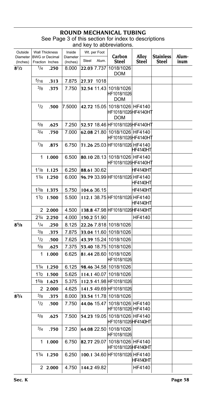## **ROUND MECHANICAL TUBING** See Page 3 of this section for index to descriptions

|                                      |                   |                       |                    |            |              | and key to abbreviations.                             |               |                  |       |
|--------------------------------------|-------------------|-----------------------|--------------------|------------|--------------|-------------------------------------------------------|---------------|------------------|-------|
| Outside<br>Diameter   BWG or Decimal |                   | <b>Wall Thickness</b> | Inside<br>Diameter |            | Wt. per Foot | Carbon                                                | Alloy         | <b>Stainless</b> | Alum- |
| (Inches)                             |                   | Fraction Inches       | (Inches)           | Steel      | Alum.        | Steel                                                 | Steel         | Steel            | inum  |
| $8^{1/2}$                            | 1/4               | .250                  | 8.000              |            | 22.03 7.737  | 1018/1026<br><b>DOM</b>                               |               |                  |       |
|                                      | 5/16              | .313                  | 7.875              | 27.37 1018 |              |                                                       |               |                  |       |
|                                      | 3/8               | .375                  | 7.750              |            |              | 32.54 11.43 1018/1026<br>HF1018/1026<br><b>DOM</b>    |               |                  |       |
|                                      | 1/2               | .500                  | 7.5000             |            | 42.72 15.05  | 1018/1026 HF4140<br>HF1018/1026HF4140HT<br><b>DOM</b> |               |                  |       |
|                                      | 5/8               | .625                  | 7.250              |            |              | 52.57 18.46 HF1018/1026 HF4140 HT                     |               |                  |       |
|                                      | 3/4               | .750                  | 7.000              |            | 62.08 21.80  | 1018/1026 HF4140<br>HF1018/1026HF4140HT               |               |                  |       |
|                                      | $^{7/8}$          | .875                  | 6.750              |            |              | 71.26 25.03 HF1018/1026 HF4140                        | HF4140HT      |                  |       |
|                                      | 1                 | 1.000                 | 6.500              |            |              | 80.10 28.13 1018/1026 HF4140<br>HF1018/1026HF4140H1   |               |                  |       |
|                                      | 11/8              | 1.125                 | 6.250              |            | 88.61 30.62  |                                                       | HF4140HT      |                  |       |
|                                      | 11/4              | 1.250                 | 6.000              |            |              | 96.79 33.99 HF1018/1026 HF4140                        | HF4140HT      |                  |       |
|                                      | 1 <sup>3</sup> /8 | 1.375                 | 5.750              |            | 104.6 36.15  |                                                       | HF4140HT      |                  |       |
|                                      | 11/2              | 1.500                 | 5.500              |            |              | 112.1 38.75 HF1018/1026 HF4140                        | HF4140HT      |                  |       |
|                                      |                   | 2 2.000               | 4.500              |            |              | 138.8 47.98 HF1018/1026 HF4140 HT                     |               |                  |       |
|                                      | $2^{1/4}$         | 2.250                 | 4.000              |            | 150.2 51.90  |                                                       | <b>HF4140</b> |                  |       |
| 85/8                                 | 1/4               | .250                  | 8.125              |            |              | 22.26 7.818 1018/1026                                 |               |                  |       |
|                                      | 3/8               | .375                  | 7.875              |            |              | 33.04 11.60 1018/1026                                 |               |                  |       |
|                                      | 1/2               | .500                  | 7.625              |            |              | 43.39 15.24 1018/1026                                 |               |                  |       |
|                                      | $^{5/8}$          | .625                  | 7.375              |            |              | 53.40 18.75 1018/1026                                 |               |                  |       |
|                                      | 1                 | 1.000                 | 6.625              |            |              | 81.44 28.60 1018/1026<br>HF1018/1026                  |               |                  |       |
|                                      | 11/4              | 1.250                 | 6.125              |            |              | 98.46 34.58 1018/1026                                 |               |                  |       |
|                                      | 11/2              | 1.500                 | 5.625              |            |              | 114.1 40.07 1018/1026                                 |               |                  |       |
|                                      | 15/8              | 1.625                 | 5.375              |            |              | 112.5 41.98 HF1018/1026                               |               |                  |       |
|                                      | 2                 | 2.000                 | 4.625              |            |              | 141.5 49.69 HF1018/1026                               |               |                  |       |
| 83/4                                 | 3/8               | .375                  | 8.000              |            |              | 33.54 11.78 1018/1026                                 |               |                  |       |
|                                      | 1/2               | .500                  | 7.750              |            |              | 44.06 15.47 1018/1026 HF4140<br>HF1018/1026 HF4140    |               |                  |       |
|                                      | $5/\mathrm{g}$    | .625                  | 7.500              |            |              | 54.23 19.05 1018/1026 HF4140<br>HF1018/1026 HF4140HT  |               |                  |       |
|                                      | 3/4               | .750                  | 7.250              |            |              | 64.08 22.50 1018/1026<br>HF1018/1026                  |               |                  |       |
|                                      | 1                 | 1.000                 | 6.750              |            |              | 82.77 29.07 1018/1026 HF4140<br>HF1018/1026HF4140HT   |               |                  |       |
|                                      | 11/4              | 1.250                 | 6.250              |            |              | 100.1 34.60 HF1018/1026 HF4140                        | HF4140HT      |                  |       |

2 **2.000** 4.750 **144.2** 49.82 HF4140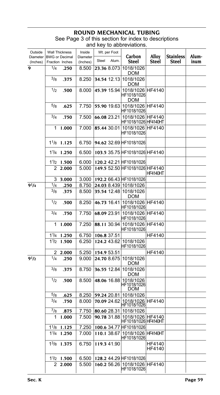#### **ROUND MECHANICAL T** See Page 3 of this section for index to descriptions and key to abbreviations.

| Outside                             |                   | <b>Wall Thickness</b> | Inside               |             | Wt. per Foot |                                                        |                  |                                  |               |
|-------------------------------------|-------------------|-----------------------|----------------------|-------------|--------------|--------------------------------------------------------|------------------|----------------------------------|---------------|
| Diameter BWG or Decimal<br>(Inches) |                   | Fraction Inches       | Diameter<br>(Inches) | Steel       | Alum.        | Carbon<br>Steel                                        | Alloy<br>Steel   | <b>Stainless</b><br><b>Steel</b> | Alum-<br>inum |
| 9                                   | 1/4               | .250                  | 8.500                |             |              | 23.36 8.073 1018/1026<br>DOM                           |                  |                                  |               |
|                                     | 3/8               | .375                  | 8.250                |             | 34.54 12.13  | 1018/1026<br>DOM                                       |                  |                                  |               |
|                                     | 1/2               | .500                  | 8.000                |             | 45.39 15.94  | 1018/1026 HF4140<br>HF1018/1026<br><b>DOM</b>          |                  |                                  |               |
|                                     | $^{5/8}$          | .625                  | 7.750                |             |              | 55.90 19.63 1018/1026 HF4140<br>HF1018/1026            |                  |                                  |               |
|                                     | $^{3/4}$          | .750                  | 7.500                |             |              | 66.08 23.21 1018/1026 HF4140<br>HF1018/1026 HF4140HT   |                  |                                  |               |
|                                     | 1                 | 1.000                 | 7.000                |             |              | 85.44 30.01 1018/1026 HF4140<br>HF1018/1026            |                  |                                  |               |
|                                     |                   | $1^{1/8}$ 1.125       | 6.750                |             |              | 94.62 32.69 HF1018/1026                                |                  |                                  |               |
|                                     |                   | 11/4 1.250            | 6.500                |             |              | 103.5 35.75 HF1018/1026 HF4140                         |                  |                                  |               |
|                                     |                   | $1\frac{1}{2}$ 1.500  | 6.000                |             |              | 120.2 42.21 HF1018/1026                                |                  |                                  |               |
|                                     | 2                 | 2.000                 | 5.000                |             |              | 149.5 52.50 HF1018/1026 HF4140                         | <b>HF4140HT</b>  |                                  |               |
|                                     | 3                 | 3.000                 | 3.000                |             |              | 192.2 66.43 HF1018/1026                                |                  |                                  |               |
| $9^{1}/4$                           | 1/4               | .250                  | 8.750                |             |              | 24.03 8.439 1018/1026                                  |                  |                                  |               |
|                                     | $^{3/8}$          | .375                  | 8.500                |             |              | 35.54 12.48 1018/1026<br>DOM                           |                  |                                  |               |
|                                     | 1/2               | .500                  | 8.250                |             | 46.73 16.41  | 1018/1026 HF4140<br>HF1018/1026                        |                  |                                  |               |
|                                     | 3/4               | .750                  | 7.750                |             | 68.09 23.91  | 1018/1026 HF4140<br>HF1018/1026                        |                  |                                  |               |
|                                     | 1                 | 1.000                 | 7.250                |             |              | 88.11 30.94 1018/1026 HF4140<br>HF1018/1026            |                  |                                  |               |
|                                     | 11/4              | 1.250                 | 6.750                |             | 106.8 37.51  |                                                        | HF4140           |                                  |               |
|                                     | 1 <sup>1</sup> /2 | 1.500                 | 6.250                |             |              | 124.2 43.62 1018/1026<br>HF1018/1026                   |                  |                                  |               |
|                                     | 2                 | 2.000                 | 5.250                | 154.9 53.51 |              |                                                        | HF4140           |                                  |               |
| $9^{1/2}$                           | 1/4               | .250                  | 9.000                |             | 24.70 8.675  | 1018/1026<br>DOM                                       |                  |                                  |               |
|                                     | 3/8               | .375                  | 8.750                |             | 36.55 12.84  | 1018/1026<br><b>DOM</b>                                |                  |                                  |               |
|                                     | 1/2               | .500                  | 8.500                |             |              | 48.06 16.88 1018/1026<br>HF1018/1026<br>DOM            |                  |                                  |               |
|                                     | $^{5/8}$          | .625                  | 8.250                |             |              | 59.24 20.81 1018/1026                                  |                  |                                  |               |
|                                     | 3/4               | .750                  | 8.000                |             | 70.09 24.62  | 1018/1026   HF4140<br> HF1018/1026                     |                  |                                  |               |
|                                     | $^{7}/8$          | .875                  | 7.750                |             |              | 80.60 28.31 1018/1026                                  |                  |                                  |               |
|                                     | 1                 | 1.000                 | 7.500                |             |              | 90.78 31.88 1018/1026 HF4140<br> HF1018/1026  HF4140HT |                  |                                  |               |
|                                     |                   | $1^{1/8}$ 1.125       | 7.250                |             |              | 100.6 34.77 HF1018/1026                                |                  |                                  |               |
|                                     |                   | 11/4 1.250            | 7.000                |             | 110.1 38.67  | 1018/1026 HF4140HT<br>HF1018/1026                      |                  |                                  |               |
|                                     |                   | $1^{3}/8$ 1.375       | 6.750                |             | 119.3 41.90  |                                                        | HF4140<br>HF4140 |                                  |               |
|                                     |                   | $1\frac{1}{2}$ 1.500  | 6.500                |             |              | 128.2 44.29 HF1018/1026                                |                  |                                  |               |
|                                     |                   | 2 2.000               | 5.500                |             |              | 160.2 56.26 1018/1026 HF4140<br>HF1018/1026            |                  |                                  |               |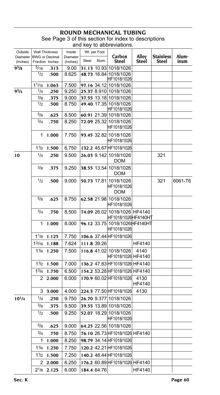### **ROUND MECHANICAL TUBING** See Page 3 of this section for index to descriptions and key to abbreviations.

| Outside<br>Diameter |                    | <b>Wall Thickness</b><br><b>BWG</b> or Decimal | Inside<br>Diameter |       | Wt. per Foot | Carbon                                              | Alloy          | <b>Stainless</b> | Alum-   |
|---------------------|--------------------|------------------------------------------------|--------------------|-------|--------------|-----------------------------------------------------|----------------|------------------|---------|
| (Inches)            |                    | Fraction Inches                                | (Inches)           | Steel | Alum.        | Steel                                               | Steel          | Steel            | inum    |
| 9 <sup>5</sup> /8   | 5/16               | .313                                           | 9.00               |       |              | 31.13 10.93 1018/1026                               |                |                  |         |
|                     | 1/2                | .500                                           | 8.625              |       |              | 48.73 16.84 1018/1026<br>HF1018/1026                |                |                  |         |
|                     | 11/16              | 1.063                                          | 7.500              |       |              | 97.16 34.12 1018/1026                               |                |                  |         |
| $9^{3}/4$           | 1/4                | .250                                           | 9.250              |       |              | 25.37 8.910 1018/1026                               |                |                  |         |
|                     | 3/8                | .375                                           | 9.000              |       |              | 37.55 13.18 1018/1026                               |                |                  |         |
|                     | 1/2                | .500                                           | 8.750              |       |              | 49.40 17.35 1018/1026<br>HF1018/1026                |                |                  |         |
|                     | 5/8                | .625                                           | 8.500              |       |              | 60.91 21.39 1018/1026                               |                |                  |         |
|                     | 3/4                | .750                                           | 8.250              |       |              | 72.09 25.32 1018/1026<br>HF1018/1026                |                |                  |         |
|                     | 1                  | 1.000                                          | 7.750              |       |              | 93.45 32.82 1018/1026<br>HF1018/1026                |                |                  |         |
|                     | 11/2               | 1.500                                          | 6.750              |       |              | 132.2 45.67 HF1018/1026                             |                |                  |         |
| 10                  | 1/4                | .250                                           | 9.500              |       |              | 26.03 9.142 1018/1026<br>DOM                        |                | 321              |         |
|                     | 3/8                | .375                                           | 9.250              |       |              | 38.55 13.54 1018/1026<br><b>DOM</b>                 |                |                  |         |
|                     | 1/2                | .500                                           | 9.000              |       |              | 50.73 17.81 1018/1026<br>HF1018/1026<br>DOM         |                | 321              | 6061-T6 |
|                     | 5/8                | .625                                           | 8.750              |       |              | 62.58 21.98 1018/1026<br>HF1018/1026                |                |                  |         |
|                     | 3/4                | .750                                           | 8.500              |       |              | 74.09 26.02 1018/1026 HF4140<br>HF1018/1026HF4140HT |                |                  |         |
|                     | 1                  | 1.000                                          | 8.000              |       |              | 96.12 33.75 1018/1026 HF4140 HT<br>HF1018/1026      |                |                  |         |
|                     | $1^{1/8}$          | 1.125                                          | 7.750              |       |              | 106.6 37.44 HF1018/1026                             |                |                  |         |
|                     | 1 <sup>3</sup> /16 | 1.188                                          | 7.624              |       | 111.8 39.26  |                                                     | HF4140         |                  |         |
|                     | 1 <sup>1</sup> /4  | 1.250                                          | 7.500              |       |              | 116.8 41.02 1018/1026<br> HF1018/1026  HF4140       | 4140           |                  |         |
|                     | 1 <sup>1</sup> /2  | 1.500                                          | 7.000              |       |              | 136.2 47.83 HF1018/1026 HF4140                      |                |                  |         |
|                     | $1^{3}/4$          | 1.750                                          | 6.500              |       |              | 154.2 53.28 HF1018/1026 HF4140                      |                |                  |         |
|                     | 2                  | 2.000                                          | 6.000              |       |              | 170.9 60.02 HF1018/1026                             | 4130<br>HF4140 |                  |         |
|                     | 3                  | 3.000                                          | 4.000              |       |              | 224.3 77.50 HF1018/1026                             | 4130           |                  |         |
| $10^{1/4}$          | 1/4                | .250                                           | 9.750              |       |              | 26.70 9.377 1018/1026                               |                |                  |         |
|                     | $^{3/8}$           | .375                                           | 9.500              |       |              | 39.55 13.89 1018/1026                               |                |                  |         |
|                     | 1/2                | .500                                           | 9.250              |       |              | 52.07 18.29 1018/1026<br>HF1018/1026                |                |                  |         |
|                     | $^{5/8}$           | .625                                           | 9.000              |       |              | 64.25 22.56 1018/1026                               |                |                  |         |
|                     | $^{3/4}$           | .750                                           | 8.750              |       |              | 76.10 26.73 HF1018/1026 HF4140                      |                |                  |         |
|                     | 1                  | 1.000                                          | 8.250              |       |              | 98.79 34.14 HF1018/1026                             |                |                  |         |
|                     | 11/4               | 1.250                                          | 7.750              |       |              | 120.2 42.21 HF1018/1026                             |                |                  |         |
|                     |                    |                                                |                    |       |              |                                                     |                |                  |         |
|                     | 1 <sup>1</sup> /2  | 1.500                                          | 7.250              |       |              | 140.2 48.44 HF1018/1026                             |                |                  |         |
|                     | 2                  | 2.000                                          | 6.250              |       |              | 176.2 60.89 HF1018/1026 HF4140                      |                |                  |         |
|                     |                    | $2^{1/8}$ 2.125                                | 6.000              |       | 184.4 64.76  |                                                     | HF4140         |                  |         |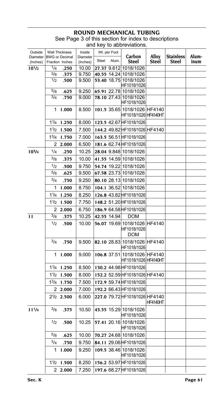### **ROUND MECHANICAL T** See Page 3 of this section for index to descriptions

and key to abbreviations.

| Outside                               |                | <b>Wall Thickness</b> | Inside               |       | Wt. per Foot | Carbon                                                    | Alloy        | <b>Stainless</b> | Alum- |
|---------------------------------------|----------------|-----------------------|----------------------|-------|--------------|-----------------------------------------------------------|--------------|------------------|-------|
| Diameter   BWG or Decimal<br>(Inches) |                | Fraction Inches       | Diameter<br>(Inches) | Steel | Alum.        | <b>Steel</b>                                              | <b>Steel</b> | Steel            | inum  |
| $10^{1/2}$                            | 1/4            | .250                  | 10.00                |       |              | 27.37 9.612 1018/1026                                     |              |                  |       |
|                                       | $^{3}/8$       | .375                  | 9.750                |       |              | 40.55 14.24 1018/1026                                     |              |                  |       |
|                                       | 1/2            | .500                  | 9.500                |       |              | 53.40 18.75 1018/1026<br>HF1018/1026                      |              |                  |       |
|                                       | 5/8            | .625                  | 9.250                |       |              | 65.91 22.78 1018/1026                                     |              |                  |       |
|                                       | 3/4            | .750                  | 9.000                |       |              | 78.10 27.43 1018/1026<br>HF1018/1026                      |              |                  |       |
|                                       | 1              | 1.000                 | 8.500                |       |              | 101.5 35.65 1018/1026 HF4140<br>HF1018/1026 HF4140HT      |              |                  |       |
|                                       |                | 11/4 1.250            | 8.000                |       |              | 123.5 42.67 HF1018/1026                                   |              |                  |       |
|                                       |                | 11/2 1.500            | 7.500                |       |              | 144.2 49.82 HF1018/1026 HF4140                            |              |                  |       |
|                                       |                | 13/4 1.750            | 7.000                |       |              | 163.5 56.51 HF1018/1026                                   |              |                  |       |
|                                       | 2              | 2.000                 | 6.500                |       |              | 181.6 62.74 HF1018/1026                                   |              |                  |       |
| $10^{3}/4$                            | 1/4            | .250                  | 10.25                |       |              | 28.04 9.848 1018/1026                                     |              |                  |       |
|                                       | 3/8            | .375                  | 10.00                |       |              | 41.55 14.59 1018/1026                                     |              |                  |       |
|                                       | 1/2            | .500                  | 9.750                |       |              | 54.74 19.22 1018/1026                                     |              |                  |       |
|                                       | $^{5/8}$       | .625                  | 9.500                |       |              | 67.58 23.73 1018/1026                                     |              |                  |       |
|                                       | $^{3/4}$       | .750                  | 9.250                |       |              | 80.10 28.13 1018/1026                                     |              |                  |       |
|                                       | 1              | 1.000                 | 8.750                |       |              | 104.1 36.52 1018/1026                                     |              |                  |       |
|                                       | $1\frac{1}{4}$ | 1.250                 | 8.250                |       |              | 126.8 43.82 HF1018/1026                                   |              |                  |       |
|                                       |                | $1\frac{1}{2}$ 1.500  | 7.750                |       |              | 148.2 51.20 HF1018/1026                                   |              |                  |       |
|                                       |                | 2 2.000               | 6.750                |       |              | 186.9 64.58 HF1018/1026                                   |              |                  |       |
| 11                                    | 3/8            | .375                  | 10.25                |       | 42.55 14.94  | <b>DOM</b>                                                |              |                  |       |
|                                       | 1/2            | .500                  | 10.00                |       |              | 56.07 19.69 1018/1026 HF4140<br>HF1018/1026<br><b>DOM</b> |              |                  |       |
|                                       | 3/4            | .750                  | 9.500                |       |              | 82.10 28.83 1018/1026 HF4140<br>HF1018/1026               |              |                  |       |
|                                       | 1              | 1.000                 | 9.000                |       |              | 106.8 37.51 1018/1026 HF4140<br>HF1018/1026 HF4140HT      |              |                  |       |
|                                       |                | $1\frac{1}{4}$ 1.250  | 8.500                |       |              | 130.2 44.98 HF1018/1026                                   |              |                  |       |
|                                       | 11/2           | 1.500                 | 8.000                |       |              | 152.2 52.59 HF1018/1026 HF4140                            |              |                  |       |
|                                       | $1^{3/4}$      | 1.750                 | 7.500                |       |              | 172.9 59.74 HF1018/1026                                   |              |                  |       |
|                                       |                | 2 2.000               | 7.000                |       |              | 192.2 66.43 HF1018/1026                                   |              |                  |       |
|                                       |                | $2\frac{1}{2}$ 2.500  | 6.000                |       |              | 227.0 79.72 HF1018/1026 HF4140                            | HF4140HT     |                  |       |
| $11^{1/4}$                            | $^{3/8}$       | .375                  | 10.50                |       |              | 43.55 15.29 1018/1026<br>HF1018/1026                      |              |                  |       |
|                                       | 1/2            | .500                  | 10.25                |       |              | 57.41 20.16 1018/1026<br>HF1018/1026                      |              |                  |       |
|                                       | $^{5/8}$       | .625                  | 10.00                |       |              | 70.27 24.68 1018/1026                                     |              |                  |       |
|                                       | 3/4            | .750                  | 9.750                |       |              | 84.11 29.06 HF1018/1026                                   |              |                  |       |
|                                       | 1              | 1.000                 | 9.250                |       |              | 109.5 38.46 1018/1026<br>HF1018/1026                      |              |                  |       |
|                                       | 11/2           | 1.500                 | 8.250                |       |              | 156.2 53.97 HF1018/1026                                   |              |                  |       |
|                                       |                | 22.000                | 7.250                |       |              | 197.6 68.27 HF1018/1026                                   |              |                  |       |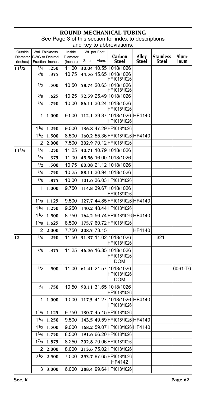### **ROUND MECHANICAL TUBING** See Page 3 of this section for index to descriptions and key to abbreviations.

| Outside<br>Diameter   BWG or Decimal |                | <b>Wall Thickness</b> | Inside<br>Diameter |       | Wt. per Foot | Carbon                                             | Alloy  | <b>Stainless</b> | Alum-   |
|--------------------------------------|----------------|-----------------------|--------------------|-------|--------------|----------------------------------------------------|--------|------------------|---------|
| (Inches)                             |                | Fraction Inches       | (Inches)           | Steel | Alum.        | <b>Steel</b>                                       | Steel  | Steel            | inum    |
| $11^{1/2}$                           | 1/4            | .250                  | 11.00              |       |              | 30.04 10.55 1018/1026                              |        |                  |         |
|                                      | 3/8            | .375                  | 10.75              |       |              | 44.56 15.65 1018/1026<br>HF1018/1026               |        |                  |         |
|                                      | 1/2            | .500                  | 10.50              |       |              | 58.74 20.63 1018/1026<br>HF1018/1026               |        |                  |         |
|                                      | 5/8            | .625                  | 10.25              |       |              | 72.59 25.49 1018/1026                              |        |                  |         |
|                                      | 3/4            | .750                  | 10.00              |       |              | 86.11 30.24 1018/1026<br>HF1018/1026               |        |                  |         |
|                                      | 1              | 1.000                 | 9.500              |       |              | 112.1 39.37 1018/1026 HF4140<br>HF1018/1026        |        |                  |         |
|                                      | $1\frac{1}{4}$ | 1.250                 | 9.000              |       |              | 136.8 47.29 HF1018/1026                            |        |                  |         |
|                                      | 11/2           | 1.500                 | 8.500              |       |              | 160.2 55.36 HF1018/1026 HF4140                     |        |                  |         |
|                                      | 2              | 2.000                 | 7.500              |       |              | 202.9 70.12 HF1018/1026                            |        |                  |         |
| $11^{3}/4$                           | 1/4            | .250                  | 11.25              |       |              | 30.71 10.79 1018/1026                              |        |                  |         |
|                                      | $^{3/8}$       | .375                  | 11.00              |       |              | 45.56 16.00 1018/1026                              |        |                  |         |
|                                      | 1/2            | .500                  | 10.75              |       |              | 60.08 21.12 1018/1026                              |        |                  |         |
|                                      | $^{3/4}$       | .750                  | 10.25              |       |              | 88.11 30.94 1018/1026                              |        |                  |         |
|                                      | $^{7/8}$       | .875                  | 10.00              |       |              | 101.6 36.03 HF1018/1026                            |        |                  |         |
|                                      | 1              | 1.000                 | 9.750              |       |              | 114.8 39.67 1018/1026<br>HF1018/1026               |        |                  |         |
|                                      | 11/8           | 1.125                 | 9.500              |       |              | 127.7 44.85 HF1018/1026 HF4140                     |        |                  |         |
|                                      | 11/4           | 1.250                 | 9.250              |       |              | 140.2 48.44 HF1018/1026                            |        |                  |         |
|                                      | 11/2           | 1.500                 | 8.750              |       |              | 164.2 56.74 HF1018/1026 HF4140                     |        |                  |         |
|                                      | 15/8           | 1.625                 | 8.500              |       |              | 175.7 60.72 HF1018/1026                            |        |                  |         |
|                                      | 2              | 2.000                 | 7.750              |       | 208.3 73.15  |                                                    | HF4140 |                  |         |
| 12                                   | 1/4            | .250                  | 11.50              |       |              | 31.37 11.02 1018/1026<br>HF1018/1026               |        | 321              |         |
|                                      | 3/8            | .375                  | 11.25              |       |              | 46.56 16.35 1018/1026<br>HF1018/1026<br><b>DOM</b> |        |                  |         |
|                                      | 1/2            | .500                  | 11.00              |       |              | 61.41 21.57 1018/1026<br>HF1018/1026<br><b>DOM</b> |        |                  | 6061-T6 |
|                                      | 3/4            | .750                  | 10.50              |       |              | 90.11 31.65 1018/1026<br>HF1018/1026               |        |                  |         |
|                                      | 1              | 1.000                 | 10.00              |       |              | 117.5 41.27 1018/1026 HF4140<br>HF1018/1026        |        |                  |         |
|                                      |                | $1^{1/8}$ 1.125       | 9.750              |       |              | 130.7 45.15 HF1018/1026                            |        |                  |         |
|                                      |                | 11/4 1.250            | 9.500              |       |              | 143.5 49.59 HF1018/1026 HF4140                     |        |                  |         |
|                                      |                | $1\frac{1}{2}$ 1.500  | 9.000              |       |              | 168.2 59.07 HF1018/1026 HF4140                     |        |                  |         |
|                                      |                | 13/4 1.750            | 8.500              |       |              | 191.6 66.20 HF1018/1026                            |        |                  |         |
|                                      |                | 17/8 1.875            | 8.250              |       |              | 202.8 70.06 HF1018/1026                            |        |                  |         |
|                                      |                | 22.000                | 8.000              |       |              | 213.6 75.02 HF1018/1026                            |        |                  |         |
|                                      |                | $2\frac{1}{2}$ 2.500  | 7.000              |       |              | 253.7 87.65 HF1018/1026<br>HF4142                  |        |                  |         |
|                                      | 3              | 3.000                 | 6.000              |       |              | 288.4 99.64 HF1018/1026                            |        |                  |         |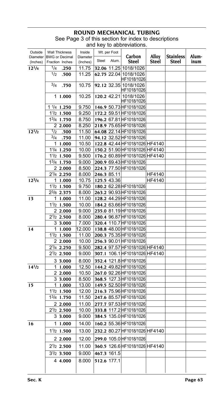### **ROUND MECHANICAL T** See Page 3 of this section for index to descriptions

and key to abbreviations.

|                                     |     |                                 |                      |       |              | <b>CONDICTION</b>                                  |                |                                  |       |
|-------------------------------------|-----|---------------------------------|----------------------|-------|--------------|----------------------------------------------------|----------------|----------------------------------|-------|
| Outside                             |     | <b>Wall Thickness</b>           | Inside               |       | Wt. per Foot |                                                    |                |                                  | Alum- |
| Diameter BWG or Decimal<br>(Inches) |     | Fraction Inches                 | Diameter<br>(Inches) | Steel | Alum.        | Carbon<br><b>Steel</b>                             | Alloy<br>Steel | <b>Stainless</b><br><b>Steel</b> | inum  |
| $12^{1/4}$                          | 1/4 | .250                            | 11.75                |       |              | 32.06 11.25 1018/1026                              |                |                                  |       |
|                                     | 1/2 | .500                            | 11.25                |       |              | 62.75 22.04 1018/1026                              |                |                                  |       |
|                                     |     |                                 |                      |       |              | HF1018/1026                                        |                |                                  |       |
|                                     | 3/4 | .750                            | 10.75                |       |              | 92.12 32.35 1018/1026                              |                |                                  |       |
|                                     |     |                                 |                      |       |              | HF1018/1026                                        |                |                                  |       |
|                                     |     | 11.000                          | 10.25                |       |              | 120.2 42.21 1018/1026                              |                |                                  |       |
|                                     |     | $1 \frac{1}{4}$ 1.250           | 9.750                |       |              | HF1018/1026<br>146.9 50.73 HF1018/1026             |                |                                  |       |
|                                     |     | $1\frac{1}{2}$ 1.500            | 9.250                |       |              | 172.2 59.51 HF1018/1026                            |                |                                  |       |
|                                     |     | 13/4 1.750                      | 8.750                |       |              | 196.2 67.81 HF1018/1026                            |                |                                  |       |
|                                     |     | 2 2.000                         | 8.250                |       |              | 218.9 75.65 HF1018/1026                            |                |                                  |       |
| $12^{1/2}$                          | 1/2 | .500                            | 11.50                |       |              | 64.08 22.14 HF1018/1026                            |                |                                  |       |
|                                     | 3/4 | .750                            | 11.00                |       |              | 94.12 32.52 HF1018/1026                            |                |                                  |       |
|                                     |     | 11.000                          | 10.50                |       |              | 122.8 42.44 HF1018/1026 HF4140                     |                |                                  |       |
|                                     |     | 11/4 1.250                      | 10.00                |       |              | 150.2 51.90 HF1018/1026 HF4140                     |                |                                  |       |
|                                     |     | $1\frac{1}{2}$ 1.500            | 9.500                |       |              | 176.2 60.89 HF1018/1026 HF4140                     |                |                                  |       |
|                                     |     | $13/4$ 1.750                    | 9.000                |       |              | 200.9 69.43 HF1018/1026                            |                |                                  |       |
|                                     |     | 2 2.000                         | 8.500                |       |              | 224.3 77.50 HF1018/1026                            |                |                                  |       |
|                                     |     | 21/4 2.250                      | 8.000                |       | 246.3 85.11  |                                                    | HF4140         |                                  |       |
| $12^{3}/4$                          |     | 11.000                          | 10.75                |       | 125.5 43.36  |                                                    | <b>HF4140</b>  |                                  |       |
|                                     |     | $1\frac{1}{2}$ 1.500            | 9.750                |       |              | 180.2 62.28 HF1018/1026                            |                |                                  |       |
|                                     |     | 23/8 2.375                      | 8.000                |       |              | 263.2 90.93 HF1018/1026                            |                |                                  |       |
| 13                                  |     | 11.000                          | 11.00                |       |              | 128.2 44.29 HF1018/1026                            |                |                                  |       |
|                                     |     | $1\frac{1}{2}$ 1.500            | 10.00                |       |              | 184.2 63.66 HF1018/1026                            |                |                                  |       |
|                                     |     | 2 2.000                         | 9.000                |       |              | 235.0 81.19 HF1018/1026                            |                |                                  |       |
|                                     |     | $2\frac{1}{2}$ 2.500            | 8.000                |       |              | 280.4 96.87 HF1018/1026                            |                |                                  |       |
|                                     |     | 33.000                          | 7.000                |       |              | 320.4 110.7 HF1018/1026                            |                |                                  |       |
| 14                                  |     | 11.000                          | 12.000<br>11.00      |       |              | 138.8 48.00 HF1018/1026                            |                |                                  |       |
|                                     |     | $1\frac{1}{2}$ 1.500<br>2 2.000 | 10.00                |       |              | 200.3 75.35 HF1018/1026<br>256.3 90.01 HF1018/1026 |                |                                  |       |
|                                     |     | 21/4 2.250                      | 9.500                |       |              | 282.4 97.57 HF1018/1026 HF4140                     |                |                                  |       |
|                                     |     | $2\frac{1}{2}$ 2.500            | 9.000                |       |              | 307.1 106.1 HF1018/1026 HF4140                     |                |                                  |       |
|                                     |     | 3 3.000                         | 8.000                |       |              | 352.4 121.8 HF1018/1026                            |                |                                  |       |
| $14^{1/2}$                          |     | 11.000                          | 12.50                |       |              | 144.2 49.82 HF1018/1026                            |                |                                  |       |
|                                     |     | 2 2.000                         | 10.50                |       |              | 267.0 92.26 HF1018/1026                            |                |                                  |       |
|                                     |     | 3 3.000                         | 8.500                |       |              | 368.5 127.3 HF1018/1026                            |                |                                  |       |
| 15                                  |     | 11.000                          | <u>13.00</u>         |       |              | 149.5 52.50 HF1018/1026                            |                |                                  |       |
|                                     |     | $1\frac{1}{2}$ 1.500            | 12.00                |       |              | 216.3 75.96 HF1018/1026                            |                |                                  |       |
|                                     |     | 13/4 1.750                      | 11.50                |       |              | 247.6 85.57 HF1018/1026                            |                |                                  |       |
|                                     |     | 2 2.000                         | 11.00                |       |              | 277.7 97.53 HF1018/1026                            |                |                                  |       |
|                                     |     | $2\frac{1}{2}$ 2.500            | 10.00                |       |              | 333.8 117.2 HF1018/1026                            |                |                                  |       |
|                                     |     | 33.000                          | 9.000                |       |              | 384.5 135.0 HF1018/1026                            |                |                                  |       |
| 16                                  |     | 11.000                          | 14.00                |       |              | 160.2 55.36 HF1018/1026                            |                |                                  |       |
|                                     |     | $1\frac{1}{2}$ 1.500            | 13.00                |       |              | 232.2 80.27 HF1018/1026 HF4140                     |                |                                  |       |
|                                     |     |                                 |                      |       |              |                                                    |                |                                  |       |
|                                     |     | 2 2.000                         | 12.00                |       |              | 299.0 105.0 HF1018/1026                            |                |                                  |       |
|                                     |     | 21/2 2.500                      | 11.00                |       |              | 360.5 126.6 HF1018/1026 HF4140                     |                |                                  |       |
|                                     |     | $3\frac{1}{2}$ 3.500            | 9.000                |       | 467.3 161.5  |                                                    |                |                                  |       |
|                                     |     | 4 4.000                         | 8.000                |       | 512.6 177.1  |                                                    |                |                                  |       |
|                                     |     |                                 |                      |       |              |                                                    |                |                                  |       |
|                                     |     |                                 |                      |       |              |                                                    |                |                                  |       |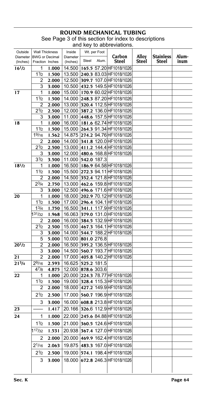## **ROUND MECHANICAL TUBING** See Page 3 of this section for index to descriptions

|                      | and key to abbreviations. |                                          |                      |       |              |                                      |                |                           |               |
|----------------------|---------------------------|------------------------------------------|----------------------|-------|--------------|--------------------------------------|----------------|---------------------------|---------------|
| Outside              |                           | <b>Wall Thickness</b>                    | Inside               |       | Wt. per Foot |                                      |                |                           |               |
| Diameter<br>(Inches) |                           | <b>BWG</b> or Decimal<br>Fraction Inches | Diameter<br>(Inches) | Steel | Alum.        | Carbon<br>Steel                      | Alloy<br>Steel | <b>Stainless</b><br>Steel | Alum-<br>inum |
| $16^{1/2}$           | 1                         | 1.000                                    | 14.500               |       |              | 165.5 57.20 HF1018/1026              |                |                           |               |
|                      | 11/2                      | 1.500                                    |                      |       |              | 13.500 240.3 83.03 HF1018/1026       |                |                           |               |
|                      | 2                         | 2.000                                    |                      |       |              | 12.500 309.7 107.0 HF1018/1026       |                |                           |               |
|                      | 3                         | 3.000                                    |                      |       |              | 10.500 432.5 149.5 HF1018/1026       |                |                           |               |
| 17                   | 1                         | 1.000                                    |                      |       |              | 15.000   170.9 60.02 HF1018/1026     |                |                           |               |
|                      | 11/2                      | 1.500                                    |                      |       |              | 14.000 248.3 87.20 HF1018/1026       |                |                           |               |
|                      | 2                         | 2.000                                    |                      |       |              | 13.000 320.4 112.5 HF1018/1026       |                |                           |               |
|                      | 21/2                      | 2.500                                    |                      |       |              | 12.000 387.2 136.0 HF1018/1026       |                |                           |               |
|                      | 3                         | 3.000                                    |                      |       |              | 11.000 448.6 157.5 HF1018/1026       |                |                           |               |
| 18                   | 1                         | 1.000                                    |                      |       |              | 16.000   181.6 62.74 HF1018/1026     |                |                           |               |
|                      | 11/2                      | 1.500                                    |                      |       |              | 15.000 264.3 91.34 HF1018/1026       |                |                           |               |
|                      | 19/16                     | 1.562                                    |                      |       |              | 14.875 274.2 94.76 HF1018/1026       |                |                           |               |
|                      | 2                         | 2.000                                    |                      |       |              | 14.000 341.8 120.0 HF1018/1026       |                |                           |               |
|                      | 21/2                      | 2.500                                    |                      |       |              | 13.000 411.2 144.4 HF1018/1026       |                |                           |               |
|                      | 3                         | 3.000                                    |                      |       |              | 12.000 480.6 168.8 HF1018/1026       |                |                           |               |
|                      | 3 <sup>1</sup> /2         | 3.500                                    | 11.000 542.0 187.3   |       |              |                                      |                |                           |               |
| $18^{1/2}$           | 1                         | 1.000                                    |                      |       |              | 16.500   186.9 64.58 HF1018/1026     |                |                           |               |
|                      | 11/2                      | 1.500                                    |                      |       |              | 15.500 272.3 94.11 HF1018/1026       |                |                           |               |
|                      | 2                         | 2.000                                    |                      |       |              | 14.500 352.4 121.8 HF1018/1026       |                |                           |               |
|                      | $2^{3/4}$                 | 2.750                                    |                      |       |              | 13.000 462.6 159.8 HF1018/1026       |                |                           |               |
|                      | 3                         | 3.000                                    |                      |       |              | 12.500 496.6 171.6 HF1018/1026       |                |                           |               |
| 20                   | 1                         | 1.000                                    |                      |       |              | 18.000 202.9 70.12 HF1018/1026       |                |                           |               |
|                      | 11/2                      | 1.500                                    |                      |       |              | 17.000 296.4 104.1 HF1018/1026       |                |                           |               |
|                      | $1^{3}/4$                 | 1.750                                    |                      |       |              | 16.500 341.1 117.9 HF1018/1026       |                |                           |               |
|                      | 1 <sup>31</sup> /32       | 1.968                                    |                      |       |              | 16.063 379.0 131.0 HF1018/1026       |                |                           |               |
|                      | 2                         | 2.000                                    |                      |       |              | 16.000 384.5 132.9 HF1018/1026       |                |                           |               |
|                      | 21/2                      | 2.500                                    |                      |       |              | 15.000 467.3 164.1 HF1018/1026       |                |                           |               |
|                      | 3                         | 3.000                                    |                      |       |              | 14.000 544.7 188.2 HF1018/1026       |                |                           |               |
|                      | 5                         | 5.000                                    | 10.000 801.0 276.8   |       |              |                                      |                |                           |               |
| $20^{1/2}$           | 2                         | 2.000                                    |                      |       |              | 16.500 395.2 136.5 HF1018/1026       |                |                           |               |
|                      | 3                         | 3.000                                    |                      |       |              | 14.500 560.7 193.7 HF1018/1026       |                |                           |               |
| 21                   | 2                         | 2.000                                    |                      |       |              | 17.000 405.8 140.2 HF1018/1026       |                |                           |               |
| $21^{3}/4$           | 29/16                     | 2.593                                    | 16.625 525.2 181.5   |       |              |                                      |                |                           |               |
|                      | 47/8                      | 4.875                                    | 12.000 878.6 303.6   |       |              |                                      |                |                           |               |
| 22                   | 1                         | 1.000                                    |                      |       |              | 20.000 224.3 78.77 HF1018/1026       |                |                           |               |
|                      | 11/2                      | 1.500                                    |                      |       |              | 19.000 328.4 115.3 HF1018/1026       |                |                           |               |
|                      | 2                         | 2.000                                    |                      |       |              | 18.000 427.2 149.9 HF1018/1026       |                |                           |               |
|                      | $2^{1/2}$                 | 2.500                                    |                      |       |              | 17.000 560.7 196.9 HF1018/1026       |                |                           |               |
|                      | 3                         | 3.000                                    |                      |       |              | 16.000 608.8 213.8 HF1018/1026       |                |                           |               |
| 23                   |                           | 1.417                                    |                      |       |              | 20.166 326.6 112.9 HF1018/1026       |                |                           |               |
| 24                   | 1                         |                                          |                      |       |              | 1.000 22.000 245.6 84.88 HF1018/1026 |                |                           |               |
|                      | 11/2                      | 1.500                                    |                      |       |              | 21.000 360.5 124.6 HF1018/1026       |                |                           |               |
|                      | 117/32                    | 1.531                                    |                      |       |              | 20.938 367.4 127.0 HF1018/1026       |                |                           |               |
|                      | 2                         | 2.000                                    |                      |       |              | 20.000 469.9 162.4 HF1018/1026       |                |                           |               |
|                      | $2^{1/16}$                | 2.063                                    |                      |       |              | 19.875 483.3 167.0 HF1018/1026       |                |                           |               |
|                      | 21/2                      | 2.500                                    |                      |       |              | 19.000   574.1 198.4 HF1018/1026     |                |                           |               |
|                      | 3                         | 3.000                                    |                      |       |              | 18.000 672.8 246.3 HF1018/1026       |                |                           |               |
|                      |                           |                                          |                      |       |              |                                      |                |                           |               |
|                      |                           |                                          |                      |       |              |                                      |                |                           |               |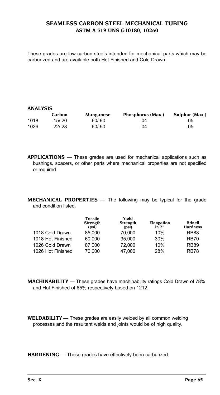#### **Seamless Carbon Steel Mechanical Tubing ASTM A 519 UNS G10180, 10260**

These grades are low carbon steels intended for mechanical parts which may be carburized and are available both Hot Finished and Cold Drawn.

#### **ANALYSIS**

|      | Carbon  | Manganese | Phosphorus (Max.) | Sulphur (Max.) |
|------|---------|-----------|-------------------|----------------|
| 1018 | .15/.20 | .60/.90   | .04               | .05            |
| 1026 | 22/28   | .60/.90   | .04               | .05            |

**APPLICATIONS** — These grades are used for mechanical applications such as bushings, spacers, or other parts where mechanical properties are not specified or required.

**MECHANICAL PROPERTIES** — The following may be typical for the grade and condition listed.

|                   | Tensile<br>Strength<br>(psi) | Yield<br><b>Strength</b><br>(psi) | Elongation<br>in $2"$ | <b>Brinell</b><br><b>Hardness</b> |
|-------------------|------------------------------|-----------------------------------|-----------------------|-----------------------------------|
| 1018 Cold Drawn   | 85.000                       | 70.000                            | 10%                   | <b>RB88</b>                       |
| 1018 Hot Finished | 60.000                       | 35.000                            | 30%                   | <b>RB70</b>                       |
| 1026 Cold Drawn   | 87.000                       | 72.000                            | 10%                   | <b>RB89</b>                       |
| 1026 Hot Finished | 70.000                       | 47.000                            | 28%                   | <b>RB78</b>                       |
|                   |                              |                                   |                       |                                   |

**machinability** — These grades have machinability ratings Cold Drawn of 78% and Hot Finished of 65% respectively based on 1212.

**WELDABILITY** — These grades are easily welded by all common welding processes and the resultant welds and joints would be of high quality.

**HARDENING** — These grades have effectively been carburized.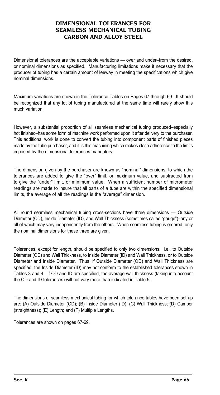### **DIMENSIONAL TOLERANCES FOR SEAMLESS MECHANICAL TUBING CARBON AND ALLOY STEEL**

Dimensional tolerances are the acceptable variations — over and under–from the desired, or nominal dimensions as specified. Manufacturing limitations make it necessary that the producer of tubing has a certain amount of leeway in meeting the specifications which give nominal dimensions.

Maximum variations are shown in the Tolerance Tables on Pages 67 through 69. It should be recognized that any lot of tubing manufactured at the same time will rarely show this much variation.

However, a substantial proportion of all seamless mechanical tubing produced–especially hot finished–has some form of machine work performed upon it after delivery to the purchaser. This additional work is done to convert the tubing into component parts of finished pieces made by the tube purchaser, and it is this machining which makes close adherence to the limits imposed by the dimensional tolerances mandatory.

The dimension given by the purchaser are known as "nominal" dimensions, to which the tolerances are added to give the "over" limit, or maximum value, and subtracted from to give the "under" limit, or minimum value. When a sufficient number of micrometer readings are made to insure that all parts of a tube are within the specified dimensional limits, the average of all the readings is the "average" dimension.

All round seamless mechanical tubing cross-sections have three dimensions — Outside Diameter (OD), Inside Diameter (ID), and Wall Thickness (sometimes called "gauge")–any or all of which may vary independently from the others. When seamless tubing is ordered, only the nominal dimensions for these three are given.

Tolerences, except for length, should be specified to only two dimensions: i.e., to Outside Diameter (OD) and Wall Thickness, to Inside Diameter (ID) and Wall Thickness, or to Outside Diameter and Inside Diameter. Thus, if Outside Diameter (OD) and Wall Thickness are specified, the Inside Diameter (ID) may not conform to the established tolerances shown in Tables 3 and 4. If OD and ID are specified, the average wall thickness (taking into account the OD and ID tolerances) will not vary more than indicated in Table 5.

The dimensions of seamless mechanical tubing for which tolerance tables have been set up are: (A) Outside Diameter (OD); (B) Inside Diameter (ID); (C) Wall Thickness; (D) Camber (straightness); (E) Length; and (F) Multiple Lengths.

Tolerances are shown on pages 67-69.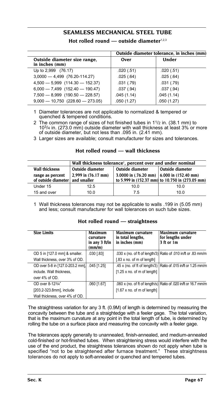## **SEAMLESS MECHANICAL STEEL TUBE**

Hot rolled round — outside diameter<sup>1,2,3</sup>

|                                                | Outside diameter tolerance, in inches (mm) |            |  |  |  |  |  |
|------------------------------------------------|--------------------------------------------|------------|--|--|--|--|--|
| Outside diameter size range,<br>in inches (mm) | Over                                       | Under      |  |  |  |  |  |
| Up to 2,999 (76.17)                            | .020(.51)                                  | .020(.51)  |  |  |  |  |  |
| $3,0000 - 4,499$ (76.20-114.27)                | .025(.64)                                  | .025(.64)  |  |  |  |  |  |
| $4,500 - 5,999$ $(114.30 - 152.37)$            | .031(.79)                                  | .031(.79)  |  |  |  |  |  |
| $6,000 - 7,499$ (152.40 - 190.47)              | .037(.94)                                  | .037(.94)  |  |  |  |  |  |
| $7,500 - 8,999$ (190.50 - 228.57)              | .045(1.14)                                 | .045(1.14) |  |  |  |  |  |
| $9,000 - 10,750$ (228.60 - 273.05)             | .050(1.27)                                 | .050(1.27) |  |  |  |  |  |

1 Diameter tolerances are not applicable to normalized & tempered or quenched & tempered conditions.

2 The common range of sizes of hot finished tubes in  $1<sup>1</sup>/2$  in. (38.1 mm) to 103/4 in. (273.0 mm) outside diameter with wall thickness at least 3% or more of outside diameter, but not less than .095 in. (2.41 mm).

3 Larger sizes are available; consult manufacturer for sizes and tolerances.

|                                                     | Wall thickness tolerance <sup>1</sup> , percent over and under nominal |                                                                |                                                  |  |  |  |  |  |  |  |
|-----------------------------------------------------|------------------------------------------------------------------------|----------------------------------------------------------------|--------------------------------------------------|--|--|--|--|--|--|--|
| <b>Wall thickness</b>                               | Outside diameter                                                       | Outside diameter                                               | Outside diameter                                 |  |  |  |  |  |  |  |
| range as percent<br>of outside diameter and smaller | 2,999 in (76.17 mm)                                                    | 3.0000 in $(.76.20 \text{ mm})$ 6.000 in $(152.40 \text{ mm})$ | to 5.999 in (152.37 mm) to 10.750 in (273.05 mm) |  |  |  |  |  |  |  |
|                                                     |                                                                        |                                                                |                                                  |  |  |  |  |  |  |  |
| Under 15                                            | 12.5                                                                   | 10.0                                                           | 10.0                                             |  |  |  |  |  |  |  |

#### **Hot rolled round — wall thickness**

1 Wall thickness tolerances may not be applicable to walls .199 in (5.05 mm) and less; consult manufacturer for wall tolerances on such tube sizes.

|  |  |  | Hot rolled round - straightness |
|--|--|--|---------------------------------|
|--|--|--|---------------------------------|

| <b>Size Limits</b>               | <b>Maximum</b><br>curvature<br>in any 3 ft/in<br>(mm/m) | Maximum curvature<br>in total lengths.<br>in inches (mm) | Maximum curvature<br>for lengths under<br>3 ft or 1m             |
|----------------------------------|---------------------------------------------------------|----------------------------------------------------------|------------------------------------------------------------------|
| OD 5 in [127.0 mm] & smaller.    | .030 [.83]                                              |                                                          | .030 x (no. of ft of length/3) Ratio of .010 in/ft or .83 mm/m   |
| Wall thickness, over 3% of OD.   |                                                         | $[.83 \times n$ o. of m of length]                       |                                                                  |
| OD over 5-8 in [127.0-203.2 mm], | .045 [1.25]                                             |                                                          | .45 x (no. of ft of length/3)   Ratio of .015 in/ft or 1.25 mm/m |
| include. Wall thickness,         |                                                         | $[1.25 \times n$ o. of m of length $]$                   |                                                                  |
| over 4% of OD.                   |                                                         |                                                          |                                                                  |
| OD over 8-123/4"                 | .060 [1.67]                                             |                                                          | .060 x (no. of ft of length/s) Ratio of .020 in/ft or 16.7 mm/m  |
| [203.2-323.8mm], include         |                                                         | $[1.67 \times n0.$ of m of length]                       |                                                                  |
| Wall thickness, over 4% of OD.   |                                                         |                                                          |                                                                  |

The straightness variation for any 3 ft. (0.9M) of length is determined by measuring the concavity between the tube and a straightedge with a feeler gage. The total variation, that is the maximum curvature at any point in the total length of tube, is determined by rolling the tube on a surface place and measuring the concavity with a feeler gage.

The tolerances apply generally to unannealed, finish-annealed, and medium-annealed cold-finished or hot-finished tubes. When straightening stress would interfere with the use of the end product, the straightness tolerances shown do not apply when tube is specified "not to be straightened after furnace treatment." These straightness tolerances do not apply to soft-annealed or quenched and tempered tubes.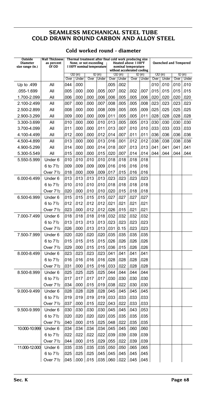### **SEAMLESS MECHANICAL STEEL TUBE COLD DRAWN ROUND CARBON AND ALLOY STEEL**

### **Cold worked round - diameter**

| Outside                      | Wall Thickness                     |            |              |                                                      |            |             |              | Thermal treatment after final cold work producing size |             |      |                              |      |           |
|------------------------------|------------------------------------|------------|--------------|------------------------------------------------------|------------|-------------|--------------|--------------------------------------------------------|-------------|------|------------------------------|------|-----------|
| Diameter<br>size range (in.) | as percent<br>Of OD                |            |              | None, or not exceeding<br>1100°F nominal temperature |            |             |              | Heated above 1100°F<br>nominal temperature             |             |      | <b>Quenched and Tempered</b> |      |           |
|                              |                                    |            |              |                                                      |            |             |              | without accelerated cooling                            |             |      |                              |      |           |
|                              |                                    |            | OD (in)      |                                                      | $ID$ (in)  |             | OD (in)      |                                                        | ID (in)     |      | OD (in)                      |      | $ID$ (in) |
|                              |                                    | Over       | Under        | Over                                                 | Under      | Over        | Under        | Over                                                   | Under       | Over | Under                        | Over | Under     |
| Up to .499                   | All                                | 044        | .000         |                                                      |            | 005         | .002         |                                                        |             | 010  | .010                         | 010  | .010      |
| .055-1.699                   | All                                | 005        | .000         | .000                                                 | 005        | .007        | .002         | .002                                                   | 007         | 015  | .015                         | 015  | .015      |
| 1.700-2.099                  | All                                | 006        | .000         | .000                                                 | 006        | .006        | .005         | .005                                                   | 006         | .020 | .020                         | .020 | .020      |
| 2.100-2.499                  | All                                | 007        | .000         | .000                                                 | 007        | .008        | .005         | .005                                                   | 008         | .023 | .023                         | 023  | .023      |
| 2.500-2.899                  | All                                | 008        | .000         | .000                                                 | 008        | .009        | .005         | .005                                                   | 009         | .025 | .025                         | 025  | .025      |
| 2.900-3.299                  | All                                | 009        | .000         | .000                                                 | 009        | 011         | 005          | .005                                                   | 011         | 028  | .028                         | 028  | .028      |
| 3.300-3.699                  | All                                | 010        | .000         | .000                                                 | 010        | .013        | .005         | .005                                                   | 013         | .030 | .030                         | 030  | .030      |
| 3.700-4.099                  | All                                | 011        | .000         | .000                                                 | .011       | .013        | 007          | .010                                                   | .010        | 033  | .033                         | 033  | .033      |
| 4.100-4.499                  | All                                | 012        | .000         | .000                                                 | 012        | 014         | .007         | .011                                                   | 011         | 036  | .036                         | 036  | .036      |
| 4.500-4.899                  | All                                | 013        | .000         | .000                                                 | 013        | .016        | .001         | .012                                                   | .012        | .038 | .038                         | 038  | .038      |
| 4.900-5.299                  | All                                | 014        | .000         | .000                                                 | 014        | .018        | .007         | .013                                                   | 013.        | .041 | .041                         | 041  | .041      |
| 5.300-5.549                  | Αll                                | 015        | .000         | .000                                                 | 015        | .020        | .007         | .014                                                   | 014         | 044  | .044                         | 044  | .044      |
| 5.550-5.999                  | Under <sub>6</sub>                 | 010        | .010         | .010                                                 | .010       | .018        | .018         | .018                                                   | .018        |      |                              |      |           |
|                              | 6 to 71/2                          | 009        | .009         | .009                                                 | .009       | .016        | .016         | .016                                                   | .016        |      |                              |      |           |
|                              | Over 71/2                          | 018        | .000         | .009                                                 | 009        | .017        | .015         | .016                                                   | .016        |      |                              |      |           |
| 6.000-6.499                  | Under <sub>6</sub>                 | 013        | .013         | .013                                                 | 013.       | .023        | .023         | .023                                                   | .023        |      |                              |      |           |
|                              | 6 to 7 <sup>1</sup> / <sub>2</sub> | 010        | .010         | .010                                                 | 010.       | .018        | 018.         | .018                                                   | 018.        |      |                              |      |           |
|                              | Over 71/2                          | 020        | .000         | .010                                                 | 010        | .020        | .015         | .018                                                   | 018         |      |                              |      |           |
| 6.500-6.999                  | Under <sub>6</sub>                 | 015        | .015         | .015                                                 | .015       | 027         | 027          | .027                                                   | 027         |      |                              |      |           |
|                              | 6 to 71/2                          | 012        | .012         | .012                                                 | 012        | .021        | .021         | .021                                                   | .021        |      |                              |      |           |
|                              | Over 71/2                          | 023        | .000         | .012                                                 | 012        | .026        | .015         | .021                                                   | .021        |      |                              |      |           |
| 7.000-7.499                  | Under <sub>6</sub>                 | 018        | .018         | .018                                                 | 018        | 032         | .032         | .032                                                   | 032         |      |                              |      |           |
|                              | 6 to 71/2                          | 013        | .013         | .013                                                 | 013        | .023        | 023          | .023                                                   | 023         |      |                              |      |           |
|                              | Over 71/2                          | 026        | .000         | .013                                                 | 013        | .031        | 0.15         | .023                                                   | 023         |      |                              |      |           |
| 7.500-7.999                  | Under <sub>6</sub>                 | 020        | .020         | .020                                                 | 020        | .035        | 035          | .035                                                   | .035        |      |                              |      |           |
|                              | 6 to 71/2                          | 015        | .015         | .015                                                 | .015       | .026        | 026          | .026                                                   | .026        |      |                              |      |           |
|                              | Over 7 <sup>1</sup> / <sub>2</sub> | 029        | .000         | .015                                                 | 015        | .036        | .015         | .026                                                   | 026         |      |                              |      |           |
| 8.000-8.499                  | Under 6                            | 023        | .023         | .023                                                 | .023       | 041         | .041         | .041                                                   | 041         |      |                              |      |           |
|                              | 6 to 71/2                          | 016        | .016         | .016                                                 | 016        | .028        | 028          | 028                                                    | 028         |      |                              |      |           |
|                              | Over 7 <sup>1</sup> /2             | 031        | .000         | .015                                                 | 016        | .033        | 022          | .028                                                   | 028         |      |                              |      |           |
| 8.500-8.999                  | Under 6                            | 025        | .025         | .025                                                 | 025        | 044         | .044         | .044                                                   | .044        |      |                              |      |           |
|                              | 6 to 71/2                          | 017        | .017         | .017                                                 | 017        | .030        | .030         | .030                                                   | .030        |      |                              |      |           |
|                              | Over 7½                            | 034        | .000         | .015                                                 | 019        | .038        | .022         | .030                                                   | 030         |      |                              |      |           |
| 9.000-9.499                  | Under 6                            | 028        | .028         | .028                                                 | 028        | .045        | 045          | .045                                                   | 045.        |      |                              |      |           |
|                              | 6 to 7 <sup>1</sup> / <sub>2</sub> | 019        | .019         | .019                                                 | 019        | .033        | 033          | .033                                                   | 033         |      |                              |      |           |
|                              | Over 7 <sup>1</sup> / <sub>2</sub> | 037        | .000         | .015                                                 | 022        | .043        | 022          | .033                                                   | .033        |      |                              |      |           |
| 9.500-9.999                  | Under 6                            | 030        | .030         | .030                                                 | .030       | .045        | 045          | .043                                                   | .053        |      |                              |      |           |
|                              | 6 to 7 <sup>1</sup> / <sub>2</sub> | 020        | .020         | .020                                                 | 020        | 035         | 035          | .035                                                   | .035        |      |                              |      |           |
| 10.000-10.999                | Over 71/2                          | 040<br>034 | .000<br>.034 | .015<br>.034                                         | 025<br>034 | 048         | 022<br>045   | .035                                                   | 035         |      |                              |      |           |
|                              | Under 6                            |            |              |                                                      |            | .045        |              | .060                                                   | 060         |      |                              |      |           |
|                              | 6 to 71/2                          | 022        | .022         | .022                                                 | 022        | .039        | 039          | .039                                                   | .039        |      |                              |      |           |
| 11.000-12.000                | Over 71/2<br>Under 6               | 044<br>035 | .000<br>.035 | .015<br>.035                                         | 029<br>035 | 055<br>.050 | .022<br>.050 | .039<br>.065                                           | 039<br>.065 |      |                              |      |           |
|                              | 6 to 71/2                          | 025        | .025         | .025                                                 | 045        | .045        | 045          | .045                                                   | .045        |      |                              |      |           |
|                              | Over 71/2                          | 045        | .000         | .015                                                 | 035        | .060        | .022         | .045                                                   | 045         |      |                              |      |           |
|                              |                                    |            |              |                                                      |            |             |              |                                                        |             |      |                              |      |           |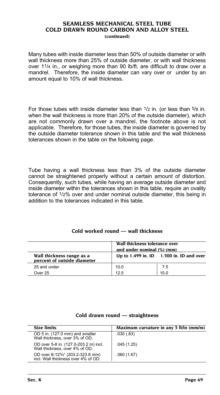#### **SEAMLESS MECHANICAL STEEL TUBE COLD DRAWN ROUND CARBON AND ALLOY STEEL (continued)**

Many tubes with inside diameter less than 50% of outside diameter or with wall thickness more than 25% of outside diameter, or with wall thickness over 11/4 in., or weighing more than 90 lb/ft. are difficult to draw over a mandrel. Therefore, the inside diameter can vary over or under by an amount equal to 10% of wall thickness.

For those tubes with inside diameter less than  $1/2$  in. (or less than  $5/8$  in. when the wall thickness is more than 20% of the outside diameter), which are not commonly drawn over a mandrel, the footnote above is not applicable. Therefore, for those tubes, the inside diameter is governed by the outside diameter tolerance shown in this table and the wall thickness tolerances shown in the table on the following page.

Tube having a wall thickness less than 3% of the outside diameter cannot be straightened properly without a certain amount of distortion. Consequently, such tubes, while having an average outside diameter and inside diameter within the tolerances shown in this table, require an ovality tolerance of 1/2% over and under nominal outside diameter, this being in addition to the tolerances indicated in this table.

#### **Cold worked round — wall thickness**

|                                                          | Wall thickness tolerance over<br>and under nominal (%) (mm) |                                              |  |  |
|----------------------------------------------------------|-------------------------------------------------------------|----------------------------------------------|--|--|
| Wall thickness range as a<br>percent of outside diameter |                                                             | Up to $1.499$ in. ID $1.500$ in. ID and over |  |  |
| 25 and under                                             | 10.0                                                        | 7.5                                          |  |  |
| Over 25                                                  | 12.5                                                        | 10.0                                         |  |  |

| <b>Size limits</b>                                                       | Maximum curvature in any 3 ft/in (mm/m) |
|--------------------------------------------------------------------------|-----------------------------------------|
| OD 5 in. (127.0 mm) and smaller<br>Wall thickness, over 3% of OD.        | .030(.83)                               |
| OD over 5-8 in. (127.0-203.2 m) incl.<br>Wall thickness, over 4% of OD.  | .045(1.25)                              |
| OD over 8-123/4" (203.2-323.8 mm)<br>incl. Wall thickness over 4% of OD. | .060(1.67)                              |

#### **Cold drawn round — straightness**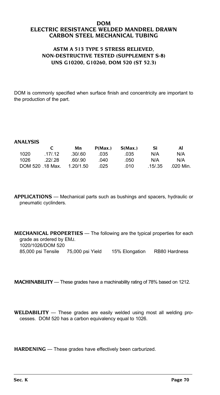#### **DOM Electric Resistance Welded Mandrel Drawn Carbon Steel Mechanical Tubing**

#### **ASTM A 513 Type 5 Stress Relieved, Non-destructive tested (supplement S-8) UNS G10200, G10260, DOM 520 (ST 52.3)**

DOM is commonly specified when surface finish and concentricity are important to the production of the part.

#### **ANALYSIS**

|      |                  | Mn        | P(Max.) | S(Max) | Si      | Al        |
|------|------------------|-----------|---------|--------|---------|-----------|
| 1020 | 17/12            | .30/60    | 035     | .035   | N/A     | N/A       |
| 1026 | .22/.28          | .60/.90   | 040     | .050   | N/A     | N/A       |
|      | DOM 520 .18 Max. | 1.20/1.50 | 025     | .010   | .15/.35 | .020 Min. |

**APPLICATIONS** — Mechanical parts such as bushings and spacers, hydraulic or pneumatic cyclinders.

**MECHANICAL PROPERTIES** — The following are the typical properties for each grade as ordered by EMJ. 1020/1026/DOM 520 85,000 psi Tensile 75,000 psi Yield 15% Elongation RB80 Hardness

**MACHINABILITY** — These grades have a machinability rating of 78% based on 1212.

**WELDABILITY** — These grades are easily welded using most all welding processes. DOM 520 has a carbon equivalency equal to 1026.

**HARDENING** — These grades have effectively been carburized.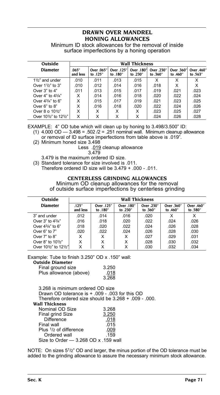## **DRAWN OVER MANDREL HONING ALLOWANCES**

Minimum ID stock allowances for the removal of inside surface imperfections by a honing operation

| Outside                                                                   | <b>Wall Thickness</b> |                        |                        |                        |                        |                        |                        |
|---------------------------------------------------------------------------|-----------------------|------------------------|------------------------|------------------------|------------------------|------------------------|------------------------|
| <b>Diameter</b>                                                           | .065"<br>and less     | Over .065"<br>to .125" | Over .125"<br>to .180" | Over .180"<br>to .230" | Over .230"<br>to .360" | Over .360"<br>to .460" | Over .460"<br>to .563" |
| $1\frac{1}{2}$ and under                                                  | .010                  | .011                   | .013                   | .015                   | X                      | X                      | x                      |
| Over $1\frac{1}{2}$ to 3"                                                 | .010                  | .012                   | .014                   | .016                   | .018                   | x                      | x                      |
| Over $3"$ to $4"$                                                         | .011                  | .013                   | .015                   | .017                   | .019                   | .021                   | .023                   |
| Over $4"$ to $43/4"$                                                      | X                     | .014                   | .016                   | .018                   | .020                   | .022                   | .024                   |
| Over $4\frac{3}{4}$ " to 6"                                               | x                     | .015                   | .017                   | .019                   | .021                   | .023                   | .025                   |
| Over $6"$ to $8"$                                                         | x                     | .016                   | .018                   | .020                   | .022                   | .024                   | .026                   |
| Over 8 o 101/2"                                                           | x                     | х                      | x                      | x                      | .023                   | .025                   | .027                   |
| Over 10 <sup>1</sup> / <sub>2</sub> " to 12 <sup>1</sup> / <sub>2</sub> " | x                     | x                      | x                      | X                      | .024                   | .026                   | .028                   |

EXAMPLE: 4" OD tube which will clean up by honing to 3.498/3.500" ID:

- (1) 4.000 OD 3.498 = .502 /2 = .251 nominal wall. Minimum cleanup allowance or removal of ID surface imperfections from table above is .019".
- (2) Minimum honed size 3.498

Less .019 cleanup allowance

3.479

3.479 is the maximum ordered ID size.

(3) Standard tolerance for size involved is .011. Therefore ordered ID size will be 3.479 + .000 - .011.

#### **CENTERLESS GRINDING ALLOWANCES**

Minimum OD cleanup allowances for the removal of outside surface imperfections by centerless grinding

| Outside                                                                   | <b>Wall Thickness</b> |                        |                        |                        |                        |                        |
|---------------------------------------------------------------------------|-----------------------|------------------------|------------------------|------------------------|------------------------|------------------------|
| <b>Diameter</b>                                                           | .125"<br>and less     | Over .125"<br>to .180" | Over .180"<br>to .230" | Over .230"<br>to .360" | Over .360"<br>to .460" | Over .460"<br>to .580" |
| 3" and under                                                              | .012                  | .014                   | .016                   | .020                   | x                      | X                      |
| Over $3"$ to $43/4"$                                                      | .016                  | .018                   | .020                   | .022                   | .024                   | .026                   |
| Over $43/4$ " to 6"                                                       | .018                  | .020                   | .022                   | .024                   | .026                   | .028                   |
| Over $6"$ to $7"$                                                         | .020                  | .022                   | .024                   | .026                   | .028                   | .030                   |
| Over $7"$ to $8"$                                                         | x                     | X                      | x                      | .027                   | .029                   | .031                   |
| Over 8" to $10^{1/2}$ "                                                   | x                     | x                      | x                      | .028                   | .030                   | .032                   |
| Over 10 <sup>1</sup> / <sub>2</sub> " to 12 <sup>1</sup> / <sub>2</sub> " | Χ                     | x                      | x                      | .030                   | .032                   | .034                   |

#### Example: Tube to finish 3.250" OD x .150" wall:

#### **Outside Diameter**

| Final ground size      | 3.250 |
|------------------------|-------|
| Plus allowance (above) | .018  |
|                        | 3.268 |

3.268 is minimum ordered OD size

Drawn OD tolerance is + .009 - .003 for this OD

Therefore ordered size should be 3.268 + .009 - .000.

#### **Wall Thickness**

| Nominal OD Size                      | 3.268 |
|--------------------------------------|-------|
| Final grind Size                     | 3.250 |
| <b>Difference</b>                    | .018  |
| Final wall                           | .015  |
| Plus 1/2 of difference               | .009  |
| Ordered wall                         | .159  |
| Size to Order - 3.268 OD x .159 wall |       |
|                                      |       |

NOTE: On sizes 5<sup>1</sup>/2" OD and larger, the minus portion of the OD tolerance must be added to the grinding allowance to assure the necessary minimum stock allowance.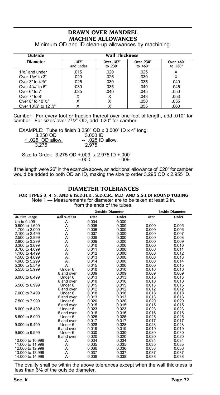# **DRAWN OVER MANDREL MACHINE ALLOWANCES**

| Outside                                                                   | <b>Wall Thickness</b> |                        |                        |                        |  |  |  |
|---------------------------------------------------------------------------|-----------------------|------------------------|------------------------|------------------------|--|--|--|
| <b>Diameter</b>                                                           | .187''<br>and under   | Over .187"<br>to .230" | Over .230"<br>to .460" | Over .460"<br>to .580" |  |  |  |
| $11/2$ " and under                                                        | .015                  | .020                   | .025                   | x                      |  |  |  |
| Over 11/2" to 3"                                                          | .020                  | .025                   | .030                   | х                      |  |  |  |
| Over $3"$ to $4^3/4"$                                                     | .025                  | .030                   | .035                   | .040                   |  |  |  |
| Over $4^3/4$ " to 6"                                                      | .030                  | .035                   | .040                   | .045                   |  |  |  |
| Over $6"$ to $7"$                                                         | .035                  | .040                   | .045                   | .050                   |  |  |  |
| Over 7" to 8"                                                             | x                     | x                      | .048                   | .053                   |  |  |  |
| Over 8" to $10^{1/2}$ "                                                   | x                     | x                      | .050                   | .055                   |  |  |  |
| Over 10 <sup>1</sup> / <sub>2</sub> " to 12 <sup>1</sup> / <sub>2</sub> " |                       | x                      | .055                   | .060                   |  |  |  |

Minimum OD and ID clean-up allowances by machining.

Camber: For every foot or fraction thereof over one foot of length, add .010" for camber. For sizes over 71/2" OD, add .020" for camber.

EXAMPLE: Tube to finish 3.250" OD x 3.000" ID x 4" long: 3.250 OD 3.000 ID + 025 OD allow. -- 025 ID allow. 3.275 2.975 Size to Order: 3.275 OD +.009 x 2.975 ID +.000  $-000$   $-009$ 

If the length were 26" in the example above, an additional allowance of .020" for camber would be added to both OD an ID, making the size to order 3.295 OD x 2.955 ID.

| TON TITLS 3, 7, 7, AND 0 (S.D.H.R., S.D.C.N., M.D. AND S.S.I.D) NOOND TODING<br>Note 1 — Measurements for diameter are to be taken at least 2 in.<br>from the ends of the tubes. |                    |       |                         |       |                        |  |  |  |
|----------------------------------------------------------------------------------------------------------------------------------------------------------------------------------|--------------------|-------|-------------------------|-------|------------------------|--|--|--|
|                                                                                                                                                                                  |                    |       | <b>Outside Diameter</b> |       | <b>Inside Diameter</b> |  |  |  |
| <b>OD Size Range</b>                                                                                                                                                             | Wall % of OD       | Over  | Under                   | Over  | Under                  |  |  |  |
| Up to 0.499                                                                                                                                                                      | All                | 0.004 | 0.000                   | ---   |                        |  |  |  |
| 0.500 to 1.699                                                                                                                                                                   | All                | 0.005 | 0.000                   | 0.000 | 0.005                  |  |  |  |
| 1.700 to 2.099                                                                                                                                                                   | All                | 0.006 | 0.000                   | 0.000 | 0.006                  |  |  |  |
| 2.100 to 2.499                                                                                                                                                                   | All                | 0.007 | 0.000                   | 0.000 | 0.007                  |  |  |  |
| 2.500 to 2.899                                                                                                                                                                   | All                | 0.008 | 0.000                   | 0.000 | 0.008                  |  |  |  |
| 2,900 to 3,299                                                                                                                                                                   | All                | 0.009 | 0.000                   | 0.000 | 0.009                  |  |  |  |
| 3.300 to 3.699                                                                                                                                                                   | All                | 0.010 | 0.000                   | 0.000 | 0.010                  |  |  |  |
| 3.700 to 4.099                                                                                                                                                                   | All                | 0.011 | 0.000                   | 0.000 | 0.011                  |  |  |  |
| 4.100 to 4.499                                                                                                                                                                   | All                | 0.012 | 0.000                   | 0.000 | 0.012                  |  |  |  |
| 4,500 to 4,899                                                                                                                                                                   | All                | 0.013 | 0.000                   | 0.000 | 0.013                  |  |  |  |
| 4.900 to 5.299                                                                                                                                                                   | All                | 0.014 | 0.000                   | 0.000 | 0.014                  |  |  |  |
| 5.300 to 5.549                                                                                                                                                                   | All                | 0.015 | 0.000                   | 0.000 | 0.015                  |  |  |  |
| 5.550 to 5.999                                                                                                                                                                   | Under <sub>6</sub> | 0.010 | 0.010                   | 0.010 | 0.010                  |  |  |  |
|                                                                                                                                                                                  | 6 and over         | 0.009 | 0.009                   | 0.009 | 0.009                  |  |  |  |
| 6,000 to 6,499                                                                                                                                                                   | Under 6            | 0.013 | 0.013                   | 0.013 | 0.013                  |  |  |  |
|                                                                                                                                                                                  | 6 and over         | 0.010 | 0.010                   | 0.010 | 0.010                  |  |  |  |
| 6,500 to 6,999                                                                                                                                                                   | Under 6            | 0.015 | 0.015                   | 0.015 | 0.015                  |  |  |  |
|                                                                                                                                                                                  | 6 and over         | 0.012 | 0.012                   | 0.012 | 0.012                  |  |  |  |
| 7,000 to 7,499                                                                                                                                                                   | Under 6            | 0.018 | 0.018                   | 0.018 | 0.018                  |  |  |  |
|                                                                                                                                                                                  | 6 and over         | 0.013 | 0.013                   | 0.013 | 0.013                  |  |  |  |
| 7.500 to 7.999                                                                                                                                                                   | Under 6            | 0.020 | 0.020                   | 0.020 | 0.020                  |  |  |  |
|                                                                                                                                                                                  | 6 and over         | 0.015 | 0.015                   | 0.015 | 0.015                  |  |  |  |
| 8,000 to 8,499                                                                                                                                                                   | Under 6            | 0.023 | 0.023                   | 0.023 | 0.023                  |  |  |  |
|                                                                                                                                                                                  | 6 and over         | 0.016 | 0.016                   | 0.016 | 0.016                  |  |  |  |
| 8.500 to 8.999                                                                                                                                                                   | Under 6            | 0.025 | 0.025                   | 0.025 | 0.025                  |  |  |  |
|                                                                                                                                                                                  | 6 and over         | 0.017 | 0.017                   | 0.017 | 0.017                  |  |  |  |
| 9,000 to 9,499                                                                                                                                                                   | Under 6            | 0.028 | 0.028                   | 0.028 | 0.028                  |  |  |  |
|                                                                                                                                                                                  | 6 and over         | 0.019 | 0.019                   | 0.019 | 0.019                  |  |  |  |
| 9.500 to 9.999                                                                                                                                                                   | Under 6            | 0.030 | 0.030                   | 0.030 | 0.030                  |  |  |  |
|                                                                                                                                                                                  | 6 and over         | 0.020 | 0.020                   | 0.020 | 0.020                  |  |  |  |
| 10,000 to 10,999                                                                                                                                                                 | All                | 0.034 | 0.034                   | 0.034 | 0.034                  |  |  |  |
| 11,000 to 11,999                                                                                                                                                                 | All                | 0.035 | 0.035                   | 0.035 | 0.035                  |  |  |  |
| 12,000 to 12,999                                                                                                                                                                 | All                | 0.036 | 0.036                   | 0.036 | 0.036                  |  |  |  |
| 13,000 to 13,999                                                                                                                                                                 | All                | 0.037 | 0.037                   | 0.037 | 0.037                  |  |  |  |
| 14,000 to 14,999                                                                                                                                                                 | All                | 0.038 | 0.038                   | 0.038 | 0.038                  |  |  |  |
|                                                                                                                                                                                  |                    |       |                         |       |                        |  |  |  |

**DIAMETER TOLERANCES FOR TYPES 3, 4, 5, AND 6 (S.D.H.R., S.D.C.R., M.D. AND S.S.I.D) ROUND TUBING**

The ovality shall be within the above tolerances except when the wall thickness is less than 3% of the outside diameter.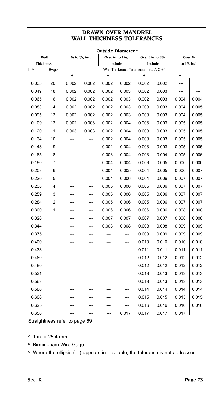### **DRAWN OVER MANDREL WALL THICKNESS TOLERANCES**

|                  | Outside Diameter <sup>A</sup> |                                             |                |           |                                         |                   |         |              |                    |  |
|------------------|-------------------------------|---------------------------------------------|----------------|-----------|-----------------------------------------|-------------------|---------|--------------|--------------------|--|
|                  | Wall                          | $3$ /s to $7$ /s, incl<br>Over 7/8 to 17/8, |                |           |                                         | Over 17/8 to 33/4 |         |              | Over $\frac{3}{4}$ |  |
| <b>Thickness</b> |                               |                                             |                | include   |                                         |                   | include | to 15, incl. |                    |  |
| In. <sup>A</sup> | Bwg. <sup>B</sup>             |                                             |                |           | Wall Thickness Tolerances, in., A,C +/- |                   |         |              |                    |  |
|                  |                               | $\ddot{}$                                   | $\overline{a}$ | $\ddot{}$ | $\overline{a}$                          | $\ddot{}$         |         | $\ddot{}$    | $\overline{a}$     |  |
| 0.035            | 20                            | 0.002                                       | 0.002          | 0.002     | 0.002                                   | 0.002             | 0.002   | ---          |                    |  |
| 0.049            | 18                            | 0.002                                       | 0.002          | 0.002     | 0.003                                   | 0.002             | 0.003   |              |                    |  |
| 0.065            | 16                            | 0.002                                       | 0.002          | 0.002     | 0.003                                   | 0.002             | 0.003   | 0.004        | 0.004              |  |
| 0.083            | 14                            | 0.002                                       | 0.002          | 0.002     | 0.003                                   | 0.003             | 0.003   | 0.004        | 0.005              |  |
| 0.095            | 13                            | 0.002                                       | 0.002          | 0.002     | 0.003                                   | 0.003             | 0.003   | 0.004        | 0.005              |  |
| 0.109            | 12                            | 0.002                                       | 0.003          | 0.002     | 0.004                                   | 0.003             | 0.003   | 0.005        | 0.005              |  |
| 0.120            | 11                            | 0.003                                       | 0.003          | 0.002     | 0.004                                   | 0.003             | 0.003   | 0.005        | 0.005              |  |
| 0.134            | 10                            |                                             |                | 0.002     | 0.004                                   | 0.003             | 0.003   | 0.005        | 0.005              |  |
| 0.148            | 9                             | ---                                         | ---            | 0.002     | 0.004                                   | 0.003             | 0.003   | 0.005        | 0.005              |  |
| 0.165            | 8                             | ---                                         | ---            | 0.003     | 0.004                                   | 0.003             | 0.004   | 0.005        | 0.006              |  |
| 0.180            | 7                             |                                             | ---            | 0.004     | 0.004                                   | 0.003             | 0.005   | 0.006        | 0.006              |  |
| 0.203            | 6                             |                                             | ---            | 0.004     | 0.005                                   | 0.004             | 0.005   | 0.006        | 0.007              |  |
| 0.220            | 5                             |                                             | ---            | 0.004     | 0.006                                   | 0.004             | 0.006   | 0.007        | 0.007              |  |
| 0.238            | 4                             | ---                                         | ---            | 0.005     | 0.006                                   | 0.005             | 0.006   | 0.007        | 0.007              |  |
| 0.259            | 3                             |                                             | ---            | 0.005     | 0.006                                   | 0.005             | 0.006   | 0.007        | 0.007              |  |
| 0.284            | 2                             |                                             | ---            | 0.005     | 0.006                                   | 0.005             | 0.006   | 0.007        | 0.007              |  |
| 0.300            | 1                             |                                             |                | 0.006     | 0.006                                   | 0.006             | 0.006   | 0.008        | 0.008              |  |
| 0.320            |                               |                                             | ---            | 0.007     | 0.007                                   | 0.007             | 0.007   | 0.008        | 0.008              |  |
| 0.344            |                               |                                             | ---            | 0.008     | 0.008                                   | 0.008             | 0.008   | 0.009        | 0.009              |  |
| 0.375            |                               | ---                                         | ---            | ---       | ---                                     | 0.009             | 0.009   | 0.009        | 0.009              |  |
| 0.400            |                               |                                             | ---            | ---       | ---                                     | 0.010             | 0.010   | 0.010        | 0.010              |  |
| 0.438            |                               | ---                                         | ---            | ---       | ---                                     | 0.011             | 0.011   | 0.011        | 0.011              |  |
| 0.460            |                               |                                             |                |           | ---                                     | 0.012             | 0.012   | 0.012        | 0.012              |  |
| 0.480            |                               |                                             |                |           | ---                                     | 0.012             | 0.012   | 0.012        | 0.012              |  |
| 0.531            |                               |                                             |                | ---       | ---                                     | 0.013             | 0.013   | 0.013        | 0.013              |  |
| 0.563            |                               |                                             |                | ---       | ---                                     | 0.013             | 0.013   | 0.013        | 0.013              |  |
| 0.580            |                               |                                             |                | ---       | ---                                     | 0.014             | 0.014   | 0.014        | 0.014              |  |
| 0.600            |                               |                                             |                |           |                                         | 0.015             | 0.015   | 0.015        | 0.015              |  |
| 0.625            |                               |                                             |                |           | ---                                     | 0.016             | 0.016   | 0.016        | 0.016              |  |
| 0.650            |                               | ---                                         | ---            | ---       | 0.017                                   | 0.017             | 0.017   | 0.017        |                    |  |

Straightness refer to page 69

- $^{\circ}$  1 in. = 25.4 mm.
- <sup>B</sup> Birmingham Wire Gage

 $\circ$  Where the ellipsis (---) appears in this table, the tolerance is not addressed.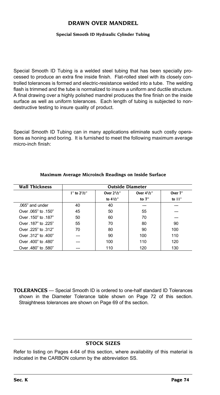### **DRAWN OVER MANDREL**

### **Special Smooth ID Hydraulic Cylinder Tubing**

Special Smooth ID Tubing is a welded steel tubing that has been specially processed to produce an extra fine inside finish. Flat-rolled steel with its closely controlled tolerances is formed and electric-resistance welded into a tube. The welding flash is trimmed and the tube is normalized to insure a uniform and ductile structure. A final drawing over a highly polished mandrel produces the fine finish on the inside surface as well as uniform tolerances. Each length of tubing is subjected to nondestructive testing to insure quality of product.

Special Smooth ID Tubing can in many applications eliminate such costly operations as honing and boring. It is furnished to meet the following maximum average micro-inch finish:

| <b>Wall Thickness</b> | <b>Outside Diameter</b> |                  |                  |          |  |  |  |
|-----------------------|-------------------------|------------------|------------------|----------|--|--|--|
|                       | $1''$ to $2^{1}/2''$    | Over $2^{1}/2$ " | Over $4^{1}/2$ " | Over 7"  |  |  |  |
|                       |                         | to $4^{1}/2$ "   | to $7"$          | to $11"$ |  |  |  |
| .065" and under       | 40                      | 40               |                  |          |  |  |  |
| Over 065" to 150"     | 45                      | 50               | 55               |          |  |  |  |
| Over .150" to .187"   | 50                      | 60               | 70               |          |  |  |  |
| Over .187" to .225"   | 55                      | 70               | 80               | 90       |  |  |  |
| Over 225" to 312"     | 70                      | 80               | 90               | 100      |  |  |  |
| Over 312" to 400"     |                         | 90               | 100              | 110      |  |  |  |
| Over 400" to 480"     |                         | 100              | 110              | 120      |  |  |  |
| Over 480" to 580"     |                         | 110              | 120              | 130      |  |  |  |

#### **Maximum Average Microinch Readings on Inside Surface**

**TOLERANCES** — Special Smooth ID is ordered to one-half standard ID Tolerances shown in the Diameter Tolerance table shown on Page 72 of this section. Straightness tolerances are shown on Page 69 of ths section.

### **Stock Sizes**

Refer to listing on Pages 4-64 of this section, where availability of this material is indicated in the CARBON column by the abbreviation SS.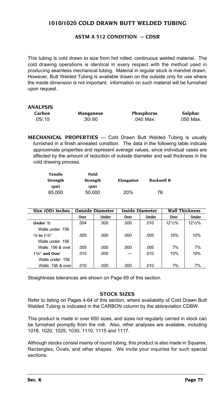# **1010/1020 COLD DRAWN BUTT WELDED TUBING**

### **ASTM A 512 Condition -- CDSR**

This tubing is cold drawn to size from hot rolled, continuous welded material. The cold drawing operations is identical in every respect with the method used in producing seamless mechanical tubing. Material in regular stock is mandrel drawn. However, Butt Welded Tubing is available drawn on the outside only for use where the inside dimension is not important; information on such material will be furnished upon request.

| ANALYSIS |           |                   |           |
|----------|-----------|-------------------|-----------|
| Carbon   | Manganese | <b>Phosphorus</b> | Sulphur   |
| .05/.15  | .30/0.60  | .040 Max.         | .050 Max. |

**MECHANICAL PROPERTIES** — Cold Drawn Butt Welded Tubing is usually furnished in a finish annealed condition. The data in the following table indicate approximate properties and represent average values, since individual cases are affected by the amount of reduction of outside diameter and wall thickness in the cold drawing process.

| Tensile         | Yield           |            |            |
|-----------------|-----------------|------------|------------|
| <b>Strength</b> | <b>Strength</b> | Elongation | Rockwell B |
| (psi)           | (psi)           |            |            |
| 65.000          | 50.000          | 20%        | 76         |

| Size (OD) Inches                 | <b>Outside Diameter</b> |       |      | <b>Inside Diameter</b> | <b>Wall Thickness</b> |        |
|----------------------------------|-------------------------|-------|------|------------------------|-----------------------|--------|
|                                  | Over                    | Under | Over | <b>Under</b>           | Over                  | Under  |
| Under $1/2$                      | .004                    | .000  | .000 | .010                   | $12^{1/2}\%$          | 121/2% |
| Walls under 156                  |                         |       |      |                        |                       |        |
| $\frac{1}{2}$ to $\frac{1}{2}$ " | .005                    | .000  | .000 | .005                   | 10%                   | 10%    |
| Walls under 156                  |                         |       |      |                        |                       |        |
| Walls .156 & over                | .005                    | .000  | .000 | .005                   | 7%                    | 7%     |
| $11/2$ " and Over                | .010                    | .000  | ---  | .010                   | 10%                   | 10%    |
| Walls under .156                 |                         |       |      |                        |                       |        |
| Walls .156 & over                | .010                    | .000  | .000 | .010                   | 7%                    | 7%     |

Straightness tolerances are shown on Page 69 of this section.

### **Stock Sizes**

Refer to listing on Pages 4-64 of this section, where availability of Cold Drawn Butt Welded Tubing is indicated in the CARBON column by the abbreviation CDBW.

This product is made in over 600 sizes, and sizes not regularly carried in stock can be furnished promptly from the mill. Also, other analyses are available, including 1018, 1020, 1025, 1030, 1110, 1115 and 1117.

Although stocks consist mainly of round tubing, this product is also made in Squares, Rectangles, Ovals, and other shapes. We invite your inquiries for such special sections.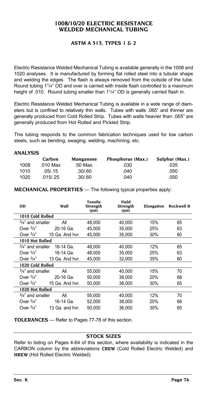### **1008/10/20 ELECTRIC RESISTANCE WELDED MECHANICAL TUBING**

### **ASTM A 513, Types 1 & 2**

Electric Resistance Welded Mechanical Tubing is available generally in the 1008 and 1020 analyses. It is manufactured by forming flat rolled steel into a tubular shape and welding the edges. The flash is always removed from the outside of the tube. Round tubing 11/4" OD and over is carried with inside flash controlled to a maximum height of .010. Round tubing smaller than 1<sup>1</sup>/4" OD is generally carried flash in.

Electric Resistance Welded Mechanical Tubing is available in a wide range of diameters but is confined to relatively thin walls. Tubes with walls .065" and thinner are generally produced from Cold Rolled Strip. Tubes with walls heavier than .065" are generally produced from Hot Rolled and Pickled Strip.

This tubing responds to the common fabrication techniques used for low carbon steels, such as bending, swaging, welding, machining, etc.

### **ANALYSIS**

|      | Carbon   | Manganese | Phosphorus (Max.) | Sulphur (Max.) |
|------|----------|-----------|-------------------|----------------|
| 1008 | .010 Max | .50 Max.  | .030              | .035           |
| 1010 | .05/.15  | .30/60    | .040              | .050           |
| 1020 | .015/.25 | .30/60    | .040              | .050           |

**MECHANICAL PROPERTIES** — The following typical properties apply:

| 0D                   | Wall            | <b>Tensile</b><br>Strength<br>(psi) | Yield<br>Strength<br>(psi) |     | Elongation Rockwell B |
|----------------------|-----------------|-------------------------------------|----------------------------|-----|-----------------------|
| 1010 Cold Rolled     |                 |                                     |                            |     |                       |
| $3/4$ " and smaller  | All             | 48.000                              | 40.000                     | 15% | 65                    |
| Over $3/4$ "         | 20-16 Ga.       | 45.000                              | 35.000                     | 25% | 63                    |
| Over $\frac{3}{4}$ " | 15 Ga. And hvr. | 45.000                              | 35.000                     | 30% | 60                    |
| 1010 Hot Rolled      |                 |                                     |                            |     |                       |
| $3/4$ " and smaller  | 16-14 Ga.       | 48,000                              | 40.000                     | 12% | 65                    |
| Over $3/4$ "         | 16-14 Ga.       | 48.000                              | 35.000                     | 25% | 63                    |
| Over $3/4"$          | 13 Ga. And hvr. | 45,000                              | 32,000                     | 35% | 60                    |
| 1020 Cold Rolled     |                 |                                     |                            |     |                       |
| $3/4$ " and smaller  | All             | 55.000                              | 40.000                     | 15% | 70                    |
| Over $3/4$ "         | 20-16 Ga.       | 50,000                              | 38,000                     | 20% | 68                    |
| Over $3/4$ "         | 15 Ga. And hvr. | 50.000                              | 38,000                     | 30% | 65                    |
| 1020 Hot Rolled      |                 |                                     |                            |     |                       |
| $3/4$ " and smaller  | All             | 55,000                              | 40,000                     | 12% | 70                    |
| Over $3/4$ "         | 16-14 Ga.       | 52,000                              | 38,000                     | 20% | 68                    |
| Over $\frac{3}{4}$ " | 13 Ga. and hvr. | 50.000                              | 36.000                     | 30% | 65                    |
|                      |                 |                                     |                            |     |                       |

**TOLERANCES** — Refer to Pages 77-78 of this section.

### **Stock Sizes**

Refer to listing on Pages 4-64 of this section, where availability is indicated in the CARBON column by the abbreviations **CREW** (Cold Rolled Electric Welded) and **HREW** (Hot Rolled Electric Welded).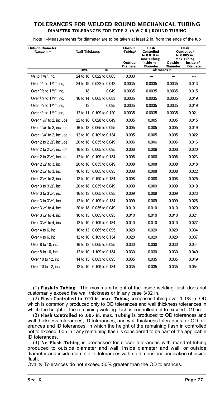### **TOLERANCES FOR WELDED ROUND MECHANICAL TUBING DIAMETER TOLERANCES FOR TYPE 2 (A.W.C.R.) Round Tubing**

Note 1–Measurements for diameter are to be taken at least 2 in. from the ends of the tub

| <b>Outside Diameter</b><br>Range in <sup>A</sup>   | <b>Wall Thickness</b> |                         | Flash-in<br>-Tubing <sup>B</sup> | Flash<br>Controlled<br>to 0.010 in.<br>$max$ Tubing <sup>c</sup> |                            | Flash<br>Controlled <sup>p</sup><br>to 0.005 in.<br>max Tubing |
|----------------------------------------------------|-----------------------|-------------------------|----------------------------------|------------------------------------------------------------------|----------------------------|----------------------------------------------------------------|
|                                                    |                       |                         | Outside<br><b>Diameter</b>       | Inside $+/-$<br><b>Diameter</b>                                  | Outside<br><b>Diameter</b> | Inside $+/-$<br><b>Diameter</b>                                |
|                                                    | <b>BWG</b>            | In.                     |                                  | Tolerances in.                                                   |                            |                                                                |
| 5/8 to 11/8", inc,                                 |                       | 24 to 16 0.022 to 0.065 | 0.003                            | ---                                                              |                            | ---                                                            |
| Over 5/8 to 11/8", inc.                            |                       | 24 to 19 0.022 to 0.042 | 0.0035                           | 0.0035                                                           | 0.0035                     | 0.013                                                          |
| Over 5/8 to 11/8", inc.                            | 18                    | 0.049                   | 0.0035                           | 0.0035                                                           | 0.0035                     | 0.015                                                          |
| Over $5/8$ to $1\frac{1}{8}$ , inc.                |                       | 16 to 14 0.065 to 0.083 | 0.0035                           | 0.0035                                                           | 0.0035                     | 0.019                                                          |
| Over 3/4 to 11/8", inc,                            | 13                    | 0.095                   | 0.0035                           | 0.0035                                                           | 0.0035                     | 0.019                                                          |
| Over 7/8 to 11/8", inc,                            | 12 to 11              | 0.109 to 0.120          | 0.0035                           | 0.0035                                                           | 0.0035                     | 0.021                                                          |
| Over 11/8" to 2, include                           | 22 to 18              | 0.028 to 0.049          | 0.005                            | 0.005                                                            | 0.005                      | 0.015                                                          |
| Over 11/8" to 2, include                           |                       | 16 to 13 0.065 to 0.095 | 0.005                            | 0.005                                                            | 0.005                      | 0.019                                                          |
| Over 1 <sup>1</sup> / <sub>8</sub> " to 2, include |                       | 12 to 10 0.109 to 0.134 | 0.005                            | 0.005                                                            | 0.005                      | 0.022                                                          |
| Over 2 to 2 <sup>1</sup> / <sub>2</sub> ", include |                       | 20 to 18 0.035 to 0.049 | 0.006                            | 0.006                                                            | 0.006                      | 0.016                                                          |
| Over 2 to 2 <sup>1</sup> / <sub>2</sub> ", include |                       | 16 to 13 0.065 to 0.095 | 0.006                            | 0.006                                                            | 0.006                      | 0.020                                                          |
| Over 2 to 2 <sup>1</sup> / <sub>2</sub> ", include |                       | 12 to 10 0.109 to 0.134 | 0.006                            | 0.006                                                            | 0.006                      | 0.023                                                          |
| Over 21/2" to 3, inc.                              |                       | 20 to 18 0.035 to 0.049 | 0.008                            | 0.008                                                            | 0.008                      | 0.018                                                          |
| Over 21/2" to 3, inc.                              |                       | 16 to 13 0.065 to 0.095 | 0.008                            | 0.008                                                            | 0.008                      | 0.022                                                          |
| Over 21/2" to 3, inc.                              |                       | 12 to 10 0.190 to 0.134 | 0.008                            | 0.008                                                            | 0.008                      | 0.025                                                          |
| Over $3$ to $3\frac{1}{2}$ , inc                   |                       | 20 to 18 0.035 to 0.049 | 0.009                            | 0.009                                                            | 0.009                      | 0.019                                                          |
| Over 3 to 31/2", inc.                              |                       | 16 to 13 0.065 to 0.095 | 0.009                            | 0.009                                                            | 0.009                      | 0.023                                                          |
| Over 3 to 31/2", inc.                              |                       | 12 to 10 0.109 to 0.134 | 0.009                            | 0.009                                                            | 0.009                      | 0.026                                                          |
| Over 31/2" to 4, inc.                              |                       | 20 to 18 0.035 to 0.049 | 0.010                            | 0.010                                                            | 0.010                      | 0.020                                                          |
| Over 31/2" to 4, inc.                              |                       | 16 to 13 0.065 to 0.095 | 0.010                            | 0.010                                                            | 0.010                      | 0.024                                                          |
| Over $3\frac{1}{2}$ to 4, inc                      |                       | 12 to 10 0.109 to 0.134 | 0.010                            | 0.010                                                            | 0.010                      | 0.027                                                          |
| Over 4 to 6, inc.                                  |                       | 16 to 13 0.065 to 0.095 | 0.020                            | 0.020                                                            | 0.020                      | 0.034                                                          |
| Over 4 to 6, inc                                   |                       | 12 to 10 0.109 to 0.134 | 0.020                            | 0.020                                                            | 0.020                      | 0.037                                                          |
| Over 8 to 10, inc                                  |                       | 16 to 13 0.065 to 0.095 | 0.030                            | 0.030                                                            | 0.030                      | 0.044                                                          |
| Over 8 to 10, inc.                                 | 12 to 10              | 1.109 to 0.134          | 0.030                            | 0.030                                                            | 0.030                      | 0.049                                                          |
| Over 10 to 12, inc.                                |                       | 14 to 13 0.083 to 0.095 | 0.035                            | 0.035                                                            | 0.035                      | 0.049                                                          |
| Over 10 to 12, inc                                 |                       | 12 to 10 0.109 to 0.134 | 0.035                            | 0.035                                                            | 0.035                      | 0.054                                                          |

(1) **Flash-in Tubing:** The maximum height of the inside welding flash does not customarily exceed the wall thickness or in any case 3/32 in.

(2) **Flash Controlled to .010 in. max. Tubing** comprises tubing over 1 1/8 in. OD which is commonly produced only to OD tolerances and wall thickness tolerances in which the height of the remaining welding flash is controlled not to exceed .010 in.

(3) **Flash Controlled to .005 in. max. Tubing** is produced to OD tolerances and wall thickness tolerances, ID tolerances, and wall thickness tolerances, or OD tolerances and ID tolerances, in which the height of the remaining flash in controlled not to exceed .005 in.; any remaining flash is considered to be part of the applicable ID tolerances.

(4) **No Flash Tubing** is processed for closer tolerances with mandrel-tubing produced to outside diameter and wall, inside diameter and wall, or outside diameter and inside diameter to tolerances with no dimensional indication of inside flash.

Ovality Tolerances do not exceed 50% greater than the OD tolerances.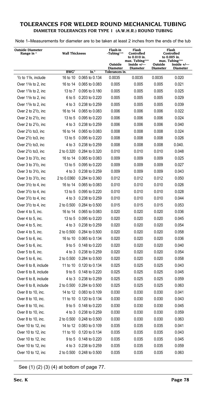### **TOLERANCES FOR WELDED ROUND MECHANICAL TUBING DIAMETER TOLERANCES FOR TYPE 1 (A.W.H.R.) Round Tubing**

Note 1–Measurements for diameter are to be taken at least 2 inches from the ends of the tub

| <b>Outside Diameter</b>          | <b>Wall Thickness</b>   |                  | Flash-in                          | Flash<br>Controlled                       |                 | Flash<br>Controlled               |
|----------------------------------|-------------------------|------------------|-----------------------------------|-------------------------------------------|-----------------|-----------------------------------|
| Range in '                       |                         |                  | $-Tubing(1)(4)$                   | to 0.010 in.                              |                 | to 0.005 in.                      |
|                                  |                         |                  | Outside                           | $max.$ Tubing $^{(2)(4)}$<br>Inside $+/-$ | Outside         | max. Tubing(3)(4)<br>Inside $+/-$ |
|                                  | <b>BWG</b> <sup>F</sup> | In. <sup>A</sup> | <b>Diameter</b><br>Tolerances in. | <b>Diameter</b>                           | <b>Diameter</b> | <b>Diameter</b>                   |
| $1/2$ to $11/8$ , include        | 16 to 10                | 0.065 to 0.134   | 0.0035                            | 0.0035                                    | 0.0035          | 0.020                             |
| Over 11/8 to 2, inc              | 16 to 14                | 0.065 to 0.083   | 0.005                             | 0.005                                     | 0.005           | 0.021                             |
| Over $1\frac{1}{8}$ to 2, inc    | 13 to 7                 | 0.095 to 0.180   | 0.005                             | 0.005                                     | 0.005           | 0.025                             |
| Over 11/8 to 2, inc              | 6 to 5                  | 0.203 to 0.220   | 0.005                             | 0.005                                     | 0.005           | 0.029                             |
| Over $1\frac{1}{8}$ to 2, inc    | 4 to 3                  | 0.238 to 0.259   | 0.005                             | 0.005                                     | 0.005           | 0.039                             |
| Over 2 to 21/2, inc              | 16 to 14                | 0.065 to 0.083   | 0.006                             | 0.006                                     | 0.006           | 0.022                             |
| Over 2 to $2\frac{1}{2}$ , inc   | 13 to 5                 | 0.095 to 0.220   | 0.006                             | 0.006                                     | 0.006           | 0.024                             |
| Over 2 to $2\frac{1}{2}$ , inc   | 4 to 3                  | 0.238 to 0.259   | 0.006                             | 0.006                                     | 0.006           | 0.040                             |
| Over 21/2 to 3, inc.             | 16 to 14                | 0.065 to 0.083   | 0.008                             | 0.008                                     | 0.008           | 0.024                             |
| Over 21/2 to 3, inc.             | 13 to 5                 | 0.095 to 0.220   | 0.008                             | 0.008                                     | 0.008           | 0.026                             |
| Over 21/2 to 3, inc.             | 4 to 3                  | 0.238 to 0.259   | 0.008                             | 0.008                                     | 0.008           | 0.040.                            |
| Over 21/2 to3, inc               | 2 to 0.320              | 0.284 to 0.320   | 0.010                             | 0.010                                     | 0.010           | 0.048                             |
| Over $3$ to $3\frac{1}{2}$ , inc | 16 to 14                | 0.065 to 0.083   | 0.009                             | 0.009                                     | 0.009           | 0.025                             |
| Over $3$ to $3\frac{1}{2}$ , inc | 13 to 5                 | 0.095 to 0.220   | 0.009                             | 0.009                                     | 0.009           | 0.027                             |
| Over $3$ to $3\frac{1}{2}$ , inc | 4 to 3                  | 0.238 to 0.259   | 0.009                             | 0.009                                     | 0.009           | 0.043                             |
| Over $3$ to $3\frac{1}{2}$ , inc | 2 to 0.0360             | 0.284 to 0.360   | 0.012                             | 0.012                                     | 0.012           | 0.050                             |
| Over $3\frac{1}{2}$ to 4, inc    | 16 to 14                | 0.065 to 0.083   | 0.010                             | 0.010                                     | 0.010           | 0.026                             |
| Over $3\frac{1}{2}$ to 4, inc    | 13 to 5                 | 0.095 to 0.220   | 0.010                             | 0.010                                     | 0.010           | 0.028                             |
| Over $3\frac{1}{2}$ to 4, inc    | 4 to 3                  | 0.238 to 0.259   | 0.010                             | 0.010                                     | 0.010           | 0.044                             |
| Over $3\frac{1}{2}$ to 4, inc    | 2 to 0.500              | 0.284 to 0.500   | 0.015                             | 0.015                                     | 0.015           | 0.053                             |
| Over 4 to 5, inc.                | 16 to 14                | 0.065 to 0.083   | 0.020                             | 0.020                                     | 0.020           | 0.036                             |
| Over 4 to 5, inc.                | 13 to 5                 | 0.095 to 0.220   | 0.020                             | 0.020                                     | 0.020           | 0.045                             |
| Over 4 to 5, inc.                | 4 to 3                  | 0.238 to 0.259   | 0.020                             | 0.020                                     | 0.020           | 0.054                             |
| Over 4 to 5, inc.                | 2 to 0.500              | 0.284 to 0.500   | 0.020                             | 0.020                                     | 0.020           | 0.058                             |
| Over 5 to 6, inc.                | 16 to 10                | 0.065 to 0.134   | 0.020                             | 0.020                                     | 0.020           | 0.036                             |
| Over 5 to 6, inc.                | 9 to 5                  | 0.148 to 0.220   | 0.020                             | 0.020                                     | 0.020           | 0.040                             |
| Over 5 to 6, inc.                | 4 to 3                  | 0.238 to 0.259   | 0.020                             | 0.020                                     | 0.020           | 0.054                             |
| Over 5 to 6, inc.                | 2 to 0.500              | 0.284 to 0.500   | 0.020                             | 0.020                                     | 0.020           | 0.058                             |
| Over 6 to 8, include             | 11 to 10                | 0.120 to 0.134   | 0.025                             | 0.025                                     | 0.025           | 0.043                             |
| Over 6 to 8, include             | 9 to 5                  | 0.148 to 0.220   | 0.025                             | 0.025                                     | 0.025           | 0.045                             |
| Over 6 to 8, include             | 4 to 3                  | 0.238 to 0.259   | 0.025                             | 0.025                                     | 0.025           | 0.059                             |
| Over 6 to 8, include             | 2 to 0.500              | 0.284 to 0.500   | 0.025                             | 0.025                                     | 0.025           | 0.063                             |
| Over 8 to 10, inc.               | 14 to 12                | 0.083 to 0.109   | 0.030                             | 0.030                                     | 0.030           | 0.041                             |
| Over 8 to 10, inc.               | 11 to 10                | 0.120 to 0.134   | 0.030                             | 0.030                                     | 0.030           | 0.043                             |
| Over 8 to 10, inc.               | 9 to 5                  | 0.148 to 0.220   | 0.030                             | 0.030                                     | 0.030           | 0.045                             |
| Over 8 to 10, inc.               | 4 to 3                  | 0.238 to 0.259   | 0.030                             | 0.030                                     | 0.030           | 0.059                             |
| Over 8 to 10, inc.               | 2 to 0.500              | 0.248 to 0.500   | 0.030                             | 0.030                                     | 0.030           | 0.063                             |
| Over 10 to 12, inc               | 14 to 12                | 0.083 to 0.109   | 0.035                             | 0.035                                     | 0.035           | 0.041                             |
| Over 10 to 12, inc               | 11 to 10                | 0.120 to 0.134   | 0.035                             | 0.035                                     | 0.035           | 0.043                             |
| Over 10 to 12, inc               | 9 to 5                  | 0.148 to 0.220   | 0.035                             | 0.035                                     | 0.035           | 0.045                             |
| Over 10 to 12, inc.              | 4 to 3                  | 0.238 to 0.259   | 0.035                             | 0.035                                     | 0.035           | 0.059                             |
| Over 10 to 12, inc               | 2 to 0.500              | 0.248 to 0.500   | 0.035                             | 0.035                                     | 0.035           | 0.063                             |

See (1) (2) (3) (4) at bottom of page 77.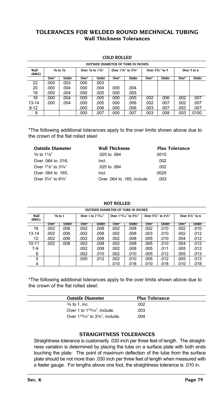### **TOLERANCES FOR WELDED ROUND MECHNICAL TUBING Wall Thickness Tolerances**

### **COLD ROLLED**

|               | <b>OUTSIDE DIAMETER OF TUBE IN INCHES</b>           |       |       |                     |       |                 |       |             |       |       |
|---------------|-----------------------------------------------------|-------|-------|---------------------|-------|-----------------|-------|-------------|-------|-------|
| Wall<br>(BMG) | $\frac{3}{8}$ to $\frac{7}{8}$<br>Over 7/8 to 17/8" |       |       | Over 17/8" to 33/4" |       | Over 33/4" to 5 |       | Over 5 to 6 |       |       |
|               | Over*                                               | Under | Over* | Under               | Over* | Under           | Over* | Under       | Over* | Under |
| 22            | .000                                                | .003  | .000  | .003                |       |                 |       |             |       |       |
| 20            | .000                                                | .004  | .000  | .004                | .000  | .004            |       |             |       |       |
| 18            | .000                                                | .004  | .000  | .005                | .000  | .005            |       |             |       |       |
| 16            | .000                                                | .004  | .000  | .005                | .000  | .005            | .002  | .006        | .002  | .007  |
| $13 - 14$     | .000                                                | .004  | .000  | .005                | .000  | .006            | .002  | .007        | .002  | .007  |
| $9 - 12$      |                                                     |       | .000  | .006                | .000  | .006            | .003  | .007        | .003  | .007  |
| 8             |                                                     |       | .000  | .007                | .000  | .007            | .003  | .008        | .003  | .0100 |

\*The following additional tolerances apply to the over limits shown above due to the crown of the flat rolled steel:

| <b>Wall Thickness</b>      | <b>Plus Tolerance</b> |
|----------------------------|-----------------------|
| .025 to .064               | .0015                 |
| Incl.                      | .002                  |
| .025 to .064               | .002                  |
| Incl.                      | .0025                 |
| Over .064 to .165, include | .003                  |
|                            |                       |

| <b>OUTSIDE DIAMETER OF TUBE IN INCHES</b> |       |                    |       |                         |       |                                                              |       |                                 |       |                       |  |  |  |
|-------------------------------------------|-------|--------------------|-------|-------------------------|-------|--------------------------------------------------------------|-------|---------------------------------|-------|-----------------------|--|--|--|
| Wall<br>(BWG)                             |       | $\frac{3}{8}$ to 1 |       | Over 1 to $1^{15}/16$ " |       | Over 1 <sup>15</sup> /16" to 3 <sup>3</sup> / <sub>4</sub> " |       | Over $3^{3}/4$ " to $4^{1}/2$ " |       | Over $4^{1}/2$ " to 6 |  |  |  |
|                                           | Over* | <b>Under</b>       | Over* | <b>Under</b>            | Over* | <b>Under</b>                                                 | Over* | <b>Under</b>                    | Over* | Under                 |  |  |  |
| 16                                        | .002  | .006               | .002  | .008                    | .002  | .008                                                         | .002  | .010                            | .002  | .010                  |  |  |  |
| $13 - 14$                                 | .002  | .006               | .002  | .008                    | .002  | .008                                                         | .003  | .010                            | .002  | .012                  |  |  |  |
| 12                                        | .002  | .006               | .002  | .008                    | .002  | .008                                                         | .005  | .010                            | .004  | .012                  |  |  |  |
| $10 - 11$                                 | .002  | .008               | .002  | .008                    | .002  | .008                                                         | .005  | .010                            | .004  | .012                  |  |  |  |
| $7-9$                                     |       |                    | .002  | .008                    | .002  | .008                                                         | .005  | .011                            | .005  | .012                  |  |  |  |
| 6                                         |       |                    | .002  | .010                    | .002  | .010                                                         | .005  | .012                            | .005  | .013                  |  |  |  |
| 5                                         |       |                    | .005  | .012                    | .002  | .010                                                         | .005  | .012                            | .005  | .013                  |  |  |  |
| 4                                         |       |                    |       |                         | .010  | .018                                                         | .010  | .018                            | .010  | .018                  |  |  |  |

**HOT ROLLED**

4 .010 .018 .010 .018 .010 .018 .010 .018

\*The following additional tolerances apply to the over limits shown above due to the crown of the flat rolled steel:

| <b>Outside Diameter</b>                  | <b>Plus Tolerance</b> |
|------------------------------------------|-----------------------|
| $3/4$ to 1, inc.                         | .002                  |
| Over 1 to 1 <sup>15</sup> /16". include. | .003                  |
| Over 115/16" to 33/4", include.          | .004                  |

### **STRAIGHTNESS TOLERANCES**

Straightness tolerance is customarily .030 inch per three feet of length. The straightness variation is determined by placing the tube on a surface plate with both ends touching the plate. The point of maximum deflection of the tube from the surface plate should be not more than .030 inch per three feet of length when measured with a feeler gauge. For lengths above one foot, the straightness tolerance is .010 in.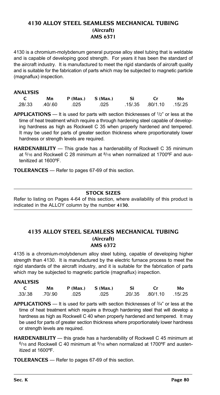### **4130 ALLOY STEEL SEAMLESS MECHANICAL TUBING (Aircraft) AMS 6371**

4130 is a chromium-molybdenum general purpose alloy steel tubing that is weldable and is capable of developing good strength. For years it has been the standard of the aircraft industry. It is manufactured to meet the rigid standards of aircraft quality and is suitable for the fabrication of parts which may be subjected to magnetic particle (magnaflux) inspection.

### **ANALYSIS**

| Mn              |     | $P(Max.)$ $S(Max.)$ | - Si | - Cr                     | Mo |
|-----------------|-----|---------------------|------|--------------------------|----|
| .28/.33 .40/.60 | 025 | 025                 |      | .15/.35 .80/1.10 .15/.25 |    |

**APPLICATIONS** — It is used for parts with section thicknesses of 1/2" or less at the time of heat treatment which require a through hardening steel capable of developing hardness as high as Rockwell C 35 when properly hardened and tempered. It may be used for parts of greater section thickness where proportionately lower hardness or strength levels are required.

**HARDENABILITY** — This grade has a hardenability of Rockwell C 35 minimum at  $5/16$  and Rockwell C 28 minimum at  $8/16$  when normalized at 1700°F and austenitized at 1600ºF.

**TOLERANCES** — Refer to pages 67-69 of this section.

### **Stock Sizes**

Refer to listing on Pages 4-64 of this section, where availability of this product is indicated in the ALLOY column by the number **4130.**

### **4135 ALLOY STEEL SEAMLESS MECHANICAL TUBING (Aircraft) AMS 6372**

4135 is a chromium-molybdenum alloy steel tubing, capable of developing higher strength than 4130. It is manufactured by the electric furnace process to meet the rigid standards of the aircraft industry, and it is suitable for the fabrication of parts which may be subjected to magnetic particle (magnaflux) inspection.

| ANALYSIS |         |      |                      |    |                  |         |
|----------|---------|------|----------------------|----|------------------|---------|
|          | Mn      |      | $P(Max.)$ S $(Max.)$ | Si | Cr.              | Mo      |
| .33/.38  | .70/.90 | .025 | .025                 |    | .20/.35 .80/1.10 | .15/.25 |

**APPLICATIONS** — It is used for parts with section thicknesses of 3/4" or less at the time of heat treatment which require a through hardening steel that will develop a hardness as high as Rockwell C 40 when properly hardened and tempered. It may be used for parts of greater section thickness where proportionately lower hardness or strength levels are required.

**HARDENABILITY** — this grade has a hardenability of Rockwell C 45 minimum at  $6/16$  and Rockwell C 40 minimum at  $9/16$  when normalized at 1700 $\degree$ F and austenitized at 1600ºF.

**TOLERANCES** — Refer to pages 67-69 of this section.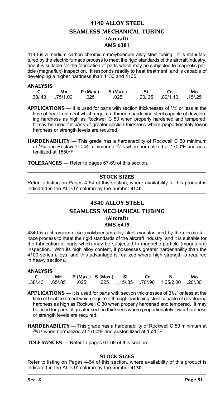# **4140 ALLOY STEEL SEAMLESS MECHANICAL TUBING (Aircraft) AMS 6381**

4140 is a medium carbon chromium-molybdenum alloy steel tubing. It is manufactured by the electric furnace process to meet the rigid standards of the aircraft industry, and it is suitable for the fabrication of parts which may be subjected to magnetic particle (magnaflux) inspection. It responds readily to heat treatment and is capable of developing a higher hardness than 4130 and 4135.

### **ANALYSIS**

| Mn                    | $P(Max.)$ S $(Max.)$ | - Si |                          | Mo |
|-----------------------|----------------------|------|--------------------------|----|
| .38/.43 .75/1.00 .025 | .025                 |      | .20/.35 .80/1.10 .15/.25 |    |

**APPLICATIONS** — It is used for parts with section thicknesses of 1/2" or less at the time of heat treatment which require a through hardening steel capable of developing hardness as high as Rockwell C 50 when properly hardened and tempered. It may be used for parts of greater section thickness where proportionately lower hardness or strength levels are required.

**HARDENABILITY** — This grade has a hardenability of Rockwell C 50 minimum at  $6/16$  and Rockwell C 44 minimum at  $9/16$  when normalized at 1700°F and austenitized at 1550ºF.

**TOLERANCES** — Refer to pages 67-69 of this section.

### **Stock Sizes**

Refer to listing on Pages 4-64 of this section, where availability of this product is indicated in the ALLOY column by the number **4140.**

### **4340 ALLOY STEEL**

### **SEAMLESS MECHANICAL TUBING**

**(Aircraft)** 

### **AMS 6415**

4340 is a chromium-nickel-molybdenum alloy steel manufactured by the electric furnace process to meet the rigid standards of the aircraft industry, and it is suitable for the fabrication of parts which may be subjected to magnetic particle (magnaflux) inspection. With its high alloy content, it possesses greater hardenability than the 4100 series alloys, and this advantage is realized where high strength is required in heavy sections.

### **ANALYSIS**

|  | Mn $P(Max.) S(Max.)$ Si |  | Cr N                                                      | Mo |
|--|-------------------------|--|-----------------------------------------------------------|----|
|  |                         |  | .38/43 .65/85 .025 .025 .15/.35 .70/.90 1.65/2.00 .20/.30 |    |

**APPLICATIONS** — It is used for parts with section thicknesses of 31/2" or less at the time of heat treatment which require a through hardening steel capable of developing hardness as high as Rockwell C 30 when properly hardened and tempered. It may be used for parts of greater section thickness where proportionately lower hardness or strength levels are required.

**HARDENABILITY** — This grade has a hardenability of Rockwell C 50 minimum at 20/16 when normalized at 1700ºF and austenitized at 1525ºF.

**TOLERANCES** — Refer to pages 67-69 of this section.

### **Stock Sizes**

Refer to listing on Pages 4-64 of this section, where availability of this product is indicated in the ALLOY column by the number **4130.**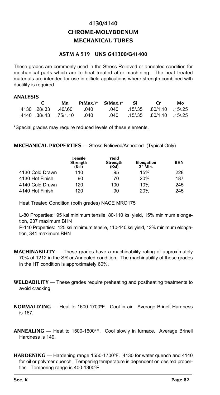# **4130/4140 CHROME-MOLYBDENUM MECHANICAL TUBES**

### **ASTM A 519 UNS G41300/G41400**

These grades are commonly used in the Stress Relieved or annealed condition for mechanical parts which are to heat treated after machining. The heat treated materials are intended for use in oilfield applications where strength combined with ductility is required.

### **ANALYSIS**

|  | Mn                     | $P(Max.)^*$ S(Max.)* Si Cr |  |                          | Mo |
|--|------------------------|----------------------------|--|--------------------------|----|
|  |                        | 4130 28/33 40/60 040       |  | 040 15/35 80/1.10 15/25  |    |
|  | 4140 38/43 75/1.10 040 |                            |  | .040 15/35 80/1.10 15/25 |    |

\*Special grades may require reduced levels of these elements.

**MECHANICAL PROPERTIES** — Stress Relieved/Annealed (Typical Only)

|                 | Tensile<br><b>Strength</b><br>(Ksi) | Yield<br><b>Strength</b><br>(Ksi) | Elongation<br>2" Min. | BHN |
|-----------------|-------------------------------------|-----------------------------------|-----------------------|-----|
| 4130 Cold Drawn | 110                                 | 95                                | 15%                   | 228 |
| 4130 Hot Finish | 90                                  | 70                                | 20%                   | 187 |
| 4140 Cold Drawn | 120                                 | 100                               | 10%                   | 245 |
| 4140 Hot Finish | 120                                 | 90                                | 20%                   | 245 |

Heat Treated Condition (both grades) NACE MRO175

L-80 Properties: 95 ksi minimum tensile, 80-110 ksi yield, 15% minimum elongation, 237 maximum BHN

P-110 Properties: 125 ksi minimum tensile, 110-140 ksi yield, 12% minimum elongation, 341 maximum BHN

- **MACHINABILITY** These grades have a machinability rating of approximately 70% of 1212 in the SR or Annealed condition. The machinability of these grades in the HT condition is approximately 60%.
- **WELDABILITY** These grades require preheating and postheating treatments to avoid cracking.
- **NORMALIZING** Heat to 1600-1700ºF. Cool in air. Average Brinell Hardness is 167.
- **ANNEALING** Heat to 1500-1600ºF. Cool slowly in furnace. Average Brinell Hardness is 149.
- **HARDENING** Hardening range 1550-1700ºF. 4130 for water quench and 4140 for oil or polymer quench. Tempering temperature is dependent on desired properties. Tempering range is 400-1300ºF.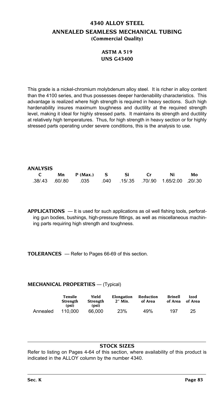# **4340 ALLOY STEEL ANNEALED SEAMLESS MECHANICAL TUBING (Commercial Quality)**

## **ASTM A 519 UNS G43400**

This grade is a nickel-chromium molybdenum alloy steel. It is richer in alloy content than the 4100 series, and thus possesses deeper hardenability characteristics. This advantage is realized where high strength is required in heavy sections. Such high hardenability insures maximum toughness and ductility at the required strength level, making it ideal for highly stressed parts. It maintains its strength and ductility at relatively high temperatures. Thus, for high strength in heavy section or for highly stressed parts operating under severe conditions, this is the analysis to use.

#### **ANALYSIS**

|  | C Mn P(Max.) S Si Cr Ni                                     |  |  | Mo |
|--|-------------------------------------------------------------|--|--|----|
|  | .38/.43 .60/.80 .035 .040 .15/.35 .70/.90 1.65/2.00 .20/.30 |  |  |    |

**APPLICATIONS** — It is used for such applications as oil well fishing tools, perforating gun bodies, bushings, high-pressure fittings, as well as miscellaneous machining parts requiring high strength and toughness.

**TOLERANCES** — Refer to Pages 66-69 of this section.

### **MECHANICAL PROPERTIES** — (Typical)

|          | Tensile<br>Strength<br>(psi) | Yield<br>Strength<br>(psi) | Elongation<br>2" Min. | Reduction<br>of Area | <b>Brinell</b><br>of Area | Izod<br>of Area |
|----------|------------------------------|----------------------------|-----------------------|----------------------|---------------------------|-----------------|
| Annealed | 110.000                      | 66.000                     | 23%                   | 49%                  | 197                       | 25              |

### **Stock Sizes**

Refer to listing on Pages 4-64 of this section, where availability of this product is indicated in the ALLOY column by the number 4340.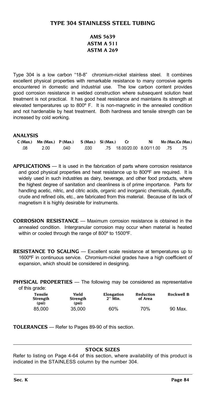# **AMS 5639 ASTM A 511 ASTM A 269**

Type 304 is a low carbon "18-8" chromium-nickel stainless steel. It combines excellent physical properties with remarkable resistance to many corrosive agents encountered in domestic and industrial use. The low carbon content provides good corrosion resistance in welded construction where subsequent solution heat treatment is not practical. It has good heat resistance and maintains its strength at elevated temperatures up to 800º F. It is non-magnetic in the annealed condition and not hardenable by heat treatment. Both hardness and tensile strength can be increased by cold working.

### **ANALYSIS**

|     | $C(Max.)$ Mn $(Max.)$ P $(Max.)$ S $(Max.)$ Si $(Max.)$ |      |      |                                        |  | Mo (Max.)Cu (Max.) |
|-----|---------------------------------------------------------|------|------|----------------------------------------|--|--------------------|
| .08 | 2.00                                                    | .040 | .030 | .75    18.00/20.00    8.00/11.00    75 |  |                    |

**APPLICATIONS** — It is used in the fabrication of parts where corrosion resistance and good physical properties and heat resistance up to 800ºF are required. It is widely used in such industries as dairy, beverage, and other food products, where the highest degree of sanitation and cleanliness is of prime importance. Parts for handling acetic, nitric, and citric acids, organic and inorganic chemicals, dyestuffs, crude and refined oils, etc., are fabricated from this material. Because of its lack of magnetism it is highly desirable for instruments.

- **CORROSION RESISTANCE** Maximum corrosion resistance is obtained in the annealed condition. Intergranular corrosion may occur when material is heated within or cooled through the range of 800º to 1500ºF.
- **RESISTANCE TO SCALING** Excellent scale resistance at temperatures up to 1600ºF in continuous service. Chromium-nickel grades have a high coefficient of expansion, which should be considered in designing.

**PHYSICAL PROPERTIES** — The following may be considered as representative of this grade:

| Tensile<br>Strength<br>(psi) | Yield<br>Strength<br>(psi) | Elongation<br>2" Min. | Reduction<br>of Area | Rockwell B |
|------------------------------|----------------------------|-----------------------|----------------------|------------|
| 85.000                       | 35.000                     | 60%                   | 70%                  | 90 Max.    |

**TOLERANCES** — Refer to Pages 89-90 of this section.

### **Stock Sizes**

Refer to listing on Page 4-64 of this section, where availability of this product is indicated in the STAINLESS column by the number 304.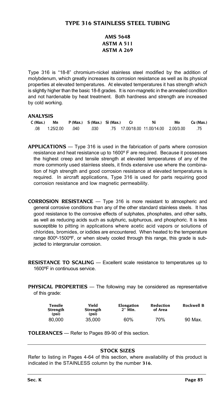# **TYPE 316 STAINLESS STEEL TUBING**

# **AMS 5648 ASTM A 511 ASTM A 269**

Type 316 is "18-8" chromium-nickel stainless steel modified by the addition of molybdenum, which greatly increases its corrosion resistance as well as its physical properties at elevated temperatures. At elevated temperatures it has strength which is slightly higher than the basic 18-8 grades. It is non-magnetic in the annealed condition and not hardenable by heat treatment. Both hardness and strength are increased by cold working.

### **ANALYSIS**

| C (Max.) | Mn        |      | $P$ (Max.) $S$ (Max.) $Si$ (Max.) |  | Ni | Mo | Cu (Max.) |
|----------|-----------|------|-----------------------------------|--|----|----|-----------|
| .08      | 1.25/2.00 | .040 | .030                              |  |    |    | - 75      |

**APPLICATIONS** — Type 316 is used in the fabrication of parts where corrosion resistance and heat resistance up to 1600º F are required. Because it possesses the highest creep and tensile strength at elevated temperatures of any of the more commonly used stainless steels, it finds extensive use where the combination of high strength and good corrosion resistance at elevated temperatures is required. In aircraft applications, Type 316 is used for parts requiring good corrosion resistance and low magnetic permeability.

**CORROSION RESISTANCE** — Type 316 is more resistant to atmospheric and general corrosive conditions than any of the other standard stainless steels. It has good resistance to the corrosive effects of sulphates, phosphates, and other salts, as well as reducing acids such as sulphuric, sulphurous, and phosphoric. It is less susceptible to pitting in applications where acetic acid vapors or solutions of chlorides, bromides, or iodides are encountered. When heated to the temperature range 800º-1500ºF, or when slowly cooled through this range, this grade is subjected to intergranular corrosion.

**RESISTANCE TO SCALING** — Excellent scale resistance to temperatures up to 1600ºF in continuous service.

**PHYSICAL PROPERTIES** — The following may be considered as representative of this grade:

| Tensile<br><b>Strength</b><br>(psi) | Yield<br>Strength<br>(psi) | Elongation<br>2" Min. | Reduction<br>of Area | Rockwell B |
|-------------------------------------|----------------------------|-----------------------|----------------------|------------|
| 80.000                              | 35.000                     | 60%                   | 70%                  | 90 Max.    |

**TOLERANCES** — Refer to Pages 89-90 of this section.

# **Stock Sizes**

Refer to listing in Pages 4-64 of this section, where availability of this product is indicated in the STAINLESS column by the number **316.**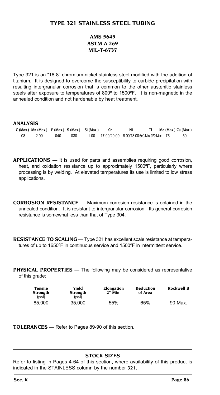# **TYPE 321 STAINLESS STEEL TUBING**

# **AMS 5645 ASTM A 269 MIL-T-6737**

Type 321 is an "18-8" chromium-nickel stainless steel modified with the addition of titanium. It is designed to overcome the susceptibility to carbide precipitation with resulting intergranular corrosion that is common to the other austenitic stainless steels after exposure to temperatures of 800º to 1500ºF. It is non-magnetic in the annealed condition and not hardenable by heat treatment.

## **ANALYSIS**

|     | $C$ (Max.) Mn (Max.) $P$ (Max.) $S$ (Max.) $Si$ (Max.) |      |      |                                                  | Ni |  | Mo (Max.) Cu (Max.) |
|-----|--------------------------------------------------------|------|------|--------------------------------------------------|----|--|---------------------|
| .08 | 2.00                                                   | .040 | .030 | 1.00 17.00/20.00 9.00/13.00 6xC Min/.070 Max .75 |    |  | .50                 |

**APPLICATIONS** — It is used for parts and assemblies requiring good corrosion, heat, and oxidation resistance up to approximately 1500°F, particularly where processing is by welding. At elevated temperatures its use is limited to low stress applications.

- **CORROSION RESISTANCE** Maximum corrosion resistance is obtained in the annealed condition. It is resistant to intergranular corrosion. Its general corrosion resistance is somewhat less than that of Type 304.
- **RESISTANCE TO SCALING** Type 321 has excellent scale resistance at temperatures of up to 1650ºF in continuous service and 1500ºF in intermittent service.

**PHYSICAL PROPERTIES** — The following may be considered as representative of this grade:

| Tensile<br>Strength<br>(psi) | Yield<br><b>Strength</b><br>(psi) | Elongation<br>2" Min. | Reduction<br>of Area | Rockwell B |
|------------------------------|-----------------------------------|-----------------------|----------------------|------------|
| 85.000                       | 35.000                            | 55%                   | 65%                  | 90 Max.    |

**TOLERANCES** — Refer to Pages 89-90 of this section.

### **Stock Sizes**

Refer to listing in Pages 4-64 of this section, where availability of this product is indicated in the STAINLESS column by the number **321.**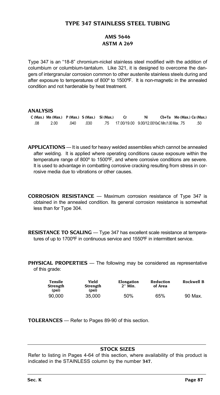# **TYPE 347 STAINLESS STEEL TUBING**

### **AMS 5646 ASTM A 269**

Type 347 is an "18-8" chromium-nickel stainless steel modified with the addition of columbium or columbium-tantalum. Like 321, it is designed to overcome the dangers of intergranular corrosion common to other austenite stainless steels during and after exposure to temperatures of 800º to 1500ºF. It is non-magnetic in the annealed condition and not hardenable by heat treatment.

### **ANALYSIS**

|     | $C$ (Max.) Mn (Max.) P (Max.) S (Max.) Si (Max.) |      |      |                                                   | Ni | Cb+Ta Mo (Max.) Cu (Max.) |     |
|-----|--------------------------------------------------|------|------|---------------------------------------------------|----|---------------------------|-----|
| .08 | 2.00                                             | .040 | .030 | .75 17.00/19.00 9.00/12.0010xC Min./1.00 Max. .75 |    |                           | .50 |

**APPLICATIONS** — It is used for heavy welded assemblies which cannot be annealed after welding. It is applied where operating conditions cause exposure within the temperature range of 800º to 1500ºF, and where corrosive conditions are severe. It is used to advantage in combatting corrosive cracking resulting from stress in corrosive media due to vibrations or other causes.

**CORROSION RESISTANCE** — Maximum corrosion resistance of Type 347 is obtained in the annealed condition. Its general corrosion resistance is somewhat less than for Type 304.

**RESISTANCE TO SCALING** — Type 347 has excellent scale resistance at temperatures of up to 1700ºF in continuous service and 1550ºF in intermittent service.

**PHYSICAL PROPERTIES** — The following may be considered as representative of this grade:

| Tensile<br><b>Strength</b><br>(psi) | Yield<br>Strength<br>(psi) | Elongation<br>$2"$ Min. | Reduction<br>of Area | Rockwell B |
|-------------------------------------|----------------------------|-------------------------|----------------------|------------|
| 90.000                              | 35.000                     | 50%                     | 65%                  | 90 Max.    |

**TOLERANCES** — Refer to Pages 89-90 of this section.

# **Stock Sizes**

Refer to listing in Pages 4-64 of this section, where availability of this product is indicated in the STAINLESS column by the number **347.**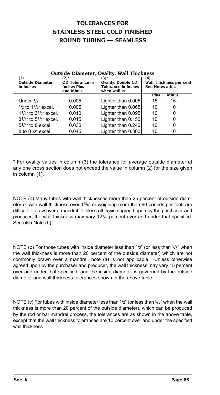# **TOLERANCES FOR STAINLESS STEEL COLD FINISHED ROUND TUBING — SEAMLESS**

| <b>Outside Diameter</b><br>in Inches | $(2)^{*}$<br>OD Tolerance in<br><b>Inches Plus</b><br>and Minus | $(3)^*$<br><b>Ovality, Double CD</b><br><b>Tolerance in Inches</b><br>when wall is: | (4)<br>See Notes a, b, c | Wall Thickness per cent |
|--------------------------------------|-----------------------------------------------------------------|-------------------------------------------------------------------------------------|--------------------------|-------------------------|
|                                      |                                                                 |                                                                                     | Plus                     | Minus                   |
| Under $\frac{1}{2}$                  | 0.005                                                           | Lighter than 0.005                                                                  | 15                       | 15                      |
| $1/2$ to $11/2$ " excel.             | 0.005                                                           | Lighter than 0.065                                                                  | 10                       | 10                      |
| $1^{1/2}$ to $3^{1/2}$ excel.        | 0.010                                                           | Lighter than 0.095                                                                  | 10                       | 10                      |
| $3^{1/2}$ to $5^{1/2}$ excel.        | 0.015                                                           | Lighter than 0.150                                                                  | 10                       | 10                      |
| $51/2$ " to 8 excel.                 | 0.030                                                           | Lighter than 0.240                                                                  | 10                       | 10                      |
| 8 to $8^{1}/2$ " excel.              | 0.045                                                           | Lighter than 0.300                                                                  | 10                       | 10                      |

### **Outside Diameter, Ovality, Wall Thickness**

\* For ovality values in column (3) the tolerance for average outside diameter at any one cross section does not exceed the value in column (2) for the size given in column (1).

NOTE (a) Many tubes with wall thicknesses more than 25 percent of outside diameter or with wall thickness over  $1\frac{3}{4}$ " or weighing more than 90 pounds per foot, are difficult to draw over a mandrel. Unless otherwise agreed upon by the purchaser and producer, the wall thickness may vary 121/2 percent over and under that specified. See also Note (b).

NOTE (b) For those tubes with inside diameter less than  $1/2$ " (or less than  $5/8$ " when the wall thickness is more than 20 percent of the outside diameter) which are not commonly drawn over a mandrel, note (a) is not applicable. Unless otherwise agreed upon by the purchaser and producer, the wall thickness may vary 15 percent over and under that specified, and the inside diameter is governed by the outside diameter and wall thickness tolerances shown in the above table.

NOTE (c) For tubes with inside diameter less than  $1/2$ " (or less than  $5/8$ " when the wall thickness is more than 20 percent of the outside diameter), which can be produced by the rod or bar mandrel process, the tolerances are as shown in the above table, except that the wall thickness tolerances are 10 percent over and under the specified wall thickness.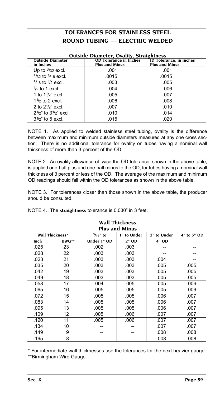# **TOLERANCES FOR STAINLESS STEEL ROUND TUBING — ELECTRIC WELDED**

| <b>Outside Diameter, Ovality, Straightness</b> |                                                        |                                                         |  |  |  |  |
|------------------------------------------------|--------------------------------------------------------|---------------------------------------------------------|--|--|--|--|
| <b>Outside Diameter</b><br>in Inches           | <b>OD Tolerance in Inches</b><br><b>Plus and Minus</b> | <b>ID Tolerance, in Inches</b><br><b>Plus and Minus</b> |  |  |  |  |
| Up to $3/32$ excl.                             | .001                                                   | .001                                                    |  |  |  |  |
| $3/32$ to $3/16$ excl.                         | .0015                                                  | .0015                                                   |  |  |  |  |
| $3/16$ to $1/2$ excl.                          | .003                                                   | .005                                                    |  |  |  |  |
| $\frac{1}{2}$ to 1 excl.                       | .004                                                   | .006                                                    |  |  |  |  |
| 1 to $1\frac{1}{2}$ excl.                      | .005                                                   | .007                                                    |  |  |  |  |
| $1\frac{1}{2}$ to 2 excl.                      | .006                                                   | .008                                                    |  |  |  |  |
| 2 to $2\frac{1}{2}$ excl.                      | .007                                                   | .010                                                    |  |  |  |  |
| $2^{1/2}$ to $3^{1/2}$ excl.                   | .010                                                   | .014                                                    |  |  |  |  |
| $3\frac{1}{2}$ to 5 excl.                      | .015                                                   | .020                                                    |  |  |  |  |

NOTE 1. As applied to welded stainless steel tubing, ovality is the difference between maximum and minimum outside diameters measured at any one cross section. There is no additional tolerance for ovality on tubes having a nominal wall thickness of more than 3 percent of the OD.

NOTE 2. An ovality allowance of twice the OD tolerance, shown in the above table, is applied one-half plus and one-half minus to the OD, for tubes having a nominal wall thickness of 3 percent or less of the OD. The average of the maximum and minimum OD readings should fall within the OD tolerances as shown in the above table.

NOTE 3. For tolerances closer than those shown in the above table, the producer should be consulted.

|  | NOTE 4. The straightness tolerance is 0.030" in 3 feet. |  |  |  |  |  |
|--|---------------------------------------------------------|--|--|--|--|--|
|--|---------------------------------------------------------|--|--|--|--|--|

| <b>Plus and Minus</b> |                 |             |             |             |             |  |
|-----------------------|-----------------|-------------|-------------|-------------|-------------|--|
|                       | Wall Thickness* | $3/16''$ to | 1" to Under | 2" to Under | 4" to 5" OD |  |
| Inch                  | BWG**           | Under 1" OD | 2" OD       | 4" OD       |             |  |
| .025                  | 23              | .002        | .003        |             |             |  |
| .028                  | 22              | .003        | .003        |             |             |  |
| .023                  | 21              | .003        | .003        | .004        |             |  |
| .035                  | 20              | .003        | .003        | .005        | .005        |  |
| .042                  | 19              | .003        | .003        | .005        | .005        |  |
| .049                  | 18              | .003        | .003        | .005        | .005        |  |
| .058                  | 17              | .004        | .005        | .005        | .006        |  |
| .065                  | 16              | .005        | .005        | .005        | .006        |  |
| .072                  | 15              | .005        | .005        | .006        | .007        |  |
| .083                  | 14              | .005        | .005        | .006        | .007        |  |
| .095                  | 13              | .005        | .005        | .006        | .007        |  |
| .109                  | 12              | .005        | .006        | .007        | .007        |  |
| .120                  | 11              | .005        | .006        | .007        | .007        |  |
| .134                  | 10              |             |             | .007        | .007        |  |
| .149                  | 9               |             |             | .008        | .008        |  |
| .165                  | 8               |             |             | .008        | .008        |  |

# **Wall Thickness**

\* For intermediate wall thicknesses use the tolerances for the next heavier gauge. \*\*Birmingham Wire Gauge.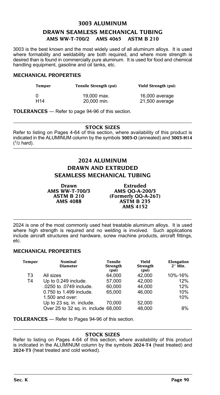# **3003 ALUMINUM DRAWN SEAMLESS MECHANICAL TUBING AMS WW-T-700/2 AMS 4065 ASTM B 210**

3003 is the best known and the most widely used of all aluminum alloys. It is used where formability and weldability are both required, and where more strength is desired than is found in commercially pure aluminum. It is used for food and chemical handling equipment, gasoline and oil tanks, etc.

### **MECHANICAL PROPERTIES**

| Temper          | <b>Tensile Strength (psi)</b> | Yield Strength (psi) |
|-----------------|-------------------------------|----------------------|
| ŋ               | 19,000 max.                   | 16,000 average       |
| H <sub>14</sub> | 20,000 min.                   | 21,500 average       |

**TOLERANCES** — Refer to page 94-96 of this section.

### **Stock Sizes**

Refer to listing on Pages 4-64 of this section, where availability of this product is indicated in the ALUMINUM column by the symbols **3003-O** (annealed) and **3003-H14**  $(1/2 \text{ hard})$ .

# **2024 ALUMINUM DRAWN and EXTRUDED SEAMLESS MECHANICAL TUBING**

**Drawn Extruded AMS WW-T-700/3 AMS QQ-A-200/3**<br> **ASTM B 210 (Formerly QQ-A-267)**<br>
AMS 4088 **ASTM B 235**<br> **AMS 4152** 

2024 is one of the most commonly used heat treatable aluminum alloys. It is used where high strength is required and no welding is involved. Such applications include aircraft structures and hardware, screw machine products, aircraft fittings, etc.

### **MECHANICAL PROPERTIES**

| Temper         | Nominal<br><b>Diameter</b>           | <b>Tensile</b><br><b>Strength</b><br>(psi) | Yield<br><b>Strength</b><br>(psi) | Elongation<br>$2"$ Min. |
|----------------|--------------------------------------|--------------------------------------------|-----------------------------------|-------------------------|
| T <sub>3</sub> | All sizes                            | 64.000                                     | 42.000                            | 10%-16%                 |
| T <sub>4</sub> | Up to 0.249 include.                 | 57.000                                     | 42.000                            | 12%                     |
|                | .0250 to .0749 include.              | 60.000                                     | 44.000                            | 12%                     |
|                | 0.750 to 1.499 include.              | 65.000                                     | 46.000                            | 10%                     |
|                | 1.500 and over:                      |                                            |                                   | 10%                     |
|                | Up to 23 sq. in. include.            | 70.000                                     | 52.000                            |                         |
|                | Over 25 to 32 sq. in. include 68,000 |                                            | 48.000                            | 8%                      |

**TOLERANCES** — Refer to Pages 94-96 of this section.

### **Stock Sizes**

Refer to listing on Pages 4-64 of this section, where availability of this product is indicated in the ALUMINUM column by the symbols **2024-T4** (heat treated) and **2024-T3** (heat treated and cold worked).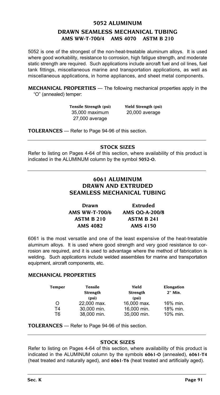# **5052 ALUMINUM DRAWN SEAMLESS MECHANICAL TUBING AMS WW-T-700/4 AMS 4070 ASTM B 210**

5052 is one of the strongest of the non-heat-treatable aluminum alloys. It is used where good workability, resistance to corrosion, high fatigue strength, and moderate static strength are required. Such applications include aircraft fuel and oil lines, fuel tank fittings, miscellaneous marine and transportation applications, as well as miscellaneous applications, in home appliances, and sheet metal components.

**MECHANICAL PROPERTIES** — The following mechanical properties apply in the "O" (annealed) temper:

> **Tensile Strength (psi) Yield Strength (psi)**  35,000 maximum 20,000 average 27,000 average

**TOLERANCES** — Refer to Page 94-96 of this section.

### **Stock Sizes**

Refer to listing on Pages 4-64 of this section, where availability of this product is indicated in the ALUMINUM column by the symbol **5052-O.**

# **6061 ALUMINUM DRAWN and EXTRUDED SEAMLESS MECHANICAL TUBING**

| Drawn                 | <b>Extruded</b>   |
|-----------------------|-------------------|
| <b>AMS WW-T-700/6</b> | AMS QQ-A-200/8    |
| <b>ASTM B 210</b>     | <b>ASTM B 241</b> |
| <b>AMS 4082</b>       | AMS 4150          |

6061 is the most versatile and one of the least expensive of the heat-treatable aluminum alloys. It is used where good strength and very good resistance to corrosion are required, and it is used to advantage where the method of fabrication is welding. Such applications include welded assemblies for marine and transportation equipment, aircraft components, etc.

### **MECHANICAL PROPERTIES**

| Temper | Tensile<br><b>Strength</b> | Yield<br><b>Strength</b> | Elongation<br>2" Min. |
|--------|----------------------------|--------------------------|-----------------------|
|        | (psi)                      | (psi)                    |                       |
| Ω      | 22,000 max.                | 16,000 max.              | 16% min.              |
| Τ4     | 30,000 min.                | 16.000 min.              | 18% min.              |
| Т6     | 38,000 min.                | 35.000 min.              | 10% min.              |

**TOLERANCES** — Refer to Page 94-96 of this section.

## **Stock Sizes**

Refer to listing on Pages 4-64 of this section, where availability of this product is indicated in the ALUMINUM column by the symbols **6061-O** (annealed), **6061-T4** (heat treated and naturally aged), and **6061-T6** (heat treated and artificially aged).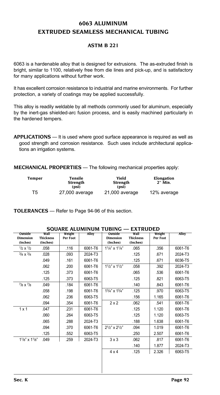# **6063 ALUMINUM EXTRUDED SEAMLESS MECHANICAL TUBING**

### **ASTM B 221**

6063 is a hardenable alloy that is designed for extrusions. The as-extruded finish is bright, similar to 1100, relatively free from die lines and pick-up, and is satisfactory for many applications without further work.

It has excellent corrosion resistance to industrial and marine environments. For further protection, a variety of coatings may be applied successfully.

This alloy is readily weldable by all methods commonly used for aluminum, especially by the inert-gas shielded-arc fusion process, and is easily machined particularly in the hardened tempers.

**APPLICATIONS** — It is used where good surface appearance is required as well as good strength and corrosion resistance. Such uses include architectural applications an irrigation systems.

**MECHANICAL PROPERTIES** — The following mechanical properties apply:

| Temper | Tensile<br>Strength<br>(psi) | Yield<br>Strength<br>(psi) | Elongation<br>2" Min. |
|--------|------------------------------|----------------------------|-----------------------|
| T5     | 27,000 average               | 21,000 average             | 12% average           |

**TOLERANCES** — Refer to Page 94-96 of this section.

|                                         | SUUAKE ALUMINUMI TUDING              |                    |         |                                         | EAIRUDED                             |                    |         |
|-----------------------------------------|--------------------------------------|--------------------|---------|-----------------------------------------|--------------------------------------|--------------------|---------|
| Outside<br><b>Dimension</b><br>(Inches) | Wall<br><b>Thickness</b><br>(Inches) | Weight<br>Per Foot | Alloy   | Outside<br><b>Dimension</b><br>(Inches) | Wall<br><b>Thickness</b><br>(Inches) | Weight<br>Per Foot | Alloy   |
| $1/2 \times 1/2$                        | .058                                 | .116               | 6061-T6 | $11/4$ " x $11/4$ "                     | .065                                 | .356               | 6061-T6 |
| $3/4 \times 3/4$                        | .028                                 | .093               | 2024-T3 |                                         | .125                                 | .671               | 2024-T3 |
|                                         | .049                                 | .161               | 6061-T6 |                                         | .125                                 | .671               | 6036-T5 |
|                                         | .062                                 | .200               | 6061-T6 | $11/2$ " x $11/2$ "                     | .058                                 | .392               | 2024-T3 |
|                                         | .125                                 | .373               | 6061-T6 |                                         | .065                                 | .536               | 6061-T6 |
|                                         | .125                                 | .373               | 6063-T5 |                                         | .125                                 | .821               | 6063-T5 |
| $7/8 \times 7/8$                        | .049                                 | .184               | 6061-T6 |                                         | .140                                 | .843               | 6061-T6 |
|                                         | .058                                 | .198               | 6061-T6 | $13/4$ " x $13/4$ "                     | .125                                 | .970               | 6063-T5 |
|                                         | .062                                 | .236               | 6063-T5 |                                         | .156                                 | 1.165              | 6061-T6 |
|                                         | .094                                 | .354               | 6061-T6 | $2 \times 2$                            | .062                                 | .541               | 6061-T6 |
| $1 \times 1$                            | .047                                 | .231               | 6061-T6 |                                         | .125                                 | 1.120              | 6061-T6 |
|                                         | .060                                 | .264               | 6063-T5 |                                         | .125                                 | 1.120              | 6063-T5 |
|                                         | .065                                 | .288               | 2024-T3 |                                         | .188                                 | 1.638              | 6061-T6 |
|                                         | .094                                 | .370               | 6061-T6 | $2^{1/2}$ " x $2^{1/2}$ "               | .094                                 | 1.019              | 6061-T6 |
|                                         | .125                                 | .552               | 6063-T5 |                                         | .250                                 | 2.507              | 6061-T6 |
| $11/8$ " x $11/8$ "                     | .049                                 | .259               | 2024-T3 | $3 \times 3$                            | .062                                 | .817               | 6061-T6 |
|                                         |                                      |                    |         |                                         | .140                                 | 1.877              | 2024-T3 |
|                                         |                                      |                    |         | $4 \times 4$                            | .125                                 | 2.326              | 6063-T5 |
|                                         |                                      |                    |         |                                         |                                      |                    |         |

# **SQUARE ALUMINUM TUBING — EXTRUDED**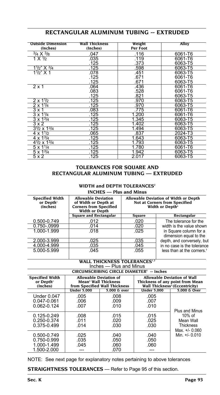| <b>Outside Dimension</b>           | Wall Thickness | Weight   | Alloy   |
|------------------------------------|----------------|----------|---------|
| (Inches)                           | (Inches)       | Per Foot |         |
| $3/4 \times 3/8$                   | .047           | .116     | 6061-T6 |
| 1 X $\frac{1}{2}$                  | .035           | .119     | 6061-T6 |
|                                    | .125           | .373     | 6063-T5 |
| $1\frac{1}{2}$ X $\frac{3}{4}$     | .125           | .598     | 6063-T5 |
| $11/2$ " X 1                       | .078           | .451     | 6063-T5 |
|                                    | .125           | .671     | 6061-T6 |
|                                    | .125           | .671     | 6063-T5 |
| $2 \times 1$                       | .064           | .436     | 6061-T6 |
|                                    | .083           | .528     | 6061-T6 |
|                                    | .125           | .821     | 6063-T5 |
| $2 \times 11/2$                    | .125           | .970     | 6063-T5 |
| $2 \times 1\sqrt{4}$               | .125           | .970     | 6063-T5 |
| $3 \times 1$                       | .083           | .775     | 6061-T6 |
| $3 \times 1\frac{1}{4}$            | .125           | 1.200    | 6061-T6 |
| $3 \times 1^{3/4}$                 | .125           | 1.345    | 6063-T5 |
| 3x2                                | .125           | 1.402    | 6063-T5 |
| $3\frac{1}{2} \times 1\frac{3}{4}$ | .125           | 1.494    | 6063-T5 |
| $4 \times 11/2$                    | .065           | .837     | 2024-T3 |
| $4 \times 1^{3}/4$                 | .125           | 1.643    | 6063-T5 |
| $4^{1/2} \times 1^{3/4}$           | .125           | 1.793    | 6063-T5 |
| $5 \times 11/4$                    | .125           | 1.780    | 6061-T6 |
| $5 \times 13/4$                    | .125           | 1.942    | 6063-T5 |
| 5x2                                | .125           | 2.017    | 6063-T5 |

# **RECTANGULAR ALUMINUM TUBING -- EXTRUDED**

### **TOLERANCES FOR SQUARE AND RECTANGULAR ALUMINUM TUBING — EXTRUDED**

#### **WIDTH and DEPTH TOLERANCES2 INCHES — Plus and Minus**

| <b>Specified Width</b><br>or Depth'<br>(Inches) | <b>Allowable Deviation</b><br>of Width or Depth at<br><b>Corners from Specified</b><br><b>Width or Depth</b> | Allowable Deviation of Width or Depth<br>Not at Corners from Specified<br>Width or Depth <sup>6</sup> |                                                  |  |  |
|-------------------------------------------------|--------------------------------------------------------------------------------------------------------------|-------------------------------------------------------------------------------------------------------|--------------------------------------------------|--|--|
|                                                 | <b>Square and Rectangular</b>                                                                                | Square                                                                                                | Rectangular                                      |  |  |
| 0.500-0.749                                     | .012                                                                                                         | .020                                                                                                  | The tolerance for the                            |  |  |
| 0.750-.0999                                     | .014                                                                                                         | .020                                                                                                  | width is the value shown                         |  |  |
| 1.000-1.999                                     | .018                                                                                                         | .025                                                                                                  | in Square column for a<br>dimension equal to the |  |  |
| 2.000-3.999                                     | .025                                                                                                         | .035                                                                                                  | depth, and conversely, but                       |  |  |
| 4.000-4.999                                     | .035                                                                                                         | .045                                                                                                  | in no case is the tolerance                      |  |  |
| 5.000-5.999                                     | .045                                                                                                         | .055                                                                                                  | less than at the corners. <sup>7</sup>           |  |  |

# WALL THICKNESS TOLERANCES<sup>1,2</sup>

**Inches — Plus and Minus**<br>**CIRCUMSCRIBING CIRCLE DIAMETER -- Inches**

| CIRCUMSCRIBING CIRCLE DIAMETER = INCHES                  |                                                                                                    |                              |                      |                                                                                                                      |  |
|----------------------------------------------------------|----------------------------------------------------------------------------------------------------|------------------------------|----------------------|----------------------------------------------------------------------------------------------------------------------|--|
| <b>Specified Width</b><br>or Depth'<br>(Inches)          | <b>Allowable Deviation of</b><br>Mean <sup>3</sup> Wall Thickness<br>from Specified Wall Thickness |                              |                      | <b>Allowable Deviation of Wall</b><br>Thickness of any point from Mean<br>Wall Thickness <sup>3</sup> (Eccentricity) |  |
|                                                          | <b>Under 5.000</b>                                                                                 | 5.000 & over                 | <b>Under 5.000</b>   | 5.000 & Over                                                                                                         |  |
| <b>Under 0.047</b><br>0.047-0.061<br>$0.062 - 0.124$     | .005<br>.006<br>.007                                                                               | .008<br>.009<br>.010         | .005<br>.007<br>.010 | Plus and Minus                                                                                                       |  |
| $0.125 - 0.249$<br>0.250-0.374<br>0.375-0.499            | .008<br>.011<br>.014                                                                               | .015<br>.020<br>.030         | .015<br>.025<br>.030 | $10\%$ of<br>Mean Wall<br><b>Thickness</b><br>Max. +/- 0.060                                                         |  |
| 0.500-0.749<br>0.750-0.999<br>1.000-1.499<br>1.500-2.000 | .025<br>.035<br>.045                                                                               | .040<br>.050<br>.060<br>.070 | .040<br>.050<br>.060 | Min. +/- 0.010                                                                                                       |  |

NOTE: See next page for explanatory notes pertaining to above tolerances

**STRAIGHTNESS TOLERANCES** — Refer to Page 95 of this section.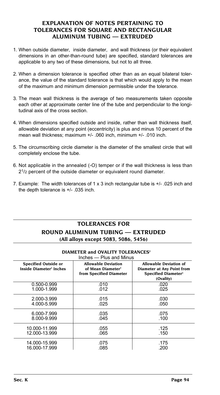### **EXPLANATION OF NOTES PERTAINING TO TOLERANCES FOR SQUARE AND RECTANGULAR ALUMINUM TUBING — EXTRUDED**

- 1. When outside diameter, inside diameter, and wall thickness (or their equivalent dimensions in an other-than-round tube) are specified, standard tolerances are applicable to any two of these dimensions, but not to all three.
- 2. When a dimension tolerance is specified other than as an equal bilateral tolerance, the value of the standard tolerance is that which would apply to the mean of the maximum and minimum dimension permissible under the tolerance.
- 3. The mean wall thickness is the average of two measurements taken opposite each other at approximate center line of the tube and perpendicular to the longitudinal axis of the cross section.
- 4. When dimensions specified outside and inside, rather than wall thickness itself, allowable deviation at any point (eccentricity) is plus and minus 10 percent of the mean wall thickness; maximum +/- .060 inch, minimum +/- .010 inch.
- 5. The circumscribing circle diameter is the diameter of the smallest circle that will completely enclose the tube.
- 6. Not applicable in the annealed (-O) temper or if the wall thickness is less than 21/2 percent of the outside diameter or equivalent round diameter.
- 7. Example: The width tolerances of 1 x 3 inch rectangular tube is +/- .025 inch and the depth tolerance is +/- .035 inch.

# **TOLERANCES FOR ROUND ALUMINUM TUBING — EXTRUDED (All alloys except 5083, 5086, 5456)**

|                                                             | Inches - Plus and Minus                                                                |                                                                                                                   |
|-------------------------------------------------------------|----------------------------------------------------------------------------------------|-------------------------------------------------------------------------------------------------------------------|
| Specified Outside or<br>Inside Diameter <sup>2</sup> Inches | <b>Allowable Deviation</b><br>of Mean Diameter <sup>3</sup><br>from Specified Diameter | <b>Allowable Deviation of</b><br>Diameter at Any Point from<br><b>Specified Diameter<sup>4</sup></b><br>(Ovality) |
| 0.500-0.999                                                 | .010                                                                                   | .020                                                                                                              |
| 1.000-1.999                                                 | .012                                                                                   | .025                                                                                                              |
| 2.000-3.999                                                 | .015                                                                                   | .030                                                                                                              |
| 4.000-5.999                                                 | .025                                                                                   | .050                                                                                                              |
| 6.000-7.999                                                 | .035                                                                                   | .075                                                                                                              |
| 8.000-9.999                                                 | .045                                                                                   | .100                                                                                                              |
| 10.000-11.999                                               | .055                                                                                   | .125                                                                                                              |
| 12.000-13.999                                               | .065                                                                                   | .150                                                                                                              |
| 14.000-15.999                                               | .075                                                                                   | .175                                                                                                              |
| 16.000-17.999                                               | .085                                                                                   | .200                                                                                                              |

### **DIAMETER and OVALITY TOLERANCES2**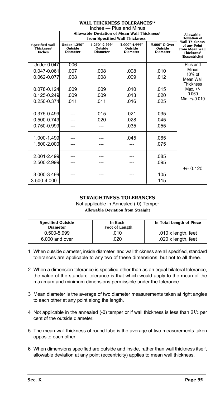| Inches - Plus and Minus                                          |                                                   |                                                                                          |                                             |                                             |                                                                                                     |
|------------------------------------------------------------------|---------------------------------------------------|------------------------------------------------------------------------------------------|---------------------------------------------|---------------------------------------------|-----------------------------------------------------------------------------------------------------|
|                                                                  |                                                   | Allowable Deviation of Mean Wall Thickness <sup>5</sup><br>from Specified Wall Thickness |                                             |                                             | Allowable<br><b>Deviation of</b>                                                                    |
| <b>Specified Wall</b><br>Thickness <sup>6</sup><br><b>Inches</b> | <b>Under 1.250"</b><br>Outside<br><b>Diameter</b> | 1.250"-2.999"<br>Outside<br><b>Diameter</b>                                              | 3.000"-4.999"<br>Outside<br><b>Diameter</b> | 5.000" & Over<br>Outside<br><b>Diameter</b> | <b>Wall Thickness</b><br>of any Point<br>from Mean Wall<br>Thickness <sup>5</sup><br>(Eccentricity) |
| <b>Under 0.047</b>                                               | .006                                              | ---                                                                                      | ---                                         | ---                                         | Plus and                                                                                            |
| 0.047-0.061                                                      | .007                                              | .008                                                                                     | .008                                        | .010                                        | Minus<br>10% of                                                                                     |
| 0.062-0.077                                                      | .008                                              | .008                                                                                     | .009                                        | .012                                        | Mean Wall                                                                                           |
| $0.078 - 0.124$<br>$0.125 - 0.249$<br>0.250-0.374                | .009<br>.009<br>.011                              | .009<br>.009<br>.011                                                                     | .010<br>.013<br>.016                        | .015<br>.020<br>.025                        | <b>Thickness</b><br>Max. $+/-$<br>0.060<br>Min. $+/-0.010$                                          |
| 0.375-0.499                                                      |                                                   | .015                                                                                     | .021                                        | .035                                        |                                                                                                     |
| 0.500-0.749                                                      |                                                   | .020                                                                                     | .028                                        | .045                                        |                                                                                                     |
| 0.750-0.999                                                      |                                                   |                                                                                          | .035                                        | .055                                        |                                                                                                     |
| 1.000-1.499<br>1.500-2.000                                       |                                                   |                                                                                          | .045                                        | .065<br>.075                                |                                                                                                     |
| 2.001-2.499                                                      |                                                   |                                                                                          |                                             | .085                                        |                                                                                                     |
| 2.500-2.999                                                      |                                                   |                                                                                          |                                             | .095                                        |                                                                                                     |
| 3.000-3.499<br>3.500-4.000                                       |                                                   |                                                                                          |                                             | .105<br>.115                                | $+/- 0.120$                                                                                         |

**WALL THICKNESS TOLERANCES1,2**

## **STRAIGHTNESS TOLERANCES**

Not applicable in Annealed (-0) Temper **Allowable Deviation from Straight**

| <b>Specified Outside</b><br><b>Diameter</b> | In Each<br>Foot of Length | In Total Length of Piece |
|---------------------------------------------|---------------------------|--------------------------|
| 0.500-5.999                                 | .010                      | .010 x length, feet      |
| 6.000 and over                              | .020                      | .020 x length, feet      |

- 1 When outside diameter, inside diameter, and wall thickness are all specified, standard tolerances are applicable to any two of these dimensions, but not to all three.
- 2 When a dimension tolerance is specified other than as an equal bilateral tolerance, the value of the standard tolerance is that which would apply to the mean of the maximum and minimum dimensions permissible under the tolerance.
- 3 Mean diameter is the average of two diameter measurements taken at right angles to each other at any point along the length.
- 4 Not applicable in the annealed (-0) temper or if wall thickness is less than 21/**2** per cent of the outside diameter.
- 5 The mean wall thickness of round tube is the average of two measurements taken opposite each other.
- 6 When dimensions specified are outside and inside, rather than wall thickness itself, allowable deviation at any point (eccentricity) applies to mean wall thickness.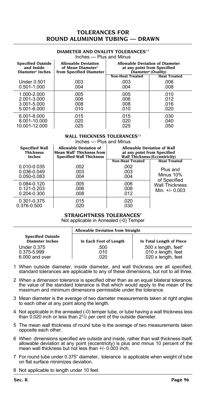# **TOLERANCES FOR ROUND ALUMINUM TUBING — DRAWN**

#### **DIAMETER AND OVALITY TOLERANCES1,2** Inches — Plus and Minus

| <b>Specified Outside</b><br>and Inside | <b>Allowable Deviation</b><br>of Mean Diameter <sup>3</sup> | <b>Allowable Deviation of Diameter</b><br>at any point from Specified |                     |  |
|----------------------------------------|-------------------------------------------------------------|-----------------------------------------------------------------------|---------------------|--|
| Diameter <sup>2</sup> Inches           | from Specified Diameter                                     | Diameter <sup>6</sup> (Ovality)                                       |                     |  |
|                                        |                                                             | <b>Non-Heat Treated</b>                                               | <b>Heat Treated</b> |  |
| Under 0.501                            | .003                                                        | .003                                                                  | .006                |  |
| 0.501-1.000                            | .004                                                        | .004                                                                  | .008                |  |
| 1.000-2.000                            | .005                                                        | .005                                                                  | .010                |  |
| 2.001-3.000                            | .006                                                        | .006                                                                  | .012                |  |
| 3.001-5.000                            | .008                                                        | .008                                                                  | .016                |  |
| 5.001-6.000                            | .010                                                        | .010                                                                  | .020                |  |
| 6.001-8.000                            | .015                                                        | .015                                                                  | .030                |  |
| 8.001-10.000                           | .020                                                        | .020                                                                  | .040                |  |
| 10.001-12.000                          | .025                                                        | .025                                                                  | .050                |  |

### **WALL THICKNESS TOLERANCES1,2**

| Inches - Plus and Minus |  |  |
|-------------------------|--|--|
|                         |  |  |

| <b>Specified Wall</b>                             | <b>Allowable Deviation of</b>         | <b>Allowable Deviation of Wall</b>   |                                           |
|---------------------------------------------------|---------------------------------------|--------------------------------------|-------------------------------------------|
| <b>Thickness</b>                                  | Mean Wall <sup>5</sup> Thickness from | at any point from Specified          |                                           |
| <b>Inches</b>                                     | <b>Specified Wall Thickness</b>       | <b>Wall Thickness (Eccentricity)</b> |                                           |
|                                                   |                                       | <b>Non-Heat Treated</b>              | <b>Heat Treated</b>                       |
| 0.010-0.035                                       | .002                                  | .002                                 | Plus and                                  |
| 0.036-0.049                                       | .003                                  | .003                                 | Minus 10%                                 |
| $0.050 - 0.083$                                   | .004                                  | .004                                 | of Specified                              |
| 0.084-0.120<br>$0.121 - 0.203$<br>$0.204 - 0.300$ | .005<br>.006<br>.008                  | .006<br>.008<br>.012                 | <b>Wall Thickness</b><br>Min. $+/- 0.003$ |
| 0.301-0.375                                       | .015                                  | .020                                 |                                           |
| 0.376-0.500                                       | .020                                  | .030                                 |                                           |

### **STRAIGHTNESS TOLERANCES7**

Not applicable in Annealed (-0) Temper

|                                                    | <b>Allowable Deviation from Straight</b> |                                                                                 |  |  |  |  |  |
|----------------------------------------------------|------------------------------------------|---------------------------------------------------------------------------------|--|--|--|--|--|
| <b>Specified Outside</b><br><b>Diameter Inches</b> | In Each Foot of Length                   | In Total Length of Piece                                                        |  |  |  |  |  |
| Under 0.375<br>0.375-5.999<br>6,000 and over       | .500<br>.010<br>020                      | .500 x length, feet $\frac{8}{3}$<br>.010 x length, feet<br>.020 x length, feet |  |  |  |  |  |

- 1 When outside diameter, inside diameter, and wall thickness are all specified, standard tolerances are applicable to any of these dimensions, but not to all three.
- 2 When a dimension tolerance is specified other than as an equal bilateral tolerance, the value of the standard tolerance is that which would apply to the mean of the maximum and minimum dimensions permissible under the tolerance.
- 3 Mean diameter is the average of two diameter measurements taken at right angles to each other at any point along the length.
- 4 Not applicable in the annealed (-0) temper tube, or tube having a wall thickness less than 0.020 inch or less than 21/2 per cent of the outside diameter.
- 5 The mean wall thickness of round tube is the average of two measurements taken opposite each other.
- 6 When dimensions specified are outside and inside, rather than wall thickness itself, allowable deviation at any point (eccentricity) is plus and minus 10 percent of the mean wall thickness but not less than +/- 0.003 inch.
- 7 For round tube under 0.375" diameter, tolerance is applicable when weight of tube on flat surface minimizes deviation.
- 8 Not applicable to length under 10 feet.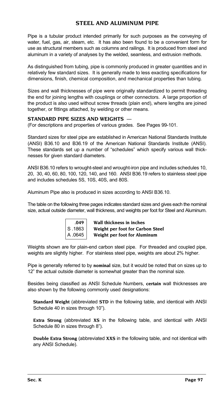# **STEEL AND ALUMINUM PIPE**

Pipe is a tubular product intended primarily for such purposes as the conveying of water, fuel, gas, air, steam, etc. It has also been found to be a convenient form for use as structural members such as columns and railings. It is produced from steel and aluminum in a variety of analyses by the welded, seamless, and extrusion methods.

As distinguished from tubing, pipe is commonly produced in greater quantities and in relatively few standard sizes. It is generally made to less exacting specifications for dimensions, finish, chemical composition, and mechanical properties than tubing.

Sizes and wall thicknesses of pipe were originally standardized to permit threading the end for joining lengths with couplings or other connectors. A large proportion of the product is also used without screw threads (plain end), where lengths are joined together, or fittings attached, by welding or other means.

### **STANDARD PIPE SIZES AND WEIGHTS** —

(For descriptions and properties of various grades. See Pages 99-101.

Standard sizes for steel pipe are established in American National Standards Institute (ANSI) B36.10 and B36.19 of the American National Standards Institute (ANSI). These standards set up a number of "schedules" which specify various wall thicknesses for given standard diameters.

ANSI B36.10 refers to wrought-steel and wrought-iron pipe and includes schedules 10, 20, 30, 40, 60, 80, 100, 120, 140, and 160. ANSI B36.19 refers to stainless steel pipe and includes schedules 5S, 10S, 40S, and 80S.

Aluminum Pipe also is produced in sizes according to ANSI B36.10.

The table on the following three pages indicates standard sizes and gives each the nominal size, actual outside diameter, wall thickness, and weights per foot for Steel and Aluminum.

| .049    |
|---------|
| S .1863 |
| A .0645 |

 **.049 Wall thickness in inches Weight per foot for Carbon Steel Weight per foot for Aluminum** 

Weights shown are for plain-end carbon steel pipe. For threaded and coupled pipe, weights are slightly higher. For stainless steel pipe, weights are about 2% higher.

Pipe is generally referred to by **nominal** size, but it would be noted that on sizes up to 12" the actual outside diameter is somewhat greater than the nominal size.

Besides being classified as ANSI Schedule Numbers, **certain** wall thicknesses are also shown by the following commonly used designations:

**Standard Weight** (abbreviated **STD** in the following table, and identical with ANSI Schedule 40 in sizes through 10").

**Extra Strong** (abbreviated **XS** in the following table, and identical with ANSI Schedule 80 in sizes through 8").

**Double Extra Strong** (abbreviated **XXS** in the following table, and not identical with any ANSI Schedule).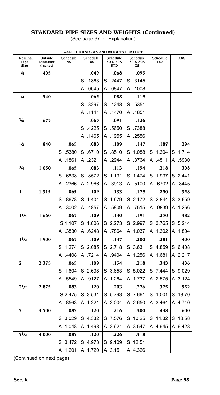### **STANDARD PIPE SIZES AND WEIGHTS (Continued)** (See page 97 for Explanation)

| WALL THICKNESSES AND WEIGHTS PER FOOT |                                        |                       |                 |                                    |                            |                 |            |
|---------------------------------------|----------------------------------------|-----------------------|-----------------|------------------------------------|----------------------------|-----------------|------------|
| Nominal<br>Pipe<br>Size               | Outside<br><b>Diameter</b><br>(Inches) | Schedule<br><b>5S</b> | Schedule<br>10S | Schedule<br>40 & 40S<br><b>STD</b> | Schedule<br>80 & 80S<br>ХS | Schedule<br>160 | <b>XXS</b> |
| 1/8                                   | .405                                   |                       | .049            | .068                               | .095                       |                 |            |
|                                       |                                        |                       | S<br>.1863      | S<br>.2447                         | S<br>.3145                 |                 |            |
|                                       |                                        |                       | .0645<br>А      | .0847<br>A                         | .1008<br>A                 |                 |            |
| 1/4                                   | .540                                   |                       | .065            | .088                               | .119                       |                 |            |
|                                       |                                        |                       | S<br>.3297      | .4248<br>S                         | .5351<br>S                 |                 |            |
|                                       |                                        |                       | .1141<br>А      | .1470<br>А                         | .1851<br>A                 |                 |            |
| $^{3}/_{8}$                           | .675                                   |                       | .065            | .091                               | .126                       |                 |            |
|                                       |                                        |                       | S<br>.4225      | .5650<br>S                         | .7388<br>S                 |                 |            |
|                                       |                                        |                       | A<br>.1465      | А<br>.1955                         | .2556<br>A                 |                 |            |
| 1/2                                   | .840                                   | .065                  | .083            | .109                               | .147                       | .187            | .294       |
|                                       |                                        | .5380<br>S            | S<br>.6710      | S<br>.8510                         | S<br>1.088                 | 1.304<br>S      | 1.714<br>S |
|                                       |                                        | .1861<br>A            | .2321<br>А      | .2944<br>А                         | .3764<br>А                 | .4511<br>A      | .5930<br>A |
| 3/4                                   | 1.050                                  | .065                  | .083            | .113                               | .154                       | .218            | .308       |
|                                       |                                        | .6838<br>S            | .8572<br>S      | 1.131<br>S                         | 1.474<br>S                 | 1.937<br>S      | 2.441<br>S |
|                                       |                                        | .2366<br>А            | A 2.966         | .3913<br>A                         | .5100<br>A                 | .6702<br>A      | A 8445     |
| 1                                     | 1.315                                  | .065                  | .109            | .133                               | .179                       | .250            | .358       |
|                                       |                                        | .8678<br>S            | 1.404<br>S      | 1.679<br>S                         | 2.172<br>S                 | 2.844<br>S      | 3.659<br>S |
|                                       |                                        | .3002<br>А            | .4857<br>А      | .5809<br>А                         | .7515<br>A                 | .9839<br>A      | А<br>1.266 |
| $1^{1/4}$                             | 1.660                                  | .065                  | .109            | .140                               | . 191                      | .250            | .382       |
|                                       |                                        | S 1.107               | 1.806<br>S      | 2.273<br>S                         | 2.997<br>S                 | 3.765<br>S      | 5.214<br>S |
|                                       |                                        | .3830<br>А            | .6248<br>A      | 864. A                             | A 1.037                    | 1.302<br>A      | A<br>1.804 |
| 11/2                                  | 1.900                                  | .065                  | .109            | .147                               | .200                       | .281            | .400       |
|                                       |                                        | 1.274<br>S            | 2.085<br>S      | 2.718<br>S                         | S<br>3.631                 | 4.859<br>S      | 6.408<br>S |
|                                       |                                        | .4408<br>А            | .7214<br>A      | .9404<br>A                         | 1.256<br>A                 | 1.681<br>A      | A 2.217    |
| 2                                     | 2.375                                  | .065                  | .109            | .154                               | .218                       | .343            | .436       |
|                                       |                                        | 1.604<br>S            | S 2.638         | 3.653<br>S                         | 5.022<br>S                 | 7.444<br>S      | 9.029<br>S |
|                                       |                                        | .5549<br>А            | .9127<br>A      | 1.264<br>Α                         | 1.737<br>A                 | A 2.575         | A 3.124    |
| 21/2                                  | 2.875                                  | .083                  | .120            | .203                               | .276                       | .375            | .552       |
|                                       |                                        | S 2.475               | S 3.531         | 5.793<br>S                         | 7.661<br>S                 | 10.01<br>S      | 13.70<br>S |
|                                       |                                        | A .8563               | A 1.221         | A 2.004                            | A 2.650                    | A 3.464         | A 4.740    |
| 3                                     | 3.500                                  | .083                  | .120            | .216                               | .300                       | .438            | .600       |
|                                       |                                        | 3.029<br>S            | S 4.332         | 7.576<br>S                         | 10.25<br>S                 | 14.32<br>S      | 18.58<br>S |
|                                       |                                        | 1.048<br>А            | A 1.498         | A 2.621                            | A 3.547                    | A 4.945         | A 6.428    |
| 31/2                                  | 4.000                                  | .083                  | .120            | .226                               | .318                       |                 |            |
|                                       |                                        | 3.472<br>S            | S 4.973         | 9.109<br>S                         | 12.51<br>S                 |                 |            |
|                                       |                                        | 1.201<br>А            | А<br>1.720      | Α<br>3.151                         | 4.326<br>Α                 |                 |            |

(Continued on next page)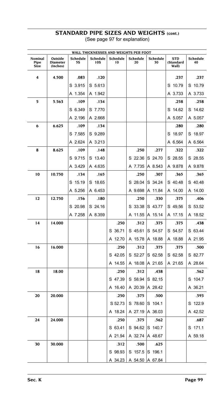# **STANDARD PIPE SIZES AND WEIGHTS (cont.)**

(See page 97 for explanation)

| WALL THICKNESSES AND WEIGHTS PER FOOT |                                        |                       |                 |                |                |                |                                  |                |
|---------------------------------------|----------------------------------------|-----------------------|-----------------|----------------|----------------|----------------|----------------------------------|----------------|
| Nominal<br>Pipe<br>Size               | Outside<br><b>Diameter</b><br>(Inches) | Schedule<br><b>5S</b> | Schedule<br>10S | Schedule<br>10 | Schedule<br>20 | Schedule<br>30 | <b>STD</b><br>(Standard<br>Wall) | Schedule<br>40 |
| 4                                     | 4.500                                  | .083                  | .120            |                |                |                | .237                             | .237           |
|                                       |                                        | S 3.915               | S 5.613         |                |                |                | S 10.79                          | S 10.79        |
|                                       |                                        | A 1.354               | A 1.942         |                |                |                | A 3.733                          | A 3.733        |
| 5                                     | 5.563                                  | .109                  | .134            |                |                |                | .258                             | .258           |
|                                       |                                        | S 6.349               | S 7.770         |                |                |                | S 14.62                          | S 14.62        |
|                                       |                                        | A 2.196               | A 2.668         |                |                |                | A 5.057                          | A 5.057        |
| 6                                     | 6.625                                  | .109                  | .134            |                |                |                | .280                             | .280           |
|                                       |                                        | S 7.585               | S 9.289         |                |                |                | S 18.97                          | S 18.97        |
|                                       |                                        | A 2.624               | A 3.213         |                |                |                | A 6.564                          | A 6.564        |
| 8                                     | 8.625                                  | .109                  | .148            |                | .250           | .277           | .322                             | .322           |
|                                       |                                        | S 9.715               | S 13.40         |                | S 22.36        | S 24.70        | S 28.55                          | S 28.55        |
|                                       |                                        | A 3.429               | A 4.635         |                | A 7.735        | A 8.543        | A 9.878                          | A 9.878        |
| 10                                    | 10.750                                 | .134                  | .165            |                | .250           | .307           | .365                             | .365           |
|                                       |                                        | S 15.19               | S 18.65         |                | S 28.04        | S 34.24        | S 40.48                          | S 40.48        |
|                                       |                                        | A 5.256               | A 6.453         |                | A 9.698        | A 11.84        | A 14.00                          | A 14.00        |
| 12                                    | 12.750                                 | .156                  | .180            |                | .250           | .330           | .375                             | .406           |
|                                       |                                        | S 20.98               | S 24.16         |                | S 33.38        | S 43.77        | S 49,56                          | S 53.52        |
|                                       |                                        | A 7.258               | A 8.359         |                | A 11.55        | A 15.14        | A 17.15                          | A 18.52        |
| 14                                    | 14.000                                 |                       |                 | .250           | .312           | .375           | .375                             | .438           |
|                                       |                                        |                       |                 | S 36.71        | S 45.61        | S 54.57        | S 54.57                          | S 63.44        |
|                                       |                                        |                       |                 | A 12.70        | A 15.78        | A 18.88        | A 18.88                          | A 21.95        |
| 16                                    | 16.000                                 |                       |                 | .250           | .312           | .375           | .375                             | .500           |
|                                       |                                        |                       |                 | S 42.05        | S 52.27        | S 62.58        | S 62.58                          | S 82.77        |
|                                       |                                        |                       |                 | A 14.55        | A 18.08        | A 21.65        | A 21.65                          | A 28.64        |
| 18                                    | 18.00                                  |                       |                 | .250           | .312           | .438           |                                  | .562           |
|                                       |                                        |                       |                 | S 47.39        | S 58.94        | S 82.15        |                                  | S 104.7        |
|                                       |                                        |                       |                 | A 16.40        | A 20.39        | A 28.42        |                                  | A 36.21        |
| 20                                    | 20.000                                 |                       |                 | .250           | .375           | .500           |                                  | .593           |
|                                       |                                        |                       |                 | S 52.73        | S 78.60        | S 104.1        |                                  | S 122.9        |
|                                       |                                        |                       |                 | A 18.24        | A 27.19        | A 36.03        |                                  | A 42.52        |
| 24                                    | 24.000                                 |                       |                 | .250           | .375           | .562           |                                  | .687           |
|                                       |                                        |                       |                 | S 63.41        | S 94.62        | S 140.7        |                                  | S 171.1        |
|                                       |                                        |                       |                 | A 21.94        | A 32.74        | A 48.67        |                                  | A 59.18        |
| 30                                    | 30.000                                 |                       |                 | .312           | .500           | .625           |                                  |                |
|                                       |                                        |                       |                 | S 98.93        | S 157.5        | S 196.1        |                                  |                |
|                                       |                                        |                       |                 | 34.23<br>Α     | A 54.50        | A 67.84        |                                  |                |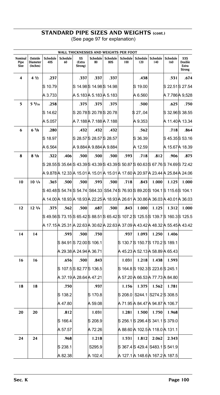# **STANDARD PIPE SIZES AND WEIGHTS (cont.)**

|  | (See page 97 for explanation) |
|--|-------------------------------|
|--|-------------------------------|

|                                |                                        |                 |                |                          |                         |                 | WALL THICKNESSES AND WEIGHTS PER FOOT                                           |                                |                       |                        |                                         |
|--------------------------------|----------------------------------------|-----------------|----------------|--------------------------|-------------------------|-----------------|---------------------------------------------------------------------------------|--------------------------------|-----------------------|------------------------|-----------------------------------------|
| Nominal<br>Pipe<br><b>Size</b> | Outside<br><b>Diameter</b><br>(Inches) | Schedule<br>40S | Schedule<br>60 | ХS<br>(Extra<br>Strong)  | Schedule<br>80          | Schedule<br>80S | Schedule<br>100                                                                 | Schedule<br>120                | Schedule<br>140       | <b>Schedule</b><br>160 | XXS<br>Double<br>Extra<br><b>Strong</b> |
| $\overline{\mathbf{4}}$        | 41/2                                   | .237            |                | .337                     | .337                    | .337            |                                                                                 | .438                           |                       | .531                   | .674                                    |
|                                |                                        | S 10.79         |                |                          | S 14.98 S 14.98 S 14.98 |                 |                                                                                 | S 19.00                        |                       | S 22.51 S 27.54        |                                         |
|                                |                                        | A 3.733         |                |                          | A 5.183A 5.183A 5.183   |                 |                                                                                 | A 6.560                        |                       | A 7.786A 9.528         |                                         |
| 5                              | $5\frac{9}{16}$                        | .258            |                | .375                     | .375                    | .375            |                                                                                 | .500                           |                       | .625                   | .750                                    |
|                                |                                        | S 14.62         |                |                          | S 20.78 S 20.78 S 20.78 |                 |                                                                                 | \$27,.04                       |                       | S 32.96S 38.55         |                                         |
|                                |                                        | A 5.057         |                |                          | A 7.188A 7.188A 7.188   |                 |                                                                                 | A 9.353                        |                       | A 11.40A 13.34         |                                         |
| 6                              | $6^{5}/s$                              | .280            |                | .432                     | .432                    | .432            |                                                                                 | .562                           |                       | .718                   | .864                                    |
|                                |                                        | S 18.97         |                |                          | S 28.57 S 28.57 S 28.57 |                 |                                                                                 | S 36.39                        |                       | S 45.35S 53.16         |                                         |
|                                |                                        | A 6.564         |                |                          | A 9.884 A 9.884 A 9.884 |                 |                                                                                 | A 12.59                        |                       | A 15.67Å 18.39         |                                         |
| 8                              | $8^{5}/s$                              | .322            | .406           | .500                     | .500                    | .500            | .593                                                                            | .718                           | .812                  | .906                   | .875                                    |
|                                |                                        |                 |                |                          |                         |                 | S 28.55 S 35.64 S 43.39 S 43.39 S 43.39 S 50.87 S 60.63 S 67.76 S 74.69 S 72.42 |                                |                       |                        |                                         |
|                                |                                        |                 |                |                          |                         |                 | A 9.878 A 12.33 A 15.01 A 15.01 A 15.01 A 17.60 A 20.97 A 23.44 A 25.84 A 24.06 |                                |                       |                        |                                         |
| 10                             | $10^{1/4}$                             | .365            | .500           | .500                     | .593                    | .500            | .718                                                                            | .843                           | 1.000                 | 1.125                  | 1.000                                   |
|                                |                                        |                 |                |                          |                         |                 | S 40.48 S 54.74 S 54.74 S64.33 S54.74 S 76.93 S 89.20 S 104.1 S 115.6 S 104.1   |                                |                       |                        |                                         |
|                                |                                        |                 |                |                          |                         |                 | A 14.00 A 18.93 A 18.93 A 22.25 A 18.93 A 26.61 A 30.86 A 36.03 A 40.01 A 36.03 |                                |                       |                        |                                         |
| 12                             | $12^{3}/4$                             | .375            | .562           | .500                     | .687                    | .500            | .843                                                                            | 1.000                          | 1.125                 | 1.312                  | 1.000                                   |
|                                |                                        |                 |                |                          |                         |                 | S 49.56 S 73.15 S 65.42 S 88.51 S 65.42 S 107.2 S 125.5 S 139.7 S 160.3 S 125.5 |                                |                       |                        |                                         |
|                                |                                        |                 |                |                          |                         |                 | A 17.15Å 25.31Å 22.63Å 30.62Å 22.63Å 37.09Å 43.42Å 48.32Å 55.45Å 43.42          |                                |                       |                        |                                         |
| 14                             | 14                                     |                 | .593           | .500                     | .750                    |                 | .937                                                                            | 1.093                          | 1.250                 | 1.406                  |                                         |
|                                |                                        |                 |                | S 84.91 S 72.00 S 106.1  |                         |                 | S 130.7 S 150.7 S 170.2 S 189.1                                                 |                                |                       |                        |                                         |
|                                |                                        |                 |                | A 29.38 A 24.94 A 36.71  |                         |                 | A 45.23 A 52.13 A 58.89 A 65.43                                                 |                                |                       |                        |                                         |
| 16                             | 16                                     |                 | .656           | .500                     | .843                    |                 | 1.031                                                                           | 1.218                          | 1.438                 | 1.593                  |                                         |
|                                |                                        |                 |                | S 107.5 S 82.77 S 136.5  |                         |                 | S 164.8 S 192.3 S 223.6 S 245.1                                                 |                                |                       |                        |                                         |
|                                |                                        |                 |                | A 37.19 A 28.64  A 47.21 |                         |                 | A 57.20 A 66.53 A 77.73 A 84.80                                                 |                                |                       |                        |                                         |
| 18                             | 18                                     |                 | .750           |                          | .937                    |                 | 1.156                                                                           | 1.375                          | 1.562                 | 1.781                  |                                         |
|                                |                                        |                 | S 138.2        |                          | S 170.8                 |                 | IS 208.0                                                                        |                                | S244.1 S274.2 S 308.5 |                        |                                         |
|                                |                                        |                 | A 47.80        |                          | A 59.08                 |                 | A 71.95 A 84.47 A 94.87 A 106.7                                                 |                                |                       |                        |                                         |
| 20                             | 20                                     |                 | .812           |                          | 1.031                   |                 | 1.281                                                                           | 1.500                          | 1.750                 | 1.968                  |                                         |
|                                |                                        |                 | S 166.4        |                          | IS 208.9                |                 | S 256.1 S 296.4 S 341.1 S 379.0                                                 |                                |                       |                        |                                         |
|                                |                                        |                 | A 57.57        |                          | A 72.26                 |                 | A 88.60 A 102.5 A 118.0 A 131.1                                                 |                                |                       |                        |                                         |
| 24                             | 24                                     |                 | .968           |                          | 1.218                   |                 | 1.531                                                                           | 1.812                          | 2.062                 | 2.343                  |                                         |
|                                |                                        |                 | S 238.1        |                          | S295.9                  |                 |                                                                                 | S 367.4 S 429.4 S483.1 S 541.9 |                       |                        |                                         |
|                                |                                        |                 | A 82.38        |                          | A 102.4                 |                 | A 127.1 A 148.6 A 167.2 A 187.5                                                 |                                |                       |                        |                                         |
|                                |                                        |                 |                |                          |                         |                 |                                                                                 |                                |                       |                        |                                         |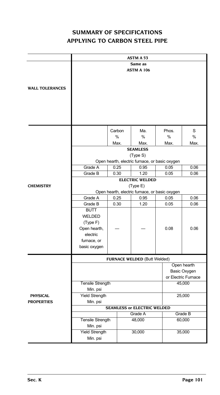# **SUMMARY OF SPECIFICATIONS APPLYING TO CARBON STEEL PIPE**

|                        |                                                |        | <b>ASTM A 53</b>                               |       |                     |  |  |
|------------------------|------------------------------------------------|--------|------------------------------------------------|-------|---------------------|--|--|
|                        |                                                |        | Same as                                        |       |                     |  |  |
|                        |                                                |        | <b>ASTM A 106</b>                              |       |                     |  |  |
|                        |                                                |        |                                                |       |                     |  |  |
| <b>WALL TOLERANCES</b> |                                                |        |                                                |       |                     |  |  |
|                        |                                                |        |                                                |       |                     |  |  |
|                        |                                                |        |                                                |       |                     |  |  |
|                        |                                                |        |                                                |       |                     |  |  |
|                        |                                                |        |                                                |       |                     |  |  |
|                        |                                                | Carbon | Ma.                                            | Phos. | S                   |  |  |
|                        |                                                | %      | %                                              | %     | %                   |  |  |
|                        |                                                | Max.   | Max.                                           | Max.  | Max.                |  |  |
|                        |                                                |        | <b>SEAMLESS</b><br>(Type S)                    |       |                     |  |  |
|                        |                                                |        | Open hearth, electric furnace, or basic oxygen |       |                     |  |  |
|                        | Grade A                                        | 0.25   | 0.95                                           | 0.05  | 0.06                |  |  |
|                        | Grade B                                        | 0.30   | 1.20                                           | 0.05  | 0.06                |  |  |
| <b>CHEMISTRY</b>       | <b>ELECTRIC WELDED</b><br>(Type E)             |        |                                                |       |                     |  |  |
|                        | Open hearth, electric furnace, or basic oxygen |        |                                                |       |                     |  |  |
|                        | Grade A<br>0.25                                |        | 0.95                                           | 0.05  | 0.06                |  |  |
|                        | Grade B                                        | 0.30   | 1.20                                           | 0.05  | 0.06                |  |  |
|                        | <b>BUTT</b>                                    |        |                                                |       |                     |  |  |
|                        | WELDED                                         |        |                                                |       |                     |  |  |
|                        | (Type F)<br>Open hearth,                       |        |                                                | 0.08  | 0.06                |  |  |
|                        | electric                                       |        |                                                |       |                     |  |  |
|                        | furnace, or                                    |        |                                                |       |                     |  |  |
|                        | basic oxygen                                   |        |                                                |       |                     |  |  |
|                        |                                                |        | FURNACE WELDED (Butt Welded)                   |       |                     |  |  |
|                        |                                                |        |                                                |       | Open hearth         |  |  |
|                        |                                                |        |                                                |       | <b>Basic Oxygen</b> |  |  |
|                        |                                                |        |                                                |       | or Electric Furnace |  |  |
|                        | <b>Tensile Strength</b><br>Min. psi            |        |                                                |       | 45,000              |  |  |
| <b>PHYSICAL</b>        | <b>Yield Strength</b>                          |        |                                                |       | 25,000              |  |  |
| <b>PROPERTIES</b>      | Min. psi                                       |        |                                                |       |                     |  |  |
|                        |                                                |        | <b>SEAMLESS or ELECTRIC WELDED</b>             |       |                     |  |  |
|                        | Tensile Strength                               |        | Grade A<br>48,000                              |       | Grade B<br>60,000   |  |  |
|                        | Min. psi                                       |        |                                                |       |                     |  |  |
|                        | <b>Yield Strength</b>                          |        | 30,000                                         |       | 35,000              |  |  |
|                        | Min. psi                                       |        |                                                |       |                     |  |  |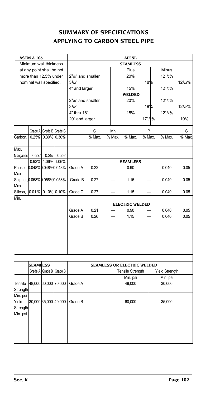# **SUMMARY OF SPECIFICATIONS APPLYING TO CARBON STEEL PIPE**

|           | ASTM A 106                    |       |                         |                   | API 5L                   |        |                        |        |        |        |  |
|-----------|-------------------------------|-------|-------------------------|-------------------|--------------------------|--------|------------------------|--------|--------|--------|--|
|           | Minimum wall thickness        |       |                         |                   |                          |        | <b>SEAMLESS</b>        |        |        |        |  |
|           | at any point shall be not     |       |                         |                   |                          |        | Plus                   |        | Minus  |        |  |
|           | more than 12.5% under         |       |                         | 27/8" and smaller |                          |        | 20%                    |        | 121/2% |        |  |
|           | nominal wall specified.       |       |                         | $3^{1/2"$         |                          |        |                        | 18%    |        | 121/2% |  |
|           |                               |       |                         | 4" and larger     |                          |        | 15%                    |        | 121/2% |        |  |
|           |                               |       |                         |                   |                          |        | <b>WELDED</b>          |        |        |        |  |
|           |                               |       |                         | 27/8" and smaller |                          |        | 20%                    |        | 121/2% |        |  |
|           |                               |       |                         | $3^{1/2"$         |                          |        |                        | 18%    |        | 121/2% |  |
|           |                               |       |                         | 4" thru 18"       |                          |        | 15%                    |        | 121/2% |        |  |
|           |                               |       |                         |                   | 171/2%<br>20" and larger |        |                        |        |        | 10%    |  |
|           |                               |       | Grade A Grade B Grade C |                   | C                        | Mn     |                        | P      |        | S      |  |
| Carbon,   |                               |       | $0.25\%$ 0.30% 0.30%    |                   | $%$ Max.                 | % Max. | $%$ Max.               | % Max. | % Max. | % Max. |  |
|           |                               |       |                         |                   |                          |        |                        |        |        |        |  |
| Max.      |                               |       |                         |                   |                          |        |                        |        |        |        |  |
| Manganese | 0.27/                         | 0.29/ | 0.29/                   |                   |                          |        |                        |        |        |        |  |
|           |                               |       | 0.93% 1.06% 1.06%       |                   |                          |        | <b>SEAMLESS</b>        |        |        |        |  |
|           | Phosp., 0.048%0.048%0.048%    |       |                         | Grade A           | 0.22                     |        | 0.90                   |        | 0.040  | 0.05   |  |
| Max       |                               |       |                         |                   |                          |        |                        |        |        |        |  |
|           | Sulphur, 0.058% 0.058% 0.058% |       |                         | Grade B           | 0.27                     |        | 1.15                   |        | 0.040  | 0.05   |  |
| Max       |                               |       |                         |                   |                          |        |                        |        |        |        |  |
| Silicon,  | $0.01\%$ 0.10% 0.10%          |       |                         | Grade C           | 0.27                     |        | 1.15                   |        | 0.040  | 0.05   |  |
| Min.      |                               |       |                         |                   |                          |        |                        |        |        |        |  |
|           |                               |       |                         |                   |                          |        | <b>ELECTRIC WELDED</b> |        |        |        |  |
|           |                               |       |                         | Grade A           | 0.21                     |        | 0.90                   |        | 0.040  | 0.05   |  |
|           |                               |       |                         | Grade B           | 0.26                     |        | 1.15                   |        | 0.040  | 0.05   |  |
|           |                               |       |                         |                   |                          |        |                        |        |        |        |  |
|           |                               |       |                         |                   |                          |        |                        |        |        |        |  |
|           |                               |       |                         |                   |                          |        |                        |        |        |        |  |
|           |                               |       |                         |                   |                          |        |                        |        |        |        |  |
|           |                               |       |                         |                   |                          |        |                        |        |        |        |  |

|          | <b>SEAMLESS</b>      |                         |         | <b>SEAMLESS OR ELECTRIC WELDED</b> |                       |
|----------|----------------------|-------------------------|---------|------------------------------------|-----------------------|
|          |                      | Grade A Grade B Grade C |         | <b>Tensile Strength</b>            | <b>Yield Strength</b> |
|          |                      |                         |         | Min. psi                           | Min. psi              |
| Tensile  | 48,000 60,000 70,000 |                         | Grade A | 48,000                             | 30,000                |
| Strength |                      |                         |         |                                    |                       |
| Min. psi |                      |                         |         |                                    |                       |
| Yield    | 30,000 35,000 40,000 |                         | Grade B | 60,000                             | 35,000                |
| Strength |                      |                         |         |                                    |                       |
| Min. psi |                      |                         |         |                                    |                       |
|          |                      |                         |         |                                    |                       |
|          |                      |                         |         |                                    |                       |
|          |                      |                         |         |                                    |                       |
|          |                      |                         |         |                                    |                       |
|          |                      |                         |         |                                    |                       |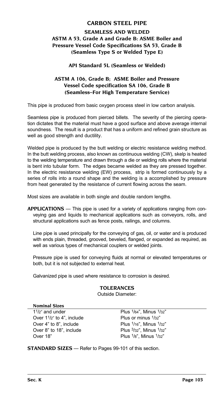# **CARBON STEEL PIPE**

# **Seamless and Welded ASTM A 53, Grade A and Grade B: ASME Boiler and Pressure Vessel Code Specifications SA 53, Grade B (Seamless Type S or Welded Type E)**

### **API Standard 5L (Seamless or Welded)**

### **ASTM A 106, Grade B; ASME Boiler and Pressure Vessel Code specification SA 106, Grade B (Seamless–For High Temperature Service)**

This pipe is produced from basic oxygen process steel in low carbon analysis.

Seamless pipe is produced from pierced billets. The severity of the piercing operation dictates that the material must have a good surface and above average internal soundness. The result is a product that has a uniform and refined grain structure as well as good strength and ductility.

Welded pipe is produced by the butt welding or electric resistance welding method. In the butt welding process, also known as continuous welding (CW), skelp is heated to the welding temperature and drawn through a die or welding rolls where the material is bent into tubular form. The edges became welded as they are pressed together. In the electric resistance welding (EW) process, strip is formed continuously by a series of rolls into a round shape and the welding is a accomplished by pressure from heat generated by the resistance of current flowing across the seam.

Most sizes are available in both single and double random lengths.

**APPLICATIONS** — This pipe is used for a variety of applications ranging from conveying gas and liquids to mechanical applications such as conveyors, rolls, and structural applications such as fence posts, railings, and columns.

Line pipe is used principally for the conveying of gas, oil, or water and is produced with ends plain, threaded, grooved, beveled, flanged, or expanded as required, as well as various types of mechanical couplers or welded joints.

Pressure pipe is used for conveying fluids at normal or elevated temperatures or both, but it is not subjected to external heat.

Galvanized pipe is used where resistance to corrosion is desired.

### **TOLERANCES**

Outside Diameter:

### **Nominal Sizes**

1<sup>1</sup>/2" and under Plus <sup>1</sup>/64", Minus <sup>1</sup>/32" Over 1<sup>1</sup>/<sub>2</sub>" to 4", include Plus or minus <sup>1</sup>/32" Over 4" to 8", include Plus 1/16", Minus 1/32" Over 8" to 18", include  $P(123)$  Plus  $3/32$ ", Minus  $1/32$ " Over 18" Plus 1/8", Minus 1/32"

**STANDARD SIZES** — Refer to Pages 99-101 of this section.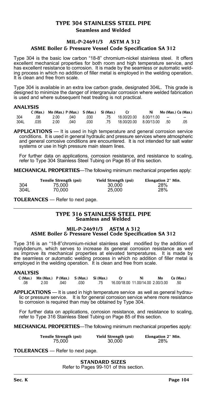### **TYPE 304 STAINLESS STEEL PIPE Seamless and Welded**

### **MIL-P-24691/3 ASTM A 312**

### **ASME Boiler & Pressure Vessel Code Specification SA 312**

Type 304 is the basic low carbon "18-8" chromium-nickel stainless steel. It offers excellent mechanical properties for both room and high temperature service, and has excellent resistance to corrosion. It is made by the seamless or automatic welding process in which no addition of filler metal is employed in the welding operation. It is clean and free from scale.

Type 304 is available in an extra low carbon grade, designated 304L. This grade is designed to minimize the danger of intergranular corrosion where welded fabrication is used and where subsequent heat treating is not practical.

#### **ANALYSIS**

|      |      | $C$ (Max.) Mn (Max.) $P$ (Max.) $S$ (Max.) $Si$ (Max.) |      |      |    |             | Ni         |        | Mo (Max.) Cu (Max.) |
|------|------|--------------------------------------------------------|------|------|----|-------------|------------|--------|---------------------|
| 304  | .08  | 2.00                                                   | .040 | .030 | 75 | 18.00/20.00 | 8.00/11.00 | $\sim$ | --                  |
| 304L | .035 | 2.00                                                   | .040 | .030 | 75 | 18.00/20.00 | 8.00/13.00 | .50    | .05                 |

**APPLICATIONS** — It is used in high temperature and general corrosion service conditions. It is used in general hydraulic and pressure services where atmospheric and general corrosive conditions are encountered. It is not intended for salt water systems or use in high pressure main steam lines.

For further data on applications, corrosion resistance, and resistance to scaling, refer to Type 304 Stainless Steel Tubing on Page 85 of this section.

**MECHANICAL PROPERTIES**—The following minimum mechanical properties apply:

|      | Tensile Strength (psi) | <b>Yield Strength (psi)</b> | Elongation 2" Min. |
|------|------------------------|-----------------------------|--------------------|
| 304  | 75.000                 | 30.000                      | 28%                |
| 304L | 70.000                 | 25.000                      | 28%                |

**TOLERANCES** — Refer to next page.

#### **TYPE 316 STAINLESS STEEL PIPE Seamless and Welded**

#### **MIL-P-24691/3 ASTM A 312 ASME Boiler & Pressure Vessel Code Specification SA 312**

Type 316 is an "18-8"chromium-nickel stainless steel modified by the addition of molybdenum, which serves to increase its general corrosion resistance as well as improve its mechanical properties at elevated temperatures. It is made by the seamless or automatic welding process in which no addition of filler metal is employed in the welding operation. It is clean and free from scale.

#### **ANALYSIS**

|     | $C$ (Max.) Mn (Max.) $P$ (Max.) $S$ (Max.) Si (Max.) |      |      |     |                                   | Ni | Mo | Cu (Max.) |
|-----|------------------------------------------------------|------|------|-----|-----------------------------------|----|----|-----------|
| .08 | 2.00                                                 | .040 | .030 | .75 | 16.00/18.00 11.00/14.00 2.00/3.00 |    |    | .50       |

**APPLICATIONS** — It is used in high temperature service as well as general hydraulic or pressure service. It is for general corrosion service where more resistance to corrosion is required than may be obtained by Type 304.

For further data on applications, corrosion resistance, and resistance to scaling, refer to Type 316 Stainless Steel Tubing on Page 85 of this section.

**MECHANICAL PROPERTIES**—The following minimum mechanical properties apply:

| Tensile Strength (psi) | Yield Strength (psi) | Elongation 2" Min. |
|------------------------|----------------------|--------------------|
| 75.000                 | 30.000               | 28%                |

**TOLERANCES** — Refer to next page.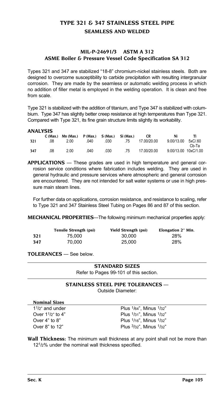# **TYPE 321 & 347 STAINLESS STEEL PIPE Seamless and Welded**

### **MIL-P-24691/3 ASTM A 312 ASME Boiler & Pressure Vessel Code Specification SA 312**

Types 321 and 347 are stabilized "18-8" chromium-nickel stainless steels. Both are designed to overcome susceptibility to carbide precipitation with resulting intergranular corrosion. They are made by the seamless or automatic welding process in which no addition of filler metal is employed in the welding operation. It is clean and free from scale.

Type 321 is stabilized with the addition of titanium, and Type 347 is stabilized with columbium. Type 347 has slightly better creep resistance at high temperatures than Type 321. Compared with Type 321, its fine grain structure limits slightly its workability.

#### **ANALYSIS**

| .   | C (Max.) | Mn (Max.) | $P(Max.)$ S(Max.) |      | Si (Max.) | CR          | Ni                   | Ti      |
|-----|----------|-----------|-------------------|------|-----------|-------------|----------------------|---------|
| 321 | .08      | 2.00      | .040              | .030 | .75       | 17.00/20.00 | 9.00/13.00           | 5xC/.60 |
|     |          |           |                   |      |           |             |                      | Cb-Ta   |
| 347 | .08      | 2.00      | .040              | .030 | .75       | 17.00/20.00 | 9.00/13.00 10xC/1.00 |         |

**APPLICATIONS** — These grades are used in high temperature and general corrosion service conditions where fabrication includes welding. They are used in general hydraulic and pressure services where atmospheric and general corrosion are encountered. They are not intended for salt water systems or use in high pressure main steam lines.

For further data on applications, corrosion resistance, and resistance to scaling, refer to Type 321 and 347 Stainless Steel Tubing on Pages 86 and 87 of this section.

**MECHANICAL PROPERTIES**—The following minimum mechanical properties apply:

|     | Tensile Strength (psi) | Yield Strength (psi) | Elongation 2" Min. |
|-----|------------------------|----------------------|--------------------|
| 321 | 75.000                 | 30,000               | 28%                |
| 347 | 70.000                 | 25,000               | 28%                |

**TOLERANCES** — See below.

### **STANDARD SIZES**

Refer to Pages 99-101 of this section.

### **STAINLESS STEEL PIPE TOLERANCES** —

Outside Diameter:

| <b>Nominal Sizes</b> |  |
|----------------------|--|
|                      |  |

 $1^{1/2}$ " and under Plus  $1/64$ ", Minus  $1/32$ " Over  $1^{1}/2$ " to  $4$ " Plus  $1/31$ ", Minus  $1/32$ " Plus  $1/16$ " Minus  $1/32$ " Over  $4$ " to  $8$ "  $P$  Plus  $1/16$ ", Minus  $1/32$ "<br>Over  $8$ " to  $12$ "  $P$  Plus  $3/32$ " Minus  $1/32$ " Plus 3/32", Minus 1/32"

**Wall Thickness:** The minimum wall thickness at any point shall not be more than 121/2% under the nominal wall thickness specified.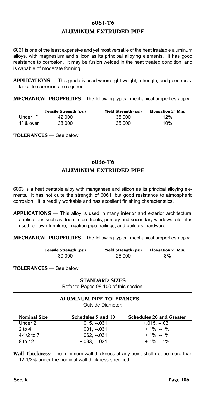# **6061-T6 ALUMINUM EXTRUDED PIPE**

6061 is one of the least expensive and yet most versatile of the heat treatable aluminum alloys, with magnesium and silicon as its principal alloying elements. It has good resistance to corrosion. It may be fusion welded in the heat treated condition, and is capable of moderate forming.

**APPLICATIONS** — This grade is used where light weight, strength, and good resistance to corrosion are required.

**MECHANICAL PROPERTIES**—The following typical mechanical properties apply:

|           | Tensile Strength (psi) | Yield Strength (psi) | Elongation 2" Min. |
|-----------|------------------------|----------------------|--------------------|
| Under 1"  | 42.000                 | 35.000               | 12%                |
| 1" & over | 38.000                 | 35,000               | 10%                |

**TOLERANCES** — See below.

# **6036-T6 ALUMINUM EXTRUDED PIPE**

6063 is a heat treatable alloy with manganese and silicon as its principal alloying elements. It has not quite the strength of 6061, but good resistance to atmospheric corrosion. It is readily workable and has excellent finishing characteristics.

**APPLICATIONS** — This alloy is used in many interior and exterior architectural applications such as doors, store fronts, primary and secondary windows, etc. it is used for lawn furniture, irrigation pipe, railings, and builders' hardware.

**MECHANICAL PROPERTIES**—The following typical mechanical properties apply:

| Tensile Strength (psi) | Yield Strength (psi) | Elongation 2" Min. |
|------------------------|----------------------|--------------------|
| 30.000                 | 25,000               | 8%                 |

**TOLERANCES** — See below.

**STANDARD SIZES** Refer to Pages 98-100 of this section.

# **ALUMINUM PIPE TOLERANCES** —

Outside Diameter:

| <b>Nominal Size</b> | Schedules 5 and 10 | <b>Schedules 20 and Greater</b> |
|---------------------|--------------------|---------------------------------|
| Under 2             | $+.015. - .031$    | $+.015. - .031$                 |
| $2$ to $4$          | $+031 - 031$       | $+1\%$ . --1%                   |
| 4-1/2 to $7$        | $+.062. - .031$    | $+1\%$ . --1%                   |
| 8 to 12             | $+.093. - .031$    | + 1%, --1%                      |

**Wall Thickness:** The minimum wall thickness at any point shall not be more than 12-1/2% under the nominal wall thickness specified.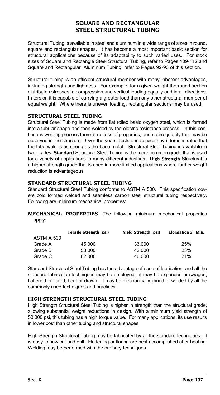# **SQUARE and RECTANGULAR STEEL STRUCTURAL TUBING**

Structural Tubing is available in steel and aluminum in a wide range of sizes in round, square and rectangular shapes. It has become a most important basic section for structural applications because of its adaptability to such varied uses. For stock sizes of Square and Rectangle Steel Structural Tubing, refer to Pages 109-112 and Square and Rectangular Aluminum Tubing, refer to Pages 92-93 of this section.

Structural tubing is an efficient structural member with many inherent advantages, including strength and lightness. For example, for a given weight the round section distributes stresses in compression and vertical loading equally and in all directions. In torsion it is capable of carrying a greater load than any other structural member of equal weight. Where there is uneven loading, rectangular sections may be used.

### **STRUCTURAL STEEL TUBING**

Structural Steel Tubing is made from flat rolled basic oxygen steel, which is formed into a tubular shape and then welded by the electric resistance process. In this continuous welding process there is no loss of properties, and no irregularity that may be observed in the structure. Over the years, tests and service have demonstrated that the tube weld is as strong as the base metal. Structural Steel Tubing is available in two grades. **Standard** Structural Steel Tubing is the more common grade that is used for a variety of applications in many different industries. **High Strength** Structural is a higher strength grade that is used in more limited applications where further weight reduction is advantageous.

### **Standard Structural Steel Tubing**

Standard Structural Steel Tubing conforms to ASTM A 500. This specification covers cold formed welded and seamless carbon steel structural tubing respectively. Following are minimum mechanical properties:

**MECHANICAL PROPERTIES**—The following minimum mechanical properties apply:

|            | Tensile Strength (psi) | Yield Strength (psi) | Elongation 2" Min. |
|------------|------------------------|----------------------|--------------------|
| ASTM A 500 |                        |                      |                    |
| Grade A    | 45.000                 | 33,000               | 25%                |
| Grade B    | 58.000                 | 42.000               | 23%                |
| Grade C    | 62.000                 | 46.000               | 21%                |
|            |                        |                      |                    |

Standard Structural Steel Tubing has the advantage of ease of fabrication, and all the standard fabrication techniques may be employed. it may be expanded or swaged, flattened or flared, bent or drawn. It may be mechanically joined or welded by all the commonly used techniques and practices.

### **High Strength Structural Steel Tubing**

High Strength Structural Steel Tubing is higher in strength than the structural grade, allowing substantial weight reductions in design. With a minimum yield strength of 50,000 psi, this tubing has a high torque value. For many applications, its use results in lower cost than other tubing and structural shapes.

High Strength Structural Tubing may be fabricated by all the standard techniques. It is easy to saw cut and drill. Flattening or flaring are best accomplished after heating. Welding may be performed with the ordinary techniques.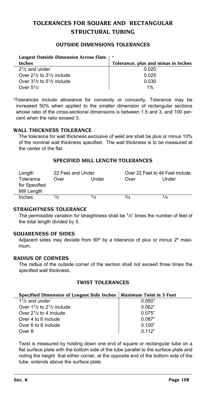# **TOLERANCES FOR SQUARE and RECTANGULAR STRUCTURAL TUBING**

#### **OUTSIDE DIMENSIONS TOLERANCES**

| Largest Outside Dimension Across Flats,   a |                                     |
|---------------------------------------------|-------------------------------------|
| Inches                                      | Tolerance, plus and minus in Inches |
| $21/2$ and under                            | 0.020                               |
| Over $2^{1/2}$ to $3^{1/2}$ include         | 0.025                               |
| Over $3^{1/2}$ to $5^{1/2}$ include         | 0.030                               |
| Over $51$ / $\sigma$                        | 1%                                  |

a Tolerances include allowance for convexity or concavity. Tolerance may be increased 50% when applied to the smaller dimension of rectangular sections whose ratio of the cross-sectional dimensions is between 1.5 and 3, and 100 percent when the ratio exceed 3.

#### **WALL THICKNESS TOLERANCE**

The tolerance for wall thickness exclusive of weld are shall be plus or minus 10% of the nominal wall thickness specified. The wall thickness is to be measured at the center of the flat.

#### **SPECIFIED MILL LENGTH TOLERANCES**

| Length                                    | 22 Feet and Under |       | Over 22 Feet to 44 Feet include. |       |  |  |
|-------------------------------------------|-------------------|-------|----------------------------------|-------|--|--|
| Tolerance<br>for Specified<br>Mill Length | Over              | Under | Over                             | Under |  |  |
| Inches                                    | 1/2               | 1/4   | 3/4                              | 1/4   |  |  |

#### **STRAIGHTNESS TOLERANCE**

The permissible variation for straightness shall be  $1/8$ " times the number of feet of the total length divided by 5.

#### **SQUARENESS OF SIDES**

Adjacent sides may deviate from 90° by a tolerance of plus or minus 2° maximum.

#### **RADIUS OF CORNERS**

The radius of the outside corner of the section shall not exceed three times the specified wall thickness.

#### **TWIST TOLERANCES**

#### **Specified Dimension of Longest Side Inches Maximum Twist in 3 Feet**

| $11/2$ and under                              | 0.050" |
|-----------------------------------------------|--------|
| Over $1\frac{1}{2}$ to $2\frac{1}{2}$ include | 0.062" |
| Over $2^{1/2}$ to 4 include                   | 0.075" |
| Over 4 to 6 include                           | 0.087" |
| Over 6 to 8 include                           | 0.100" |
| Over 8                                        | 0.112" |

Twist is measured by holding down one end of square or rectangular tube on a flat surface plate with the bottom side of the tube parallel to the surface plate and noting the height that either corner, at the opposite end of the bottom side of the tube, extends above the surface plate.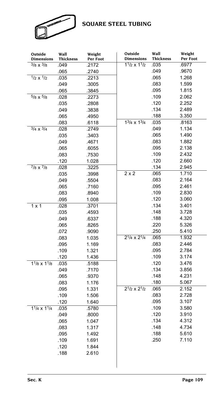

# **SQUARE STEEL TUBING**

| Outside<br><b>Dimensions</b> | Wall<br><b>Thickness</b> | Weight<br>Per Foot | Outside<br><b>Dimensions</b> | Wall<br><b>Thickness</b> | Weight<br>Per Foot |
|------------------------------|--------------------------|--------------------|------------------------------|--------------------------|--------------------|
| $3/8 \times 3/8$             | .049                     | .2172              | $11/2 \times 11/2$           | .035                     | .6977              |
|                              | .065                     | .2740              |                              | .049                     | .9670              |
| $1/2 \times 1/2$             | .035                     | .2213              |                              | .065                     | 1.268              |
|                              | .049                     | .3005              |                              | .083                     | 1.599              |
|                              | .065                     | .3845              |                              | .095                     | 1.815              |
| $5/8 \times 5/8$             | .028                     | .2273              |                              | .109                     | 2.062              |
|                              | .035                     | .2808              |                              | .120                     | 2.252              |
|                              | .049                     | .3838              |                              | .134                     | 2.489              |
|                              | .065                     | .4950              |                              | .188                     | 3.350              |
|                              | .083                     | .6118              | $13/4 \times 13/4$           | .035                     | .8163              |
| $3/4 \times 3/4$             | .028                     | .2749              |                              | .049                     | 1.134              |
|                              | .035                     | .3403              |                              | .065                     | 1.490              |
|                              | .049                     | .4671              |                              | .083                     | 1.882              |
|                              | .065                     | .6055              |                              | .095                     | 2.138              |
|                              | .083                     | .7530              |                              | .109                     | 2.432              |
|                              | .120                     | 1.028              |                              | .120                     | 2.660              |
| $7/8 \times 7/8$             | .028                     | .3225              |                              | .134                     | 2.945              |
|                              | .035                     | .3998              | $2 \times 2$                 | .065                     | 1.710              |
|                              | .049                     | .5504              |                              | .083                     | 2.164              |
|                              | .065                     | .7160              |                              | .095                     | 2.461              |
|                              | .083                     | .8940              |                              | .109                     | 2.830              |
|                              | .095                     | 1.008              |                              | .120                     | 3.060              |
| $1 \times 1$                 | .028                     | .3701              |                              | .134                     | 3.401              |
|                              | .035                     | .4593              |                              | .148                     | 3.728              |
|                              | .049                     | .6337              |                              | .188                     | 4.320              |
|                              | .065                     | .8265              |                              | .220                     | 5.326              |
|                              | .072                     | .9090              |                              | .250                     | 5.410              |
|                              | .083                     | 1.035              | $2^{1/4} \times 2^{1/4}$     | .065                     | 1.932              |
|                              | .095                     | 1.169              |                              | .083                     | 2.446              |
|                              | .109                     | 1.321              |                              | .095                     | 2.784              |
|                              | .120                     | 1.436              |                              | .109                     | 3.174              |
| $11/8 \times 11/8$           | .035                     | .5188              |                              | .120                     | 3.476              |
|                              | .049                     | .7170              |                              | .134                     | 3.856              |
|                              | .065                     | .9370              |                              | .148                     | 4.231              |
|                              | .083                     | 1.176              |                              | .180                     | 5.067              |
|                              | .095                     | 1.331              | $2^{1/2} \times 2^{1/2}$     | .065                     | 2.152              |
|                              | .109                     | 1.506              |                              | .083                     | 2.728              |
|                              | .120                     | 1.640              |                              | .095                     | 3.107              |
| $1^{1/4}$ x $1^{1/4}$        | .035                     | .5780              |                              | .109                     | 3.580              |
|                              | .049                     | .8000              |                              | .120                     | 3.910              |
|                              | .065                     | 1.047              |                              | .134                     | 4.312              |
|                              | .083                     | 1.317              |                              | .148                     | 4.734              |
|                              | .095                     | 1.492              |                              | .188                     | 5.610              |
|                              | .109                     | 1.691              |                              | .250                     | 7.110              |
|                              | .120                     | 1.844              |                              |                          |                    |
|                              | .188                     | 2.610              |                              |                          |                    |
|                              |                          |                    |                              |                          |                    |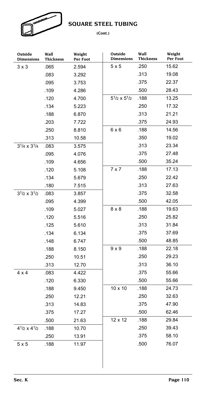

**SQUARE STEEL TUBING**

### **(Cont.)**

| Outside<br><b>Dimensions</b> | Wall<br>Thickness | Weight<br>Per Foot | Outside<br><b>Dimensions</b> | Wall<br><b>Thickness</b> | Weight<br>Per Foot |
|------------------------------|-------------------|--------------------|------------------------------|--------------------------|--------------------|
| $3 \times 3$                 | .065              | 2.594              | 5x5                          | .250                     | 15.62              |
|                              | .083              | 3.292              |                              | .313                     | 19.08              |
|                              | .095              | 3.753              |                              | .375                     | 22.37              |
|                              | .109              | 4.286              |                              | .500                     | 28.43              |
|                              | .120              | 4.700              | $5^{1/2} \times 5^{1/2}$     | .188                     | 13.25              |
|                              | .134              | 5.223              |                              | .250                     | 17.32              |
|                              | .188              | 6.870              |                              | .313                     | 21.21              |
|                              | .203              | 7.722              |                              | .375                     | 24.93              |
|                              | .250              | 8.810              | 6x6                          | .188                     | 14.56              |
|                              | .313              | 10.58              |                              | .350                     | 19.02              |
| $3^{1/4} \times 3^{1/4}$     | .083              | 3.575              |                              | .313                     | 23.34              |
|                              | .095              | 4.076              |                              | .375                     | 27.48              |
|                              | .109              | 4.656              |                              | .500                     | 35.24              |
|                              | .120              | 5.108              | $7 \times 7$                 | .188                     | 17.13              |
|                              | .134              | 5.679              |                              | .250                     | 22.42              |
|                              | .180              | 7.515              |                              | .313                     | 27.63              |
| $3^{1/2} \times 3^{1/2}$     | .083              | 3.857              |                              | .375                     | 32.58              |
|                              | .095              | 4.399              |                              | .500                     | 42.05              |
|                              | .109              | 5.027              | $8 \times 8$                 | .188                     | 19.63              |
|                              | .120              | 5.516              |                              | .250                     | 25.82              |
|                              | .125              | 5.610              |                              | .313                     | 31.84              |
|                              | .134              | 6.134              |                              | .375                     | 37.69              |
|                              | .148              | 6.747              |                              | .500                     | 48.85              |
|                              | .188              | 8.150              | $9 \times 9$                 | .188                     | 22.18              |
|                              | .250              | 10.51              |                              | .250                     | 29.23              |
|                              | .313              | 12.70              |                              | .313                     | 36.10              |
| $4 \times 4$                 | .083              | 4.422              |                              | .375                     | 55.66              |
|                              | .120              | 6.330              |                              | .500                     | 55.66              |
|                              | .188              | 9.450              | $10 \times 10$               | .188                     | 24.73              |
|                              | .250              | 12.21              |                              | .250                     | 32.63              |
|                              | .313              | 14.83              |                              | .375                     | 47.90              |
|                              | .375              | 17.27              |                              | .500                     | 62.46              |
|                              | .500              | 21.63              | 12 x 12                      | .188                     | 29.84              |
| $4^{1/2} \times 4^{1/2}$     | .188              | 10.70              |                              | .250                     | 39.43              |
|                              | .250              | 13.91              |                              | .375                     | 58.10              |
| 5x5                          | .188              | 11.97              |                              | .500                     | 76.07              |
|                              |                   |                    |                              |                          |                    |

 $\overline{\phantom{a}}$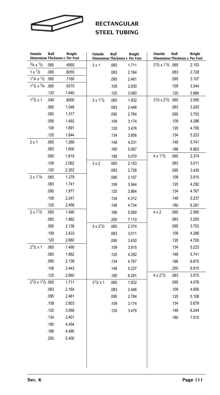

# **RECTANGULAR STEEL TUBING**

| Outside                                    | Wall | Weight<br>Dimensions Thickness s Per Foot | Outside            | Wall | Weight<br>Dimensions Thickness s Per Foot | Outside                                    | Wall<br>Dimensions Thickness s Per Foot | Weight |
|--------------------------------------------|------|-------------------------------------------|--------------------|------|-------------------------------------------|--------------------------------------------|-----------------------------------------|--------|
| $^{3}/_{4}$ x $^{1}/_{2}$                  | .065 | .4950                                     | $3 \times 1$       | .065 | 1.711                                     | 31/2 x 11/2 .065                           |                                         | 2.153  |
| $1 \times \frac{1}{2}$                     | .065 | .6055                                     |                    | .083 | 2.164                                     |                                            | .083                                    | 2.728  |
| $1^{1}/4 \times 1/2$ .065                  |      | .7160                                     |                    | .095 | 2.461                                     |                                            | .095                                    | 3.107  |
| $11/2 \times 32/4$ .065                    |      | .9370                                     |                    | .109 | 2.830                                     |                                            | .109                                    | 3.544  |
|                                            | .120 | 1.640                                     |                    | .120 | 3.060                                     |                                            | .120                                    | 3.884  |
| $11/2 \times 1$                            | .049 | .8000                                     | $3 \times 11/2$    | .065 | 1.932                                     | 3 <sup>1</sup> /2 x 2 <sup>1</sup> /2 .065 |                                         | 2.595  |
|                                            | .065 | 1.048                                     |                    | .083 | 2.446                                     |                                            | .083                                    | 3.293  |
|                                            | .083 | 1.317                                     |                    | .095 | 2.784                                     |                                            | .095                                    | 3.753  |
|                                            | .095 | 1.492                                     |                    | .109 | 3.174                                     |                                            | .109                                    | 4.286  |
|                                            | .109 | 1.691                                     |                    | .120 | 3.476                                     |                                            | .120                                    | 4.700  |
|                                            | .120 | 1.844                                     |                    | .134 | 3.856                                     |                                            | .134                                    | 5.223  |
| $2 \times 1$                               | .065 | 1.269                                     |                    | .148 | 4.231                                     |                                            | .148                                    | 5.741  |
|                                            | .083 | 1.600                                     |                    | .180 | 5.067                                     |                                            | .188                                    | 6.903  |
|                                            | .095 | 1.815                                     |                    | .188 | 5.070                                     | $4 \times 1^{1/2}$                         | .065                                    | 2.374  |
|                                            | .109 | 2.062                                     | $3 \times 2$       | .065 | 2.153                                     |                                            | .083                                    | 3.011  |
|                                            | .120 | 2.252                                     |                    | .083 | 2.728                                     |                                            | .095                                    | 3.430  |
| $2 \times 1^{1/4}$                         | .065 | 1.379                                     |                    | .095 | 3.107                                     |                                            | .109                                    | 3.915  |
|                                            | .083 | 1.741                                     |                    | .109 | 3.544                                     |                                            | .120                                    | 4.292  |
|                                            | .095 | 1.977                                     |                    | .120 | 3.884                                     |                                            | .134                                    | 4.767  |
|                                            | .109 | 2.247                                     |                    | .134 | 4.312                                     |                                            | .148                                    | 5.237  |
|                                            | .120 | 2.456                                     |                    | .148 | 4.734                                     |                                            | .180                                    | 6.291  |
| $2 \times 1^{1/2}$                         | .065 | 1.490                                     |                    | .188 | 5.590                                     | $4 \times 2$                               | .065                                    | 2.595  |
|                                            | .083 | 1.882                                     |                    | .250 | 7.110                                     |                                            | .083                                    | 3.293  |
|                                            | .095 | 2.138                                     | $3 \times 2^{1/2}$ | .065 | 2.374                                     |                                            | .095                                    | 3.753  |
|                                            | .109 | 2.433                                     |                    | .083 | 3.011                                     |                                            | .109                                    | 4.286  |
|                                            | .120 | 2.660                                     |                    | .095 | 3.430                                     |                                            | .120                                    | 4.700  |
| $2^{1/2} \times 1$                         | .065 | 1.490                                     |                    | .109 | 3.915                                     |                                            | .134                                    | 5.223  |
|                                            | .083 | 1.882                                     |                    | .120 | 4.292                                     |                                            | .148                                    | 5.741  |
|                                            | .095 | 2.138                                     |                    | .134 | 4.767                                     |                                            | .188                                    | 6.870  |
|                                            | .109 | 2.443                                     |                    | .148 | 5.237                                     |                                            | .250                                    | 8.810  |
|                                            | .120 | 2.660                                     |                    | .180 | 6.291                                     | $4 \times 2^{1/2}$                         | .083                                    | 3.575  |
| 2 <sup>1</sup> /2 x 1 <sup>1</sup> /2 .065 |      | 1.711                                     | $3^{1}/2 \times 1$ | .065 | 1.932                                     |                                            | .095                                    | 4.076  |
|                                            | .083 | 2.164                                     |                    | .083 | 2.446                                     |                                            | .109                                    | 4.656  |
|                                            | .095 | 2.461                                     |                    | .095 | 2.784                                     |                                            | .120                                    | 5.108  |
|                                            | .109 | 2.803                                     |                    | .109 | 3.174                                     |                                            | .134                                    | 5.679  |
|                                            | .120 | 3.068                                     |                    | .120 | 3.476                                     |                                            | .148                                    | 6.244  |
|                                            | .134 | 3.401                                     |                    |      |                                           |                                            | .180                                    | 7.515  |
|                                            | .180 | 4.454                                     |                    |      |                                           |                                            |                                         |        |
|                                            | .188 | 4.490                                     |                    |      |                                           |                                            |                                         |        |
|                                            | .250 | 5.400                                     |                    |      |                                           |                                            |                                         |        |
|                                            |      |                                           |                    |      |                                           |                                            |                                         |        |
|                                            |      |                                           |                    |      |                                           |                                            |                                         |        |
|                                            |      |                                           |                    |      |                                           |                                            |                                         |        |
|                                            |      |                                           |                    |      |                                           |                                            |                                         |        |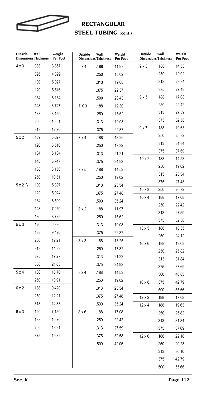

# **RECTANGULAR STEEL TUBING (cont.)**

| Outside            | Wall<br><b>Dimensions Thickness</b> | Weight<br>Per Foot | Outside      | Wall<br><b>Dimensions Thickness</b> | Weight<br>Per Foot | Outside       | Wall<br><b>Dimensions Thickness</b> | Weight<br>Per Foot |
|--------------------|-------------------------------------|--------------------|--------------|-------------------------------------|--------------------|---------------|-------------------------------------|--------------------|
| $4 \times 3$       | .083                                | 3.857              | 6 x 4        | .188                                | 11.97              | $9 \times 3$  | .188                                | 14.53              |
|                    | .095                                | 4.399              |              | .250                                | 15.62              |               | .250                                | 19.02              |
|                    | .109                                | 5.027              |              | .313                                | 19.08              |               | .313                                | 23.34              |
|                    | .120                                | 5.516              |              | .375                                | 22.37              |               | .375                                | 27.48              |
|                    | .134                                | 6.134              |              | .500                                | 28.43              | 9x5           | .188                                | 17.08              |
|                    | .148                                | 6.747              | 7 X 3        | .188                                | 12.30              |               | .250                                | 22.42              |
|                    | .188                                | 8.150              |              | .250                                | 15.62              |               | .313                                | 27.59              |
|                    | .250                                | 10.51              |              | .313                                | 19.08              |               | .375                                | 32.58              |
|                    | .313                                | 12.70              |              | .375                                | 22.37              | 9x7           | .188                                | 19.63              |
| 5x2                | .109                                | 5.027              | 7 x 4        | .188                                | 13.25              |               | .250                                | 25.82              |
|                    | .120                                | 5.516              |              | .250                                | 17.32              |               | .313                                | 31.84              |
|                    | .134                                | 6.134              |              | .313                                | 21.21              |               | .375                                | 37.69              |
|                    | .148                                | 6.747              |              | .375                                | 24.93              | $10 \times 2$ | .188                                | 14.53              |
|                    | .188                                | 8.150              | 7x5          | .188                                | 14.53              |               | .250                                | 19.02              |
|                    | .250                                | 10.51              |              | .250                                | 19.02              |               | .313                                | 23.34              |
| $5 \times 2^{1/2}$ | .109                                | 5.397              |              | .313                                | 23.34              |               | .375                                | 27.48              |
|                    | .120                                | 5.924              |              | .375                                | 27.48              | $10 \times 3$ | .250                                | 20.72              |
|                    | .134                                | 6.590              |              | .500                                | 35.24              | $10 \times 4$ | .188                                | 17.08              |
|                    | .148                                | 7.250              | 8x2          | .188                                | 11.97              |               | .250                                | 22.42              |
|                    | .180                                | 8.739              |              | .250                                | 15.62              |               | .313<br>.375                        | 27.59              |
| 5x3                | .120                                | 6.330              |              | .313                                | 19.08              | $10 \times 5$ | .188                                | 32.58<br>18.35     |
|                    | .188                                | 9.420              |              | .375                                | 22.37              |               | .250                                | 24.12              |
|                    | .250                                | 12.21              | 8x3          | .188                                | 13.25              | $10 \times 6$ | .188                                | 19.63              |
|                    | .313                                | 14.83              |              | .250                                | 17.32              |               | .250                                | 25.82              |
|                    | .375                                | 17.27              |              | .313                                | 21.22              |               | .313                                | 31.84              |
|                    | .500                                | 21.63              |              | .375                                | 24.93              |               | .375                                | 37.69              |
| 5x4                | .188                                | 10.70              | 8x4          | .188                                | 14.53              |               | .500                                | 48.85              |
|                    | .250                                | 13.91              |              | .250                                | 19.02              | $10 \times 8$ | .375                                | 42.79              |
| 6 x 2              | .188                                | 9.420              |              | .313                                | 23.34              |               | .500                                | 55.66              |
|                    | .250                                | 12.21              |              | .375                                | 27.48              | $12 \times 2$ | .188                                | 17.08              |
|                    | .313                                | 14.83              |              | .500                                | 35.24              | $12 \times 4$ | .188                                | 19.63              |
| 6x3                | .120                                | 7.150              | $8 \times 6$ | .188                                | 17.08              |               | .250                                | 25.82              |
|                    | .188                                | 10.70              |              | .250                                | 22.42              |               | .313                                | 31.84              |
|                    | .250                                | 13.91              |              | .313                                | 27.59              |               | .375                                | 37.69              |
|                    | .375                                | 19.82              |              | .375                                | 32.58              | $12 \times 6$ | .188                                | 22.18              |
|                    |                                     |                    |              | .500                                | 42.05              |               | .250                                | 29.23              |
|                    |                                     |                    |              |                                     |                    |               | .313                                | 36.10              |
|                    |                                     |                    |              |                                     |                    |               | .375                                | 42.79              |
|                    |                                     |                    |              |                                     |                    |               | .500                                | 55.66              |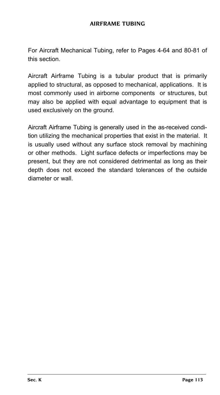For Aircraft Mechanical Tubing, refer to Pages 4-64 and 80-81 of this section.

Aircraft Airframe Tubing is a tubular product that is primarily applied to structural, as opposed to mechanical, applications. It is most commonly used in airborne components or structures, but may also be applied with equal advantage to equipment that is used exclusively on the ground.

Aircraft Airframe Tubing is generally used in the as-received condition utilizing the mechanical properties that exist in the material. It is usually used without any surface stock removal by machining or other methods. Light surface defects or imperfections may be present, but they are not considered detrimental as long as their depth does not exceed the standard tolerances of the outside diameter or wall.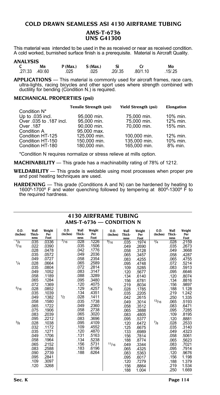#### **COLD DRAWN SEAMLESS ASI 4130 AIRFRAME TUBING AMS-T-6736 UNS G41300**

This material was intended to be used in the as received or near as received condition. A cold worked, burnished surface finish is a prerequisite. Material is Aircraft Quality.

#### **ANALYSIS**

| Mn              | P(Max.) | $S$ (Max.) |          |          | Mo       |
|-----------------|---------|------------|----------|----------|----------|
| .27/.33 .40/.60 | 025     | .025       | .20/0.35 | .80/1.10 | .15/0.25 |

**APPLICATIONS** — This material is commonly used for aircraft frames, race cars, ultra-lights, racing bicycles and other sport uses where strength combined with ductility for bending (Condition N.) is required.

#### **MECHANICAL PROPERTIES (psi)**

|                          | <b>Tensile Strength (psi)</b> | <b>Yield Strength (psi)</b> | Elongation |
|--------------------------|-------------------------------|-----------------------------|------------|
| Condition N <sup>*</sup> |                               |                             |            |
| Up to .035 incl.         | 95.000 min.                   | 75.000 min.                 | 10% min.   |
| Over 035 to 187 incl.    | 95,000 min.                   | 75,000 min.                 | 12% min.   |
| Over .187                | 90.000 min.                   | 70.000 min.                 | 15% min.   |
| Condition A              | 95,000 max.                   |                             |            |
| Condition HT-125         | 125,000 min.                  | 100.000 min.                | 12% min.   |
| Condition HT-150         | 150,000 min.                  | 135,000 min.                | 10% min.   |
| Condition HT-180         | 180,000 min.                  | 165,000 min.                | 8% min.    |
|                          |                               |                             |            |

\*Condition N requires normalize or stress relieve at mills option.

**MACHINABILITY** — This grade has a machinability rating of 78% of 1212.

- **WELDABILITY** This grade is weldable using most processes when proper pre and post heating techniques are used.
- **HARDENING** This grade (Conditions A and N) can be hardened by heating to 1600º-1700º F and water quenching followed by tempering at 800º-1300º F to the required hardness.

| 0.D.<br>Wall<br>Weight<br>0.D.<br>Wall<br>Weight<br>0.D.<br>Wall<br>Wall<br>0.D.<br>Weight<br>Thick-<br>Thick-<br>(Inches)<br>Per<br>(Inches)<br>(Inches)<br>Per<br>Thick-<br>(Inches)<br>Per<br>Foot<br>Foot<br>ness<br>Foot<br>ness<br>ness<br>ness<br>.1226<br>$\frac{1}{8}$<br>$^{7/16}$<br>.028<br>$^{3/4}$<br>.035<br>.0336<br>9/16<br>.035<br>.1974<br>.035<br>.1506<br>3/16<br>.022<br>.0390<br>.049<br>.2690<br>.028<br>.042<br>.1776<br>.0478<br>.058<br>.3128<br>.049<br>.2036<br>.035<br>.0572<br>.065<br>.3457<br>.058<br>.2354<br>.049<br>.0727<br>.083<br>.4255<br>1/4<br>.065<br>.2589<br>.028<br>.0664<br>.095<br>.4748<br>.072<br>.035<br>.2814<br>.0804<br>.109<br>.5285<br>.083<br>.3147<br>.049<br>.1052<br>.120<br>.5677<br>.088<br>.3289<br>.058<br>.1189<br>.134<br>.6140<br>.095<br>.3480<br>.065<br>.1284<br>.156<br>.6781<br>.120<br>.072<br>.1369<br>.4075<br>.219<br>.8034<br>.129<br>5/16<br>.4257<br>.028<br>.0852<br>5/8<br>.1785<br>.028<br>.134<br>.4351<br>.035<br>.1039<br>.2205<br>.035<br>1/2<br>.028<br>.1411<br>.1382<br>.049<br>.2615<br>.042 |               |               |      |       |       |                                                                                                                                                                                                                                                      |                                                                                                                                                                                                                                                                                     |
|----------------------------------------------------------------------------------------------------------------------------------------------------------------------------------------------------------------------------------------------------------------------------------------------------------------------------------------------------------------------------------------------------------------------------------------------------------------------------------------------------------------------------------------------------------------------------------------------------------------------------------------------------------------------------------------------------------------------------------------------------------------------------------------------------------------------------------------------------------------------------------------------------------------------------------------------------------------------------------------------------------------------------------------------------------------------------------------|---------------|---------------|------|-------|-------|------------------------------------------------------------------------------------------------------------------------------------------------------------------------------------------------------------------------------------------------------|-------------------------------------------------------------------------------------------------------------------------------------------------------------------------------------------------------------------------------------------------------------------------------------|
|                                                                                                                                                                                                                                                                                                                                                                                                                                                                                                                                                                                                                                                                                                                                                                                                                                                                                                                                                                                                                                                                                        |               |               |      |       |       | Thick-                                                                                                                                                                                                                                               | Weight<br>Per<br>Foot                                                                                                                                                                                                                                                               |
| .049<br>.2360<br>.065<br>.1722<br>.058<br>.3512<br>.058<br>.2738<br>.075<br>.1906<br>.065<br>.3888<br>.065<br>.3020<br>.083<br>.2039<br>.083<br>.4805<br>.083<br>.3696<br>.095<br>.2212<br>.095<br>.5377<br>3/8<br>$^{7}/8$<br>.095<br>.4109<br>.028<br>.1038<br>.120<br>.6472<br>.109<br>.032<br>.1172<br>.4552<br>.125<br>.6675<br>.120<br>.035<br>.4870<br>.1271<br>.133<br>.6989<br>.131<br>.049<br>.1706<br>.5163<br>.156<br>.7814<br>.134<br>.5238<br>.058<br>.1964<br>.188<br>.8774<br>.156<br>.5731<br>.065<br>.2152<br>11/16<br>.3344<br>.049<br>.183<br>.6196<br>.083<br>.2588<br>.065<br>.4325<br>.188<br>.6264<br>.090<br>.2739<br>.083<br>.5363<br>.095<br>.2841<br>.095<br>.6017<br>.109<br>.3097<br>.120<br>.7279<br>.120<br>.3268<br>.156<br>.8864<br>.188<br>1.004                                                                                                                                                                                                                                                                                                    | .058<br>.1580 | .035<br>.1738 | .049 | .3014 | 13/16 | .028<br>.035<br>.049<br>.058<br>.065<br>.072<br>.083<br>.095<br>.120<br>.134<br>.156<br>.188<br>.219<br>.250<br>.065<br>.083<br>.095<br>.109<br>.120<br>.028<br>.035<br>.049<br>.058<br>.065<br>.083<br>.095<br>.120<br>.156<br>.188<br>.219<br>.250 | .2159<br>.2673<br>.3668<br>.4287<br>.4755<br>.5214<br>.5913<br>.6646<br>.8074<br>.8816<br>.9897<br>1.128<br>1.242<br>1.335<br>.5193<br>.6471<br>.7285<br>.8195<br>.8881<br>.2533<br>.3140<br>.4323<br>.5061<br>.5623<br>.7021<br>.7914<br>.9676<br>1.198<br>1.379<br>1.534<br>1.669 |

#### **4130 AIRFRAME TUBING AMS-T-6736 — Condition N**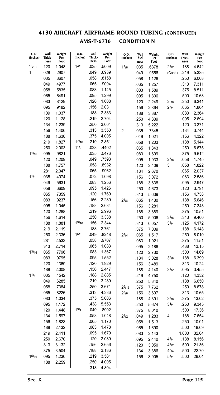# **4130 AIRCRAFT AIRFRAME ROUND TUBING (Continued) AMS-T-6736 Condition N**

| 0.D.<br>(Inches) | Wall<br>Thick-<br>ness | Weight<br>Per<br>Foot | O.D.<br>(Inches)  | Wall<br>Thick-<br>ness | Weight<br>Per<br>Foot | 0.D.<br>(Inches) | Wall<br>Thick-<br>ness | Weight<br>Per<br>Foot | O.D.<br>(Inches) | Wall<br>Thick-<br>ness | Weight<br>Per<br>Foot |
|------------------|------------------------|-----------------------|-------------------|------------------------|-----------------------|------------------|------------------------|-----------------------|------------------|------------------------|-----------------------|
| 15/16            | .120                   | 1.048                 | 1 <sup>3</sup> /8 | .035                   | .5009                 | 17/8             | .035                   | .6878                 | $2^{1/2}$        | .188                   | 4.642                 |
| 1                | .028                   | .2907                 |                   | .049                   | .6939                 |                  | .049                   | .9556                 | (Cont.)          | .219                   | 5.335                 |
|                  | .035                   | .3607                 |                   | .058                   | .8158                 |                  | .058                   | 1.126                 |                  | .250                   | 6.008                 |
|                  | .049                   | .4977                 |                   | .065                   | .9094                 |                  | .065                   | 1.257                 |                  | .313                   | 7.311                 |
|                  | .058                   | .5835                 |                   | .083                   | 1.145                 |                  | .083                   | 1.589                 |                  | .375                   | 8.511                 |
|                  | .065                   | .6491                 |                   | .095                   | 1.299                 |                  | .095                   | 1.806                 |                  | .500                   | 10.68                 |
|                  | .083                   | .8129                 |                   | .120                   | 1.608                 |                  | .120                   | 2.249                 | $2^{5/8}$        | .250                   | 6.341                 |
|                  | .095                   | .9182                 |                   | .156                   | 2.031                 |                  | .156                   | 2.864                 | $2^{3/4}$        | .065                   | 1.864                 |
|                  | .109                   | 1.037                 |                   | .188                   | 2.383                 |                  | .188                   | 3.387                 |                  | .083                   | 2.364                 |
|                  | .120                   | 1.128                 |                   | .219                   | 2.704                 |                  | .250                   | 4.339                 |                  | .095                   | 2.694                 |
|                  | .134                   | 1.239                 |                   | .250                   | 3.004                 |                  | .313                   | 5.222                 |                  | .120                   | 3.371                 |
|                  | .156                   | 1.406                 |                   | .313                   | 3.550                 | $\overline{2}$   | .035                   | .7345                 |                  | .134                   | 3.744                 |
|                  | .188                   | 1.630                 |                   | .375                   | 4.005                 |                  | .049                   | 1.021                 |                  | .156                   | 4.322                 |
|                  | .219                   | 1.827                 | 17/16             | .219                   | 2.851                 |                  | .058                   | 1.203                 |                  | .188                   | 5.144                 |
|                  | .250                   | 2.003                 | 11/2              | .028                   | .4402                 |                  | .065                   | 1.343                 |                  | .250                   | 6.675                 |
| 11/16            | .095                   | .9821                 |                   | .035                   | .5476                 |                  | .083                   | 1.699                 |                  | .375                   | 9.512                 |
|                  | .120                   | 1.209                 |                   | .049                   | .7593                 |                  | .095                   | 1.933                 | $2^{7}/8$        | .058                   | 1.745                 |
|                  | .188                   | 1.757                 |                   | .058                   | .8932                 |                  | .120                   | 2.409                 | 3                | .058                   | 1.822                 |
|                  | .281                   | 2.347                 |                   | .065                   | .9962                 |                  | .134                   | 2.670                 |                  | .065                   | 2.037                 |
| 11/8             | .035                   | .4074                 |                   | .072                   | 1.098                 |                  | .156                   | 3.072                 |                  | .083                   | 2.586                 |
|                  | .049                   | .5631                 |                   | .083                   | 1.256                 |                  | .188                   | 3.638                 |                  | .095                   | 2.947                 |
|                  | .058                   | .6609                 |                   | .095                   | 1.426                 |                  | .250                   | 4.673                 |                  | .120                   | 3.791                 |
|                  | .065                   | .7359                 |                   | .120                   | 1.769                 |                  | .313                   | 5.639                 |                  | .156                   | 4.738                 |
|                  | .083                   | .9237                 |                   | .156                   | 2.239                 | $2^{1/8}$        | .065                   | 1.430                 |                  | .188                   | 5.646                 |
|                  | .095                   | 1.045                 |                   | .188                   | 2.634                 |                  | .156                   | 3.281                 |                  | .250                   | 7.343                 |
|                  | .120                   | 1.288                 |                   | .219                   | 2.996                 |                  | .188                   | 3.889                 |                  | .375                   | 10.51                 |
|                  | .156                   | 1.614                 |                   | .250                   | 3.338                 |                  | .250                   | 5.006                 | $3^{1/8}$        | .313                   | 9.400                 |
|                  | .188                   | 1.881                 | 19/16             | .156                   | 2.344                 |                  | .313                   | 6.057                 | $3^{1/4}$        | .125                   | 4.172                 |
|                  | .219                   | 2.119                 |                   | .188                   | 2.761                 |                  | .375                   | 7.009                 |                  | .188                   | 6.148                 |
|                  | .250                   | 2.336                 | 15/8              | .049                   | .8248                 | $2^{1/4}$        | .065                   | 1.517                 |                  | .250                   | 8.010                 |
|                  | .281                   | 2.533                 |                   | .058                   | .9707                 |                  | .083                   | 1.921                 |                  | .375                   | 11.51                 |
| $1^{3/16}$       | .313                   | 2.714                 |                   | .065                   | 1.083<br>1.367        |                  | .095                   | 2.186                 |                  | .438                   | 13.15                 |
|                  | .065<br>.083           | .7796                 |                   | .083<br>.095           | 1.552                 |                  | .120                   | 2.730                 | $3^{3/8}$        | .500<br>.188           | 14.69                 |
|                  | .120                   | .9795<br>.1369        |                   | .120                   | 1.929                 |                  | .134                   | 3.028                 |                  | .313                   | 6.399<br>10.24        |
|                  | .188                   | 2.008                 |                   | .156                   | 2.447                 |                  | .156                   | 3.489                 | 31/2             | .095                   | 3.455                 |
| 11/4             | .035                   | .4542                 |                   | .188                   | 2.885                 |                  | .188<br>.219           | 4.140<br>4.750        |                  | .120                   | 4.332                 |
|                  | .049                   | .6285                 |                   | .219                   | 3.289                 |                  | .250                   | 5.340                 |                  | .188                   | 6.650                 |
|                  | .058                   | .7384                 |                   | .250                   | 3.671                 | 25/16            | .375                   | 7.762                 |                  | .250                   | 8.678                 |
|                  | .065                   | .8226                 |                   | .313                   | 4.386                 | $2^{3/8}$        | .156                   | 3.697                 |                  | .313                   | 10.65                 |
|                  | .083                   | 1.034                 |                   | .375                   | 5.006                 |                  | .188                   | 4.391                 | $3^{5/8}$        | .375                   | 13.02                 |
|                  | .095                   | 1.172                 |                   | .438                   | 5.553                 |                  | .250                   | 5.674                 | $3^{3/4}$        | .250                   | 9.345                 |
|                  | .120                   | 1.448                 | 13/4              | .049                   | .8902                 |                  | .375                   | 8.010                 |                  | .500                   | 17.36                 |
|                  | .134                   | 1.597                 |                   | .058                   | 1.048                 | $2^{1/2}$        | .049                   | 1.283                 | 4                | .188                   | 7.654                 |
|                  | .156                   | 1.823                 |                   | .065                   | 1.170                 |                  | .058                   | 1.513                 |                  | .250                   | 10.01                 |
|                  | .188                   | 2.132                 |                   | .083                   | 1.478                 |                  | .065                   | 1.690                 |                  | .500                   | 18.69                 |
|                  | .219                   | 2.411                 |                   | .095                   | 1.679                 |                  | .083                   | 2.143                 |                  | 1.000                  | 32.04                 |
|                  | .250                   | 2.670                 |                   | .120                   | 2.089                 |                  | .095                   | 2.440                 | $4^{1/4}$        | .188                   | 8.156                 |
|                  | .313                   | 3.132                 |                   | .156                   | 2.656                 |                  | .120                   | 3.050                 | 41/2             | .500                   | 21.36                 |
|                  | .375                   | 3.504                 |                   | .188                   | 3.136                 |                  | .134                   | 3.386                 | $4^{3}/4$        | .500                   | 22.70                 |
| 15/16            | .095                   | 1.236                 |                   | .219                   | 3.581                 |                  | .156                   | 3.905                 | $5^{3/4}$        | .500                   | 28.04                 |
|                  | .188                   | 2.259                 |                   | .250                   | 4.005                 |                  |                        |                       |                  |                        |                       |
|                  |                        |                       |                   | .313                   | 4.804                 |                  |                        |                       |                  |                        |                       |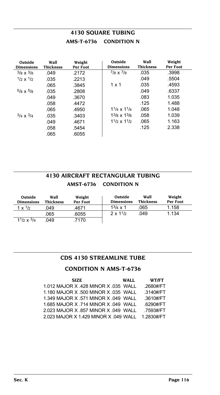# **4130 SQUARE TUBING AMS-T-6736 Condition N**

| Outside<br><b>Dimensions</b> | Wall<br><b>Thickness</b> | Weight<br>Per Foot | Outside<br><b>Dimensions</b>          | Wall<br><b>Thickness</b> | Weight<br>Per Foot |
|------------------------------|--------------------------|--------------------|---------------------------------------|--------------------------|--------------------|
| $3/8 \times 3/8$             | .049                     | .2172              | $^{7}/8 \times ^{7}/8$                | .035                     | .3998              |
| $1/2 \times 1/2$             | .035                     | .2213              |                                       | .049                     | .5504              |
|                              | .065                     | .3845              | $1 \times 1$                          | .035                     | .4593              |
| $5/8 \times 5/8$             | .035                     | .2808              |                                       | .049                     | .6337              |
|                              | .049                     | .3670              |                                       | .083                     | 1.035              |
|                              | .058                     | .4472              |                                       | .125                     | 1.488              |
|                              | .065                     | .4950              | $1^{1}/_{4} \times 1^{1}/_{4}$        | .065                     | 1.048              |
| $3/4 \times 3/4$             | .035                     | .3403              | $13\frac{13}{8} \times 13\frac{1}{8}$ | .058                     | 1.039              |
|                              | .049                     | .4671              | $11/2 \times 11/2$                    | .065                     | 1.163              |
|                              | .058                     | .5454              |                                       | .125                     | 2.338              |
|                              | .065                     | .6055              |                                       |                          |                    |

# **4130 AIRCRAFT RECTANGULAR TUBING AMST-6736 Condition N**

| Outside<br><b>Dimensions</b> | Wall<br><b>Thickness</b> | Weight<br>Per Foot | Outside<br><b>Dimensions</b> | Wall<br><b>Thickness</b> | Weight<br>Per Foot |
|------------------------------|--------------------------|--------------------|------------------------------|--------------------------|--------------------|
| $1 \times \frac{1}{2}$       | .049                     | .4671              | $1^{3}/_{4} \times 1$        | .065                     | 1.158              |
|                              | .065                     | .6055              | $2 \times 11/2$              | .049                     | 1.134              |
| $11/2 \times 3/4$            | 049                      | 7170               |                              |                          |                    |

#### **CDS 4130 STREAMLINE TUBE**

## **CONDITION N AMS-T-6736**

| <b>SIZE</b>                           | WALL | WT/FT      |
|---------------------------------------|------|------------|
| 1.012 MAJOR X .428 MINOR X .035 WALL  |      | .2680#/FT  |
| 1.180 MAJOR X .500 MINOR X .035 WALL  |      | .3140#/FT  |
| 1.349 MAJOR X .571 MINOR X .049 WALL  |      | .3610#/FT  |
| 1.685 MAJOR X .714 MINOR X .049 WALL  |      | .6290#/FT  |
| 2.023 MAJOR X .857 MINOR X .049 WALL  |      | .7593#/FT  |
| 2.023 MAJOR X 1.429 MINOR X .049 WALL |      | 1 2830#/FT |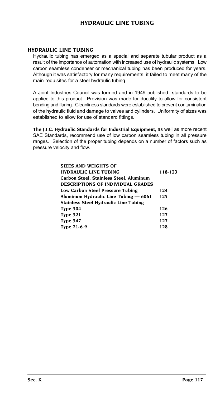## **Hydraulic Line Tubing**

#### **HYDRAULIC LINE TUBING**

Hydraulic tubing has emerged as a special and separate tubular product as a result of the importance of automation with increased use of hydraulic systems. Low carbon seamless condenser or mechanical tubing has been produced for years. Although it was satisfactory for many requirements, it failed to meet many of the main requisites for a steel hydraulic tubing.

A Joint Industries Council was formed and in 1949 published standards to be applied to this product. Provision was made for ductility to allow for consistent bending and flaring. Cleanliness standards were established to prevent contamination of the hydraulic fluid and damage to valves and cylinders. Uniformity of sizes was established to allow for use of standard fittings.

**The J.I.C. Hydraulic Standards for Industrial Equipment**, as well as more recent SAE Standards, recommend use of low carbon seamless tubing in all pressure ranges. Selection of the proper tubing depends on a number of factors such as pressure velocity and flow.

| <b>SIZES AND WEIGHTS OF</b>                  |         |
|----------------------------------------------|---------|
| <b>HYDRAULIC LINE TUBING</b>                 | 118-123 |
| Carbon Steel, Stainless Steel, Aluminum      |         |
| <b>DESCRIPTIONS OF INDIVIDUAL GRADES</b>     |         |
| Low Carbon Steel Pressure Tubing             | 124     |
| Aluminum Hydraulic Line Tubing - 6061        | 125     |
| <b>Stainless Steel Hydraulic Line Tubing</b> |         |
| Type 304                                     | 126     |
| <b>Type 321</b>                              | 127     |
| Type 347                                     | 127     |
| Type 21-6-9                                  | 128     |
|                                              |         |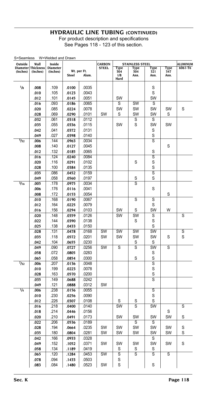<span id="page-118-0"></span>

| S=Seamless       | Wall               | W=Welded and Drawn<br>Inside |                |                | <b>CARBON</b>          |             |                                       |                         |             |                         |
|------------------|--------------------|------------------------------|----------------|----------------|------------------------|-------------|---------------------------------------|-------------------------|-------------|-------------------------|
| Outside          | Diameter Thickness | <b>Diameter</b>              |                |                | <b>STEEL</b>           | Type        | <b>STAINLESS STEEL</b><br><b>Type</b> | <b>Type</b>             | <b>Type</b> | ALUMINUM<br>$6061 - T6$ |
| (Inches)         | (Inches)           | (Inches)                     |                | Wt. per Ft.    |                        | 304         | 304                                   | 321                     | 347         |                         |
|                  |                    |                              | <b>Steel</b>   | Alum.          |                        | 1/8<br>Hard | Ann.                                  | Ann.                    | Ann.        |                         |
| 1/8              |                    |                              |                |                |                        |             |                                       | S                       |             |                         |
|                  | .008               | .109                         | .0100          | .0035          |                        |             |                                       | S                       |             |                         |
|                  | .010               | .105<br>.101                 | .0123          | .0043<br>.0051 |                        | SW          |                                       | SW                      |             |                         |
|                  | .012               |                              | .0145          |                |                        | S           | SW                                    |                         |             |                         |
|                  | .016               | .093                         | .0186          | .0065          |                        |             |                                       | S                       |             |                         |
|                  | .020<br>.028       | .085<br>.069                 | .0224<br>.0290 | .0078<br>.0101 | SW                     | SW<br>S     | <b>SW</b><br>SW                       | SW<br>SW                | SW<br>S     | S                       |
|                  | .032               | .061                         | .0318          | .0112          |                        |             | S                                     | S                       |             |                         |
|                  |                    | .055                         |                | .0115          |                        | SW          | S                                     | SW                      | SW          |                         |
|                  | .035<br>.042       | .041                         | .0336<br>.0372 | .0131          |                        |             |                                       | S                       |             |                         |
|                  | .049               | .027                         | .0398          | .0140          |                        |             |                                       | S                       |             |                         |
| 5/32             | .006               | .144                         | .0963          | .0034          |                        |             |                                       | S                       |             |                         |
|                  | .008               | .140                         | .0127          | .0045          |                        |             |                                       |                         | S           |                         |
|                  | .012               | .132                         | .0185          | .0065          |                        |             |                                       | S                       |             |                         |
|                  | .016               | .124                         | .0240          | .0084          |                        |             |                                       | $\overline{\mathsf{s}}$ |             |                         |
|                  | .020               | .116                         | .0291          | .0102          |                        |             | S                                     | S                       |             |                         |
|                  | .028               | .100                         | .0384          | .0135          |                        |             |                                       | S                       |             |                         |
|                  | .035               | .086                         | .0452          | .0159          |                        |             |                                       | $\overline{s}$          |             |                         |
|                  | .049               | .058                         | .0560          | .0197          |                        |             | S                                     | S                       |             |                         |
| $\frac{3}{16}$   | .005               | .178                         | .0975          | .0034          |                        |             | $\overline{s}$                        |                         |             |                         |
|                  | .006               | .176                         | .0116          | .0041          |                        |             |                                       | S                       |             |                         |
|                  | .008               | .172                         | .0153          | .0054          |                        |             |                                       |                         | S           |                         |
|                  | .010               | .168                         | .0190          | .0067          |                        |             | S                                     | S                       |             |                         |
|                  | .012               | .164                         | .0225          | .0079          |                        |             |                                       | S                       |             |                         |
|                  | .016               | .156                         | .0294          | .0103          |                        | SW          | S                                     | SW                      | W           |                         |
|                  | .020               | .148                         | .0359          | .0126          |                        | SW          | SW                                    | S                       |             | S                       |
|                  | .022               | .144                         | .0390          | .0138          |                        |             | S                                     | S                       |             |                         |
|                  | .025               | .138                         | .0433          | .0150          |                        |             |                                       | S                       |             |                         |
|                  | .028               | .131                         | .0478          | .0168          | $\overline{\text{SW}}$ | SW          | SW                                    | SW                      |             | $\overline{s}$          |
|                  | .035               | .118                         | .0572          | .0201          | SW                     | SW          | SW                                    | SW                      | S           | S                       |
|                  | .042               | .104                         | .0655          | .0230          |                        |             | S                                     | S                       |             |                         |
|                  | .049               | .090                         | .0727          | .0256          | SW                     | S           | S                                     | SW                      | S           |                         |
|                  | .058               | .072                         | .0805          | .0283          |                        |             |                                       | S                       |             |                         |
|                  | .065               | .058                         | .0854          | .0300          |                        |             | S                                     | S                       |             |                         |
| $^{7}/_{32}$     | .006               | .207                         | .0136          | .0048          |                        |             |                                       | S                       |             |                         |
|                  | .010               | .199                         | .0223          | .0078          |                        |             |                                       | S                       |             |                         |
|                  | .028               | .163                         | .0570          | .0200          |                        |             |                                       | S                       |             |                         |
|                  | .035               | .149                         | .0688          | .0242          |                        |             |                                       | $\overline{s}$          |             |                         |
|                  | .049               | .121                         | .0888          | .0312          | SW                     |             |                                       |                         |             |                         |
| $\overline{1/4}$ | .006               | .238                         | .0156          | .0055          |                        |             |                                       | $\overline{\mathsf{s}}$ |             |                         |
|                  | .010               | .230                         | .0256          | .0090          |                        |             |                                       | S                       |             |                         |
|                  | .012               | .226                         | .0307          | .0108          |                        | S           | S                                     | S                       |             |                         |
|                  | .016               | .218                         | .0400          | .0140          |                        | SW          | S                                     | SW                      |             | S                       |
|                  | .018               | .214                         | .0446          | .0156          |                        |             |                                       |                         | S           |                         |
|                  | .020               | .210                         | .0491          | .0173          |                        | SW          | SW                                    | SW                      | SW          | S                       |
|                  | .022               | .206                         | .0536          | .0189          |                        |             | S                                     | S                       |             |                         |
|                  | .028               | .194                         | .0664          | .0235          | SW                     | SW          | SW                                    | SW                      | SW          | S                       |
|                  | .035               | .180                         | .0804          | .0281          | SW                     | SW          | SW                                    | SW                      | SW          | S                       |
|                  | .042               | .166                         | .0933          | .0328          |                        |             |                                       | S                       |             |                         |
|                  | .049               | .152                         | .1052          | .0371          | SW                     | SW          | SW                                    | SW                      | SW          | S                       |
|                  | .058               | .134                         | .1189          | .0419          |                        | S           | S                                     | S                       |             |                         |
|                  | .065               | .120                         | .1284          | .0453          | SW                     | S           | $\overline{s}$                        | S                       | S           |                         |
|                  | .078               | .094                         | .1433          | .0503          |                        | S           |                                       |                         |             |                         |
|                  | .083               | .084                         | .1480          | .0523          | SW                     | S           |                                       | S                       |             |                         |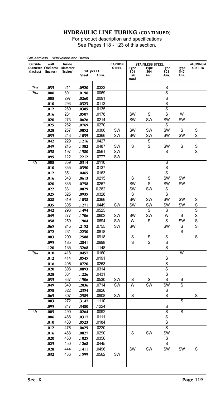| Outside                     | Wall                  | Inside                      |                |                      | <b>CARBON</b> | <b>STAINLESS STEEL</b>     |                    |                         |                     | <b>ALUMINUM</b><br>$6061 - T6$ |
|-----------------------------|-----------------------|-----------------------------|----------------|----------------------|---------------|----------------------------|--------------------|-------------------------|---------------------|--------------------------------|
| <b>Diameter</b><br>(Inches) | Thickness<br>(Inches) | <b>Diameter</b><br>(Inches) | <b>Steel</b>   | Wt. per Ft.<br>Alum. | <b>STEEL</b>  | Type<br>304<br>1/8<br>Hard | Type<br>304<br>Ann | Type<br>321<br>Ann.     | Type<br>347<br>Ann. |                                |
| 9/32                        | .035                  | .211                        | .0920          | .0323                |               |                            |                    | S                       |                     |                                |
| 5/16                        | .006                  | .301                        | .0196          | .0069                |               |                            |                    | $\overline{s}$          |                     |                                |
|                             | .008                  | .297                        | .0260          | .0091                |               |                            |                    | S                       |                     |                                |
|                             | .010                  | .293                        | .0323          | .0113                |               |                            |                    | S                       |                     |                                |
|                             | .012                  | .289                        | .0385          | .0135                |               |                            |                    | S                       |                     |                                |
|                             | .016                  | .281                        | .0507          | .0178                |               | SW                         | S                  | S                       | W                   |                                |
|                             | .020                  | .273                        | .0626          | .0214                |               | SW                         | SW                 | SW                      | SW                  |                                |
|                             | .025                  | .262                        | .0769          | .0270                |               |                            |                    | S                       |                     |                                |
|                             | .028                  | .257                        | .0852          | .0300                | SW            | SW                         | SW                 | SW                      | S                   | S                              |
|                             | .035                  | .243                        | .1039          | .0366                | SW            | SW                         | SW                 | SW                      | SW                  | S                              |
|                             | .042                  | .229                        | .1216          | .0427                |               |                            | S                  |                         |                     |                                |
|                             | .049                  | .215                        | .1382          | .0487                | SW            | S                          | S                  | SW                      | S                   | S                              |
|                             | .058                  | .197                        | .1580          | .0561                | SW            |                            |                    | S                       |                     | S                              |
|                             | .095                  | .122                        | .2212          | .0777                | SW            |                            |                    |                         |                     |                                |
| $\frac{3}{8}$               | .008                  | .359                        | .0314          | .0110                |               |                            |                    | $\overline{\mathsf{s}}$ |                     |                                |
|                             | .010                  | .355                        | .0390          | .0137                |               |                            |                    | S                       |                     |                                |
|                             | .012                  | .351                        | .0465          | .0163                |               |                            |                    | S                       |                     |                                |
|                             | .016                  | .343                        | .0613          | .0215                |               | S                          | S                  | SW                      | SW                  |                                |
|                             | .020                  | .335                        | .0758          | .0267                |               | SW                         | S                  | SW                      | SW                  |                                |
|                             | .022                  | .331                        | .0829          | 0.282                |               | SW                         | SW                 | S                       |                     |                                |
|                             | .025                  | .325                        | .0935          | .0328                |               | S                          |                    | S                       |                     |                                |
|                             | .028                  | .319                        | .1038          | .0366                |               | SW                         | SW                 | SW                      | SW                  | S                              |
|                             | .035                  | .305                        | .1271          | .0449                | SW            | SW                         | SW                 | SW                      | SW                  | S                              |
|                             | .042                  | .293                        | .1494          | .0525                |               |                            | S                  | S                       |                     | S                              |
|                             | .049                  | .277                        | .1706          | .0602                | SW            | SW                         | SW                 | W                       | S                   | S                              |
|                             | .058                  | .259                        | .1964          | .0694                | SW            | W                          | S                  | S                       | SW                  | S                              |
|                             | .065                  | .245                        | .2152          | .0755                | SW            | SW                         |                    | SW                      | S                   | S                              |
|                             | .072                  | .231                        | .2230          | .0818                |               |                            |                    |                         | S                   |                                |
|                             | .083                  | .209                        | .2588          | .0918                |               | S                          | S                  | S                       |                     | S                              |
|                             | .095                  | .185                        | .2841          | .0998                |               | S                          | S                  | S                       |                     |                                |
|                             | .120                  | .135                        | .3268          | .1148                |               |                            |                    | S                       |                     |                                |
| $^{7}/_{16}$                | .010                  | .418                        | .0457          | .0160                |               |                            |                    |                         | W                   |                                |
|                             | .012                  | .414                        | .0545          | .0191                |               |                            |                    | S                       |                     |                                |
|                             | .016                  | .406                        | .0720          | .0253                |               |                            |                    | S                       |                     |                                |
|                             | .020                  | .398                        | .0893          | .0314                |               |                            |                    | $\overline{s}$          |                     |                                |
|                             | .028                  | .381                        | .1226          | .0431                |               |                            |                    | S                       |                     |                                |
|                             | .035                  | .367                        | .1506          | .0530                | <b>SW</b>     | S                          | S                  | S                       | S                   |                                |
|                             | .049                  | .340                        | .2036          | .0714                | SW            | W                          | SW                 | SW                      | S                   |                                |
|                             | .058                  | .322                        | .2354          | .0826                |               |                            |                    | S                       |                     |                                |
|                             | .065                  | .307                        | .2589          | .0908                | SW            | S                          |                    | S                       |                     | S                              |
|                             | .083                  | .272                        | .3147          | .1110                |               |                            |                    |                         | S                   |                                |
|                             | .095                  | .247                        | .3480          | .1224                |               |                            |                    | S                       |                     |                                |
| 1/2                         | .005                  | .490<br>.488                | .0264          | .0092<br>.0111       |               |                            |                    | S                       | S                   |                                |
|                             | .006                  |                             | .0317          |                      |               |                            |                    | S<br>S                  |                     |                                |
|                             | .010<br>.012          | .480<br>.476                | .0523<br>.0625 | .0184<br>.0220       |               |                            |                    | S                       |                     |                                |
|                             | .016                  | .468                        | .0827          | .0290                |               | S                          | SW                 | SW                      |                     |                                |
|                             | .020                  | .460                        | .1025          | .0356                |               |                            |                    | S                       |                     |                                |
|                             | .025                  | .450                        | .1268          | .0445                |               |                            |                    | S                       |                     |                                |
|                             | .028                  | .444                        | .1411          | .0496                |               | SW                         | SW                 | SW                      | SW                  | S                              |
|                             | .032                  | .436                        | .1599          | .0562                | SW            |                            |                    |                         |                     |                                |
|                             |                       |                             |                |                      |               |                            |                    |                         |                     |                                |
|                             |                       |                             |                |                      |               |                            |                    |                         |                     |                                |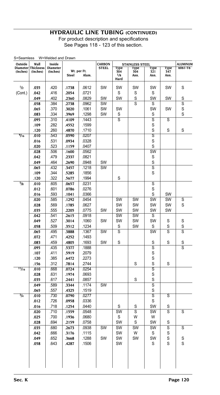| S=Seamless<br>Outside | Wall               | W=Welded and Drawn<br>Inside |              |                      | <b>CARBON</b> |            | <b>STAINLESS STEEL</b> |                         |                         | <b>ALUMINUM</b> |
|-----------------------|--------------------|------------------------------|--------------|----------------------|---------------|------------|------------------------|-------------------------|-------------------------|-----------------|
|                       | Diameter Thickness | <b>Diameter</b>              |              |                      | <b>STEEL</b>  | Type       | Type                   | Type                    | <b>Type</b>             | 6061-T6         |
| (Inches)              | (Inches)           | (Inches)                     | <b>Steel</b> | Wt. per Ft.<br>Alum. |               | 304<br>1/8 | 304<br>Ann.            | 321<br>Ann.             | 347<br>Ann.             |                 |
|                       |                    |                              |              |                      |               | Hard       |                        |                         |                         |                 |
| 1/2                   | .035               | .420                         | .1738        | .0612                | SW            | SW         | SW                     | SW                      | SW                      | S               |
| (Cont.)               | .042               | .416                         | .2054        | .0721                |               | S          | S                      | S                       |                         |                 |
|                       | .049               | .402                         | .2360        | .0829                | SW            | SW         | S                      | SW                      | SW                      | S               |
|                       | .058               | .384                         | .2738        | .0962                | SW            |            | S                      | S                       |                         | S               |
|                       | .065               | .370                         | .3020        | .1061                | SW            | SW         |                        | SW                      | SW                      | S               |
|                       | .083               | .334                         | .3969        | .1298                | SW            | S          |                        | S                       |                         | S               |
|                       | .095               | .310                         | .4109        | .1443                |               | S          |                        | S                       | S                       |                 |
|                       | .109               | .282                         | .4552        | .1599                |               |            |                        | S                       |                         |                 |
|                       | .120               | .260                         | .4870        | .1710                |               |            |                        | S                       | S                       | S               |
| 9/16                  | .010               | .543                         | .0590        | .0207                |               |            |                        | S                       |                         |                 |
|                       | .016               | .531                         | .0934        | .0328                |               |            |                        | S                       |                         |                 |
|                       | .020               | 523                          | .1159        | .0407                |               |            |                        | S                       |                         |                 |
|                       | .028               | .506                         | .1600        | .0562                |               |            |                        | SW                      |                         |                 |
|                       | .042               | .479                         | .2337        | .0821                |               |            |                        | S                       |                         |                 |
|                       | .049               | .464                         | .2690        | .0948                | SW            |            |                        | S                       |                         |                 |
|                       | .065               | .432                         | .3457        | .1218                | SW            |            |                        | S                       |                         |                 |
|                       | .109               | .344                         | .5285        | .1856                |               |            |                        | S                       |                         |                 |
|                       | .120               | .322                         | .5677        | .1994                |               | S          |                        |                         |                         |                 |
| 5/8                   | .010               | .605                         | .0657        | .0231                |               |            |                        | S                       |                         |                 |
|                       | .012               | .601                         | .0786        | .0276                |               |            |                        | S                       |                         |                 |
|                       | .016               | 593                          | .1041        | .0366                |               |            |                        | S                       | SW                      |                 |
|                       | .020               | .585                         | .1292        | .0454                |               | SW         | SW                     | SW                      | SW                      | S               |
|                       | .028               | .569                         | .1785        | .0627                |               | SW         | SW                     | SW                      | SW                      | S               |
|                       | .035               | .555                         | .2205        | .0775                | SW            | SW         | SW                     | SW                      | SW                      |                 |
|                       | .042               | .541                         | .2615        | .0918                |               | SW         | SW                     | S                       |                         |                 |
|                       | .049               | .527                         | .3014        | .1060                | SW            | SW         | SW                     | SW                      | S                       | S               |
|                       | .058               | .509                         | .3512        | .1234                |               | S          | SW                     | S                       | S                       | S               |
|                       | .065               | .495                         | .3888        | .1367                | <b>SW</b>     | S          |                        | SW                      | S                       | S               |
|                       | .072               | .471                         | .4252        | .1493                |               |            |                        |                         |                         |                 |
|                       | .083               | .459                         | .4805        | .1693                | SW            | S          |                        | S                       | S                       | S               |
|                       | .095               | .435                         | .5377        | .1888                |               |            |                        | S                       |                         | S               |
|                       | .107               | .411                         | .5919        | .2079                |               |            |                        | S                       |                         |                 |
|                       | .120               | .385                         | .6472        | .2273                |               |            |                        | S                       |                         |                 |
|                       | .156               | .312                         | .7814        | .2744                |               |            | S                      | S                       | S                       |                 |
| $\frac{11}{16}$       | .010               | .668                         | .0724        | .0254                |               |            |                        | $\overline{\mathsf{s}}$ |                         |                 |
|                       | .028               | .631                         | .1974        | .0693                |               |            |                        | S                       |                         |                 |
|                       | .035               | .617                         | .2441        | .0857                |               |            | S                      | S                       |                         |                 |
|                       | .049               | .589                         | .3344        | .1174                | SW            |            |                        | $\overline{s}$          |                         |                 |
|                       | .065               | .557                         | .4325        | .1519                |               |            |                        | S                       |                         |                 |
| $\frac{3}{4}$         | .010               | .730                         | .0790        | .0277                |               |            |                        | $\overline{\mathsf{s}}$ | $\overline{\mathsf{s}}$ |                 |
|                       | .012               | .726                         | .0958        | .0336                |               |            |                        | S                       |                         |                 |
|                       | .016               | .718                         | .1254        | .0440                |               | S          | S                      | SW                      | S                       |                 |
|                       | .020               | .710                         | .1559        | .0548                |               | SW         | S                      | SW                      | S                       | S               |
|                       | .025               | .700                         | .1936        | .0680                |               | S          | W                      | W                       |                         |                 |
|                       | .028               | .694                         | .2159        | .0758                |               | SW         | S                      | SW                      | S                       |                 |
|                       | .035               | .680                         | .2673        | .0938                | SW            | SW         | SW                     | SW                      | S                       | S               |
|                       | .042               | .666                         | .3176        | .1115                |               | SW         | W                      | S                       | S                       |                 |
|                       | .049               | .652                         | .3668        | .1288                | SW            | SW         | SW                     | <b>SW</b>               | S                       | S               |
|                       | .058               | .643                         | .4287        | .1506                |               | SW         |                        | S                       | S                       | S               |
|                       |                    |                              |              |                      |               |            |                        |                         |                         |                 |
|                       |                    |                              |              |                      |               |            |                        |                         |                         |                 |
|                       |                    |                              |              |                      |               |            |                        |                         |                         |                 |
|                       |                    |                              |              |                      |               |            |                        |                         |                         |                 |
|                       |                    |                              |              |                      |               |            |                        |                         |                         |                 |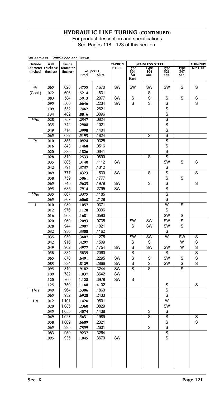For product description and specifications See Pages 118 - 123 of this section.

| 5=5eamess<br>Outside        | Wall                         | vv=vvelded and Drawn<br>Inside |                |                      | CARRON       |                            | STAINLESS STEEL     |                              |                     | ALUMINUM |
|-----------------------------|------------------------------|--------------------------------|----------------|----------------------|--------------|----------------------------|---------------------|------------------------------|---------------------|----------|
| <b>Diameter</b><br>(Inches) | <b>Thickness</b><br>(Inches) | <b>Diameter</b><br>(Inches)    | <b>Steel</b>   | Wt. per Ft.<br>Alum. | <b>STEEL</b> | Type<br>304<br>1/8<br>Hard | Type<br>304<br>Ann. | Type<br>321<br>Ann.          | Type<br>347<br>Ann. | 6061-T6  |
|                             |                              |                                |                |                      |              |                            |                     |                              |                     |          |
| $^{3}/_{4}$                 | .065                         | .620                           | .4755          | .1670                | SW           | SW                         | SW                  | SW                           | S                   | S        |
| (Cont.)                     | .072                         | .606                           | .5214          | .1831                |              |                            | S                   |                              |                     |          |
|                             | .083                         | .584                           | .5913          | .2077                | SW           | S                          | S                   | S                            | S                   | S        |
|                             | .095                         | .560                           | .6646          | .2234                | SW           | S                          | S                   | S                            |                     | S        |
|                             | .109                         | .532                           | .7462          | .2621                |              |                            |                     | S                            |                     |          |
| 13/16                       | .134                         | .482<br>.757                   | .8816          | .3096<br>.0824       |              |                            |                     | S<br>S                       |                     |          |
|                             | .028                         | .742                           | .2347<br>.2908 | .1021                |              |                            |                     | S                            |                     |          |
|                             | .035<br>.049                 | .714                           | .3998          | .1404                |              |                            |                     | S                            |                     |          |
|                             | .065                         | .682                           | .5193          | .1824                |              |                            | S                   | s                            |                     |          |
| $^{7}/_{8}$                 | .010                         | .855                           | .0924          | .0325                |              |                            |                     | S                            |                     |          |
|                             | .016                         | .843                           | .1468          | .0516                |              |                            |                     | S                            |                     |          |
|                             | .020                         | .835                           | .1826          | .0641                |              |                            |                     | S                            |                     |          |
|                             | .028                         | .819                           | .2533          | .0890                |              |                            | S                   | S                            |                     |          |
|                             | .035                         | .805                           | .3140          | .1112                | SW           |                            |                     | SW                           | S                   | S        |
|                             | .042                         | .791                           | .3737          | .1312                |              |                            |                     | S                            |                     |          |
|                             | .049                         | .777                           | .4323          | .1530                | SW           |                            | S                   | S                            |                     | S        |
|                             | .058                         | .759                           | .5061          | .1777                |              |                            |                     | S                            | S                   |          |
|                             | .065                         | .745                           | .5623          | .1979                | SW           |                            | S                   | S                            |                     | S        |
|                             | .095                         | .685                           | .7914          | .2795                | SW           |                            |                     | S                            |                     |          |
| 15/16                       | .035                         | .867                           | .3375          | .1185                |              |                            |                     | S                            |                     |          |
|                             | .065                         | .807                           | .6060          | .2128                |              |                            |                     | S                            |                     |          |
| 1                           | .010                         | .980                           | .1057          | .0371                |              |                            |                     | W                            | S                   |          |
|                             | .012                         | .976                           | .1128          | .0396                |              |                            |                     | S                            |                     |          |
|                             | .016                         | .968                           | .1681          | .0590                |              |                            |                     | SW                           | S                   |          |
|                             | .020                         | .960                           | .2093          | .0735                |              | SW                         | SW                  | SW                           | S                   |          |
|                             | .028                         | .944                           | .2907          | .1021                |              | S                          | SW                  | SW                           | S                   |          |
|                             | .032                         | .936                           | .3308          | .1162                |              |                            |                     | S                            |                     |          |
|                             | .035                         | .930                           | .3607          | .1275                |              | SW                         | SW                  | W                            | SW                  | S        |
|                             | .042                         | .916                           | .4297          | .1509                |              | S                          | S                   |                              | W                   | S        |
|                             | .049                         | .902                           | .4977          | .1754                | SW           | S                          | SW                  | SW                           | W                   | S        |
|                             | .058                         | .884                           | .5835          | .2060                |              | S                          |                     | S                            |                     | S        |
|                             | .065                         | .870                           | .6491          | .2295                | SW           | S                          | S                   | SW                           | S                   | S        |
|                             | .083                         | .834                           | .8129          | .2866                | SW           | S                          | S                   | SW                           | S                   | S        |
|                             | .095                         | .810                           | .9182          | .3244                | SW           | S                          | S                   |                              | S                   |          |
|                             | .109                         | .782                           | 1.037          | .3642                | SW           |                            |                     |                              |                     |          |
|                             | .120                         | .760                           | 1.128          | .3978                | SW           | S                          |                     |                              |                     |          |
| 11/16                       | .125<br>.049                 | .750<br>.964                   | 1.168<br>.5306 | .4102<br>.1863       |              |                            |                     | S<br>$\overline{\mathsf{s}}$ |                     | S        |
|                             | .065                         | .932                           | .6928          | .2433                |              |                            |                     | S                            |                     |          |
| $1\frac{1}{8}$              | .012                         | 1.101                          | .1426          | .0501                |              |                            |                     | w                            |                     |          |
|                             | .020                         | 1.085                          | .2360          | .0829                |              |                            |                     | SW                           |                     |          |
|                             | .035                         | 1.055                          | .4074          | .1438                |              |                            | S                   | S                            |                     |          |
|                             | .049                         | 1.027                          | .5631          | .1989                |              |                            | S                   | S                            |                     | S        |
|                             | .058                         | 1.009                          | .6609          | .2321                |              |                            |                     | S                            |                     | S        |
|                             | .065                         | .995                           | .7359          | .2601                |              |                            | S                   | S                            |                     |          |
|                             | .083                         | .959                           | .9237          | .3264                |              |                            |                     | S                            |                     |          |
|                             | .095                         | .935                           | 1.045          | .3670                | SW           |                            |                     | S                            |                     |          |
|                             |                              |                                |                |                      |              |                            |                     |                              |                     |          |

 $M=N$ elded and Drawn  $\Omega$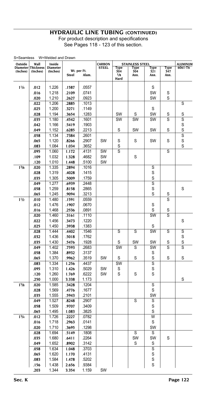| S=Seamless<br>Outside | Wall               | W=Welded and Drawn<br>Inside |       |             | <b>CARBON</b> |                         | <b>STAINLESS STEEL</b> |                |      | ALUMINUM       |
|-----------------------|--------------------|------------------------------|-------|-------------|---------------|-------------------------|------------------------|----------------|------|----------------|
|                       | Diameter Thickness | <b>Diameter</b>              |       |             | <b>STEEL</b>  | Type                    | Type                   | Type           | Type | 6061-T6        |
| (Inches)              | (Inches)           | (Inches)                     |       | Wt. per Ft. |               | 304<br>$\overline{1/8}$ | 304                    | 321            | 347  |                |
|                       |                    |                              | Steel | Alum.       |               | Hard                    | Ann.                   | Ann.           | Ann. |                |
|                       |                    |                              |       |             |               |                         |                        |                |      |                |
| 11/4                  | .012               | 1.226                        | .1587 | .0557       |               |                         |                        | S              |      |                |
|                       | .016               | 1.218                        | .2109 | .0741       |               |                         |                        | SW             | S    |                |
|                       | .020               | 1.210                        | .2627 | .0923       |               |                         |                        | SW             | S    |                |
|                       | .022               | 1.206                        | .2885 | .1013       |               |                         |                        |                |      | S              |
|                       | .025               | 1.200                        | .3271 | .1149       |               |                         |                        | S              |      |                |
|                       | .028               | 1.194                        | .3654 | .1283       |               | SW                      | S                      | SW             | S    | S              |
|                       | .035               | 1.180                        | .4542 | .1601       |               | SW                      | SW                     | SW             | S    | $\overline{s}$ |
|                       | .042               | 1.166                        | .5419 | .1903       |               |                         |                        |                |      | S              |
|                       | .049               | 1.152                        | .6285 | .2213       |               | S                       | SW                     | SW             | S    | S              |
|                       | .058               | 1.134                        | .7384 | .2601       |               |                         |                        |                |      | S              |
|                       | .065               | 1.120                        | .8266 | .2907       | SW            | S                       | S                      | <b>SW</b>      | S    | S              |
|                       | .083               | 1.084                        | 1.034 | .3652       |               | S                       |                        |                |      | S              |
|                       | .095               | 1.060                        | 1.172 | .4131       | SW            | s                       |                        |                | S    |                |
|                       | .109               | 1.032                        | 1.328 | .4682       | SW            |                         | S                      |                |      |                |
|                       | .120               | 1.010                        | 1.448 | .5100       | SW            |                         |                        |                |      |                |
| 1 <sup>3</sup> /8     | .020               | 1.335                        | .2894 | .1016       |               |                         |                        | S              |      |                |
|                       | .028               | 1.319                        | .4028 | .1415       |               |                         |                        | S              |      |                |
|                       | .035               | 1.305                        | .5009 | .1759       |               |                         |                        | S              |      |                |
|                       | .049               | 1.277                        | .6939 | .2448       |               |                         |                        | $\overline{s}$ |      |                |
|                       | .058               | 1.259                        | .8158 | .2865       |               |                         |                        | S              |      | S              |
|                       | .065               | 1.245                        | 9094. | .3213       |               |                         |                        | S              | S    |                |
| 11h                   | .010               | 1.480                        | .1591 | .0559       |               |                         |                        |                | S    |                |
|                       | .012               | 1.476                        | .1907 | .0670       |               |                         |                        | S              |      |                |
|                       | .016               | 1.468                        | .2536 | .0891       |               |                         |                        | S              | S    |                |
|                       | .020               | 1.460                        | .3161 | .1110       |               |                         |                        | SW             | S    |                |
|                       | .022               | 1.456                        | .3473 | .1220       |               |                         |                        |                |      | S              |
|                       | .025               | 1.450                        | .3938 | .1383       |               |                         |                        | S              |      |                |
|                       | .028               | 1.444                        | .4402 | .1546       |               | S                       | S                      | SW             | S    | S              |
|                       | .032               | 1.436                        | .5018 | .1762       |               |                         |                        |                |      | S              |
|                       | .035               | 1.430                        | .5476 | .1928       |               | S                       | SW                     | SW             | S    | S              |
|                       | .049               | 1.402                        | .7593 | .2683       |               | SW                      | S                      | SW             | S    | $\overline{s}$ |
|                       | .058               | 1.384                        | .8932 | .3137       |               |                         |                        | S              |      |                |
|                       | .065               | 1.370                        | .9962 | .3519       | SW            | S                       | S                      | S              | S    | S              |
|                       | .083               | 1.334                        | 1.256 | .4437       |               | SW                      |                        | S              |      |                |
|                       | .095               | 1.310                        | 1.426 | .5029       | SW            | S                       |                        | S              |      |                |
|                       | .120               | 1.260                        | 1.769 | .6222       | SW            | S                       | S                      | S              |      |                |
|                       | .250               | 1.000                        | 3.338 | 1.173       |               |                         |                        |                |      | S              |
| 15/8                  | .020               | 1.585                        | .3428 | .1204       |               |                         |                        | S              |      |                |
|                       | .028               | 1.569                        | .4776 | .1677       |               |                         |                        | S              |      |                |
|                       | .035               | 1.555                        | .5943 | .2101       |               |                         |                        | SW             |      |                |
|                       | .049               | 1.527                        | .8248 | .2907       |               |                         | S                      | S              |      |                |
|                       | .058               | 1.509                        | .9707 | .3409       |               |                         |                        | S              |      |                |
|                       | .065               | 1.495                        | 1.083 | .3825       |               |                         |                        | S              |      |                |
| $1^{3}/4$             | .012               | 1.726                        | .2227 | .0782       |               |                         |                        | W              |      |                |
|                       | .016               | 1.718                        | .2963 | .0141       |               |                         |                        | S              |      |                |
|                       | .020               | 1.710                        | .3695 | .1298       |               |                         |                        | SW             |      |                |
|                       | .028               | 1.694                        | .5149 | .1808       |               |                         | S                      | S              |      |                |
|                       | .035               | 1.680                        | .6411 | .2264       |               |                         | SW                     | SW             | S    |                |
|                       | .049               | 1.652                        | .8902 | .3142       |               |                         | S                      | S              |      |                |
|                       | .058               | 1.634                        | 1.048 | .3703       |               |                         |                        | S              |      |                |
|                       | .065               | 1.620                        | 1.170 | .4131       |               |                         |                        | S              |      |                |
|                       | .083               | 1.584                        | 1.478 | .5202       |               |                         |                        | S              |      |                |
|                       | .156               | 1.438                        | 2.656 | .9384       |               |                         |                        | S              |      |                |
|                       | .203               | 1.344                        | 3.354 | 1.159       | SW            |                         |                        |                |      |                |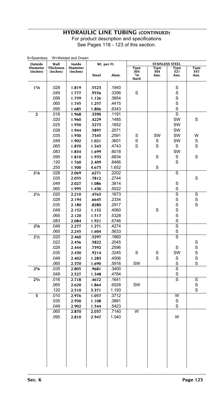|                            | Wall         |                           | Wt. per Ft.    |                | STAINLESS STEEL         |             |                         |             |  |
|----------------------------|--------------|---------------------------|----------------|----------------|-------------------------|-------------|-------------------------|-------------|--|
| Outside<br><b>Diameter</b> | Thickness    | Inside<br><b>Diameter</b> |                |                | Type                    | Type        | Type                    | Type        |  |
| (Inches)                   | (Inches)     | (Inches)                  | <b>Steel</b>   | Alum.          | 304<br>1/8<br>Hard      | 304<br>Ann. | 321<br>Ann.             | 347<br>Ann. |  |
| 17/8                       | .028         | 1.819                     | .5523          | .1940          |                         |             | S                       |             |  |
|                            | .049         | 1.777                     | .9556          | .3356          | S                       |             | S                       |             |  |
|                            | .056         | 1.759                     | 1.126          | .3954          |                         |             | S                       |             |  |
|                            | .065         | 1.745                     | 1.257          | .4415          |                         |             | S                       |             |  |
|                            | .095         | 1.685                     | 1.806          | .6343          |                         |             | S                       |             |  |
| $\overline{\mathbf{c}}$    | .016         | 1.968                     | .3390          | .1191          |                         |             | S                       |             |  |
|                            | .020         | 1.960                     | .4229          | .1485          |                         |             | SW                      | S           |  |
|                            | .025         | 1.950                     | .5273          | .1852          |                         |             | SW                      |             |  |
|                            | .028         | 1.944                     | .5897          | .2071          |                         |             | SW                      |             |  |
|                            | .035         | 1.930                     | .7345          | .2591          | S                       | SW          | SW                      | W           |  |
|                            | .049         | 1.902                     | 1.021          | .3601          | S                       | S           | SW                      | S           |  |
|                            | .065         | 1.870                     | 1.343          | .4743          | S                       | S           | S                       | S           |  |
|                            | .083         | 1.834                     | 1.699          | .6018          |                         |             | SW                      |             |  |
|                            | .095         | 1.810                     | 1.933          | .6834          |                         | S           | S                       | S           |  |
|                            | .120         | 1.760                     | 2.409          | .8466          |                         |             | S                       |             |  |
|                            | .250         | 1.500                     | 4.673          | 1.652          |                         | S           |                         |             |  |
| $2^{1/8}$                  | .028         | 2.069                     | .6271          | .2202          |                         |             | S                       |             |  |
|                            | .035         | 2.055                     | .7812          | .2744          |                         |             |                         | S           |  |
|                            | .049         | 2.027                     | 1.086          | .3814          |                         |             | S                       |             |  |
|                            | .065         | 1.995                     | 1.430          | .5022          |                         |             | S                       |             |  |
| $2^{1/4}$                  | .020         | 2.210                     | .4763          | .1673          |                         |             | $\overline{\mathsf{s}}$ | S           |  |
|                            | .028         | 2.194                     | .6645          | .2334          |                         |             | S                       | S           |  |
|                            | .035         | 2.180                     | .8280          | .2917          |                         |             | S                       | S           |  |
|                            | .049         | 2.152                     | 1.152          | .4060          |                         | S           | S                       |             |  |
|                            | .065         | 2.120                     | 1.517          | .5328          |                         |             | S                       |             |  |
|                            | .083         | 2.084                     | 1.921          | .6746          |                         |             | S                       |             |  |
| $2^{3}/8$                  | .049         | 2.277                     | 1.271          | .4274          |                         |             | S                       |             |  |
|                            | .065         | 2.245                     | 1.604          | .5633          |                         |             | S                       |             |  |
| 2 <sup>1</sup> /2          | .020         | 2.460                     | .5297          | .1860          |                         |             | $\overline{\mathsf{s}}$ |             |  |
|                            | .022<br>.028 | 2.456                     | .5822          | .2045<br>.2596 |                         |             | S                       | S<br>S      |  |
|                            | .035         | 2.444                     | .7392          |                | S                       |             | SW                      | S           |  |
|                            | .049         | 2.430<br>2.402            | .9214          | .3245<br>.4506 |                         | S<br>S      | S                       | S           |  |
|                            | .065         | 2.370                     | 1.283<br>1.690 | .5916          | SW                      |             | S                       | S           |  |
| $2^{5}/s$                  | .035         | 2.805                     | .9681          | .3400          |                         |             | S                       |             |  |
|                            | .049         | 2.527                     | 1.348          | .4784          |                         |             | S                       |             |  |
| $2^{3/4}$                  | .016         | 2.718                     | .4672          | .1641          |                         |             | $\overline{\mathsf{s}}$ | S           |  |
|                            | .065         | 2.620                     | 1.864          | .6528          | SW                      |             |                         | S           |  |
|                            | .120         | 2.510                     | 3.371          | 1.193          |                         |             |                         | S           |  |
| 3                          | .010         | 2.976                     | 1.057          | .3712          |                         |             | $\overline{\mathsf{w}}$ |             |  |
|                            | .035         | 2.930                     | 1.108          | .3891          |                         |             | S                       |             |  |
|                            | .049         | 2.902                     | 1.544          | .5423          |                         |             | S                       |             |  |
|                            | .065         | 2.870                     | 2.037          | .7140          | $\overline{\mathsf{w}}$ |             |                         |             |  |
|                            | .095         | 2.810                     | 2.947          | 1.040          |                         |             | W                       |             |  |
|                            |              |                           |                |                |                         |             |                         |             |  |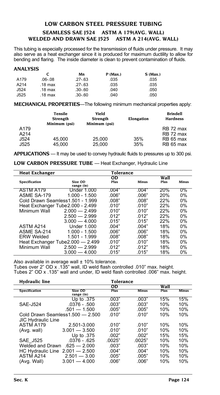# <span id="page-124-0"></span>**LOW CARBON STEEL PRESSURE TUBING Seamless SAE J524 ASTM A 179(Avg. Wall) Welded and Drawn SAE J525 ASTM A 214(Avg. Wall)**

This tubing is especially processed for the transmission of fluids under pressure. It may also serve as a heat exchanger since it is produced for maximum ductility to allow for bending and flaring. The inside diameter is clean to prevent contamination of fluids.

|      | ANALYSIS          |             |            |            |  |  |  |  |  |  |  |  |
|------|-------------------|-------------|------------|------------|--|--|--|--|--|--|--|--|
|      |                   | Mn          | $P$ (Max.) | $S$ (Max.) |  |  |  |  |  |  |  |  |
| A179 | $.06 - .08$       | $.27 - .63$ | .035       | .035       |  |  |  |  |  |  |  |  |
| A214 | $.18 \text{ max}$ | $.27 - .63$ | .035       | .035       |  |  |  |  |  |  |  |  |
| J524 | $.18 \text{ max}$ | $.30 - .60$ | .040       | .050       |  |  |  |  |  |  |  |  |
| J525 | .18 max           | $.30 - 60$  | .040       | .050       |  |  |  |  |  |  |  |  |

**MECHANICAL PROPERTIES**—The following minimum mechanical properties apply:

|      | Tensile<br><b>Strength</b><br>Minimum (psi) | Yield<br>Strength<br>Minimum (psi) | Elongation | <b>Brindell</b><br><b>Hardness</b> |
|------|---------------------------------------------|------------------------------------|------------|------------------------------------|
| A179 |                                             |                                    |            | RB 72 max                          |
| A214 |                                             |                                    |            | RB 72 max                          |
| J524 | 45.000                                      | 25.000                             | 35%        | RB 65 max                          |
| J525 | 45.000                                      | 25.000                             | 35%        | RB 65 max                          |

**APPLICATIONS** — It may be used to convey hydraulic fluids to pressures up to 300 psi.

**LOW CARBON PRESSURE TUBE** — Heat Exchanger, Hydraulic Line

| <b>Heat Exchanger</b> |                                   | Tolerance |       |      |       |
|-----------------------|-----------------------------------|-----------|-------|------|-------|
|                       |                                   | <b>OD</b> |       | Wall |       |
| <b>Specification</b>  | Size OD                           | Plus      | Minus | Plus | Minus |
|                       | range (in)                        |           |       |      |       |
| ASTM A179             | Under 1.000                       | .004"     | .004" | 20%  | $0\%$ |
| ASME SA-179           | 1.000 - 1.500                     | .006"     | .006" | 20%  | 0%    |
|                       | Cold Drawn Seamless1.501 - 1.999  | .008"     | .008" | 22%  | $0\%$ |
|                       | Heat Exchanger Tube 2.000 - 2.499 | .010"     | .010" | 22%  | 0%    |
| Minimum Wall          | $2.000 - 2.499$                   | .010"     | .010" | 22%  | $0\%$ |
|                       | $2.500 - 2.999$                   | 012"      | 012"  | 22%  | $0\%$ |
|                       | $3.000 - 4.000$                   | .015"     | .015" | 22%  | 0%    |
| ASTM A214             | Under 1.000                       | .004"     | .004" | 18%  | 0%    |
| ASME SA-214           | $1.000 - 1.500$                   | .006"     | .006" | 18%  | 0%    |
| <b>ERW Welded</b>     | 1.501 - 1.999                     | .008"     | .008" | 18%  | $0\%$ |
|                       | Heat Exchanger Tube2.000 - 2.499  | .010"     | .010" | 18%  | $0\%$ |
| Minimum Wall          | $2.500 - 2.999$                   | .012"     | .012" | 18%  | 0%    |
|                       | $3.000 - 4.000$                   | .015"     | .015" | 18%  | 0%    |

Also available in average wall  $\pm$  10% tolerance.

Tubes over 2" OD x .135" wall, ID weld flash controlled .010" max. height. Tubes 2" OD x .135" wall and under, ID weld flash controlled .006" max. height.

| <b>Hydraulic line</b>     |                                  | Tolerance   |              |      |              |
|---------------------------|----------------------------------|-------------|--------------|------|--------------|
|                           |                                  | 0D          |              | Wall |              |
| <b>Specification</b>      | Size OD<br>range (in)            | <b>Plus</b> | <b>Minus</b> | Plus | <b>Minus</b> |
|                           | Up to .375                       | .003"       | .003"        | 15%  | 15%          |
| <b>SAE-J524</b>           | $.0376 - .500$                   | .003"       | .003"        | 10%  | 10%          |
|                           | $.501 - 1.500$                   | .005"       | .005"        | 10%  | 10%          |
|                           | Cold Drawn Seamless1.500 - 2.500 | .010"       | .010"        | 10%  | 10%          |
| <b>JIC Hydraulic Line</b> |                                  |             |              |      |              |
| ASTM A179                 | 2.501-3.000                      | .010"       | .010"        | 10%  | 10%          |
| (Avg. wall)               | $3.001 - 3.500$                  | .010"       | .010"        | 10%  | 10%          |
|                           | Up to .375                       | .002"       | .002"        | 15%  | 15%          |
| <b>SAE J525</b>           | $.0376 - 625$                    | .0025"      | .0025"       | 10%  | 10%          |
| Welded and Drawn          | $.625 - 2.000$                   | .003"       | .003"        | 10%  | 10%          |
|                           | HC Hydraulic Line 2.001 - 2.500  | .004"       | .004"        | 10%  | 10%          |
| ASTM A214                 | $2.501 - 3.00$                   | .005"       | .005"        | 10%  | 10%          |
| (Avg. Wall)               | $3.001 - 4.000$                  | .006"       | .006"        | 10%  | 10%          |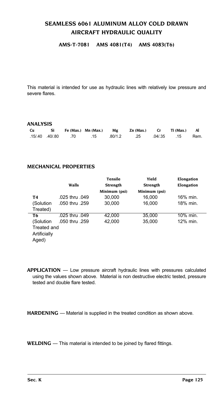# <span id="page-125-0"></span>**SEAMLESS 6061 ALUMINUM ALLOY COLD DRAWN AIRCRAFT HYDRAULIC QUALITY**

#### **AMS-T-7081 AMS 4081(T4) AMS 4083(T6)**

This material is intended for use as hydraulic lines with relatively low pressure and severe flares.

#### **ANALYSIS**

| Cu |  |  | Si Fe (Max.) Mn (Max.) Mg Zn (Max.) Cr Ti (Max.) Al |  |      |
|----|--|--|-----------------------------------------------------|--|------|
|    |  |  | .15 .04/.35 .25 .04/.35 .15 .70 .70 .15 .15 .15     |  | Rem. |

#### **MECHANICAL PROPERTIES**

|                |                | <b>Tensile</b>  | Yield           | Elongation |
|----------------|----------------|-----------------|-----------------|------------|
|                | Walls          | <b>Strength</b> | <b>Strength</b> | Elongation |
|                |                | Minimum (psi)   | Minimum (psi)   |            |
| T4             | .025 thru .049 | 30.000          | 16.000          | 16% min.   |
| (Solution      | .050 thru .259 | 30,000          | 16.000          | 18% min.   |
| Treated)       |                |                 |                 |            |
| T <sub>6</sub> | .025 thru .049 | 42.000          | 35.000          | 10% min.   |
| (Solution      | .050 thru .259 | 42,000          | 35,000          | 12% min.   |
| Treated and    |                |                 |                 |            |
| Artificially   |                |                 |                 |            |
| Aged)          |                |                 |                 |            |

**APPLICATION** — Low pressure aircraft hydraulic lines with pressures calculated using the values shown above. Material is non destructive electric tested, pressure tested and double flare tested.

**HARDENING** — Material is supplied in the treated condition as shown above.

**WELDING** — This material is intended to be joined by flared fittings.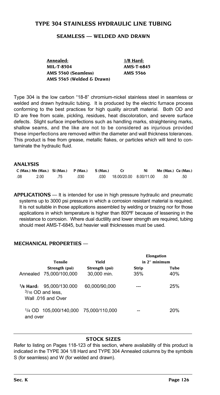#### <span id="page-126-0"></span>**TYPE 304 STAINLESS HYDRAULIC LINE TUBING**

#### **Seamless — Welded and Drawn**

**Annealed: 1/8 Hard: MIL-T-8504 AMS-T-6845 AMS 5560 (Seamless) AMS 5566 AMS 5565 (Welded & Drawn)**

Type 304 is the low carbon "18-8" chromium-nickel stainless steel in seamless or welded and drawn hydraulic tubing. It is produced by the electric furnace process conforming to the best practices for high quality aircraft material. Both OD and ID are free from scale, pickling, residues, heat discoloration, and severe surface defects. Slight surface imperfections such as handling marks, straightening marks, shallow seams, and the like are not to be considered as injurious provided these imperfections are removed within the diameter and wall thickness tolerances. This product is free from grease, metallic flakes, or particles which will tend to contaminate the hydraulic fluid.

#### **ANALYSIS**

|     | $C$ (Max.) Mn (Max.) Si (Max.) $P$ (Max.) S (Max.) |     |      |                            | Mo (Max.) Cu (Max.) |     |
|-----|----------------------------------------------------|-----|------|----------------------------|---------------------|-----|
| .08 | 2.00                                               | .75 | .030 | 030 18.00/20.00 8.00/11.00 | .50                 | .50 |

**APPLICATIONS** — It is intended for use in high pressure hydraulic and pneumatic systems up to 3000 psi pressure in which a corrosion resistant material is required. It is not suitable in those applications assembled by welding or brazing nor for those applications in which temperature is higher than 800ºF because of lessening in the resistance to corrosion. Where dual ductility and lower strength are required, tubing should meet AMS-T-6845, but heavier wall thicknesses must be used.

#### **MECHANICAL PROPERTIES** —

|          |                                                                                |                | Elongation    |      |
|----------|--------------------------------------------------------------------------------|----------------|---------------|------|
|          | <b>Tensile</b>                                                                 | Vield          | in 2" minimum |      |
|          | Strength (psi)                                                                 | Strength (psi) | Strip         | Tube |
|          | Annealed 75,000/100,000                                                        | 30,000 min.    | 35%           | 40%  |
|          | $\frac{1}{8}$ Hard: 95.000/130.000<br>$3/16$ OD and less.<br>Wall 016 and Over | 60.000/90.000  |               | 25%  |
| and over | <sup>1</sup> /4 OD 105.000/140.000 75.000/110.000                              |                |               | 20%  |

#### **Stock Sizes**

Refer to listing on Pages 118-123 of this section, where availability of this product is indicated in the TYPE 304 1/8 Hard and TYPE 304 Annealed columns by the symbols S (for seamless) and W (for welded and drawn).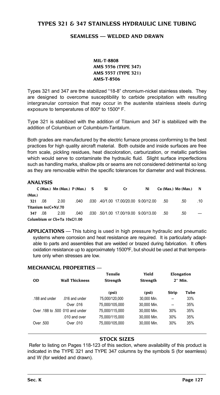### <span id="page-127-0"></span>**TYPES 321 & 347 STAINLESS HYDRAULIC LINE TUBING**

#### **Seamless — Welded and Drawn**

**MIL-T-8808 AMS 5556 (TYPE 347) AMS 5557 (TYPE 321) AMS-T-8506**

Types 321 and 347 are the stabilized "18-8" chromium-nickel stainless steels. They are designed to overcome susceptibility to carbide precipitation with resulting intergranular corrosion that may occur in the austenite stainless steels during exposure to temperatures of 800º to 1500º F.

Type 321 is stabilized with the addition of Titanium and 347 is stabilized with the addition of Columbium or Columbium-Tantalum.

Both grades are manufactured by the electric furnace process conforming to the best practices for high quality aircraft material. Both outside and inside surfaces are free from scale, pickling residues, heat discoloration, carburization, or metallic particles which would serve to contaminate the hydraulic fluid. Slight surface imperfections such as handling marks, shallow pits or seams are not considered detrimental so long as they are removable within the specific tolerances for diameter and wall thickness.

#### **ANALYSIS**

|        |                      | $C$ (Max.) Mn (Max.) $P$ (Max.) S |      | Si | Cr                                   | Ni |     | Cu (Max.) Mo (Max.) | N   |
|--------|----------------------|-----------------------------------|------|----|--------------------------------------|----|-----|---------------------|-----|
| (Max.) |                      |                                   |      |    |                                      |    |     |                     |     |
| 321    | .08                  | 2.00                              | .040 |    | .030 .40/1.00 17.00/20.00 9.00/12.00 |    | .50 | .50                 | .10 |
|        | Titanium 6x(C+N)/.70 |                                   |      |    |                                      |    |     |                     |     |
| 347    | .08                  | 2.00                              | .040 |    | .030 .50/1.00 17.00/19.00 9.00/13.00 |    | .50 | .50                 |     |
|        |                      | Columbium or Cb+Ta 10xC/1.00      |      |    |                                      |    |     |                     |     |

**APPLICATIONS** — This tubing is used in high pressure hydraulic and pneumatic systems where corrosion and heat resistance are required. It is particularly adaptable to parts and assemblies that are welded or brazed during fabrication. It offers oxidation resistance up to approximately 1500ºF, but should be used at that temperature only when stresses are low.

#### **MECHANICAL PROPERTIES** —

| <b>OD</b>      | Tensile<br><b>Wall Thickness</b><br><b>Strength</b> |                | Yield<br><b>Strength</b> | Elongation<br>2" Min. |      |
|----------------|-----------------------------------------------------|----------------|--------------------------|-----------------------|------|
|                |                                                     | (psi)          | (psi)                    | <b>Strip</b>          | Tube |
| .188 and under | .016 and under                                      | 75.000/120.000 | 30,000 Min.              | --                    | 33%  |
|                | Over 016                                            | 75.000/105.000 | 30.000 Min.              | --                    | 35%  |
|                | Over .188 to .500 010 and under                     | 75.000/115.000 | 30.000 Min.              | 30%                   | 35%  |
|                | .010 and over                                       | 75.000/115.000 | 30.000 Min.              | 30%                   | 35%  |
| Over .500      | Over 010                                            | 75.000/105.000 | 30.000 Min.              | 30%                   | 35%  |

#### **Stock Sizes**

 Refer to listing on Pages 118-123 of this section, where availability of this product is indicated in the TYPE 321 and TYPE 347 columns by the symbols S (for seamless) and W (for welded and drawn).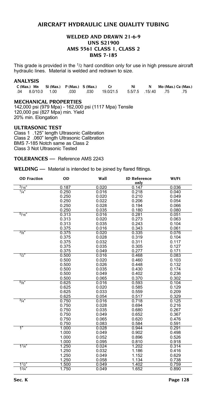### <span id="page-128-0"></span>**AIRCRAFT HYDRAULIC LINE QUALITY TUBING**

#### **Welded and Drawn 21-6-9 UNS S21900 AMS 5561 Class 1, Class 2 BMS 7-185**

This grade is provided in the 1/2 hard condition only for use in high pressure aircraft hydraulic lines. Material is welded and redrawn to size.

#### **ANALYSIS**

 **C (Max.) Mn Si (Max.) P (Max.) S (Max.) Cr Ni N Mo (Max.) Cu (Max.)** .04 8.0/10.0 1.00 .030 .030 19.0/21.5 5.5/7.5 .15/.40 .75 .75

#### **MECHANICAL PROPERTIES**

142,000 psi (979 Mpa) - 162,000 psi (1117 Mpa) Tensile 120,000 psi (827 Mpa) min. Yield 20% min. Elongation

#### **ULTRASONIC TEST**

Class 1 .125" length Ultrasonic Calibration Class 2 .060" length Ultrasonic Calibration BMS 7-185 Notch same as Class 2 Class 3 Not Ultrasonic Tested

**TOLERANCES —** Reference AMS 2243

**WELDING —** Material is intended to be joined by flared fittings.

| <b>OD Fraction</b> | OD    | Wall  | <b>ID Reference</b><br>only | Wt/Ft |
|--------------------|-------|-------|-----------------------------|-------|
| $\frac{3}{16}$     | 0.187 | 0.020 | 0.147                       | 0.036 |
| 1/4"               | 0.250 | 0.016 | 0.218                       | 0.040 |
|                    | 0.250 | 0.020 | 0.210                       | 0.049 |
|                    | 0.250 | 0.022 | 0.206                       | 0.054 |
|                    | 0.250 | 0.028 | 0.194                       | 0.066 |
|                    | 0.250 | 0.035 | 0.180                       | 0.080 |
| 5/16"              | 0.313 | 0.016 | 0.281                       | 0.051 |
|                    | 0.313 | 0.020 | 0.273                       | 0.063 |
|                    | 0.313 | 0.035 | 0.243                       | 0.104 |
|                    | 0.375 | 0.016 | 0.343                       | 0.061 |
| $\frac{3}{8}$      | 0.375 | 0.020 | 0.335                       | 0.076 |
|                    | 0.375 | 0.028 | 0.319                       | 0.104 |
|                    | 0.375 | 0.032 | 0.311                       | 0.117 |
|                    | 0.375 | 0.035 | 0.305                       | 0.127 |
|                    | 0.375 | 0.049 | 0.277                       | 0.171 |
| 1/2"               | 0.500 | 0.016 | 0.468                       | 0.083 |
|                    | 0.500 | 0.020 | 0.460                       | 0.103 |
|                    | 0.500 | 0.026 | 0.448                       | 0.132 |
|                    | 0.500 | 0.035 | 0.430                       | 0.174 |
|                    | 0.500 | 0.049 | 0.402                       | 0.236 |
|                    | 0.500 | 0.065 | 0.370                       | 0.302 |
| $\frac{5}{8}$      | 0.625 | 0.016 | 0.593                       | 0.104 |
|                    | 0.625 | 0.020 | 0.585                       | 0.129 |
|                    | 0.625 | 0.033 | 0.559                       | 0.209 |
|                    | 0.625 | 0.054 | 0.517                       | 0.329 |
| 3/4"               | 0.750 | 0.016 | 0.718                       | 0.125 |
|                    | 0.750 | 0.028 | 0.694                       | 0.216 |
|                    | 0.750 | 0.035 | 0.680                       | 0.267 |
|                    | 0.750 | 0.049 | 0.652                       | 0.367 |
|                    | 0.750 | 0.065 | 0.620                       | 0.476 |
|                    | 0.750 | 0.083 | 0.584                       | 0.591 |
| 1"                 | 1.000 | 0.028 | 0.944                       | 0.291 |
|                    | 1.000 | 0.049 | 0.902                       | 0.498 |
|                    | 1.000 | 0.052 | 0.896                       | 0.526 |
|                    | 1.000 | 0.095 | 0.810                       | 0.918 |
| 11/4"              | 1.250 | 0.024 | 1.202                       | 0.314 |
|                    | 1.250 | 0.032 | 1.186                       | 0.416 |
|                    | 1.250 | 0.049 | 1.152                       | 0.629 |
|                    | 1.250 | 0.058 | 1.134                       | 0.738 |
| $11/2$ "           | 1.500 | 0.049 | 1.402                       | 0.759 |
| $1^{3}/4$ "        | 1.750 | 0.049 | 1.652                       | 0.890 |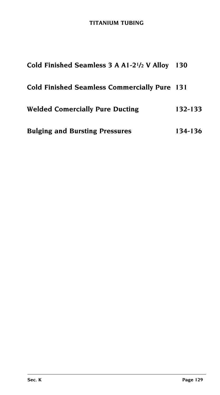# **TITANIUM Tubing**

| Cold Finished Seamless 3 A A1-2 <sup>1</sup> /2 V Alloy 130 |         |
|-------------------------------------------------------------|---------|
| <b>Cold Finished Seamless Commercially Pure 131</b>         |         |
| <b>Welded Comercially Pure Ducting</b>                      | 132-133 |
| <b>Bulging and Bursting Pressures</b>                       | 134-136 |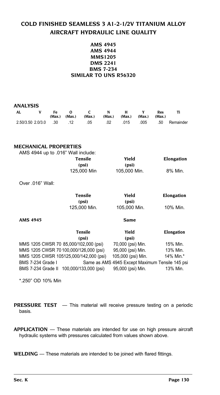# <span id="page-130-0"></span>**COLD FINISHED SEAMLESS 3 A1-2-1/2V TITANIUM ALLOY AIRCRAFT HYDRAULIC LINE QUALITY**

#### **AMS 4945 AMS 4944 MMS1205 DMS 2241 BMS 7-234 Similar to UNS R56320**

| AL                    | Fe.<br>(Max.) | റ<br>(Max.) | C.<br>(Max.) | N<br>(Max.) | . н. | $(Max.)$ $(Max.)$ | Res<br>(Max.) |           |
|-----------------------|---------------|-------------|--------------|-------------|------|-------------------|---------------|-----------|
| 2.50/3.50 2.0/3.0 .30 |               | .12         | .05          | .02         | .015 | .005              | .50           | Remainder |

#### **MECHANICAL PROPERTIES**

| AMS 4944 up to 016" Wall include: |             |              |            |
|-----------------------------------|-------------|--------------|------------|
|                                   | Tensile     | Yield        | Elongation |
|                                   | (psi)       | (psi)        |            |
|                                   | 125,000 Min | 105.000 Min. | 8% Min.    |
|                                   |             |              |            |

Over .016" Wall:

| Tensile      | Yield   |
|--------------|---------|
| (psi)        | (psi)   |
| 125,000 Min. | 105,000 |

| Tensile      | Yield        | Elongation |
|--------------|--------------|------------|
| (psi)        | (psi)        |            |
| 125,000 Min. | 105,000 Min. | 10% Min.   |

**AMS 4945 Same**

|                          | Tensile                                  | Yield                                           | Elongation |
|--------------------------|------------------------------------------|-------------------------------------------------|------------|
|                          | (psi)                                    | (psi)                                           |            |
|                          | MMS 1205 CWSR 70 85,000/102,000 (psi)    | 70,000 (psi) Min.                               | 15% Min.   |
|                          | MMS 1205 CWSR 70 100,000/126,000 (psi)   | 95,000 (psi) Min.                               | 13% Min.   |
|                          | MMS 1205 CWSR 105125,000/142,000 (psi)   | 105,000 (psi) Min.                              | 14% Min.*  |
| <b>BMS 7-234 Grade I</b> |                                          | Same as AMS 4945 Except Maximum Tensile 145 psi |            |
|                          | BMS 7-234 Grade II 100,000/133,000 (psi) | 95,000 (psi) Min.                               | 13% Min.   |

\*.250" OD 10% Min

**PRESSURE TEST** - This material will receive pressure testing on a periodic basis.

**APPLICATION** — These materials are intended for use on high pressure aircraft hydraulic systems with pressures calculated from values shown above.

**WELDING** — These materials are intended to be joined with flared fittings.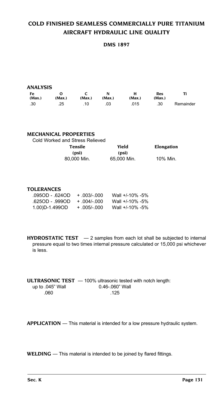# <span id="page-131-0"></span>**COLD FINISHED SEAMLESS COMMERCIALLY PURE TITANIUM AIRCRAFT HYDRAULIC LINE QUALITY**

**DMS 1897**

| ANALYSIS     |        |        |             |             |               |           |
|--------------|--------|--------|-------------|-------------|---------------|-----------|
| Fe<br>(Max.) | (Max.) | (Max.) | N<br>(Max.) | н<br>(Max.) | Res<br>(Max.) | Ti        |
| .30          | .25    | .10    | .03         | .015        | .30           | Remainder |

| Cold Worked and Stress Relieved |            |
|---------------------------------|------------|
| Yield                           | Elongation |
| (psi)                           |            |
| 65.000 Min.                     | 10% Min.   |
|                                 |            |

#### **TOLERANCES**

| .095OD - .624OD | $+ 003/000$ | Wall +/-10% -5% |
|-----------------|-------------|-----------------|
| 625OD - 999OD   | $+ 004/000$ | Wall +/-10% -5% |
| 1.00)D-1.499OD  | $+005/-000$ | Wall +/-10% -5% |

**HYDROSTATIC TEST** — 2 samples from each lot shall be subjected to internal pressure equal to two times internal pressure calculated or 15,000 psi whichever is less.

|                     | <b>ULTRASONIC TEST</b> $-$ 100% ultrasonic tested with notch length: |
|---------------------|----------------------------------------------------------------------|
| up to $.045$ " Wall | $0.46 - 060$ " Wall                                                  |
| .060                | .125                                                                 |

**APPLICATION** — This material is intended for a low pressure hydraulic system.

**WELDING** — This material is intended to be joined by flared fittings.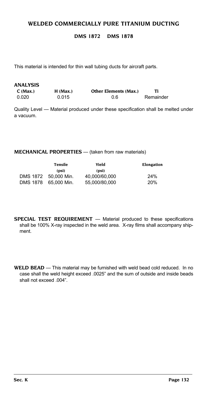### <span id="page-132-0"></span>**WELDED COMMERCIALLY PURE TITANIUM DUCTING**

#### **DMS 1872 DMS 1878**

This material is intended for thin wall tubing ducts for aircraft parts.

| ANALYSIS |            |                              |           |
|----------|------------|------------------------------|-----------|
| C (Max.) | $H$ (Max.) | <b>Other Elements (Max.)</b> |           |
| 0.020    | 0.015      | 0.6                          | Remainder |

Quality Level — Material produced under these specification shall be melted under a vacuum.

#### **MECHANICAL PROPERTIES** — (taken from raw materials)

|          | Tensile              | Yield         | Elongation |  |  |  |
|----------|----------------------|---------------|------------|--|--|--|
|          | (psi)                | (psi)         |            |  |  |  |
|          | DMS 1872 50,000 Min. | 40.000/60.000 | 24%        |  |  |  |
| DMS 1878 | 65.000 Min.          | 55.000/80.000 | 20%        |  |  |  |

- **SPECIAL TEST REQUIREMENT** Material produced to these specifications shall be 100% X-ray inspected in the weld area. X-ray films shall accompany shipment.
- **WELD BEAD** This material may be furnished with weld bead cold reduced. In no case shall the weld height exceed .0025" and the sum of outside and inside beads shall not exceed .004".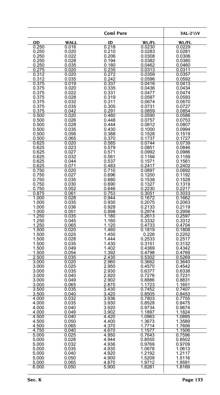|                |                | <b>Coml Pure</b>   |                  | 3AL-2 <sup>1</sup> /2V |
|----------------|----------------|--------------------|------------------|------------------------|
| OD             | <b>WALL</b>    | ID                 | Wt./Ft.          | Wt./Ft.                |
| 0.250          | 0.016          | 0.218              | 0.0230           | 0.0229                 |
| 0.250          | 0.020          | 0.210              | 0.0283           | 0.0281                 |
| 0.250          | 0.022          | 0.206              | 0.0308           | 0.0306                 |
| 0.250          | 0.028          | 0.194              | 0.0382           | 0.0380                 |
| 0.250          | 0.035          | 0.180              | 0.0462           | 0.0460                 |
| 0.275<br>0.312 | 0.020<br>0.020 | 0.235<br>0.272     | 0.0313<br>0.0359 | 0.0311<br>0.0357       |
| 0.312          | 0.035          |                    | 0.0596           | 0.0592                 |
| 0.375          | 0.019          | $0.242$<br>$0.337$ | 0.0416           | 0.0413                 |
| 0.375          | 0.020          | 0.335              | 0.0436           | 0.0434                 |
| 0.375          | 0.022          | 0.331              | 0.0477           | 0.0474                 |
| 0.375          | 0.028          | 0.319              | 0.0597           | 0.0593                 |
| 0.375          | 0.032          | 0.311              | 0.0674           | 0.0670                 |
| 0.375<br>0.375 | 0.035<br>0.042 | 0.305<br>0.291     | 0.0731<br>0.0859 | 0.0727<br>0.0854       |
| 0.500          | 0.020          | 0.460              | 0.0590           | 0.0586                 |
| 0.500          | 0.026          | 0.448              | 0.0757           | 0.0753                 |
| 0.500          | 0.028          | 0.444              | 0.0812           | 0.0807                 |
| 0.500          | 0.035          | 0.430              | 0.1000           | 0.0994                 |
| 0.500          | 0.056          | 0.388              | 0.1528           | 0.1519                 |
| 0.500          | 0.065          | 0.370              | 0.1737           | 0.1727                 |
| 0.625          | 0.020          | 0.585              | 0.0744           | 0.0739                 |
| 0.625<br>0.625 | 0.023<br>0.027 | 0.579<br>0.571     | 0.0851<br>0.0992 | 0.0846<br>0.0986       |
| 0.625          | 0.032          | 0.561              | 0.1166           | 0.1159                 |
| 0.625          | 0.044          | 0.537              | 0.1571           | 0.1561                 |
| 0.625          | 0.071          | 0.483              | 0.2417           | 0.2402                 |
| 0.750          | 0.020          | 0.710              | 0.0897           | 0.0892                 |
| 0.750          | 0.027          | 0.696              | 0.1200           | 0.1192                 |
| 0.750          | 0.035          | 0.680              | 0.1538           | 0.1528                 |
| 0.750          | 0.030          | 0.690              | 0.1327           | 0.1319                 |
| 0.750<br>0.875 | 0.052<br>0.061 | 0.646<br>0.753     | 0.2230<br>0.3051 | 0.2217<br>0.3033       |
| 1.000          | 0.028          | 0.944              | 0.1672           | 0.1662                 |
| 1.000          | 0.035          | 0.930              | 0.2075           | 0.2063                 |
| 1.000          | 0.036          | 0.928              | 0.2133           | 0.2119                 |
| 1.000          | 0.051          | 0.898              | 0.2974           | 0.2956                 |
| 1.250          | 0.035          | 1.180              | 0.2613           | 0.2597                 |
| 1.250<br>1.250 | 0.045<br>0.065 | 1.160<br>1.120     | 0.3332<br>0.4733 | 0.3312<br>0.4704       |
| 1.500          | 0.020          | 1.460              | 0.1819           | 0.1808                 |
| 1.500          | 0.025          | 1.450              | 0.226            | 0.2252                 |
| 1.500          | 0.028          | 1.444              | 0.2533           | 0.2517                 |
| 1.500          | 0.035          | 1.430              | 0.3151           | 0.3132                 |
| 1.500          | 0.049          | 1.402              | 0.4369           | 0.4342                 |
| 1.500          | 0.054          | 1.392              | 0.4798           | 0.4769                 |
| 2.500<br>3.000 | 0.035<br>0.020 | 2.430<br>2.960     | 0.5302<br>0.3662 | 0.5269<br>0.3640       |
| 3.000          | 0.025          | 2.950              | 0.4570           | 0.4542                 |
| 3.000          | 0.035          | 2.930              | 0.6377           | 0.6338                 |
| 3.000          | 0.040          | 2.920              | 0.7276           | 0.7231                 |
| 3.000          | 0.049          | 2.902              | 0.8886           | 0.8831                 |
| 3.000          | 0.065          | 2.870              | 1.1723           | 1.1651                 |
| 3.500          | 0.035          | 3.430              | 0.7452<br>0.8505 | 0.7407                 |
| 3.500<br>4.000 | 0.040<br>0.032 | 3.420<br>3.936     | 0.7803           | 0.8453<br>0.7755       |
| 4.000          | 0.035          | 3.930              | 0.8528           | U.8475                 |
| 4.000          | 0.040          | 3.920              | 0.9734           | 0.9674                 |
| 4.000          | 0.049          | 3.902              | 1.1897           | 1.1824                 |
| 4.500          | 0.040          | 4.420              | 1.0963           | 1.0895                 |
| 4.500          | 0.050          | 4.400              | 1.3673           | 1.3589                 |
| 4.500          | 0.065          | 4.370              | 1.7714           | 1.7606<br>1.1506       |
| 4.750<br>5.000 | 0.040<br>0.025 | 4.670<br>4.950     | 1.1577<br>0.7643 | 0.7596                 |
| 5.000          | 0.028          | 4.944              | 0.8555           | 0.8502                 |
| 5.000          | 0.032          | 4.936              | 0.9769           | 0.9709                 |
| 5.000          | 0.035          | 4.930              | 1.0678           | 1.0613                 |
| 5.000          | 0.040          | 4.920              | 1.2192           | 1.2117                 |
| 5.000          | 0.050          | 4.900              | 1.5209           | 1.5116                 |
| 5.000          | 0.065          | 4.870              | 1.9712<br>1.8281 | 1.9591                 |
| 6.000          | 0.050          | 5.900              |                  | 1.8169                 |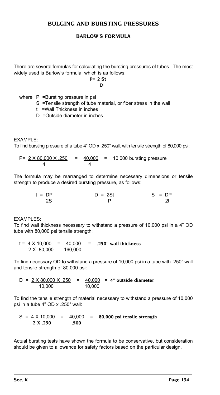#### <span id="page-134-0"></span>**BULGING AND BURSTING PRESSURES**

#### **Barlow's Formula**

There are several formulas for calculating the bursting pressures of tubes. The most widely used is Barlow's formula, which is as follows:

#### **P= 2 St**

#### **D**

where P = Bursting pressure in psi

- S =Tensile strength of tube material, or fiber stress in the wall
- t =Wall Thickness in inches
- D =Outside diameter in inches

EXAMPLE:

To find bursting pressure of a tube 4" OD x .250" wall, with tensile strength of 80,000 psi:

P=  $2 \times 80,000 \times .250$  =  $40,000$  = 10,000 bursting pressure 4 4

The formula may be rearranged to determine necessary dimensions or tensile strength to produce a desired bursting pressure, as follows:

> t = DP D = 2St S = DP 2S P 2t

EXAMPLES:

To find wall thickness necessary to withstand a pressure of 10,000 psi in a 4" OD tube with 80,000 psi tensile strength:

t = 4 X 10,000 = 40,000 = **.250" wall thickness** 2 X 80,000 160,000

To find necessary OD to withstand a pressure of 10,000 psi in a tube with .250" wall and tensile strength of 80,000 psi:

D = 2 X 80,000 X .250 = 40,000 = **4" outside diameter** 10,000 10,000

To find the tensile strength of material necessary to withstand a pressure of 10,000 psi in a tube 4" OD x .250" wall:

$$
S = \frac{4 \times 10,000}{2 \times .250} = \frac{40,000}{.500} = 80,000 \text{ psi tensile strength}
$$

Actual bursting tests have shown the formula to be conservative, but consideration should be given to allowance for safety factors based on the particular design.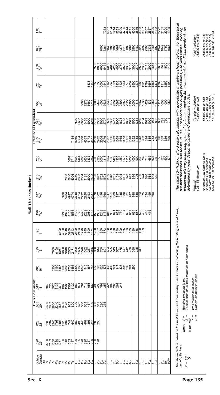|  | iet−                   |                                                                                                                                                                                                    |                                                                                                                                                          |                                                                       |                  |                                                                                                                                                                                                                                  |  |      |               |                       |                                                                                                                                                                                                                                                                                                                          |                                            |                                                                                                              |
|--|------------------------|----------------------------------------------------------------------------------------------------------------------------------------------------------------------------------------------------|----------------------------------------------------------------------------------------------------------------------------------------------------------|-----------------------------------------------------------------------|------------------|----------------------------------------------------------------------------------------------------------------------------------------------------------------------------------------------------------------------------------|--|------|---------------|-----------------------|--------------------------------------------------------------------------------------------------------------------------------------------------------------------------------------------------------------------------------------------------------------------------------------------------------------------------|--------------------------------------------|--------------------------------------------------------------------------------------------------------------|
|  | -875<br>7/8            |                                                                                                                                                                                                    |                                                                                                                                                          |                                                                       |                  | င္ အိုင္ဘာ အိုင္ဘာ အိုင္ဘာ အိုင္ဘာ အိုင္ဘာ အိုင္ဘာ အိုင္ဘာ အိုင္ဘာ အိုင္ဘာ အိုင္ဘာ အိုင္ဘာ အိုင္ဘာ အိုင္ဘာ အို<br>၁၉ အိုင္ဘာ အိုင္ဘာ အိုင္ဘာ အိုင္ဘာ အိုင္ဘာ အိုင္ဘာ အိုင္ဘာ အိုင္ဘာ အိုင္ဘာ အိုင္ဘာ အိုင္ဘာ အိုင္ဘာ အိုင္ဘာ အို |  |      |               |                       |                                                                                                                                                                                                                                                                                                                          | Yield (multiplier)<br>35,000 psi (x 3.5)   | 25,000 psi (x 2,5)<br>30,000 psi (x 3,0)<br>75,000 psi (x 7,5)<br>120,000 psi (x12,0)                        |
|  | $\frac{750}{3/4}$      |                                                                                                                                                                                                    |                                                                                                                                                          |                                                                       |                  |                                                                                                                                                                                                                                  |  |      |               |                       | The table (S=10,000) afford easy calculations with appropriate multipliers shown below. For theoretical<br>bursting pressures, use tensile values. For theoretical bulging pressures, use yield values. Working<br>pressures will vary depending upon safety factors required for environmental conditions involved , as |                                            |                                                                                                              |
|  | 825<br>9 <sub>58</sub> |                                                                                                                                                                                                    |                                                                                                                                                          |                                                                       |                  | និងមានទី៩ អូច ៖ E នាំង ៖ និងទី៩ នាំង នាំង នាំង និង E និងទី៥<br>និង មានទី៩ អូច ៖ E នាំង ៖ ទី៩ នាំង ដូច នាំង នាំង និង E និងទី៥ នាំង ទី                                                                                             |  |      |               |                       |                                                                                                                                                                                                                                                                                                                          |                                            |                                                                                                              |
|  | $\frac{500}{1/2}$      |                                                                                                                                                                                                    | 802281084388888888888985886958888865115008<br>80281084388856888888888686888888                                                                           |                                                                       |                  |                                                                                                                                                                                                                                  |  |      |               |                       |                                                                                                                                                                                                                                                                                                                          | Tensile (multiplier)<br>42,000 psi (x 4.2) | 55,000 psi (x 5,5)<br>75,000 psi (x 7,5)<br>105,000 psi (x10,5)<br>142,000 psi (x 14,2)                      |
|  |                        |                                                                                                                                                                                                    |                                                                                                                                                          |                                                                       |                  |                                                                                                                                                                                                                                  |  |      |               |                       |                                                                                                                                                                                                                                                                                                                          |                                            |                                                                                                              |
|  |                        |                                                                                                                                                                                                    |                                                                                                                                                          |                                                                       |                  |                                                                                                                                                                                                                                  |  |      |               |                       |                                                                                                                                                                                                                                                                                                                          |                                            |                                                                                                              |
|  | $\frac{250}{1/4}$      |                                                                                                                                                                                                    | s 1943 88309809808830987509988756888889<br>6 1943 883098098088830987509988756888889                                                                      |                                                                       |                  |                                                                                                                                                                                                                                  |  |      |               |                       | determined by your design engineer and appropriate codes                                                                                                                                                                                                                                                                 |                                            |                                                                                                              |
|  | $\frac{210}{7/32}$     |                                                                                                                                                                                                    |                                                                                                                                                          |                                                                       |                  |                                                                                                                                                                                                                                  |  |      |               |                       |                                                                                                                                                                                                                                                                                                                          | Material<br>6061-T6 Aluminum               | Annealed Low Carbon Steel<br>Annealed 18-8 Stainless<br>1/8 Hard 18-8 Stainless<br>Cold Dr. 21-6-9 Stainless |
|  | $\frac{916}{2}$        |                                                                                                                                                                                                    |                                                                                                                                                          |                                                                       |                  |                                                                                                                                                                                                                                  |  |      |               |                       |                                                                                                                                                                                                                                                                                                                          |                                            |                                                                                                              |
|  | $\frac{156}{5/32}$     |                                                                                                                                                                                                    |                                                                                                                                                          |                                                                       |                  |                                                                                                                                                                                                                                  |  |      |               |                       |                                                                                                                                                                                                                                                                                                                          |                                            |                                                                                                              |
|  | $\frac{20}{17}$        |                                                                                                                                                                                                    | និន្នទីនិងខ្លួនខ្លួនក្នុងខ្លួន ខ្លួន ខ្លួន ខ្លួន ខ្លួន ខ្លួន ខ្លួន ខ្លួន<br>ខ្លួន ទីនិងខ្លួន ខ្លួន ក្នុង ខ្លួន ខ្លួន ខ្លួន ខ្លួន ខ្លួន ខ្លួន ខ្លួន ខ្លួន |                                                                       |                  |                                                                                                                                                                                                                                  |  |      |               |                       |                                                                                                                                                                                                                                                                                                                          |                                            |                                                                                                              |
|  | 86<br>195              |                                                                                                                                                                                                    |                                                                                                                                                          |                                                                       |                  |                                                                                                                                                                                                                                  |  |      |               |                       |                                                                                                                                                                                                                                                                                                                          |                                            |                                                                                                              |
|  | .065<br>16             | ន្តទី ខ្លួន និង និង មិន មិន ដូច្នៃ ខ្លួន ដូច មិន មិន និង មាន<br>ខ្លួន ខ្លួន ខ្លួន ខ្លួន មិន អូច ដូច ខ្លួន ដូច មិន អូន និង មាន                                                                      |                                                                                                                                                          |                                                                       |                  |                                                                                                                                                                                                                                  |  |      |               |                       | Bursting pressure in psi<br>Tensile strength of tube materials or fiber stress                                                                                                                                                                                                                                           |                                            |                                                                                                              |
|  | tivalent<br>1949<br>19 | ម្លុះ ខ្លួន ខ្លួន ខ្លួន ៦៩ ខ្លួន ខ្លួន ខ្លួន ខ្លួន ខ្លួន ខ្លួន ខ្លួន ខ្លួន ខ្លួន<br>ខ្ញុំបាន ខ្លួន ខ្លួន ខ្ញុំ ខ្ញុំ ខ្ញុំ ខ្ញុំ ខ្ញុំ ខ្ញុំ ខ្ញុំ ខ្ញុំ ខ្ញុំ ខ្ញុំ ខ្ញុំ ខ្ញុំ ខ្ញុំ ខ្ញុំ ខ្ញុំ |                                                                                                                                                          |                                                                       |                  |                                                                                                                                                                                                                                  |  |      |               |                       |                                                                                                                                                                                                                                                                                                                          | s in inches<br>eter in inches              |                                                                                                              |
|  | $\frac{BWG Equ}{20}$   | ខ្លួនខ្លួនខ្លួនខ្លួនខ្លួនខ្លួនខ្ញុំខ្លួន ខ្លួន<br>ខ្លួនខ្លួនទទួតខ្លួនខ្លួនខ្លួនទទួត ម្លូន : ខ្លួន                                                                                                  |                                                                                                                                                          |                                                                       |                  |                                                                                                                                                                                                                                  |  |      |               |                       |                                                                                                                                                                                                                                                                                                                          | Wall thickness<br>Outside diamet           |                                                                                                              |
|  | <b>028</b><br>22       | ន្ត្រី<br>និងទំនិន្នន៍ទីក្នុងម៉ូនិងទំនិតទីនិង<br>និងទំនិន្ននីងទីក្នុងទំនិតទំនិត                                                                                                                    |                                                                                                                                                          |                                                                       |                  |                                                                                                                                                                                                                                  |  |      |               |                       | The above table is based on the best known and most widely used formula for calculating the bursting press of tubes,<br>namely, Barlow's:<br>Ш<br>Ш<br>σw<br>where                                                                                                                                                       | ii II<br>۵.<br>Wall<br>in the              |                                                                                                              |
|  | .020<br>25             | ន្ត្រី<br>ខ្លួនទីទីទី១៩និងចំនួនទី១៩ ខែ <mark>ទី</mark> ១៩                                                                                                                                          |                                                                                                                                                          |                                                                       |                  |                                                                                                                                                                                                                                  |  |      |               |                       |                                                                                                                                                                                                                                                                                                                          |                                            |                                                                                                              |
|  |                        |                                                                                                                                                                                                    | <b>PERPE</b>                                                                                                                                             | $\frac{1}{2}$ $\frac{1}{2}$ $\frac{1}{2}$ $\frac{1}{2}$ $\frac{1}{2}$ | $35\frac{14}{9}$ | 4 से से से<br>बाह्य से से<br>बाह्य से से                                                                                                                                                                                         |  | 71/2 | က်<br>တက်ဖြစ် | $\frac{10}{10^{1/2}}$ | ŘΡ<br>H.<br>Q.                                                                                                                                                                                                                                                                                                           |                                            |                                                                                                              |
|  |                        |                                                                                                                                                                                                    |                                                                                                                                                          |                                                                       |                  |                                                                                                                                                                                                                                  |  |      |               |                       |                                                                                                                                                                                                                                                                                                                          |                                            |                                                                                                              |

Wall Thickness (inches) **Wall Thickness (inches)**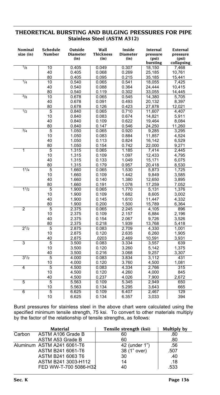#### **THEORETICAL BURSTING AND BULGING PRESSURES FOR PIPE Stainless Steel (ASTM A312)**

| Nominal<br>size (in)     | <b>Schedule</b><br>Number | Outside<br><b>Diameter</b><br>(in) | Wall<br>Thickness<br>(in) | Inside<br><b>Diameter</b><br>(in) | Internal<br>pressure<br>(psi)<br>bursting | External<br>pressure<br>(psi)<br>collapsing |
|--------------------------|---------------------------|------------------------------------|---------------------------|-----------------------------------|-------------------------------------------|---------------------------------------------|
| $\frac{1}{8}$            | 10                        | 0.405                              | 0.049                     | 0.307                             | 18,150                                    | 7,468                                       |
|                          | 40                        | 0.405                              | 0.068                     | 0.269                             | 25,185                                    | 10,761                                      |
|                          | 80                        | 0.405                              | 0.095                     | 0.215                             | 35.185                                    | 15,441                                      |
| $\frac{1}{4}$            | 10                        | 0.540                              | 0.065                     | 0.541                             | 18,055                                    | 7,425                                       |
|                          | 40                        | 0.540                              | 0.088                     | 0.364                             | 24,444                                    | 10,415                                      |
|                          | 80                        | 0.540                              | 0.119                     | 0.302                             | 33,055                                    | 14.445                                      |
| $\overline{\frac{3}{8}}$ | 10                        | 0.678                              | 0.065                     | 0.545                             | 14,380                                    | 5,705                                       |
|                          | 40                        | 0.678                              | 0.091                     | 0.493                             | 20,132                                    | 8,397                                       |
|                          | 80                        | 0.678                              | 0.126                     | 0.423                             | 27.878                                    | 12,021                                      |
| 1/2                      | 5                         | 0.840                              | 0.065                     | 0.710                             | 11,607                                    | 4.407                                       |
|                          | 10                        | 0.840                              | 0.083                     | 0.674                             | 14,821                                    | 5,911                                       |
|                          | 40                        | 0.840                              | 0.109                     | 0.622                             | 19,464                                    | 8,084                                       |
|                          | 80                        | 0.840                              | 0.147                     | 0.546                             | 24,250                                    | 11,260                                      |
| 3/4                      | 5                         | 1.050                              | 0.065                     | 0.920                             | 9,285                                     | 3,295                                       |
|                          | 10                        | 1.050                              | 0.083                     | 0.884                             | 11,857                                    | 4,524                                       |
|                          | 40                        | 1.050                              | 0.113                     | 0.824                             | 16,142                                    | 6,529                                       |
|                          | 80                        | 1.050                              | 0.154                     | 0.742                             | 22,000                                    | 9,271                                       |
| $\overline{1}$           | $\overline{5}$            | 1.315                              | 0.065                     | 1.185                             | 7,414                                     | 2,445                                       |
|                          | 10                        | 1.315                              | 0.109                     | 1.097                             | 12,433                                    | 4,795                                       |
|                          | 40                        | 1.315                              | 0.133                     | 1.049                             | 15,171                                    | 6,075                                       |
|                          | 80                        | 1.315                              | 0.179                     | 0.957                             | 20.418                                    | 8,530                                       |
| $1^{1}/4$                | 5                         | 1.660                              | 0.065                     | 1.530                             | 5.873                                     | 1,725                                       |
|                          | 10                        | 1.660                              | 0.109                     | 1.442                             | 9,849                                     | 3,585                                       |
|                          | 40                        | 1.660                              | 0.140                     | 1.380                             | 12,650                                    | 3,895                                       |
|                          | 80                        | 1.660                              | 0.191                     | 1.078                             | 17.259                                    | 7.052                                       |
| 11/2                     | 5                         | 1.900                              | 0.065                     | 1.770                             | 5,131                                     | 1,376                                       |
|                          | 10                        | 1.900                              | 0.109                     | 1.682                             | 8.605                                     | 3.002                                       |
|                          | 40                        | 1.900                              | 0.145                     | 1.610                             | 11,447                                    | 4,332                                       |
|                          | 80                        | 1.900                              | 0.200                     | 1.500                             | 15,789                                    | 6,364                                       |
| $\overline{2}$           | 5                         | 2.375                              | 0.065                     | 2.245                             | 4,105                                     | 896                                         |
|                          | 10                        | 2.375                              | 0.109                     | 2.157                             | 6,884                                     | 2,196                                       |
|                          | 40                        | 2.375                              | 0.154                     | 2.067                             | 9,726                                     | 3,526                                       |
|                          | 80                        | 2.375                              | 0.218                     | 1.939                             | 13,768                                    | 5,418                                       |
| $2^{1/2}$                | 5                         | 2.875                              | 0.083                     | 2.709                             | 4,330                                     | 1,001                                       |
|                          | 10                        | 2.875                              | 0.120                     | 2.635                             | 6,260                                     | 1,905                                       |
|                          | 40                        | 2.875                              | .0203                     | 2.469                             | 10,591                                    | 3,931                                       |
| 3                        | 5                         | 3.500                              | 0.083                     | 3.334                             | 3,557                                     | 639                                         |
|                          | 10                        | 3.500                              | 0.120                     | 3.260                             | 5,142                                     | 1,375                                       |
|                          | 40                        | 3.500                              | 0.216                     | 3.068                             | 9.257                                     | 3,307                                       |
| $3^{1/2}$                | 5                         | 4.000                              | 0.083                     | 3.834                             | 3.112                                     | 431                                         |
|                          | 10                        | 4.000                              | 0.120                     | 3.760                             | 4,500                                     | 1,081                                       |
| $\overline{4}$           | $\overline{5}$            | 4.500                              | 0.083                     | 4.334                             | 2,766                                     | $\overline{315}$                            |
|                          | 10                        | 4.500                              | 0.120                     | 4.260                             | 4,000                                     | 845                                         |
|                          | 40                        | 4.500                              | 0.237                     | 4.026                             | 7,900                                     | 2,672                                       |
| 5                        | 5                         | 5.563                              | 0.109                     | 5.345                             | 2,949                                     | 650                                         |
|                          | 10<br>$\overline{5}$      | 5.563                              | 0.134                     | 5.295                             | 3.643                                     | 665<br>129                                  |
| 6                        |                           | 6.625                              | 0.109                     | 6.407                             | 2,467                                     |                                             |
|                          | 10                        | 6.625                              | 0.134                     | 6.357                             | 3,033                                     | 394                                         |

Burst pressures for stainless steel in the above chart were calculated using the specified minimum tensile strength, 75 ksi. To convert to other materials multiply by the factor of the relationship of tensile strengths, as follows:

|        | Material                   | Tensile strength (ksi) | Multiply by |
|--------|----------------------------|------------------------|-------------|
| Carbon | ASTM A106 Grade B          | 60                     | .80         |
|        | ASTM A53 Grade B           | 60                     | .80         |
|        | Aluminum ASTM A241 6061-T6 | 42 (under 1")          | .56         |
|        | ASTM B241 6061-T6          | 38 (1" over)           | .507        |
|        | ASTM B241 6063 T6          | 30                     | .40         |
|        | ASTM B241 3003-H112        | 14                     | .18         |
|        | FED WW-T-700 5086-H32      | 40                     | .533        |